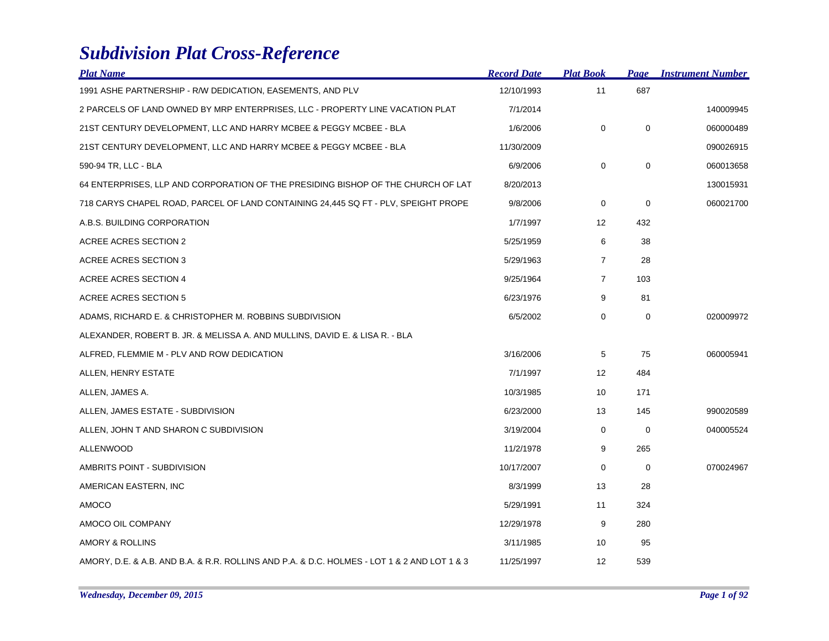## *Subdivision Plat Cross-Reference*

| <b>Plat Name</b>                                                                            | <b>Record Date</b> | <b>Plat Book</b>  | Page        | <b>Instrument Number</b> |
|---------------------------------------------------------------------------------------------|--------------------|-------------------|-------------|--------------------------|
| 1991 ASHE PARTNERSHIP - R/W DEDICATION, EASEMENTS, AND PLV                                  | 12/10/1993         | 11                | 687         |                          |
| 2 PARCELS OF LAND OWNED BY MRP ENTERPRISES, LLC - PROPERTY LINE VACATION PLAT               | 7/1/2014           |                   |             | 140009945                |
| 21ST CENTURY DEVELOPMENT, LLC AND HARRY MCBEE & PEGGY MCBEE - BLA                           | 1/6/2006           | 0                 | $\mathbf 0$ | 060000489                |
| 21ST CENTURY DEVELOPMENT, LLC AND HARRY MCBEE & PEGGY MCBEE - BLA                           | 11/30/2009         |                   |             | 090026915                |
| 590-94 TR, LLC - BLA                                                                        | 6/9/2006           | $\mathbf 0$       | $\mathbf 0$ | 060013658                |
| 64 ENTERPRISES, LLP AND CORPORATION OF THE PRESIDING BISHOP OF THE CHURCH OF LAT            | 8/20/2013          |                   |             | 130015931                |
| 718 CARYS CHAPEL ROAD, PARCEL OF LAND CONTAINING 24,445 SQ FT - PLV, SPEIGHT PROPE          | 9/8/2006           | $\mathbf 0$       | $\mathbf 0$ | 060021700                |
| A.B.S. BUILDING CORPORATION                                                                 | 1/7/1997           | 12                | 432         |                          |
| ACREE ACRES SECTION 2                                                                       | 5/25/1959          | 6                 | 38          |                          |
| ACREE ACRES SECTION 3                                                                       | 5/29/1963          | $\overline{7}$    | 28          |                          |
| ACREE ACRES SECTION 4                                                                       | 9/25/1964          | $\overline{7}$    | 103         |                          |
| ACREE ACRES SECTION 5                                                                       | 6/23/1976          | 9                 | 81          |                          |
| ADAMS, RICHARD E. & CHRISTOPHER M. ROBBINS SUBDIVISION                                      | 6/5/2002           | 0                 | 0           | 020009972                |
| ALEXANDER, ROBERT B. JR. & MELISSA A. AND MULLINS, DAVID E. & LISA R. - BLA                 |                    |                   |             |                          |
| ALFRED, FLEMMIE M - PLV AND ROW DEDICATION                                                  | 3/16/2006          | 5                 | 75          | 060005941                |
| ALLEN, HENRY ESTATE                                                                         | 7/1/1997           | $12 \overline{ }$ | 484         |                          |
| ALLEN, JAMES A.                                                                             | 10/3/1985          | 10                | 171         |                          |
| ALLEN, JAMES ESTATE - SUBDIVISION                                                           | 6/23/2000          | 13                | 145         | 990020589                |
| ALLEN, JOHN T AND SHARON C SUBDIVISION                                                      | 3/19/2004          | 0                 | 0           | 040005524                |
| <b>ALLENWOOD</b>                                                                            | 11/2/1978          | 9                 | 265         |                          |
| AMBRITS POINT - SUBDIVISION                                                                 | 10/17/2007         | $\mathbf 0$       | $\mathbf 0$ | 070024967                |
| AMERICAN EASTERN, INC                                                                       | 8/3/1999           | 13                | 28          |                          |
| AMOCO                                                                                       | 5/29/1991          | 11                | 324         |                          |
| AMOCO OIL COMPANY                                                                           | 12/29/1978         | 9                 | 280         |                          |
| AMORY & ROLLINS                                                                             | 3/11/1985          | 10                | 95          |                          |
| AMORY, D.E. & A.B. AND B.A. & R.R. ROLLINS AND P.A. & D.C. HOLMES - LOT 1 & 2 AND LOT 1 & 3 | 11/25/1997         | 12                | 539         |                          |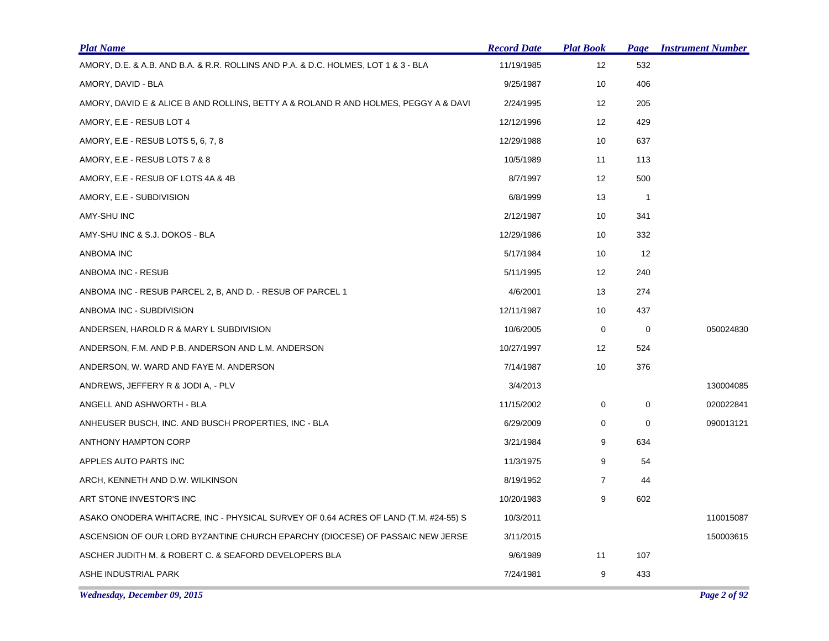| <b>Plat Name</b>                                                                    | <b>Record Date</b> | <b>Plat Book</b>  | Page           | <b>Instrument Number</b> |
|-------------------------------------------------------------------------------------|--------------------|-------------------|----------------|--------------------------|
| AMORY, D.E. & A.B. AND B.A. & R.R. ROLLINS AND P.A. & D.C. HOLMES, LOT 1 & 3 - BLA  | 11/19/1985         | 12                | 532            |                          |
| AMORY, DAVID - BLA                                                                  | 9/25/1987          | 10                | 406            |                          |
| AMORY, DAVID E & ALICE B AND ROLLINS, BETTY A & ROLAND R AND HOLMES, PEGGY A & DAVI | 2/24/1995          | 12                | 205            |                          |
| AMORY, E.E - RESUB LOT 4                                                            | 12/12/1996         | 12                | 429            |                          |
| AMORY, E.E - RESUB LOTS 5, 6, 7, 8                                                  | 12/29/1988         | 10                | 637            |                          |
| AMORY, E.E - RESUB LOTS 7 & 8                                                       | 10/5/1989          | 11                | 113            |                          |
| AMORY, E.E - RESUB OF LOTS 4A & 4B                                                  | 8/7/1997           | $12 \overline{ }$ | 500            |                          |
| AMORY, E.E - SUBDIVISION                                                            | 6/8/1999           | 13                | $\overline{1}$ |                          |
| AMY-SHU INC                                                                         | 2/12/1987          | 10                | 341            |                          |
| AMY-SHU INC & S.J. DOKOS - BLA                                                      | 12/29/1986         | 10                | 332            |                          |
| ANBOMA INC                                                                          | 5/17/1984          | 10                | 12             |                          |
| ANBOMA INC - RESUB                                                                  | 5/11/1995          | 12                | 240            |                          |
| ANBOMA INC - RESUB PARCEL 2, B, AND D. - RESUB OF PARCEL 1                          | 4/6/2001           | 13                | 274            |                          |
| ANBOMA INC - SUBDIVISION                                                            | 12/11/1987         | 10                | 437            |                          |
| ANDERSEN, HAROLD R & MARY L SUBDIVISION                                             | 10/6/2005          | 0                 | 0              | 050024830                |
| ANDERSON, F.M. AND P.B. ANDERSON AND L.M. ANDERSON                                  | 10/27/1997         | 12                | 524            |                          |
| ANDERSON, W. WARD AND FAYE M. ANDERSON                                              | 7/14/1987          | 10                | 376            |                          |
| ANDREWS, JEFFERY R & JODI A, - PLV                                                  | 3/4/2013           |                   |                | 130004085                |
| ANGELL AND ASHWORTH - BLA                                                           | 11/15/2002         | 0                 | 0              | 020022841                |
| ANHEUSER BUSCH, INC. AND BUSCH PROPERTIES, INC - BLA                                | 6/29/2009          | $\mathbf 0$       | $\mathbf 0$    | 090013121                |
| ANTHONY HAMPTON CORP                                                                | 3/21/1984          | 9                 | 634            |                          |
| APPLES AUTO PARTS INC                                                               | 11/3/1975          | 9                 | 54             |                          |
| ARCH, KENNETH AND D.W. WILKINSON                                                    | 8/19/1952          | $\overline{7}$    | 44             |                          |
| ART STONE INVESTOR'S INC                                                            | 10/20/1983         | 9                 | 602            |                          |
| ASAKO ONODERA WHITACRE, INC - PHYSICAL SURVEY OF 0.64 ACRES OF LAND (T.M. #24-55) S | 10/3/2011          |                   |                | 110015087                |
| ASCENSION OF OUR LORD BYZANTINE CHURCH EPARCHY (DIOCESE) OF PASSAIC NEW JERSE       | 3/11/2015          |                   |                | 150003615                |
| ASCHER JUDITH M. & ROBERT C. & SEAFORD DEVELOPERS BLA                               | 9/6/1989           | 11                | 107            |                          |
| ASHE INDUSTRIAL PARK                                                                | 7/24/1981          | 9                 | 433            |                          |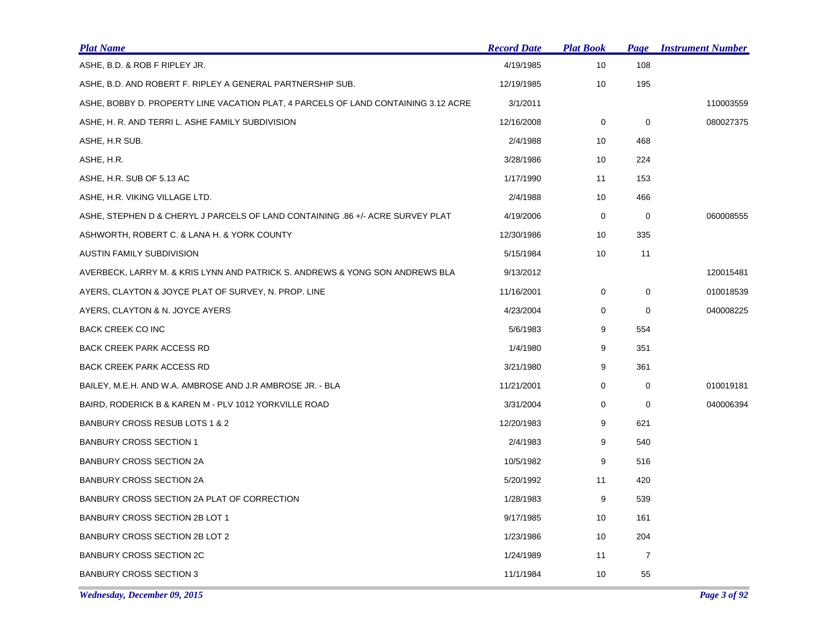| <b>Plat Name</b>                                                                   | <b>Record Date</b> | <b>Plat Book</b> | Page           | <b>Instrument Number</b> |
|------------------------------------------------------------------------------------|--------------------|------------------|----------------|--------------------------|
| ASHE, B.D. & ROB F RIPLEY JR.                                                      | 4/19/1985          | 10               | 108            |                          |
| ASHE, B.D. AND ROBERT F. RIPLEY A GENERAL PARTNERSHIP SUB.                         | 12/19/1985         | 10               | 195            |                          |
| ASHE, BOBBY D. PROPERTY LINE VACATION PLAT, 4 PARCELS OF LAND CONTAINING 3.12 ACRE | 3/1/2011           |                  |                | 110003559                |
| ASHE, H. R. AND TERRI L. ASHE FAMILY SUBDIVISION                                   | 12/16/2008         | 0                | 0              | 080027375                |
| ASHE, H.R SUB.                                                                     | 2/4/1988           | 10               | 468            |                          |
| ASHE, H.R.                                                                         | 3/28/1986          | 10               | 224            |                          |
| ASHE, H.R. SUB OF 5.13 AC                                                          | 1/17/1990          | 11               | 153            |                          |
| ASHE, H.R. VIKING VILLAGE LTD.                                                     | 2/4/1988           | 10               | 466            |                          |
| ASHE, STEPHEN D & CHERYL J PARCELS OF LAND CONTAINING .86 +/- ACRE SURVEY PLAT     | 4/19/2006          | 0                | $\mathbf 0$    | 060008555                |
| ASHWORTH, ROBERT C. & LANA H. & YORK COUNTY                                        | 12/30/1986         | 10               | 335            |                          |
| AUSTIN FAMILY SUBDIVISION                                                          | 5/15/1984          | 10               | 11             |                          |
| AVERBECK, LARRY M. & KRIS LYNN AND PATRICK S. ANDREWS & YONG SON ANDREWS BLA       | 9/13/2012          |                  |                | 120015481                |
| AYERS, CLAYTON & JOYCE PLAT OF SURVEY, N. PROP. LINE                               | 11/16/2001         | 0                | 0              | 010018539                |
| AYERS, CLAYTON & N. JOYCE AYERS                                                    | 4/23/2004          | 0                | $\mathbf 0$    | 040008225                |
| <b>BACK CREEK CO INC</b>                                                           | 5/6/1983           | 9                | 554            |                          |
| <b>BACK CREEK PARK ACCESS RD</b>                                                   | 1/4/1980           | 9                | 351            |                          |
| <b>BACK CREEK PARK ACCESS RD</b>                                                   | 3/21/1980          | 9                | 361            |                          |
| BAILEY, M.E.H. AND W.A. AMBROSE AND J.R AMBROSE JR. - BLA                          | 11/21/2001         | 0                | 0              | 010019181                |
| BAIRD, RODERICK B & KAREN M - PLV 1012 YORKVILLE ROAD                              | 3/31/2004          | 0                | 0              | 040006394                |
| BANBURY CROSS RESUB LOTS 1 & 2                                                     | 12/20/1983         | 9                | 621            |                          |
| <b>BANBURY CROSS SECTION 1</b>                                                     | 2/4/1983           | 9                | 540            |                          |
| BANBURY CROSS SECTION 2A                                                           | 10/5/1982          | 9                | 516            |                          |
| <b>BANBURY CROSS SECTION 2A</b>                                                    | 5/20/1992          | 11               | 420            |                          |
| BANBURY CROSS SECTION 2A PLAT OF CORRECTION                                        | 1/28/1983          | 9                | 539            |                          |
| BANBURY CROSS SECTION 2B LOT 1                                                     | 9/17/1985          | 10               | 161            |                          |
| BANBURY CROSS SECTION 2B LOT 2                                                     | 1/23/1986          | 10               | 204            |                          |
| <b>BANBURY CROSS SECTION 2C</b>                                                    | 1/24/1989          | 11               | $\overline{7}$ |                          |
| <b>BANBURY CROSS SECTION 3</b>                                                     | 11/1/1984          | 10               | 55             |                          |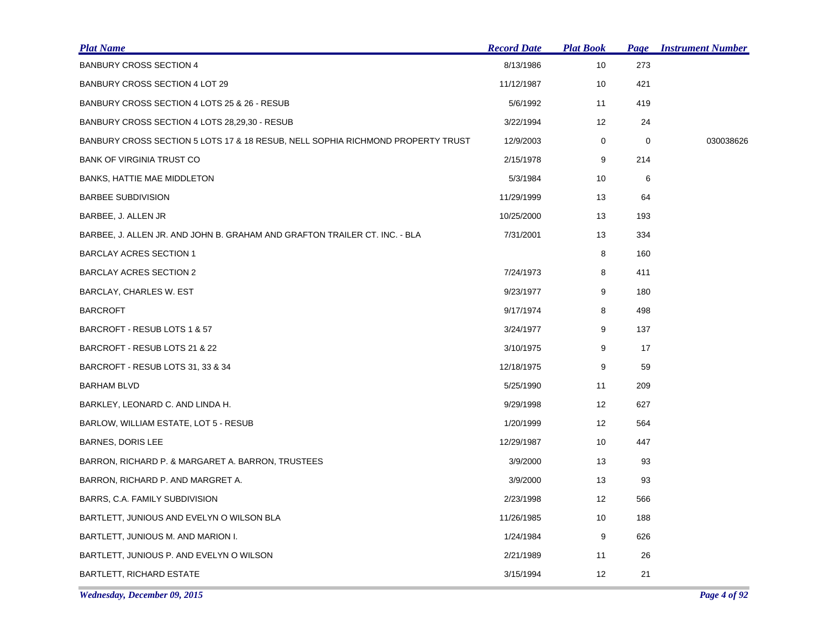| <b>Plat Name</b>                                                                | <b>Record Date</b> | <b>Plat Book</b> | Page | <b>Instrument Number</b> |
|---------------------------------------------------------------------------------|--------------------|------------------|------|--------------------------|
| <b>BANBURY CROSS SECTION 4</b>                                                  | 8/13/1986          | 10               | 273  |                          |
| BANBURY CROSS SECTION 4 LOT 29                                                  | 11/12/1987         | 10               | 421  |                          |
| BANBURY CROSS SECTION 4 LOTS 25 & 26 - RESUB                                    | 5/6/1992           | 11               | 419  |                          |
| BANBURY CROSS SECTION 4 LOTS 28,29,30 - RESUB                                   | 3/22/1994          | 12               | 24   |                          |
| BANBURY CROSS SECTION 5 LOTS 17 & 18 RESUB, NELL SOPHIA RICHMOND PROPERTY TRUST | 12/9/2003          | $\mathbf 0$      | 0    | 030038626                |
| <b>BANK OF VIRGINIA TRUST CO</b>                                                | 2/15/1978          | 9                | 214  |                          |
| BANKS, HATTIE MAE MIDDLETON                                                     | 5/3/1984           | 10               | 6    |                          |
| <b>BARBEE SUBDIVISION</b>                                                       | 11/29/1999         | 13               | 64   |                          |
| BARBEE, J. ALLEN JR                                                             | 10/25/2000         | 13               | 193  |                          |
| BARBEE, J. ALLEN JR. AND JOHN B. GRAHAM AND GRAFTON TRAILER CT. INC. - BLA      | 7/31/2001          | 13               | 334  |                          |
| <b>BARCLAY ACRES SECTION 1</b>                                                  |                    | 8                | 160  |                          |
| BARCLAY ACRES SECTION 2                                                         | 7/24/1973          | 8                | 411  |                          |
| BARCLAY, CHARLES W. EST                                                         | 9/23/1977          | 9                | 180  |                          |
| <b>BARCROFT</b>                                                                 | 9/17/1974          | 8                | 498  |                          |
| BARCROFT - RESUB LOTS 1 & 57                                                    | 3/24/1977          | 9                | 137  |                          |
| BARCROFT - RESUB LOTS 21 & 22                                                   | 3/10/1975          | 9                | 17   |                          |
| BARCROFT - RESUB LOTS 31, 33 & 34                                               | 12/18/1975         | 9                | 59   |                          |
| <b>BARHAM BLVD</b>                                                              | 5/25/1990          | 11               | 209  |                          |
| BARKLEY, LEONARD C. AND LINDA H.                                                | 9/29/1998          | 12               | 627  |                          |
| BARLOW, WILLIAM ESTATE, LOT 5 - RESUB                                           | 1/20/1999          | 12               | 564  |                          |
| BARNES, DORIS LEE                                                               | 12/29/1987         | 10               | 447  |                          |
| BARRON, RICHARD P. & MARGARET A. BARRON, TRUSTEES                               | 3/9/2000           | 13               | 93   |                          |
| BARRON, RICHARD P. AND MARGRET A.                                               | 3/9/2000           | 13               | 93   |                          |
| BARRS, C.A. FAMILY SUBDIVISION                                                  | 2/23/1998          | 12               | 566  |                          |
| BARTLETT, JUNIOUS AND EVELYN O WILSON BLA                                       | 11/26/1985         | 10               | 188  |                          |
| BARTLETT, JUNIOUS M. AND MARION I.                                              | 1/24/1984          | 9                | 626  |                          |
| BARTLETT, JUNIOUS P. AND EVELYN O WILSON                                        | 2/21/1989          | 11               | 26   |                          |
| <b>BARTLETT, RICHARD ESTATE</b>                                                 | 3/15/1994          | 12               | 21   |                          |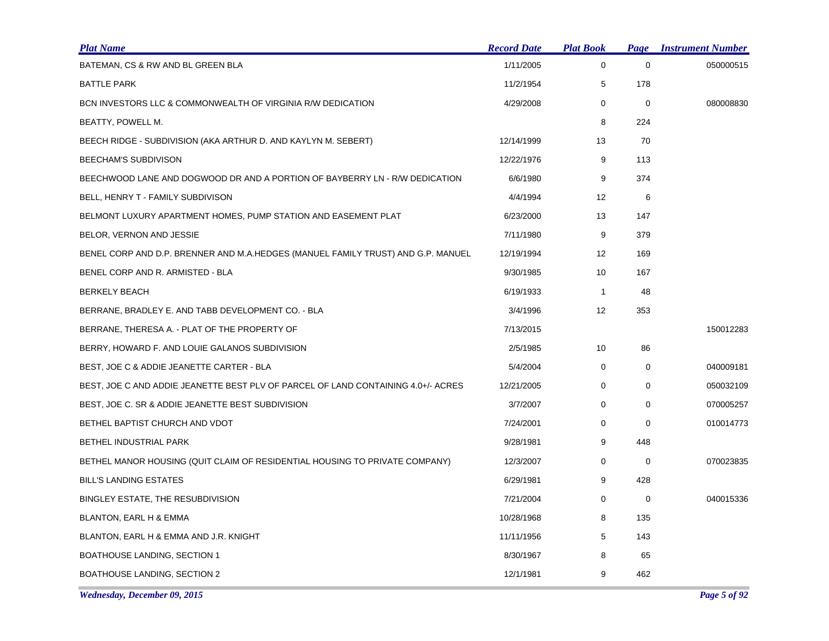| <b>Plat Name</b>                                                                  | <b>Record Date</b> | <b>Plat Book</b> | Page        | <b>Instrument Number</b> |
|-----------------------------------------------------------------------------------|--------------------|------------------|-------------|--------------------------|
| BATEMAN, CS & RW AND BL GREEN BLA                                                 | 1/11/2005          | $\mathbf 0$      | $\mathbf 0$ | 050000515                |
| BATTLE PARK                                                                       | 11/2/1954          | 5                | 178         |                          |
| BCN INVESTORS LLC & COMMONWEALTH OF VIRGINIA R/W DEDICATION                       | 4/29/2008          | 0                | $\mathbf 0$ | 080008830                |
| BEATTY, POWELL M.                                                                 |                    | 8                | 224         |                          |
| BEECH RIDGE - SUBDIVISION (AKA ARTHUR D. AND KAYLYN M. SEBERT)                    | 12/14/1999         | 13               | 70          |                          |
| BEECHAM'S SUBDIVISON                                                              | 12/22/1976         | 9                | 113         |                          |
| BEECHWOOD LANE AND DOGWOOD DR AND A PORTION OF BAYBERRY LN - R/W DEDICATION       | 6/6/1980           | 9                | 374         |                          |
| BELL, HENRY T - FAMILY SUBDIVISON                                                 | 4/4/1994           | 12               | 6           |                          |
| BELMONT LUXURY APARTMENT HOMES, PUMP STATION AND EASEMENT PLAT                    | 6/23/2000          | 13               | 147         |                          |
| BELOR, VERNON AND JESSIE                                                          | 7/11/1980          | 9                | 379         |                          |
| BENEL CORP AND D.P. BRENNER AND M.A.HEDGES (MANUEL FAMILY TRUST) AND G.P. MANUEL  | 12/19/1994         | 12               | 169         |                          |
| BENEL CORP AND R. ARMISTED - BLA                                                  | 9/30/1985          | 10               | 167         |                          |
| <b>BERKELY BEACH</b>                                                              | 6/19/1933          | $\mathbf{1}$     | 48          |                          |
| BERRANE, BRADLEY E. AND TABB DEVELOPMENT CO. - BLA                                | 3/4/1996           | 12               | 353         |                          |
| BERRANE, THERESA A. - PLAT OF THE PROPERTY OF                                     | 7/13/2015          |                  |             | 150012283                |
| BERRY, HOWARD F. AND LOUIE GALANOS SUBDIVISION                                    | 2/5/1985           | 10               | 86          |                          |
| BEST, JOE C & ADDIE JEANETTE CARTER - BLA                                         | 5/4/2004           | 0                | 0           | 040009181                |
| BEST, JOE C AND ADDIE JEANETTE BEST PLV OF PARCEL OF LAND CONTAINING 4.0+/- ACRES | 12/21/2005         | 0                | $\mathbf 0$ | 050032109                |
| BEST, JOE C. SR & ADDIE JEANETTE BEST SUBDIVISION                                 | 3/7/2007           | 0                | 0           | 070005257                |
| BETHEL BAPTIST CHURCH AND VDOT                                                    | 7/24/2001          | 0                | 0           | 010014773                |
| BETHEL INDUSTRIAL PARK                                                            | 9/28/1981          | 9                | 448         |                          |
| BETHEL MANOR HOUSING (QUIT CLAIM OF RESIDENTIAL HOUSING TO PRIVATE COMPANY)       | 12/3/2007          | 0                | 0           | 070023835                |
| <b>BILL'S LANDING ESTATES</b>                                                     | 6/29/1981          | 9                | 428         |                          |
| BINGLEY ESTATE, THE RESUBDIVISION                                                 | 7/21/2004          | 0                | 0           | 040015336                |
| BLANTON, EARL H & EMMA                                                            | 10/28/1968         | 8                | 135         |                          |
| BLANTON, EARL H & EMMA AND J.R. KNIGHT                                            | 11/11/1956         | 5                | 143         |                          |
| <b>BOATHOUSE LANDING, SECTION 1</b>                                               | 8/30/1967          | 8                | 65          |                          |
| BOATHOUSE LANDING, SECTION 2                                                      | 12/1/1981          | 9                | 462         |                          |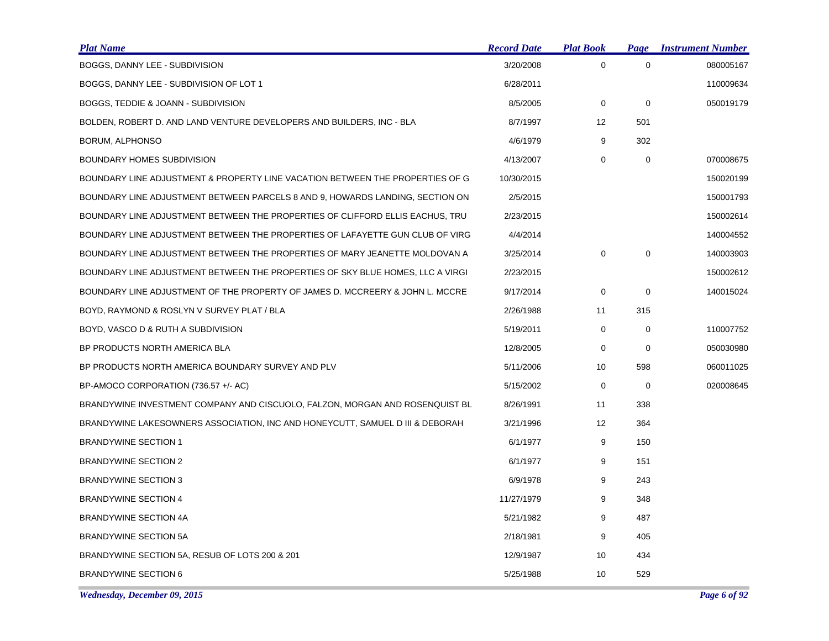| <b>Plat Name</b>                                                               | <b>Record Date</b> | <b>Plat Book</b> | Page        | <b>Instrument Number</b> |
|--------------------------------------------------------------------------------|--------------------|------------------|-------------|--------------------------|
| BOGGS, DANNY LEE - SUBDIVISION                                                 | 3/20/2008          | $\mathbf 0$      | 0           | 080005167                |
| BOGGS, DANNY LEE - SUBDIVISION OF LOT 1                                        | 6/28/2011          |                  |             | 110009634                |
| BOGGS, TEDDIE & JOANN - SUBDIVISION                                            | 8/5/2005           | 0                | $\mathbf 0$ | 050019179                |
| BOLDEN, ROBERT D. AND LAND VENTURE DEVELOPERS AND BUILDERS, INC - BLA          | 8/7/1997           | 12               | 501         |                          |
| BORUM, ALPHONSO                                                                | 4/6/1979           | 9                | 302         |                          |
| BOUNDARY HOMES SUBDIVISION                                                     | 4/13/2007          | 0                | $\mathbf 0$ | 070008675                |
| BOUNDARY LINE ADJUSTMENT & PROPERTY LINE VACATION BETWEEN THE PROPERTIES OF G  | 10/30/2015         |                  |             | 150020199                |
| BOUNDARY LINE ADJUSTMENT BETWEEN PARCELS 8 AND 9, HOWARDS LANDING, SECTION ON  | 2/5/2015           |                  |             | 150001793                |
| BOUNDARY LINE ADJUSTMENT BETWEEN THE PROPERTIES OF CLIFFORD ELLIS EACHUS, TRU  | 2/23/2015          |                  |             | 150002614                |
| BOUNDARY LINE ADJUSTMENT BETWEEN THE PROPERTIES OF LAFAYETTE GUN CLUB OF VIRG  | 4/4/2014           |                  |             | 140004552                |
| BOUNDARY LINE ADJUSTMENT BETWEEN THE PROPERTIES OF MARY JEANETTE MOLDOVAN A    | 3/25/2014          | 0                | 0           | 140003903                |
| BOUNDARY LINE ADJUSTMENT BETWEEN THE PROPERTIES OF SKY BLUE HOMES, LLC A VIRGI | 2/23/2015          |                  |             | 150002612                |
| BOUNDARY LINE ADJUSTMENT OF THE PROPERTY OF JAMES D. MCCREERY & JOHN L. MCCRE  | 9/17/2014          | 0                | $\mathbf 0$ | 140015024                |
| BOYD, RAYMOND & ROSLYN V SURVEY PLAT / BLA                                     | 2/26/1988          | 11               | 315         |                          |
| BOYD, VASCO D & RUTH A SUBDIVISION                                             | 5/19/2011          | 0                | $\mathbf 0$ | 110007752                |
| BP PRODUCTS NORTH AMERICA BLA                                                  | 12/8/2005          | 0                | 0           | 050030980                |
| BP PRODUCTS NORTH AMERICA BOUNDARY SURVEY AND PLV                              | 5/11/2006          | 10               | 598         | 060011025                |
| BP-AMOCO CORPORATION (736.57 +/- AC)                                           | 5/15/2002          | 0                | $\mathbf 0$ | 020008645                |
| BRANDYWINE INVESTMENT COMPANY AND CISCUOLO, FALZON, MORGAN AND ROSENQUIST BL   | 8/26/1991          | 11               | 338         |                          |
| BRANDYWINE LAKESOWNERS ASSOCIATION, INC AND HONEYCUTT, SAMUEL D III & DEBORAH  | 3/21/1996          | 12               | 364         |                          |
| <b>BRANDYWINE SECTION 1</b>                                                    | 6/1/1977           | 9                | 150         |                          |
| <b>BRANDYWINE SECTION 2</b>                                                    | 6/1/1977           | 9                | 151         |                          |
| <b>BRANDYWINE SECTION 3</b>                                                    | 6/9/1978           | 9                | 243         |                          |
| <b>BRANDYWINE SECTION 4</b>                                                    | 11/27/1979         | 9                | 348         |                          |
| BRANDYWINE SECTION 4A                                                          | 5/21/1982          | 9                | 487         |                          |
| <b>BRANDYWINE SECTION 5A</b>                                                   | 2/18/1981          | 9                | 405         |                          |
| BRANDYWINE SECTION 5A, RESUB OF LOTS 200 & 201                                 | 12/9/1987          | 10               | 434         |                          |
| <b>BRANDYWINE SECTION 6</b>                                                    | 5/25/1988          | 10               | 529         |                          |

*Wednesday, December 09, 2015 Page 6 of 92*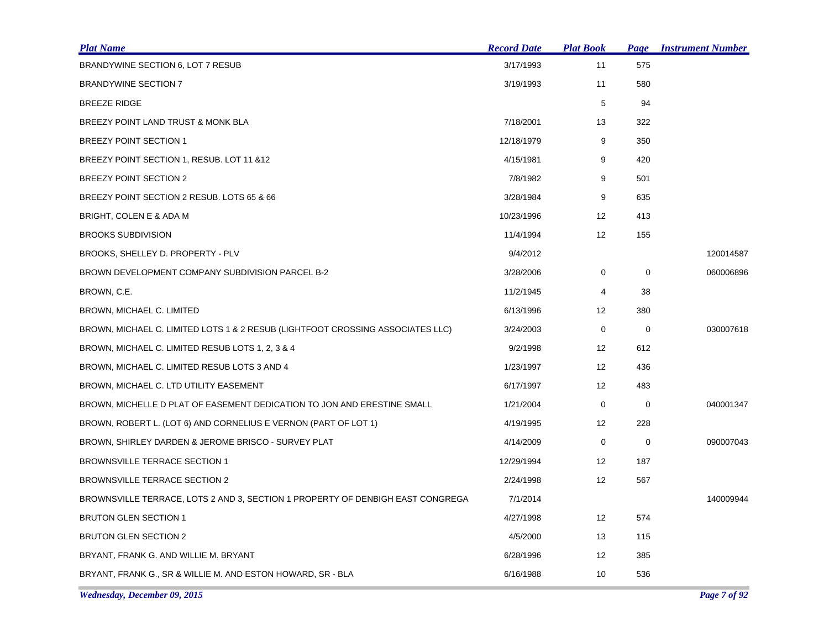| <u>Plat Name</u>                                                               | <b>Record Date</b> | <b>Plat Book</b>  | <b>Page</b> | <b>Instrument Number</b> |
|--------------------------------------------------------------------------------|--------------------|-------------------|-------------|--------------------------|
| BRANDYWINE SECTION 6, LOT 7 RESUB                                              | 3/17/1993          | 11                | 575         |                          |
| <b>BRANDYWINE SECTION 7</b>                                                    | 3/19/1993          | 11                | 580         |                          |
| <b>BREEZE RIDGE</b>                                                            |                    | 5                 | 94          |                          |
| BREEZY POINT LAND TRUST & MONK BLA                                             | 7/18/2001          | 13                | 322         |                          |
| <b>BREEZY POINT SECTION 1</b>                                                  | 12/18/1979         | 9                 | 350         |                          |
| BREEZY POINT SECTION 1, RESUB. LOT 11 & 12                                     | 4/15/1981          | 9                 | 420         |                          |
| BREEZY POINT SECTION 2                                                         | 7/8/1982           | 9                 | 501         |                          |
| BREEZY POINT SECTION 2 RESUB. LOTS 65 & 66                                     | 3/28/1984          | 9                 | 635         |                          |
| BRIGHT, COLEN E & ADA M                                                        | 10/23/1996         | 12                | 413         |                          |
| <b>BROOKS SUBDIVISION</b>                                                      | 11/4/1994          | 12                | 155         |                          |
| BROOKS, SHELLEY D. PROPERTY - PLV                                              | 9/4/2012           |                   |             | 120014587                |
| BROWN DEVELOPMENT COMPANY SUBDIVISION PARCEL B-2                               | 3/28/2006          | 0                 | 0           | 060006896                |
| BROWN, C.E.                                                                    | 11/2/1945          | 4                 | 38          |                          |
| BROWN, MICHAEL C. LIMITED                                                      | 6/13/1996          | 12                | 380         |                          |
| BROWN, MICHAEL C. LIMITED LOTS 1 & 2 RESUB (LIGHTFOOT CROSSING ASSOCIATES LLC) | 3/24/2003          | 0                 | 0           | 030007618                |
| BROWN, MICHAEL C. LIMITED RESUB LOTS 1, 2, 3 & 4                               | 9/2/1998           | 12                | 612         |                          |
| BROWN, MICHAEL C. LIMITED RESUB LOTS 3 AND 4                                   | 1/23/1997          | 12                | 436         |                          |
| BROWN, MICHAEL C. LTD UTILITY EASEMENT                                         | 6/17/1997          | 12                | 483         |                          |
| BROWN, MICHELLE D PLAT OF EASEMENT DEDICATION TO JON AND ERESTINE SMALL        | 1/21/2004          | 0                 | $\mathbf 0$ | 040001347                |
| BROWN, ROBERT L. (LOT 6) AND CORNELIUS E VERNON (PART OF LOT 1)                | 4/19/1995          | 12                | 228         |                          |
| BROWN, SHIRLEY DARDEN & JEROME BRISCO - SURVEY PLAT                            | 4/14/2009          | 0                 | 0           | 090007043                |
| <b>BROWNSVILLE TERRACE SECTION 1</b>                                           | 12/29/1994         | $12 \overline{ }$ | 187         |                          |
| <b>BROWNSVILLE TERRACE SECTION 2</b>                                           | 2/24/1998          | 12                | 567         |                          |
| BROWNSVILLE TERRACE, LOTS 2 AND 3, SECTION 1 PROPERTY OF DENBIGH EAST CONGREGA | 7/1/2014           |                   |             | 140009944                |
| <b>BRUTON GLEN SECTION 1</b>                                                   | 4/27/1998          | $12 \overline{ }$ | 574         |                          |
| <b>BRUTON GLEN SECTION 2</b>                                                   | 4/5/2000           | 13                | 115         |                          |
| BRYANT, FRANK G. AND WILLIE M. BRYANT                                          | 6/28/1996          | 12                | 385         |                          |
| BRYANT, FRANK G., SR & WILLIE M. AND ESTON HOWARD, SR - BLA                    | 6/16/1988          | 10                | 536         |                          |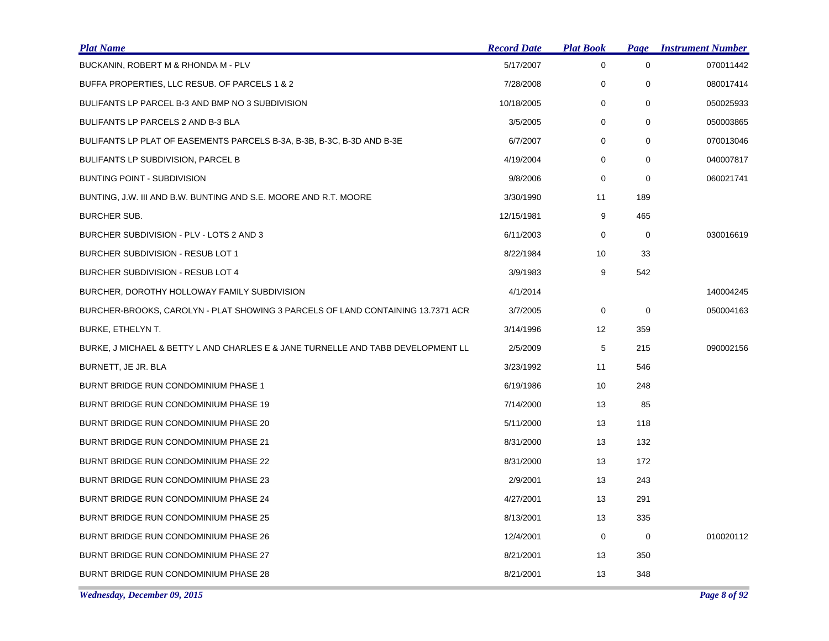| <b>Plat Name</b>                                                                 | <b>Record Date</b> | <b>Plat Book</b> | <b>Page</b> | <b>Instrument Number</b> |
|----------------------------------------------------------------------------------|--------------------|------------------|-------------|--------------------------|
| BUCKANIN, ROBERT M & RHONDA M - PLV                                              | 5/17/2007          | 0                | 0           | 070011442                |
| BUFFA PROPERTIES, LLC RESUB. OF PARCELS 1 & 2                                    | 7/28/2008          | 0                | 0           | 080017414                |
| BULIFANTS LP PARCEL B-3 AND BMP NO 3 SUBDIVISION                                 | 10/18/2005         | 0                | 0           | 050025933                |
| BULIFANTS LP PARCELS 2 AND B-3 BLA                                               | 3/5/2005           | 0                | $\mathbf 0$ | 050003865                |
| BULIFANTS LP PLAT OF EASEMENTS PARCELS B-3A, B-3B, B-3C, B-3D AND B-3E           | 6/7/2007           | 0                | 0           | 070013046                |
| <b>BULIFANTS LP SUBDIVISION, PARCEL B</b>                                        | 4/19/2004          | 0                | $\mathbf 0$ | 040007817                |
| <b>BUNTING POINT - SUBDIVISION</b>                                               | 9/8/2006           | 0                | 0           | 060021741                |
| BUNTING, J.W. III AND B.W. BUNTING AND S.E. MOORE AND R.T. MOORE                 | 3/30/1990          | 11               | 189         |                          |
| <b>BURCHER SUB.</b>                                                              | 12/15/1981         | 9                | 465         |                          |
| BURCHER SUBDIVISION - PLV - LOTS 2 AND 3                                         | 6/11/2003          | 0                | 0           | 030016619                |
| BURCHER SUBDIVISION - RESUB LOT 1                                                | 8/22/1984          | 10               | 33          |                          |
| BURCHER SUBDIVISION - RESUB LOT 4                                                | 3/9/1983           | 9                | 542         |                          |
| BURCHER, DOROTHY HOLLOWAY FAMILY SUBDIVISION                                     | 4/1/2014           |                  |             | 140004245                |
| BURCHER-BROOKS, CAROLYN - PLAT SHOWING 3 PARCELS OF LAND CONTAINING 13.7371 ACR  | 3/7/2005           | 0                | 0           | 050004163                |
| BURKE, ETHELYN T.                                                                | 3/14/1996          | 12 <sup>°</sup>  | 359         |                          |
| BURKE, J MICHAEL & BETTY L AND CHARLES E & JANE TURNELLE AND TABB DEVELOPMENT LL | 2/5/2009           | 5                | 215         | 090002156                |
| BURNETT, JE JR. BLA                                                              | 3/23/1992          | 11               | 546         |                          |
| BURNT BRIDGE RUN CONDOMINIUM PHASE 1                                             | 6/19/1986          | 10               | 248         |                          |
| BURNT BRIDGE RUN CONDOMINIUM PHASE 19                                            | 7/14/2000          | 13               | 85          |                          |
| BURNT BRIDGE RUN CONDOMINIUM PHASE 20                                            | 5/11/2000          | 13               | 118         |                          |
| BURNT BRIDGE RUN CONDOMINIUM PHASE 21                                            | 8/31/2000          | 13               | 132         |                          |
| BURNT BRIDGE RUN CONDOMINIUM PHASE 22                                            | 8/31/2000          | 13               | 172         |                          |
| BURNT BRIDGE RUN CONDOMINIUM PHASE 23                                            | 2/9/2001           | 13               | 243         |                          |
| BURNT BRIDGE RUN CONDOMINIUM PHASE 24                                            | 4/27/2001          | 13               | 291         |                          |
| BURNT BRIDGE RUN CONDOMINIUM PHASE 25                                            | 8/13/2001          | 13               | 335         |                          |
| BURNT BRIDGE RUN CONDOMINIUM PHASE 26                                            | 12/4/2001          | 0                | $\mathbf 0$ | 010020112                |
| BURNT BRIDGE RUN CONDOMINIUM PHASE 27                                            | 8/21/2001          | 13               | 350         |                          |
| BURNT BRIDGE RUN CONDOMINIUM PHASE 28                                            | 8/21/2001          | 13               | 348         |                          |

*Wednesday, December 09, 2015 Page 8 of 92*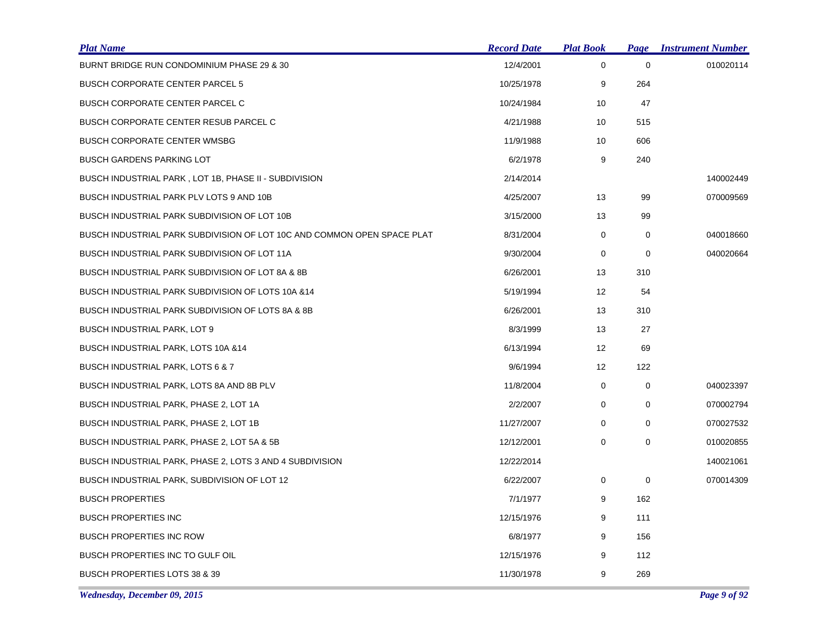| <b>Plat Name</b>                                                        | <b>Record Date</b> | <b>Plat Book</b> | Page        | <b>Instrument Number</b> |
|-------------------------------------------------------------------------|--------------------|------------------|-------------|--------------------------|
| BURNT BRIDGE RUN CONDOMINIUM PHASE 29 & 30                              | 12/4/2001          | 0                | $\mathbf 0$ | 010020114                |
| <b>BUSCH CORPORATE CENTER PARCEL 5</b>                                  | 10/25/1978         | 9                | 264         |                          |
| <b>BUSCH CORPORATE CENTER PARCEL C</b>                                  | 10/24/1984         | 10               | 47          |                          |
| <b>BUSCH CORPORATE CENTER RESUB PARCEL C</b>                            | 4/21/1988          | 10               | 515         |                          |
| <b>BUSCH CORPORATE CENTER WMSBG</b>                                     | 11/9/1988          | 10               | 606         |                          |
| <b>BUSCH GARDENS PARKING LOT</b>                                        | 6/2/1978           | 9                | 240         |                          |
| BUSCH INDUSTRIAL PARK, LOT 1B, PHASE II - SUBDIVISION                   | 2/14/2014          |                  |             | 140002449                |
| BUSCH INDUSTRIAL PARK PLV LOTS 9 AND 10B                                | 4/25/2007          | 13               | 99          | 070009569                |
| BUSCH INDUSTRIAL PARK SUBDIVISION OF LOT 10B                            | 3/15/2000          | 13               | 99          |                          |
| BUSCH INDUSTRIAL PARK SUBDIVISION OF LOT 10C AND COMMON OPEN SPACE PLAT | 8/31/2004          | 0                | $\mathbf 0$ | 040018660                |
| BUSCH INDUSTRIAL PARK SUBDIVISION OF LOT 11A                            | 9/30/2004          | 0                | 0           | 040020664                |
| BUSCH INDUSTRIAL PARK SUBDIVISION OF LOT 8A & 8B                        | 6/26/2001          | 13               | 310         |                          |
| BUSCH INDUSTRIAL PARK SUBDIVISION OF LOTS 10A & 14                      | 5/19/1994          | 12               | 54          |                          |
| BUSCH INDUSTRIAL PARK SUBDIVISION OF LOTS 8A & 8B                       | 6/26/2001          | 13               | 310         |                          |
| BUSCH INDUSTRIAL PARK, LOT 9                                            | 8/3/1999           | 13               | 27          |                          |
| BUSCH INDUSTRIAL PARK, LOTS 10A & 14                                    | 6/13/1994          | 12 <sup>2</sup>  | 69          |                          |
| BUSCH INDUSTRIAL PARK, LOTS 6 & 7                                       | 9/6/1994           | 12               | 122         |                          |
| BUSCH INDUSTRIAL PARK, LOTS 8A AND 8B PLV                               | 11/8/2004          | 0                | $\mathbf 0$ | 040023397                |
| BUSCH INDUSTRIAL PARK, PHASE 2, LOT 1A                                  | 2/2/2007           | 0                | 0           | 070002794                |
| BUSCH INDUSTRIAL PARK, PHASE 2, LOT 1B                                  | 11/27/2007         | 0                | $\mathbf 0$ | 070027532                |
| BUSCH INDUSTRIAL PARK, PHASE 2, LOT 5A & 5B                             | 12/12/2001         | 0                | 0           | 010020855                |
| BUSCH INDUSTRIAL PARK, PHASE 2, LOTS 3 AND 4 SUBDIVISION                | 12/22/2014         |                  |             | 140021061                |
| BUSCH INDUSTRIAL PARK, SUBDIVISION OF LOT 12                            | 6/22/2007          | 0                | $\mathbf 0$ | 070014309                |
| <b>BUSCH PROPERTIES</b>                                                 | 7/1/1977           | 9                | 162         |                          |
| <b>BUSCH PROPERTIES INC</b>                                             | 12/15/1976         | 9                | 111         |                          |
| <b>BUSCH PROPERTIES INC ROW</b>                                         | 6/8/1977           | 9                | 156         |                          |
| BUSCH PROPERTIES INC TO GULF OIL                                        | 12/15/1976         | 9                | 112         |                          |
| <b>BUSCH PROPERTIES LOTS 38 &amp; 39</b>                                | 11/30/1978         | 9                | 269         |                          |

*Wednesday, December 09, 2015 Page 9 of 92*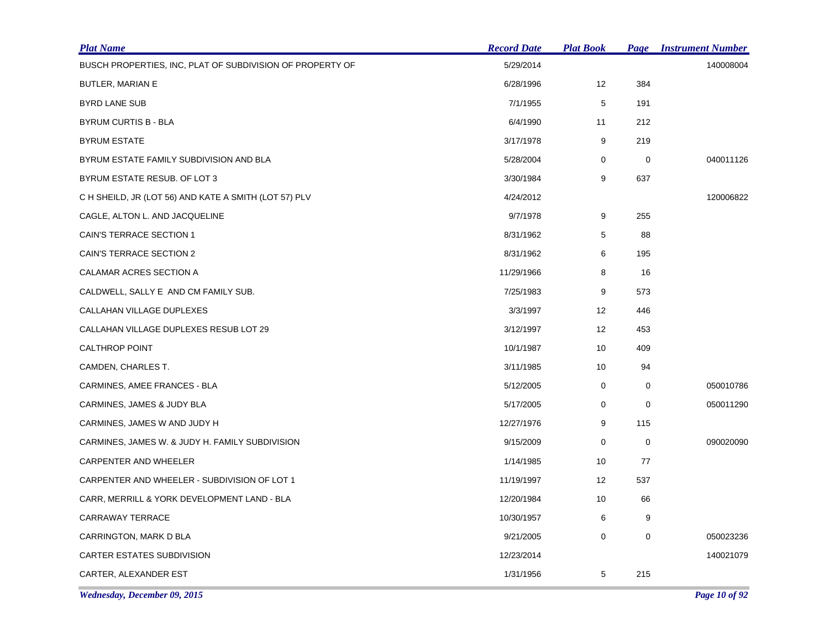| <b>Plat Name</b>                                          | <b>Record Date</b> | <u> Plat Book</u> | Page        | <b>Instrument Number</b> |
|-----------------------------------------------------------|--------------------|-------------------|-------------|--------------------------|
| BUSCH PROPERTIES, INC, PLAT OF SUBDIVISION OF PROPERTY OF | 5/29/2014          |                   |             | 140008004                |
| BUTLER, MARIAN E                                          | 6/28/1996          | 12 <sup>2</sup>   | 384         |                          |
| BYRD LANE SUB                                             | 7/1/1955           | 5                 | 191         |                          |
| <b>BYRUM CURTIS B - BLA</b>                               | 6/4/1990           | 11                | 212         |                          |
| <b>BYRUM ESTATE</b>                                       | 3/17/1978          | 9                 | 219         |                          |
| BYRUM ESTATE FAMILY SUBDIVISION AND BLA                   | 5/28/2004          | 0                 | $\mathbf 0$ | 040011126                |
| BYRUM ESTATE RESUB. OF LOT 3                              | 3/30/1984          | 9                 | 637         |                          |
| C H SHEILD, JR (LOT 56) AND KATE A SMITH (LOT 57) PLV     | 4/24/2012          |                   |             | 120006822                |
| CAGLE, ALTON L. AND JACQUELINE                            | 9/7/1978           | 9                 | 255         |                          |
| CAIN'S TERRACE SECTION 1                                  | 8/31/1962          | 5                 | 88          |                          |
| CAIN'S TERRACE SECTION 2                                  | 8/31/1962          | 6                 | 195         |                          |
| CALAMAR ACRES SECTION A                                   | 11/29/1966         | 8                 | 16          |                          |
| CALDWELL, SALLY E AND CM FAMILY SUB.                      | 7/25/1983          | 9                 | 573         |                          |
| CALLAHAN VILLAGE DUPLEXES                                 | 3/3/1997           | 12                | 446         |                          |
| CALLAHAN VILLAGE DUPLEXES RESUB LOT 29                    | 3/12/1997          | 12                | 453         |                          |
| <b>CALTHROP POINT</b>                                     | 10/1/1987          | 10                | 409         |                          |
| CAMDEN, CHARLES T.                                        | 3/11/1985          | 10                | 94          |                          |
| CARMINES, AMEE FRANCES - BLA                              | 5/12/2005          | 0                 | 0           | 050010786                |
| CARMINES, JAMES & JUDY BLA                                | 5/17/2005          | 0                 | 0           | 050011290                |
| CARMINES, JAMES W AND JUDY H                              | 12/27/1976         | 9                 | 115         |                          |
| CARMINES, JAMES W. & JUDY H. FAMILY SUBDIVISION           | 9/15/2009          | 0                 | $\mathbf 0$ | 090020090                |
| CARPENTER AND WHEELER                                     | 1/14/1985          | 10                | 77          |                          |
| CARPENTER AND WHEELER - SUBDIVISION OF LOT 1              | 11/19/1997         | 12                | 537         |                          |
| CARR, MERRILL & YORK DEVELOPMENT LAND - BLA               | 12/20/1984         | 10                | 66          |                          |
| CARRAWAY TERRACE                                          | 10/30/1957         | 6                 | 9           |                          |
| CARRINGTON, MARK D BLA                                    | 9/21/2005          | 0                 | 0           | 050023236                |
| CARTER ESTATES SUBDIVISION                                | 12/23/2014         |                   |             | 140021079                |
| CARTER, ALEXANDER EST                                     | 1/31/1956          | 5                 | 215         |                          |

*Wednesday, December 09, 2015 Page 10 of 92*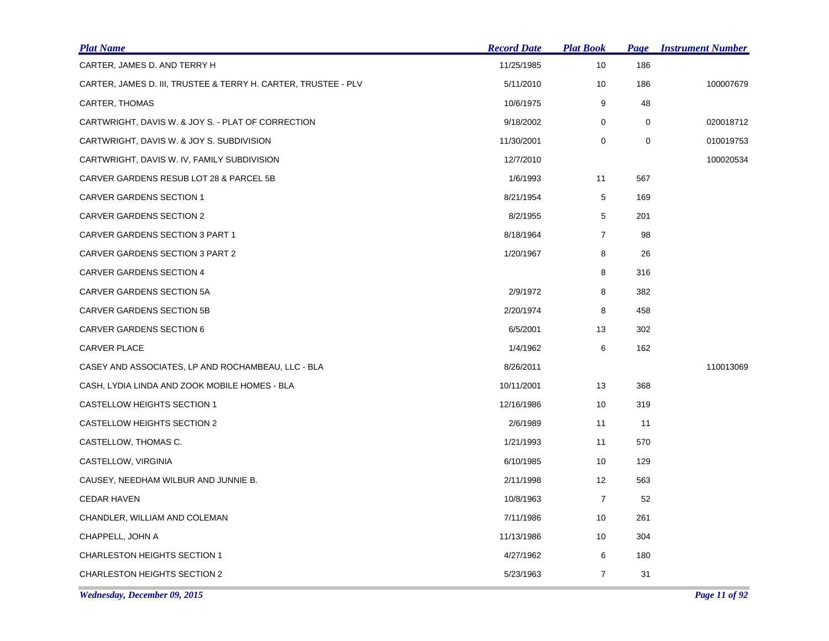| <b>Plat Name</b>                                               | <b>Record Date</b> | <b>Plat Book</b> | Page        | <b>Instrument Number</b> |
|----------------------------------------------------------------|--------------------|------------------|-------------|--------------------------|
| CARTER, JAMES D. AND TERRY H                                   | 11/25/1985         | 10               | 186         |                          |
| CARTER, JAMES D. III, TRUSTEE & TERRY H. CARTER, TRUSTEE - PLV | 5/11/2010          | 10               | 186         | 100007679                |
| CARTER, THOMAS                                                 | 10/6/1975          | 9                | 48          |                          |
| CARTWRIGHT, DAVIS W. & JOY S. - PLAT OF CORRECTION             | 9/18/2002          | 0                | $\mathbf 0$ | 020018712                |
| CARTWRIGHT, DAVIS W. & JOY S. SUBDIVISION                      | 11/30/2001         | 0                | $\mathbf 0$ | 010019753                |
| CARTWRIGHT, DAVIS W. IV, FAMILY SUBDIVISION                    | 12/7/2010          |                  |             | 100020534                |
| CARVER GARDENS RESUB LOT 28 & PARCEL 5B                        | 1/6/1993           | 11               | 567         |                          |
| CARVER GARDENS SECTION 1                                       | 8/21/1954          | 5                | 169         |                          |
| <b>CARVER GARDENS SECTION 2</b>                                | 8/2/1955           | 5                | 201         |                          |
| CARVER GARDENS SECTION 3 PART 1                                | 8/18/1964          | $\overline{7}$   | 98          |                          |
| CARVER GARDENS SECTION 3 PART 2                                | 1/20/1967          | 8                | 26          |                          |
| CARVER GARDENS SECTION 4                                       |                    | 8                | 316         |                          |
| <b>CARVER GARDENS SECTION 5A</b>                               | 2/9/1972           | 8                | 382         |                          |
| CARVER GARDENS SECTION 5B                                      | 2/20/1974          | 8                | 458         |                          |
| <b>CARVER GARDENS SECTION 6</b>                                | 6/5/2001           | 13               | 302         |                          |
| CARVER PLACE                                                   | 1/4/1962           | 6                | 162         |                          |
| CASEY AND ASSOCIATES, LP AND ROCHAMBEAU, LLC - BLA             | 8/26/2011          |                  |             | 110013069                |
| CASH, LYDIA LINDA AND ZOOK MOBILE HOMES - BLA                  | 10/11/2001         | 13               | 368         |                          |
| CASTELLOW HEIGHTS SECTION 1                                    | 12/16/1986         | 10               | 319         |                          |
| CASTELLOW HEIGHTS SECTION 2                                    | 2/6/1989           | 11               | 11          |                          |
| CASTELLOW, THOMAS C.                                           | 1/21/1993          | 11               | 570         |                          |
| CASTELLOW, VIRGINIA                                            | 6/10/1985          | 10               | 129         |                          |
| CAUSEY, NEEDHAM WILBUR AND JUNNIE B.                           | 2/11/1998          | 12               | 563         |                          |
| <b>CEDAR HAVEN</b>                                             | 10/8/1963          | $\overline{7}$   | 52          |                          |
| CHANDLER, WILLIAM AND COLEMAN                                  | 7/11/1986          | 10               | 261         |                          |
| CHAPPELL, JOHN A                                               | 11/13/1986         | 10               | 304         |                          |
| <b>CHARLESTON HEIGHTS SECTION 1</b>                            | 4/27/1962          | 6                | 180         |                          |
| <b>CHARLESTON HEIGHTS SECTION 2</b>                            | 5/23/1963          | $\overline{7}$   | 31          |                          |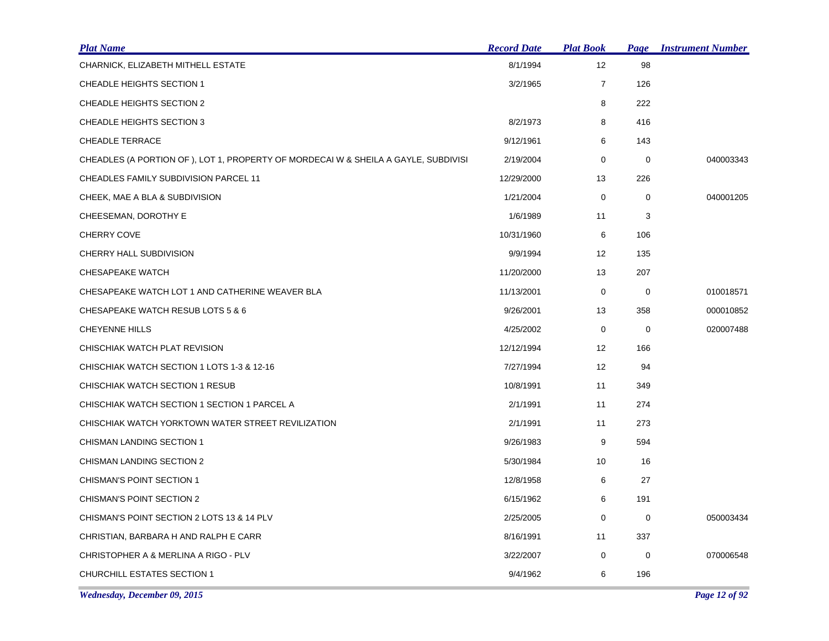| <b>Plat Name</b>                                                                   | <b>Record Date</b> | <b>Plat Book</b>  | <b>Page</b> | <b>Instrument Number</b> |
|------------------------------------------------------------------------------------|--------------------|-------------------|-------------|--------------------------|
| CHARNICK, ELIZABETH MITHELL ESTATE                                                 | 8/1/1994           | 12 <sup>2</sup>   | 98          |                          |
| CHEADLE HEIGHTS SECTION 1                                                          | 3/2/1965           | $\overline{7}$    | 126         |                          |
| CHEADLE HEIGHTS SECTION 2                                                          |                    | 8                 | 222         |                          |
| CHEADLE HEIGHTS SECTION 3                                                          | 8/2/1973           | 8                 | 416         |                          |
| <b>CHEADLE TERRACE</b>                                                             | 9/12/1961          | 6                 | 143         |                          |
| CHEADLES (A PORTION OF), LOT 1, PROPERTY OF MORDECAI W & SHEILA A GAYLE, SUBDIVISI | 2/19/2004          | 0                 | $\mathbf 0$ | 040003343                |
| CHEADLES FAMILY SUBDIVISION PARCEL 11                                              | 12/29/2000         | 13                | 226         |                          |
| CHEEK, MAE A BLA & SUBDIVISION                                                     | 1/21/2004          | 0                 | 0           | 040001205                |
| CHEESEMAN, DOROTHY E                                                               | 1/6/1989           | 11                | 3           |                          |
| <b>CHERRY COVE</b>                                                                 | 10/31/1960         | 6                 | 106         |                          |
| CHERRY HALL SUBDIVISION                                                            | 9/9/1994           | 12                | 135         |                          |
| <b>CHESAPEAKE WATCH</b>                                                            | 11/20/2000         | 13                | 207         |                          |
| CHESAPEAKE WATCH LOT 1 AND CATHERINE WEAVER BLA                                    | 11/13/2001         | $\mathbf 0$       | 0           | 010018571                |
| CHESAPEAKE WATCH RESUB LOTS 5 & 6                                                  | 9/26/2001          | 13                | 358         | 000010852                |
| <b>CHEYENNE HILLS</b>                                                              | 4/25/2002          | 0                 | 0           | 020007488                |
| CHISCHIAK WATCH PLAT REVISION                                                      | 12/12/1994         | $12 \overline{ }$ | 166         |                          |
| CHISCHIAK WATCH SECTION 1 LOTS 1-3 & 12-16                                         | 7/27/1994          | 12                | 94          |                          |
| CHISCHIAK WATCH SECTION 1 RESUB                                                    | 10/8/1991          | 11                | 349         |                          |
| CHISCHIAK WATCH SECTION 1 SECTION 1 PARCEL A                                       | 2/1/1991           | 11                | 274         |                          |
| CHISCHIAK WATCH YORKTOWN WATER STREET REVILIZATION                                 | 2/1/1991           | 11                | 273         |                          |
| CHISMAN LANDING SECTION 1                                                          | 9/26/1983          | 9                 | 594         |                          |
| <b>CHISMAN LANDING SECTION 2</b>                                                   | 5/30/1984          | 10                | 16          |                          |
| CHISMAN'S POINT SECTION 1                                                          | 12/8/1958          | 6                 | 27          |                          |
| CHISMAN'S POINT SECTION 2                                                          | 6/15/1962          | 6                 | 191         |                          |
| CHISMAN'S POINT SECTION 2 LOTS 13 & 14 PLV                                         | 2/25/2005          | 0                 | 0           | 050003434                |
| CHRISTIAN, BARBARA H AND RALPH E CARR                                              | 8/16/1991          | 11                | 337         |                          |
| CHRISTOPHER A & MERLINA A RIGO - PLV                                               | 3/22/2007          | 0                 | 0           | 070006548                |
| CHURCHILL ESTATES SECTION 1                                                        | 9/4/1962           | 6                 | 196         |                          |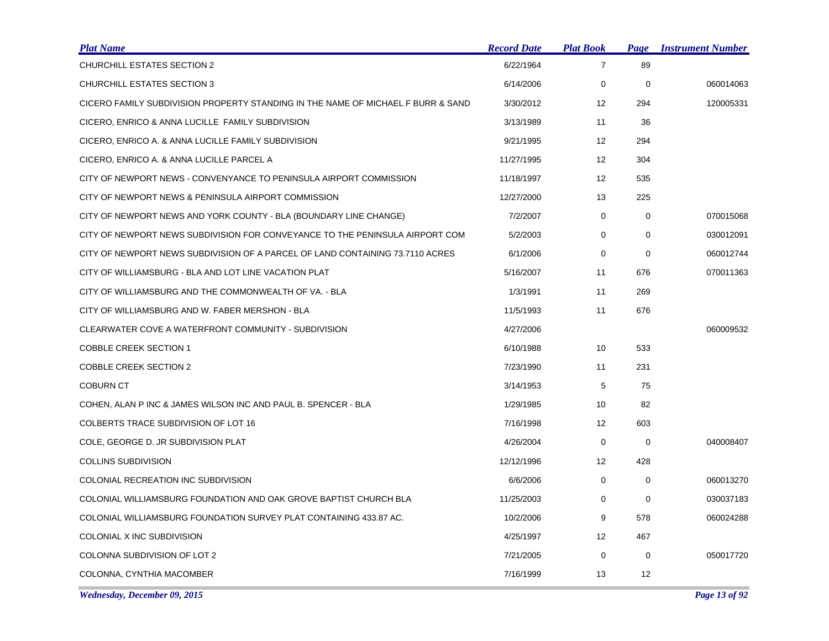| <u>Plat Name</u>                                                                 | <b>Record Date</b> | <b>Plat Book</b> | <b>Page</b> | <b>Instrument Number</b> |
|----------------------------------------------------------------------------------|--------------------|------------------|-------------|--------------------------|
| CHURCHILL ESTATES SECTION 2                                                      | 6/22/1964          | $\overline{7}$   | 89          |                          |
| CHURCHILL ESTATES SECTION 3                                                      | 6/14/2006          | 0                | $\mathbf 0$ | 060014063                |
| CICERO FAMILY SUBDIVISION PROPERTY STANDING IN THE NAME OF MICHAEL F BURR & SAND | 3/30/2012          | 12               | 294         | 120005331                |
| CICERO, ENRICO & ANNA LUCILLE FAMILY SUBDIVISION                                 | 3/13/1989          | 11               | 36          |                          |
| CICERO, ENRICO A. & ANNA LUCILLE FAMILY SUBDIVISION                              | 9/21/1995          | 12               | 294         |                          |
| CICERO, ENRICO A. & ANNA LUCILLE PARCEL A                                        | 11/27/1995         | 12               | 304         |                          |
| CITY OF NEWPORT NEWS - CONVENYANCE TO PENINSULA AIRPORT COMMISSION               | 11/18/1997         | 12               | 535         |                          |
| CITY OF NEWPORT NEWS & PENINSULA AIRPORT COMMISSION                              | 12/27/2000         | 13               | 225         |                          |
| CITY OF NEWPORT NEWS AND YORK COUNTY - BLA (BOUNDARY LINE CHANGE)                | 7/2/2007           | 0                | $\mathbf 0$ | 070015068                |
| CITY OF NEWPORT NEWS SUBDIVISION FOR CONVEYANCE TO THE PENINSULA AIRPORT COM     | 5/2/2003           | 0                | $\mathbf 0$ | 030012091                |
| CITY OF NEWPORT NEWS SUBDIVISION OF A PARCEL OF LAND CONTAINING 73.7110 ACRES    | 6/1/2006           | 0                | $\mathbf 0$ | 060012744                |
| CITY OF WILLIAMSBURG - BLA AND LOT LINE VACATION PLAT                            | 5/16/2007          | 11               | 676         | 070011363                |
| CITY OF WILLIAMSBURG AND THE COMMONWEALTH OF VA. - BLA                           | 1/3/1991           | 11               | 269         |                          |
| CITY OF WILLIAMSBURG AND W. FABER MERSHON - BLA                                  | 11/5/1993          | 11               | 676         |                          |
| CLEARWATER COVE A WATERFRONT COMMUNITY - SUBDIVISION                             | 4/27/2006          |                  |             | 060009532                |
| <b>COBBLE CREEK SECTION 1</b>                                                    | 6/10/1988          | 10               | 533         |                          |
| <b>COBBLE CREEK SECTION 2</b>                                                    | 7/23/1990          | 11               | 231         |                          |
| <b>COBURN CT</b>                                                                 | 3/14/1953          | 5                | 75          |                          |
| COHEN, ALAN P INC & JAMES WILSON INC AND PAUL B. SPENCER - BLA                   | 1/29/1985          | 10               | 82          |                          |
| COLBERTS TRACE SUBDIVISION OF LOT 16                                             | 7/16/1998          | 12               | 603         |                          |
| COLE, GEORGE D. JR SUBDIVISION PLAT                                              | 4/26/2004          | 0                | $\mathbf 0$ | 040008407                |
| <b>COLLINS SUBDIVISION</b>                                                       | 12/12/1996         | 12               | 428         |                          |
| COLONIAL RECREATION INC SUBDIVISION                                              | 6/6/2006           | 0                | $\mathbf 0$ | 060013270                |
| COLONIAL WILLIAMSBURG FOUNDATION AND OAK GROVE BAPTIST CHURCH BLA                | 11/25/2003         | 0                | $\mathbf 0$ | 030037183                |
| COLONIAL WILLIAMSBURG FOUNDATION SURVEY PLAT CONTAINING 433.87 AC.               | 10/2/2006          | 9                | 578         | 060024288                |
| COLONIAL X INC SUBDIVISION                                                       | 4/25/1997          | 12               | 467         |                          |
| COLONNA SUBDIVISION OF LOT 2                                                     | 7/21/2005          | 0                | 0           | 050017720                |
| COLONNA, CYNTHIA MACOMBER                                                        | 7/16/1999          | 13               | 12          |                          |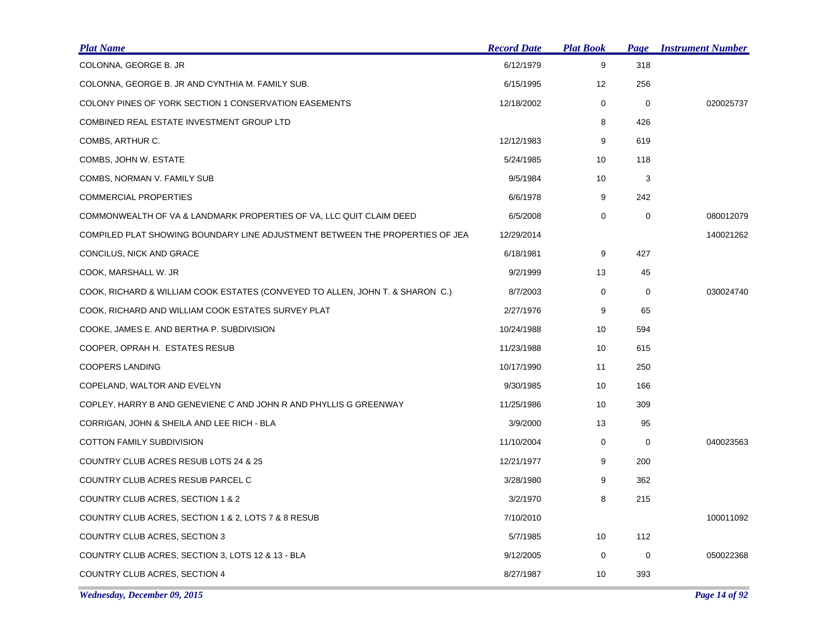| <b>Plat Name</b>                                                              | <b>Record Date</b> | <b>Plat Book</b> | <b>Page</b> | <b>Instrument Number</b> |
|-------------------------------------------------------------------------------|--------------------|------------------|-------------|--------------------------|
| COLONNA, GEORGE B. JR                                                         | 6/12/1979          | 9                | 318         |                          |
| COLONNA, GEORGE B. JR AND CYNTHIA M. FAMILY SUB.                              | 6/15/1995          | 12               | 256         |                          |
| <b>COLONY PINES OF YORK SECTION 1 CONSERVATION EASEMENTS</b>                  | 12/18/2002         | 0                | 0           | 020025737                |
| COMBINED REAL ESTATE INVESTMENT GROUP LTD                                     |                    | 8                | 426         |                          |
| COMBS, ARTHUR C.                                                              | 12/12/1983         | 9                | 619         |                          |
| COMBS, JOHN W. ESTATE                                                         | 5/24/1985          | 10               | 118         |                          |
| COMBS, NORMAN V. FAMILY SUB                                                   | 9/5/1984           | 10               | 3           |                          |
| <b>COMMERCIAL PROPERTIES</b>                                                  | 6/6/1978           | 9                | 242         |                          |
| COMMONWEALTH OF VA & LANDMARK PROPERTIES OF VA, LLC QUIT CLAIM DEED           | 6/5/2008           | $\mathbf 0$      | $\mathbf 0$ | 080012079                |
| COMPILED PLAT SHOWING BOUNDARY LINE ADJUSTMENT BETWEEN THE PROPERTIES OF JEA  | 12/29/2014         |                  |             | 140021262                |
| CONCILUS, NICK AND GRACE                                                      | 6/18/1981          | 9                | 427         |                          |
| COOK, MARSHALL W. JR                                                          | 9/2/1999           | 13               | 45          |                          |
| COOK, RICHARD & WILLIAM COOK ESTATES (CONVEYED TO ALLEN, JOHN T. & SHARON C.) | 8/7/2003           | 0                | 0           | 030024740                |
| COOK, RICHARD AND WILLIAM COOK ESTATES SURVEY PLAT                            | 2/27/1976          | 9                | 65          |                          |
| COOKE, JAMES E. AND BERTHA P. SUBDIVISION                                     | 10/24/1988         | 10               | 594         |                          |
| COOPER, OPRAH H. ESTATES RESUB                                                | 11/23/1988         | 10               | 615         |                          |
| <b>COOPERS LANDING</b>                                                        | 10/17/1990         | 11               | 250         |                          |
| COPELAND, WALTOR AND EVELYN                                                   | 9/30/1985          | 10               | 166         |                          |
| COPLEY, HARRY B AND GENEVIENE C AND JOHN R AND PHYLLIS G GREENWAY             | 11/25/1986         | 10               | 309         |                          |
| CORRIGAN, JOHN & SHEILA AND LEE RICH - BLA                                    | 3/9/2000           | 13               | 95          |                          |
| COTTON FAMILY SUBDIVISION                                                     | 11/10/2004         | 0                | $\mathbf 0$ | 040023563                |
| COUNTRY CLUB ACRES RESUB LOTS 24 & 25                                         | 12/21/1977         | 9                | 200         |                          |
| COUNTRY CLUB ACRES RESUB PARCEL C                                             | 3/28/1980          | 9                | 362         |                          |
| COUNTRY CLUB ACRES, SECTION 1 & 2                                             | 3/2/1970           | 8                | 215         |                          |
| COUNTRY CLUB ACRES, SECTION 1 & 2, LOTS 7 & 8 RESUB                           | 7/10/2010          |                  |             | 100011092                |
| COUNTRY CLUB ACRES, SECTION 3                                                 | 5/7/1985           | 10               | 112         |                          |
| COUNTRY CLUB ACRES, SECTION 3, LOTS 12 & 13 - BLA                             | 9/12/2005          | 0                | $\mathbf 0$ | 050022368                |
| COUNTRY CLUB ACRES, SECTION 4                                                 | 8/27/1987          | 10               | 393         |                          |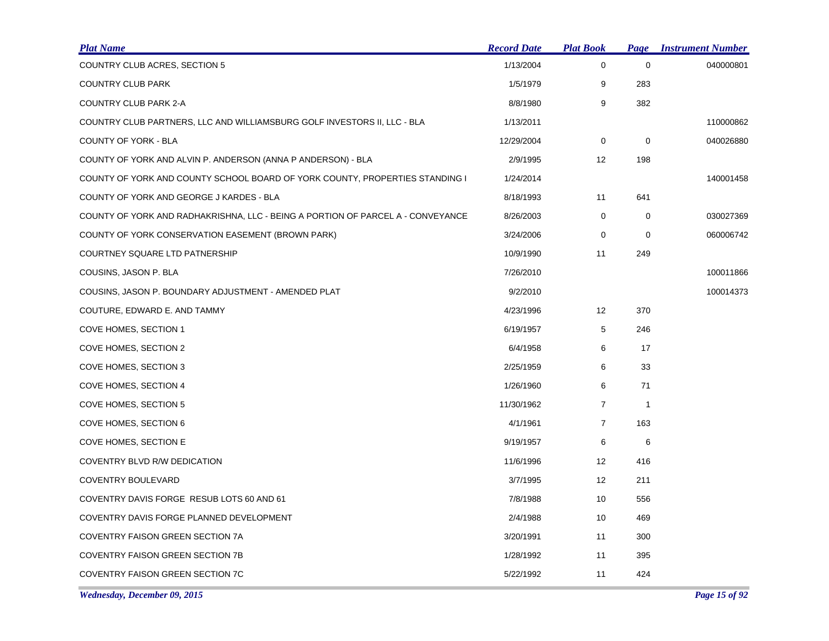| <b>Plat Name</b>                                                                | <b>Record Date</b> | <u>Plat Book</u> | <b>Page</b>  | <b>Instrument Number</b> |
|---------------------------------------------------------------------------------|--------------------|------------------|--------------|--------------------------|
| COUNTRY CLUB ACRES, SECTION 5                                                   | 1/13/2004          | 0                | 0            | 040000801                |
| <b>COUNTRY CLUB PARK</b>                                                        | 1/5/1979           | 9                | 283          |                          |
| COUNTRY CLUB PARK 2-A                                                           | 8/8/1980           | 9                | 382          |                          |
| COUNTRY CLUB PARTNERS, LLC AND WILLIAMSBURG GOLF INVESTORS II, LLC - BLA        | 1/13/2011          |                  |              | 110000862                |
| COUNTY OF YORK - BLA                                                            | 12/29/2004         | 0                | $\mathbf 0$  | 040026880                |
| COUNTY OF YORK AND ALVIN P. ANDERSON (ANNA P ANDERSON) - BLA                    | 2/9/1995           | 12               | 198          |                          |
| COUNTY OF YORK AND COUNTY SCHOOL BOARD OF YORK COUNTY, PROPERTIES STANDING I    | 1/24/2014          |                  |              | 140001458                |
| COUNTY OF YORK AND GEORGE J KARDES - BLA                                        | 8/18/1993          | 11               | 641          |                          |
| COUNTY OF YORK AND RADHAKRISHNA, LLC - BEING A PORTION OF PARCEL A - CONVEYANCE | 8/26/2003          | 0                | 0            | 030027369                |
| COUNTY OF YORK CONSERVATION EASEMENT (BROWN PARK)                               | 3/24/2006          | 0                | 0            | 060006742                |
| COURTNEY SQUARE LTD PATNERSHIP                                                  | 10/9/1990          | 11               | 249          |                          |
| COUSINS, JASON P. BLA                                                           | 7/26/2010          |                  |              | 100011866                |
| COUSINS, JASON P. BOUNDARY ADJUSTMENT - AMENDED PLAT                            | 9/2/2010           |                  |              | 100014373                |
| COUTURE, EDWARD E. AND TAMMY                                                    | 4/23/1996          | 12               | 370          |                          |
| COVE HOMES, SECTION 1                                                           | 6/19/1957          | 5                | 246          |                          |
| COVE HOMES, SECTION 2                                                           | 6/4/1958           | 6                | 17           |                          |
| COVE HOMES, SECTION 3                                                           | 2/25/1959          | 6                | 33           |                          |
| COVE HOMES, SECTION 4                                                           | 1/26/1960          | 6                | 71           |                          |
| COVE HOMES, SECTION 5                                                           | 11/30/1962         | $\overline{7}$   | $\mathbf{1}$ |                          |
| COVE HOMES, SECTION 6                                                           | 4/1/1961           | $\overline{7}$   | 163          |                          |
| COVE HOMES, SECTION E                                                           | 9/19/1957          | 6                | 6            |                          |
| COVENTRY BLVD R/W DEDICATION                                                    | 11/6/1996          | 12               | 416          |                          |
| <b>COVENTRY BOULEVARD</b>                                                       | 3/7/1995           | 12               | 211          |                          |
| COVENTRY DAVIS FORGE RESUB LOTS 60 AND 61                                       | 7/8/1988           | 10               | 556          |                          |
| COVENTRY DAVIS FORGE PLANNED DEVELOPMENT                                        | 2/4/1988           | 10               | 469          |                          |
| COVENTRY FAISON GREEN SECTION 7A                                                | 3/20/1991          | 11               | 300          |                          |
| <b>COVENTRY FAISON GREEN SECTION 7B</b>                                         | 1/28/1992          | 11               | 395          |                          |
| COVENTRY FAISON GREEN SECTION 7C                                                | 5/22/1992          | 11               | 424          |                          |

*Wednesday, December 09, 2015 Page 15 of 92*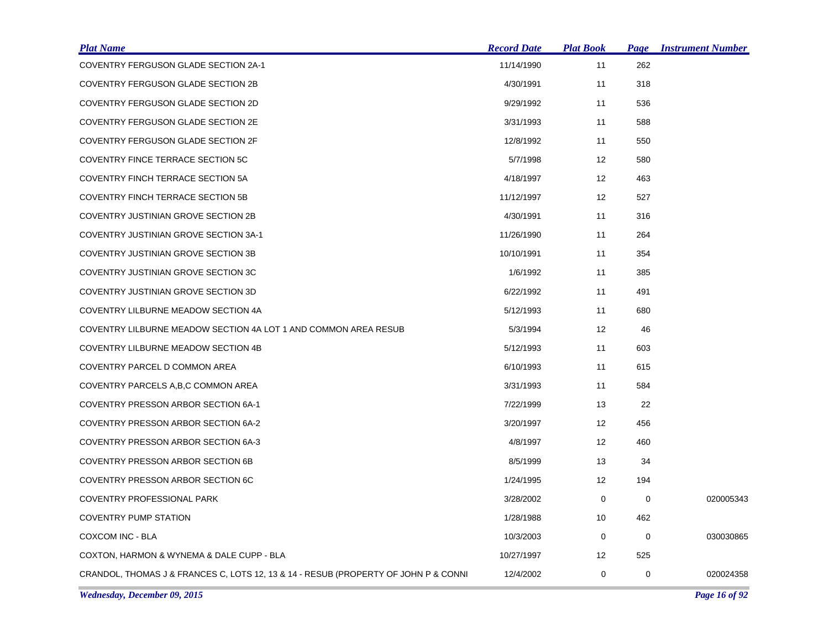| <b>Plat Name</b>                                                                    | <b>Record Date</b> | <b>Plat Book</b>  | Page | <b>Instrument Number</b> |
|-------------------------------------------------------------------------------------|--------------------|-------------------|------|--------------------------|
| <b>COVENTRY FERGUSON GLADE SECTION 2A-1</b>                                         | 11/14/1990         | 11                | 262  |                          |
| <b>COVENTRY FERGUSON GLADE SECTION 2B</b>                                           | 4/30/1991          | 11                | 318  |                          |
| COVENTRY FERGUSON GLADE SECTION 2D                                                  | 9/29/1992          | 11                | 536  |                          |
| COVENTRY FERGUSON GLADE SECTION 2E                                                  | 3/31/1993          | 11                | 588  |                          |
| COVENTRY FERGUSON GLADE SECTION 2F                                                  | 12/8/1992          | 11                | 550  |                          |
| COVENTRY FINCE TERRACE SECTION 5C                                                   | 5/7/1998           | 12                | 580  |                          |
| COVENTRY FINCH TERRACE SECTION 5A                                                   | 4/18/1997          | 12                | 463  |                          |
| COVENTRY FINCH TERRACE SECTION 5B                                                   | 11/12/1997         | 12                | 527  |                          |
| COVENTRY JUSTINIAN GROVE SECTION 2B                                                 | 4/30/1991          | 11                | 316  |                          |
| COVENTRY JUSTINIAN GROVE SECTION 3A-1                                               | 11/26/1990         | 11                | 264  |                          |
| COVENTRY JUSTINIAN GROVE SECTION 3B                                                 | 10/10/1991         | 11                | 354  |                          |
| COVENTRY JUSTINIAN GROVE SECTION 3C                                                 | 1/6/1992           | 11                | 385  |                          |
| COVENTRY JUSTINIAN GROVE SECTION 3D                                                 | 6/22/1992          | 11                | 491  |                          |
| COVENTRY LILBURNE MEADOW SECTION 4A                                                 | 5/12/1993          | 11                | 680  |                          |
| COVENTRY LILBURNE MEADOW SECTION 4A LOT 1 AND COMMON AREA RESUB                     | 5/3/1994           | 12                | 46   |                          |
| COVENTRY LILBURNE MEADOW SECTION 4B                                                 | 5/12/1993          | 11                | 603  |                          |
| COVENTRY PARCEL D COMMON AREA                                                       | 6/10/1993          | 11                | 615  |                          |
| COVENTRY PARCELS A, B, C COMMON AREA                                                | 3/31/1993          | 11                | 584  |                          |
| COVENTRY PRESSON ARBOR SECTION 6A-1                                                 | 7/22/1999          | 13                | 22   |                          |
| <b>COVENTRY PRESSON ARBOR SECTION 6A-2</b>                                          | 3/20/1997          | $12 \overline{ }$ | 456  |                          |
| COVENTRY PRESSON ARBOR SECTION 6A-3                                                 | 4/8/1997           | $12 \overline{ }$ | 460  |                          |
| <b>COVENTRY PRESSON ARBOR SECTION 6B</b>                                            | 8/5/1999           | 13                | 34   |                          |
| COVENTRY PRESSON ARBOR SECTION 6C                                                   | 1/24/1995          | 12                | 194  |                          |
| COVENTRY PROFESSIONAL PARK                                                          | 3/28/2002          | 0                 | 0    | 020005343                |
| <b>COVENTRY PUMP STATION</b>                                                        | 1/28/1988          | 10                | 462  |                          |
| COXCOM INC - BLA                                                                    | 10/3/2003          | 0                 | 0    | 030030865                |
| COXTON, HARMON & WYNEMA & DALE CUPP - BLA                                           | 10/27/1997         | 12                | 525  |                          |
| CRANDOL, THOMAS J & FRANCES C, LOTS 12, 13 & 14 - RESUB (PROPERTY OF JOHN P & CONNI | 12/4/2002          | 0                 | 0    | 020024358                |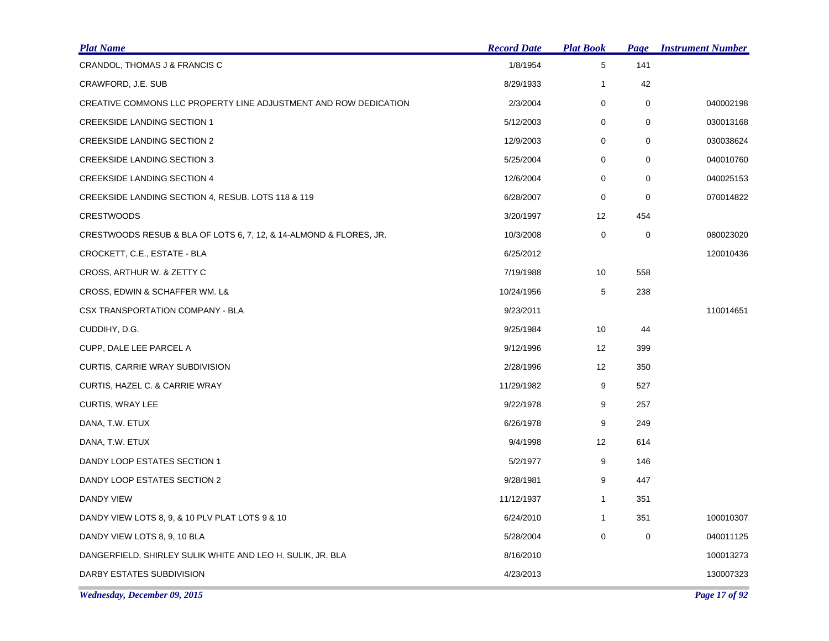| <b>Plat Name</b>                                                   | <b>Record Date</b> | <b>Plat Book</b> | Page        | <b>Instrument Number</b> |
|--------------------------------------------------------------------|--------------------|------------------|-------------|--------------------------|
| CRANDOL, THOMAS J & FRANCIS C                                      | 1/8/1954           | 5                | 141         |                          |
| CRAWFORD, J.E. SUB                                                 | 8/29/1933          | $\mathbf{1}$     | 42          |                          |
| CREATIVE COMMONS LLC PROPERTY LINE ADJUSTMENT AND ROW DEDICATION   | 2/3/2004           | 0                | 0           | 040002198                |
| <b>CREEKSIDE LANDING SECTION 1</b>                                 | 5/12/2003          | 0                | 0           | 030013168                |
| <b>CREEKSIDE LANDING SECTION 2</b>                                 | 12/9/2003          | 0                | 0           | 030038624                |
| <b>CREEKSIDE LANDING SECTION 3</b>                                 | 5/25/2004          | 0                | $\mathbf 0$ | 040010760                |
| <b>CREEKSIDE LANDING SECTION 4</b>                                 | 12/6/2004          | 0                | $\mathbf 0$ | 040025153                |
| CREEKSIDE LANDING SECTION 4, RESUB. LOTS 118 & 119                 | 6/28/2007          | 0                | $\mathbf 0$ | 070014822                |
| <b>CRESTWOODS</b>                                                  | 3/20/1997          | 12               | 454         |                          |
| CRESTWOODS RESUB & BLA OF LOTS 6, 7, 12, & 14-ALMOND & FLORES, JR. | 10/3/2008          | 0                | $\mathbf 0$ | 080023020                |
| CROCKETT, C.E., ESTATE - BLA                                       | 6/25/2012          |                  |             | 120010436                |
| CROSS, ARTHUR W. & ZETTY C                                         | 7/19/1988          | 10               | 558         |                          |
| CROSS, EDWIN & SCHAFFER WM. L&                                     | 10/24/1956         | 5                | 238         |                          |
| CSX TRANSPORTATION COMPANY - BLA                                   | 9/23/2011          |                  |             | 110014651                |
| CUDDIHY, D.G.                                                      | 9/25/1984          | 10               | 44          |                          |
| CUPP, DALE LEE PARCEL A                                            | 9/12/1996          | 12               | 399         |                          |
| <b>CURTIS, CARRIE WRAY SUBDIVISION</b>                             | 2/28/1996          | 12               | 350         |                          |
| CURTIS, HAZEL C. & CARRIE WRAY                                     | 11/29/1982         | 9                | 527         |                          |
| CURTIS, WRAY LEE                                                   | 9/22/1978          | 9                | 257         |                          |
| DANA, T.W. ETUX                                                    | 6/26/1978          | 9                | 249         |                          |
| DANA, T.W. ETUX                                                    | 9/4/1998           | 12               | 614         |                          |
| DANDY LOOP ESTATES SECTION 1                                       | 5/2/1977           | 9                | 146         |                          |
| DANDY LOOP ESTATES SECTION 2                                       | 9/28/1981          | 9                | 447         |                          |
| DANDY VIEW                                                         | 11/12/1937         | $\mathbf{1}$     | 351         |                          |
| DANDY VIEW LOTS 8, 9, & 10 PLV PLAT LOTS 9 & 10                    | 6/24/2010          | $\mathbf{1}$     | 351         | 100010307                |
| DANDY VIEW LOTS 8, 9, 10 BLA                                       | 5/28/2004          | 0                | 0           | 040011125                |
| DANGERFIELD, SHIRLEY SULIK WHITE AND LEO H. SULIK, JR. BLA         | 8/16/2010          |                  |             | 100013273                |
| DARBY ESTATES SUBDIVISION                                          | 4/23/2013          |                  |             | 130007323                |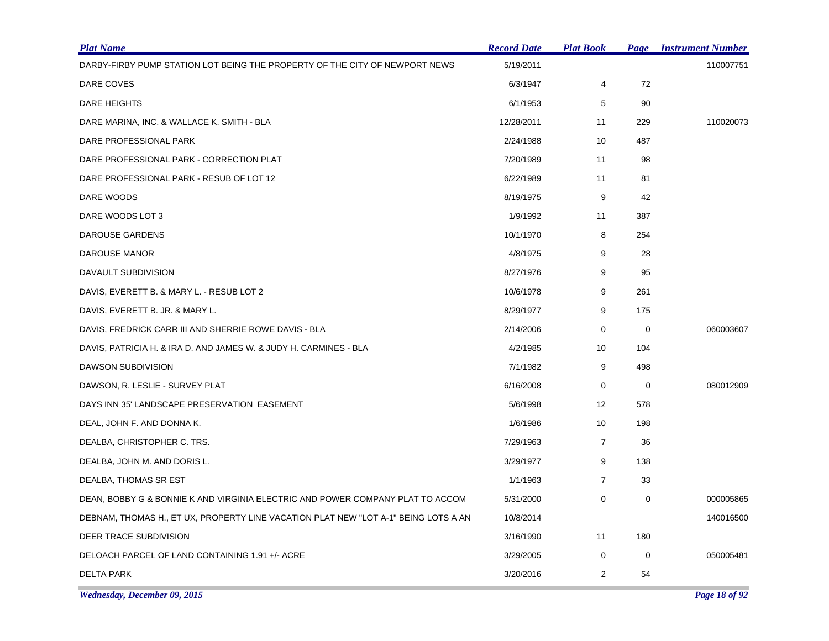| <b>Plat Name</b>                                                                    | <b>Record Date</b> | <b>Plat Book</b> | Page        | <b>Instrument Number</b> |
|-------------------------------------------------------------------------------------|--------------------|------------------|-------------|--------------------------|
| DARBY-FIRBY PUMP STATION LOT BEING THE PROPERTY OF THE CITY OF NEWPORT NEWS         | 5/19/2011          |                  |             | 110007751                |
| DARE COVES                                                                          | 6/3/1947           | 4                | 72          |                          |
| DARE HEIGHTS                                                                        | 6/1/1953           | 5                | 90          |                          |
| DARE MARINA, INC. & WALLACE K. SMITH - BLA                                          | 12/28/2011         | 11               | 229         | 110020073                |
| DARE PROFESSIONAL PARK                                                              | 2/24/1988          | 10               | 487         |                          |
| DARE PROFESSIONAL PARK - CORRECTION PLAT                                            | 7/20/1989          | 11               | 98          |                          |
| DARE PROFESSIONAL PARK - RESUB OF LOT 12                                            | 6/22/1989          | 11               | 81          |                          |
| DARE WOODS                                                                          | 8/19/1975          | 9                | 42          |                          |
| DARE WOODS LOT 3                                                                    | 1/9/1992           | 11               | 387         |                          |
| DAROUSE GARDENS                                                                     | 10/1/1970          | 8                | 254         |                          |
| DAROUSE MANOR                                                                       | 4/8/1975           | 9                | 28          |                          |
| DAVAULT SUBDIVISION                                                                 | 8/27/1976          | 9                | 95          |                          |
| DAVIS, EVERETT B. & MARY L. - RESUB LOT 2                                           | 10/6/1978          | 9                | 261         |                          |
| DAVIS, EVERETT B. JR. & MARY L.                                                     | 8/29/1977          | 9                | 175         |                          |
| DAVIS, FREDRICK CARR III AND SHERRIE ROWE DAVIS - BLA                               | 2/14/2006          | 0                | $\mathbf 0$ | 060003607                |
| DAVIS, PATRICIA H. & IRA D. AND JAMES W. & JUDY H. CARMINES - BLA                   | 4/2/1985           | 10               | 104         |                          |
| DAWSON SUBDIVISION                                                                  | 7/1/1982           | 9                | 498         |                          |
| DAWSON, R. LESLIE - SURVEY PLAT                                                     | 6/16/2008          | 0                | 0           | 080012909                |
| DAYS INN 35' LANDSCAPE PRESERVATION EASEMENT                                        | 5/6/1998           | 12               | 578         |                          |
| DEAL, JOHN F. AND DONNA K.                                                          | 1/6/1986           | 10               | 198         |                          |
| DEALBA, CHRISTOPHER C. TRS.                                                         | 7/29/1963          | $\overline{7}$   | 36          |                          |
| DEALBA, JOHN M. AND DORIS L.                                                        | 3/29/1977          | 9                | 138         |                          |
| DEALBA, THOMAS SR EST                                                               | 1/1/1963           | $\overline{7}$   | 33          |                          |
| DEAN, BOBBY G & BONNIE K AND VIRGINIA ELECTRIC AND POWER COMPANY PLAT TO ACCOM      | 5/31/2000          | $\mathbf 0$      | $\mathbf 0$ | 000005865                |
| DEBNAM, THOMAS H., ET UX, PROPERTY LINE VACATION PLAT NEW "LOT A-1" BEING LOTS A AN | 10/8/2014          |                  |             | 140016500                |
| DEER TRACE SUBDIVISION                                                              | 3/16/1990          | 11               | 180         |                          |
| DELOACH PARCEL OF LAND CONTAINING 1.91 +/- ACRE                                     | 3/29/2005          | 0                | 0           | 050005481                |
| <b>DELTA PARK</b>                                                                   | 3/20/2016          | $\overline{2}$   | 54          |                          |

*Wednesday, December 09, 2015 Page 18 of 92*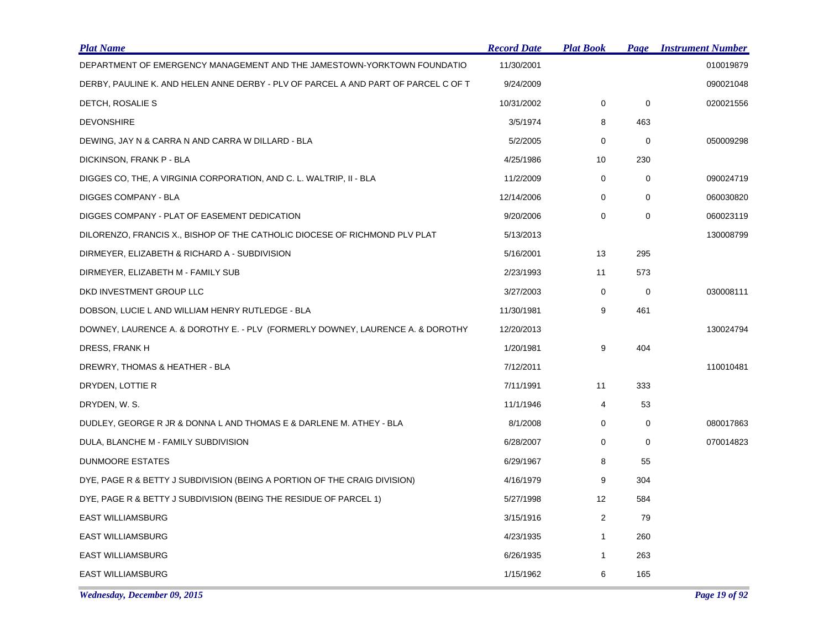| <b>Plat Name</b>                                                                   | <b>Record Date</b> | <u>Plat Book</u> | Page        | <b>Instrument Number</b> |
|------------------------------------------------------------------------------------|--------------------|------------------|-------------|--------------------------|
| DEPARTMENT OF EMERGENCY MANAGEMENT AND THE JAMESTOWN-YORKTOWN FOUNDATIO            | 11/30/2001         |                  |             | 010019879                |
| DERBY, PAULINE K. AND HELEN ANNE DERBY - PLV OF PARCEL A AND PART OF PARCEL C OF T | 9/24/2009          |                  |             | 090021048                |
| DETCH, ROSALIE S                                                                   | 10/31/2002         | $\mathbf 0$      | $\mathbf 0$ | 020021556                |
| <b>DEVONSHIRE</b>                                                                  | 3/5/1974           | 8                | 463         |                          |
| DEWING, JAY N & CARRA N AND CARRA W DILLARD - BLA                                  | 5/2/2005           | $\mathbf 0$      | $\mathbf 0$ | 050009298                |
| DICKINSON, FRANK P - BLA                                                           | 4/25/1986          | 10               | 230         |                          |
| DIGGES CO, THE, A VIRGINIA CORPORATION, AND C. L. WALTRIP, II - BLA                | 11/2/2009          | 0                | $\mathbf 0$ | 090024719                |
| <b>DIGGES COMPANY - BLA</b>                                                        | 12/14/2006         | 0                | 0           | 060030820                |
| DIGGES COMPANY - PLAT OF EASEMENT DEDICATION                                       | 9/20/2006          | 0                | 0           | 060023119                |
| DILORENZO, FRANCIS X., BISHOP OF THE CATHOLIC DIOCESE OF RICHMOND PLV PLAT         | 5/13/2013          |                  |             | 130008799                |
| DIRMEYER, ELIZABETH & RICHARD A - SUBDIVISION                                      | 5/16/2001          | 13               | 295         |                          |
| DIRMEYER, ELIZABETH M - FAMILY SUB                                                 | 2/23/1993          | 11               | 573         |                          |
| DKD INVESTMENT GROUP LLC                                                           | 3/27/2003          | 0                | $\mathbf 0$ | 030008111                |
| DOBSON, LUCIE L AND WILLIAM HENRY RUTLEDGE - BLA                                   | 11/30/1981         | 9                | 461         |                          |
| DOWNEY, LAURENCE A. & DOROTHY E. - PLV (FORMERLY DOWNEY, LAURENCE A. & DOROTHY     | 12/20/2013         |                  |             | 130024794                |
| DRESS, FRANK H                                                                     | 1/20/1981          | 9                | 404         |                          |
| DREWRY, THOMAS & HEATHER - BLA                                                     | 7/12/2011          |                  |             | 110010481                |
| DRYDEN, LOTTIE R                                                                   | 7/11/1991          | 11               | 333         |                          |
| DRYDEN, W. S.                                                                      | 11/1/1946          | 4                | 53          |                          |
| DUDLEY, GEORGE R JR & DONNA L AND THOMAS E & DARLENE M. ATHEY - BLA                | 8/1/2008           | 0                | 0           | 080017863                |
| DULA, BLANCHE M - FAMILY SUBDIVISION                                               | 6/28/2007          | 0                | 0           | 070014823                |
| <b>DUNMOORE ESTATES</b>                                                            | 6/29/1967          | 8                | 55          |                          |
| DYE, PAGE R & BETTY J SUBDIVISION (BEING A PORTION OF THE CRAIG DIVISION)          | 4/16/1979          | 9                | 304         |                          |
| DYE, PAGE R & BETTY J SUBDIVISION (BEING THE RESIDUE OF PARCEL 1)                  | 5/27/1998          | 12               | 584         |                          |
| <b>EAST WILLIAMSBURG</b>                                                           | 3/15/1916          | $\overline{2}$   | 79          |                          |
| <b>EAST WILLIAMSBURG</b>                                                           | 4/23/1935          | $\mathbf{1}$     | 260         |                          |
| <b>EAST WILLIAMSBURG</b>                                                           | 6/26/1935          | $\mathbf{1}$     | 263         |                          |
| <b>EAST WILLIAMSBURG</b>                                                           | 1/15/1962          | 6                | 165         |                          |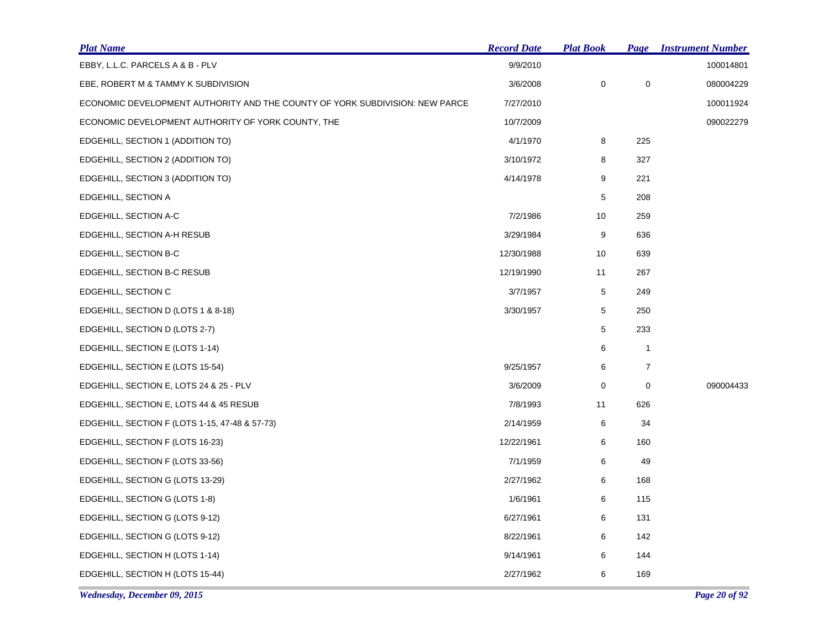| <b>Plat Name</b>                                                             | <b>Record Date</b> | <b>Plat Book</b> |                  | <b>Page Instrument Number</b> |
|------------------------------------------------------------------------------|--------------------|------------------|------------------|-------------------------------|
| EBBY, L.L.C. PARCELS A & B - PLV                                             | 9/9/2010           |                  |                  | 100014801                     |
| EBE, ROBERT M & TAMMY K SUBDIVISION                                          | 3/6/2008           | $\mathbf 0$      | $\pmb{0}$        | 080004229                     |
| ECONOMIC DEVELOPMENT AUTHORITY AND THE COUNTY OF YORK SUBDIVISION: NEW PARCE | 7/27/2010          |                  |                  | 100011924                     |
| ECONOMIC DEVELOPMENT AUTHORITY OF YORK COUNTY, THE                           | 10/7/2009          |                  |                  | 090022279                     |
| EDGEHILL, SECTION 1 (ADDITION TO)                                            | 4/1/1970           | 8                | 225              |                               |
| EDGEHILL, SECTION 2 (ADDITION TO)                                            | 3/10/1972          | 8                | 327              |                               |
| EDGEHILL, SECTION 3 (ADDITION TO)                                            | 4/14/1978          | 9                | 221              |                               |
| EDGEHILL, SECTION A                                                          |                    | 5                | 208              |                               |
| EDGEHILL, SECTION A-C                                                        | 7/2/1986           | 10               | 259              |                               |
| EDGEHILL, SECTION A-H RESUB                                                  | 3/29/1984          | 9                | 636              |                               |
| EDGEHILL, SECTION B-C                                                        | 12/30/1988         | 10               | 639              |                               |
| EDGEHILL, SECTION B-C RESUB                                                  | 12/19/1990         | 11               | 267              |                               |
| EDGEHILL, SECTION C                                                          | 3/7/1957           | 5                | 249              |                               |
| EDGEHILL, SECTION D (LOTS 1 & 8-18)                                          | 3/30/1957          | 5                | 250              |                               |
| EDGEHILL, SECTION D (LOTS 2-7)                                               |                    | $\,$ 5 $\,$      | 233              |                               |
| EDGEHILL, SECTION E (LOTS 1-14)                                              |                    | 6                | $\mathbf{1}$     |                               |
| EDGEHILL, SECTION E (LOTS 15-54)                                             | 9/25/1957          | 6                | $\boldsymbol{7}$ |                               |
| EDGEHILL, SECTION E, LOTS 24 & 25 - PLV                                      | 3/6/2009           | 0                | $\mathbf 0$      | 090004433                     |
| EDGEHILL, SECTION E, LOTS 44 & 45 RESUB                                      | 7/8/1993           | 11               | 626              |                               |
| EDGEHILL, SECTION F (LOTS 1-15, 47-48 & 57-73)                               | 2/14/1959          | 6                | 34               |                               |
| EDGEHILL, SECTION F (LOTS 16-23)                                             | 12/22/1961         | 6                | 160              |                               |
| EDGEHILL, SECTION F (LOTS 33-56)                                             | 7/1/1959           | 6                | 49               |                               |
| EDGEHILL, SECTION G (LOTS 13-29)                                             | 2/27/1962          | 6                | 168              |                               |
| EDGEHILL, SECTION G (LOTS 1-8)                                               | 1/6/1961           | 6                | 115              |                               |
| EDGEHILL, SECTION G (LOTS 9-12)                                              | 6/27/1961          | 6                | 131              |                               |
| EDGEHILL, SECTION G (LOTS 9-12)                                              | 8/22/1961          | 6                | 142              |                               |
| EDGEHILL, SECTION H (LOTS 1-14)                                              | 9/14/1961          | 6                | 144              |                               |
| EDGEHILL, SECTION H (LOTS 15-44)                                             | 2/27/1962          | 6                | 169              |                               |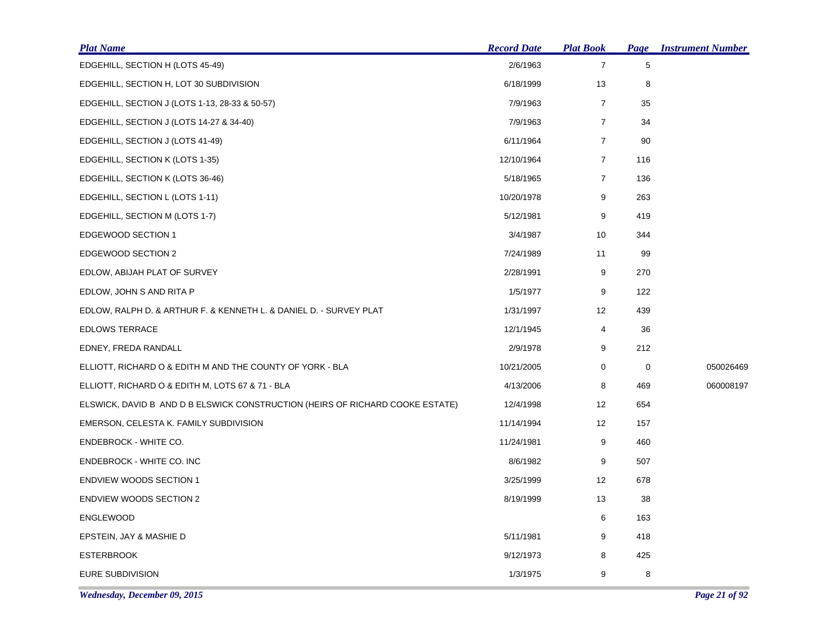| <b>Plat Name</b>                                                              | <b>Record Date</b> | <b>Plat Book</b> |     | <b>Page Instrument Number</b> |
|-------------------------------------------------------------------------------|--------------------|------------------|-----|-------------------------------|
| EDGEHILL, SECTION H (LOTS 45-49)                                              | 2/6/1963           | $\overline{7}$   | 5   |                               |
| EDGEHILL, SECTION H, LOT 30 SUBDIVISION                                       | 6/18/1999          | 13               | 8   |                               |
| EDGEHILL, SECTION J (LOTS 1-13, 28-33 & 50-57)                                | 7/9/1963           | $\overline{7}$   | 35  |                               |
| EDGEHILL, SECTION J (LOTS 14-27 & 34-40)                                      | 7/9/1963           | $\overline{7}$   | 34  |                               |
| EDGEHILL, SECTION J (LOTS 41-49)                                              | 6/11/1964          | $\overline{7}$   | 90  |                               |
| EDGEHILL, SECTION K (LOTS 1-35)                                               | 12/10/1964         | $\overline{7}$   | 116 |                               |
| EDGEHILL, SECTION K (LOTS 36-46)                                              | 5/18/1965          | $\overline{7}$   | 136 |                               |
| EDGEHILL, SECTION L (LOTS 1-11)                                               | 10/20/1978         | 9                | 263 |                               |
| EDGEHILL, SECTION M (LOTS 1-7)                                                | 5/12/1981          | 9                | 419 |                               |
| <b>EDGEWOOD SECTION 1</b>                                                     | 3/4/1987           | 10               | 344 |                               |
| <b>EDGEWOOD SECTION 2</b>                                                     | 7/24/1989          | 11               | 99  |                               |
| EDLOW, ABIJAH PLAT OF SURVEY                                                  | 2/28/1991          | 9                | 270 |                               |
| EDLOW, JOHN S AND RITA P                                                      | 1/5/1977           | 9                | 122 |                               |
| EDLOW, RALPH D. & ARTHUR F. & KENNETH L. & DANIEL D. - SURVEY PLAT            | 1/31/1997          | 12               | 439 |                               |
| <b>EDLOWS TERRACE</b>                                                         | 12/1/1945          | 4                | 36  |                               |
| EDNEY, FREDA RANDALL                                                          | 2/9/1978           | 9                | 212 |                               |
| ELLIOTT, RICHARD O & EDITH M AND THE COUNTY OF YORK - BLA                     | 10/21/2005         | 0                | 0   | 050026469                     |
| ELLIOTT, RICHARD O & EDITH M, LOTS 67 & 71 - BLA                              | 4/13/2006          | 8                | 469 | 060008197                     |
| ELSWICK, DAVID B AND D B ELSWICK CONSTRUCTION (HEIRS OF RICHARD COOKE ESTATE) | 12/4/1998          | 12               | 654 |                               |
| EMERSON, CELESTA K. FAMILY SUBDIVISION                                        | 11/14/1994         | 12               | 157 |                               |
| ENDEBROCK - WHITE CO.                                                         | 11/24/1981         | 9                | 460 |                               |
| ENDEBROCK - WHITE CO. INC                                                     | 8/6/1982           | 9                | 507 |                               |
| <b>ENDVIEW WOODS SECTION 1</b>                                                | 3/25/1999          | 12               | 678 |                               |
| <b>ENDVIEW WOODS SECTION 2</b>                                                | 8/19/1999          | 13               | 38  |                               |
| <b>ENGLEWOOD</b>                                                              |                    | 6                | 163 |                               |
| EPSTEIN, JAY & MASHIE D                                                       | 5/11/1981          | 9                | 418 |                               |
| <b>ESTERBROOK</b>                                                             | 9/12/1973          | 8                | 425 |                               |
| EURE SUBDIVISION                                                              | 1/3/1975           | 9                | 8   |                               |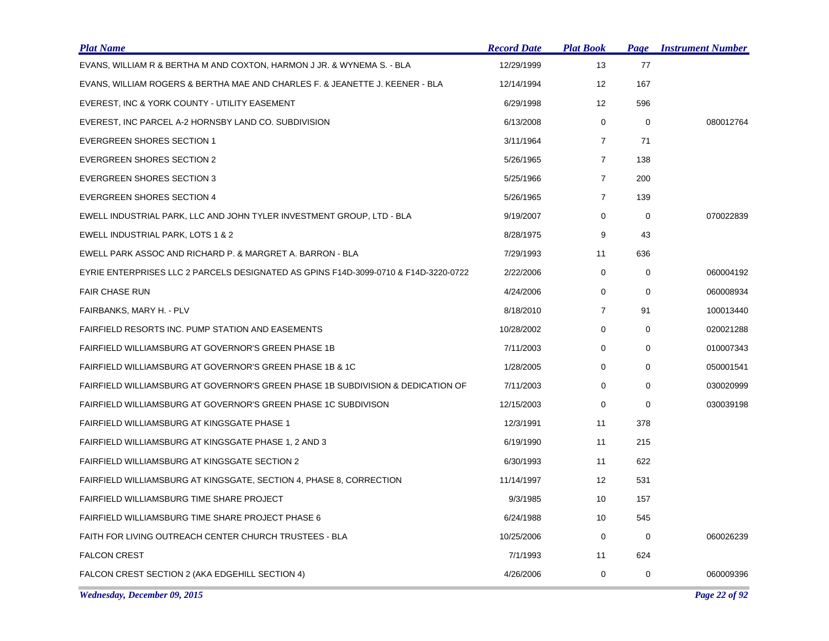| <b>Plat Name</b>                                                                    | <b>Record Date</b> | <b>Plat Book</b>  | Page        | <b>Instrument Number</b> |
|-------------------------------------------------------------------------------------|--------------------|-------------------|-------------|--------------------------|
| EVANS, WILLIAM R & BERTHA M AND COXTON, HARMON J JR. & WYNEMA S. - BLA              | 12/29/1999         | 13                | 77          |                          |
| EVANS, WILLIAM ROGERS & BERTHA MAE AND CHARLES F. & JEANETTE J. KEENER - BLA        | 12/14/1994         | 12                | 167         |                          |
| EVEREST, INC & YORK COUNTY - UTILITY EASEMENT                                       | 6/29/1998          | $12 \overline{ }$ | 596         |                          |
| EVEREST, INC PARCEL A-2 HORNSBY LAND CO. SUBDIVISION                                | 6/13/2008          | 0                 | 0           | 080012764                |
| <b>EVERGREEN SHORES SECTION 1</b>                                                   | 3/11/1964          | $\overline{7}$    | 71          |                          |
| <b>EVERGREEN SHORES SECTION 2</b>                                                   | 5/26/1965          | $\overline{7}$    | 138         |                          |
| <b>EVERGREEN SHORES SECTION 3</b>                                                   | 5/25/1966          | $\overline{7}$    | 200         |                          |
| <b>EVERGREEN SHORES SECTION 4</b>                                                   | 5/26/1965          | $\overline{7}$    | 139         |                          |
| EWELL INDUSTRIAL PARK, LLC AND JOHN TYLER INVESTMENT GROUP, LTD - BLA               | 9/19/2007          | 0                 | 0           | 070022839                |
| EWELL INDUSTRIAL PARK, LOTS 1 & 2                                                   | 8/28/1975          | 9                 | 43          |                          |
| EWELL PARK ASSOC AND RICHARD P. & MARGRET A. BARRON - BLA                           | 7/29/1993          | 11                | 636         |                          |
| EYRIE ENTERPRISES LLC 2 PARCELS DESIGNATED AS GPINS F14D-3099-0710 & F14D-3220-0722 | 2/22/2006          | 0                 | 0           | 060004192                |
| <b>FAIR CHASE RUN</b>                                                               | 4/24/2006          | 0                 | $\mathbf 0$ | 060008934                |
| FAIRBANKS, MARY H. - PLV                                                            | 8/18/2010          | $\overline{7}$    | 91          | 100013440                |
| FAIRFIELD RESORTS INC. PUMP STATION AND EASEMENTS                                   | 10/28/2002         | 0                 | 0           | 020021288                |
| FAIRFIELD WILLIAMSBURG AT GOVERNOR'S GREEN PHASE 1B                                 | 7/11/2003          | 0                 | $\mathbf 0$ | 010007343                |
| FAIRFIELD WILLIAMSBURG AT GOVERNOR'S GREEN PHASE 1B & 1C                            | 1/28/2005          | 0                 | $\Omega$    | 050001541                |
| FAIRFIELD WILLIAMSBURG AT GOVERNOR'S GREEN PHASE 1B SUBDIVISION & DEDICATION OF     | 7/11/2003          | 0                 | $\mathbf 0$ | 030020999                |
| FAIRFIELD WILLIAMSBURG AT GOVERNOR'S GREEN PHASE 1C SUBDIVISON                      | 12/15/2003         | 0                 | $\mathbf 0$ | 030039198                |
| <b>FAIRFIELD WILLIAMSBURG AT KINGSGATE PHASE 1</b>                                  | 12/3/1991          | 11                | 378         |                          |
| FAIRFIELD WILLIAMSBURG AT KINGSGATE PHASE 1, 2 AND 3                                | 6/19/1990          | 11                | 215         |                          |
| <b>FAIRFIELD WILLIAMSBURG AT KINGSGATE SECTION 2</b>                                | 6/30/1993          | 11                | 622         |                          |
| FAIRFIELD WILLIAMSBURG AT KINGSGATE, SECTION 4, PHASE 8, CORRECTION                 | 11/14/1997         | $12 \overline{ }$ | 531         |                          |
| FAIRFIELD WILLIAMSBURG TIME SHARE PROJECT                                           | 9/3/1985           | 10                | 157         |                          |
| <b>FAIRFIELD WILLIAMSBURG TIME SHARE PROJECT PHASE 6</b>                            | 6/24/1988          | 10                | 545         |                          |
| FAITH FOR LIVING OUTREACH CENTER CHURCH TRUSTEES - BLA                              | 10/25/2006         | $\mathbf 0$       | 0           | 060026239                |
| <b>FALCON CREST</b>                                                                 | 7/1/1993           | 11                | 624         |                          |
| FALCON CREST SECTION 2 (AKA EDGEHILL SECTION 4)                                     | 4/26/2006          | 0                 | $\mathbf 0$ | 060009396                |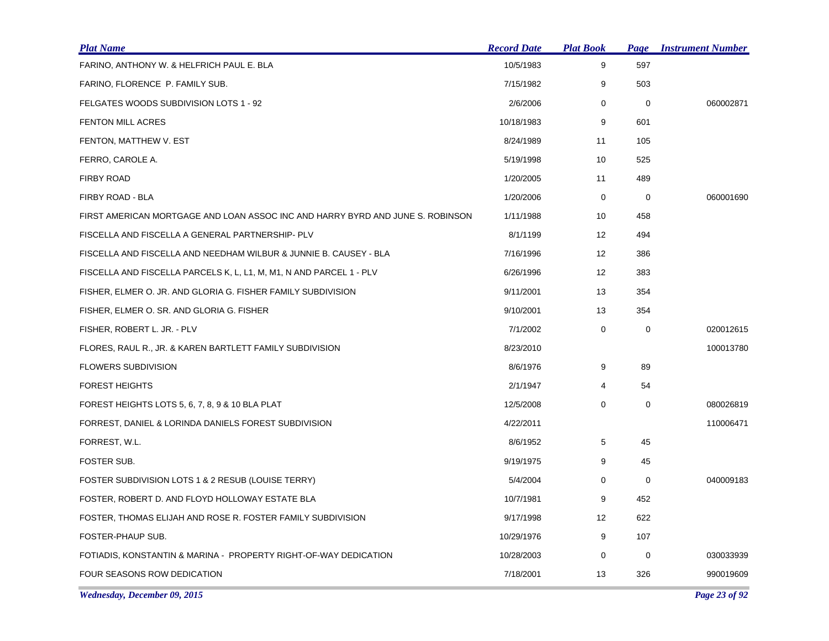| <b>Plat Name</b>                                                               | <b>Record Date</b> | <b>Plat Book</b>  | Page        | <b>Instrument Number</b> |
|--------------------------------------------------------------------------------|--------------------|-------------------|-------------|--------------------------|
| FARINO, ANTHONY W. & HELFRICH PAUL E. BLA                                      | 10/5/1983          | 9                 | 597         |                          |
| FARINO, FLORENCE P. FAMILY SUB.                                                | 7/15/1982          | 9                 | 503         |                          |
| FELGATES WOODS SUBDIVISION LOTS 1 - 92                                         | 2/6/2006           | 0                 | 0           | 060002871                |
| <b>FENTON MILL ACRES</b>                                                       | 10/18/1983         | 9                 | 601         |                          |
| FENTON, MATTHEW V. EST                                                         | 8/24/1989          | 11                | 105         |                          |
| FERRO, CAROLE A.                                                               | 5/19/1998          | 10                | 525         |                          |
| <b>FIRBY ROAD</b>                                                              | 1/20/2005          | 11                | 489         |                          |
| FIRBY ROAD - BLA                                                               | 1/20/2006          | 0                 | 0           | 060001690                |
| FIRST AMERICAN MORTGAGE AND LOAN ASSOC INC AND HARRY BYRD AND JUNE S. ROBINSON | 1/11/1988          | 10                | 458         |                          |
| FISCELLA AND FISCELLA A GENERAL PARTNERSHIP- PLV                               | 8/1/1199           | $12 \overline{ }$ | 494         |                          |
| FISCELLA AND FISCELLA AND NEEDHAM WILBUR & JUNNIE B. CAUSEY - BLA              | 7/16/1996          | 12                | 386         |                          |
| FISCELLA AND FISCELLA PARCELS K, L, L1, M, M1, N AND PARCEL 1 - PLV            | 6/26/1996          | 12                | 383         |                          |
| FISHER, ELMER O. JR. AND GLORIA G. FISHER FAMILY SUBDIVISION                   | 9/11/2001          | 13                | 354         |                          |
| FISHER, ELMER O. SR. AND GLORIA G. FISHER                                      | 9/10/2001          | 13                | 354         |                          |
| FISHER, ROBERT L. JR. - PLV                                                    | 7/1/2002           | 0                 | 0           | 020012615                |
| FLORES, RAUL R., JR. & KAREN BARTLETT FAMILY SUBDIVISION                       | 8/23/2010          |                   |             | 100013780                |
| <b>FLOWERS SUBDIVISION</b>                                                     | 8/6/1976           | 9                 | 89          |                          |
| <b>FOREST HEIGHTS</b>                                                          | 2/1/1947           | 4                 | 54          |                          |
| FOREST HEIGHTS LOTS 5, 6, 7, 8, 9 & 10 BLA PLAT                                | 12/5/2008          | 0                 | $\mathbf 0$ | 080026819                |
| FORREST, DANIEL & LORINDA DANIELS FOREST SUBDIVISION                           | 4/22/2011          |                   |             | 110006471                |
| FORREST, W.L.                                                                  | 8/6/1952           | 5                 | 45          |                          |
| FOSTER SUB.                                                                    | 9/19/1975          | 9                 | 45          |                          |
| FOSTER SUBDIVISION LOTS 1 & 2 RESUB (LOUISE TERRY)                             | 5/4/2004           | 0                 | $\mathbf 0$ | 040009183                |
| FOSTER, ROBERT D. AND FLOYD HOLLOWAY ESTATE BLA                                | 10/7/1981          | 9                 | 452         |                          |
| FOSTER, THOMAS ELIJAH AND ROSE R. FOSTER FAMILY SUBDIVISION                    | 9/17/1998          | $12 \overline{ }$ | 622         |                          |
| FOSTER-PHAUP SUB.                                                              | 10/29/1976         | 9                 | 107         |                          |
| FOTIADIS, KONSTANTIN & MARINA - PROPERTY RIGHT-OF-WAY DEDICATION               | 10/28/2003         | 0                 | 0           | 030033939                |
| FOUR SEASONS ROW DEDICATION                                                    | 7/18/2001          | 13                | 326         | 990019609                |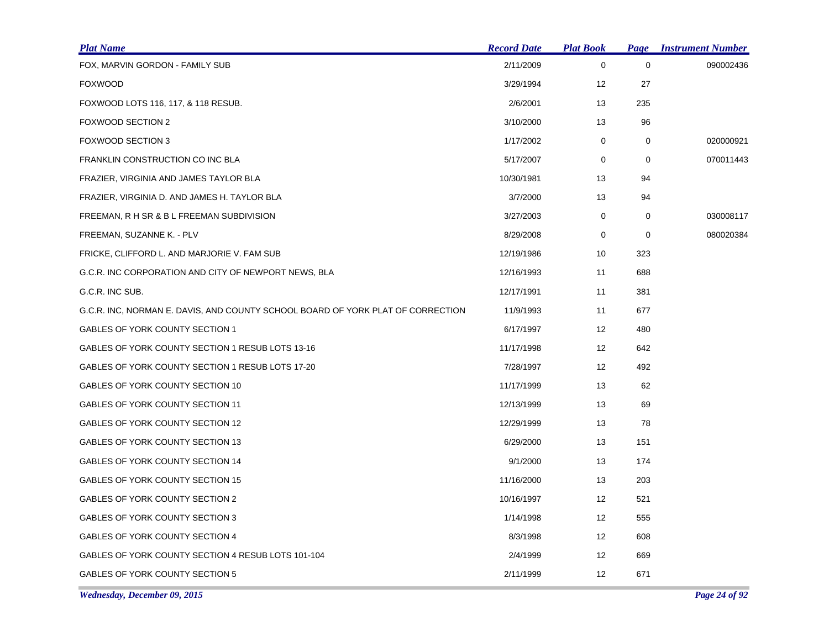| <b>Plat Name</b>                                                                | <b>Record Date</b> | <b>Plat Book</b> | <b>Page</b> | <b>Instrument Number</b> |
|---------------------------------------------------------------------------------|--------------------|------------------|-------------|--------------------------|
| FOX, MARVIN GORDON - FAMILY SUB                                                 | 2/11/2009          | $\mathbf 0$      | $\mathbf 0$ | 090002436                |
| <b>FOXWOOD</b>                                                                  | 3/29/1994          | 12               | 27          |                          |
| FOXWOOD LOTS 116, 117, & 118 RESUB.                                             | 2/6/2001           | 13               | 235         |                          |
| FOXWOOD SECTION 2                                                               | 3/10/2000          | 13               | 96          |                          |
| <b>FOXWOOD SECTION 3</b>                                                        | 1/17/2002          | $\mathbf 0$      | 0           | 020000921                |
| FRANKLIN CONSTRUCTION CO INC BLA                                                | 5/17/2007          | 0                | $\mathbf 0$ | 070011443                |
| FRAZIER, VIRGINIA AND JAMES TAYLOR BLA                                          | 10/30/1981         | 13               | 94          |                          |
| FRAZIER, VIRGINIA D. AND JAMES H. TAYLOR BLA                                    | 3/7/2000           | 13               | 94          |                          |
| FREEMAN, R H SR & B L FREEMAN SUBDIVISION                                       | 3/27/2003          | 0                | 0           | 030008117                |
| FREEMAN, SUZANNE K. - PLV                                                       | 8/29/2008          | 0                | 0           | 080020384                |
| FRICKE, CLIFFORD L. AND MARJORIE V. FAM SUB                                     | 12/19/1986         | 10               | 323         |                          |
| G.C.R. INC CORPORATION AND CITY OF NEWPORT NEWS, BLA                            | 12/16/1993         | 11               | 688         |                          |
| G.C.R. INC SUB.                                                                 | 12/17/1991         | 11               | 381         |                          |
| G.C.R. INC, NORMAN E. DAVIS, AND COUNTY SCHOOL BOARD OF YORK PLAT OF CORRECTION | 11/9/1993          | 11               | 677         |                          |
| GABLES OF YORK COUNTY SECTION 1                                                 | 6/17/1997          | 12               | 480         |                          |
| GABLES OF YORK COUNTY SECTION 1 RESUB LOTS 13-16                                | 11/17/1998         | 12               | 642         |                          |
| GABLES OF YORK COUNTY SECTION 1 RESUB LOTS 17-20                                | 7/28/1997          | 12               | 492         |                          |
| GABLES OF YORK COUNTY SECTION 10                                                | 11/17/1999         | 13               | 62          |                          |
| GABLES OF YORK COUNTY SECTION 11                                                | 12/13/1999         | 13               | 69          |                          |
| GABLES OF YORK COUNTY SECTION 12                                                | 12/29/1999         | 13               | 78          |                          |
| GABLES OF YORK COUNTY SECTION 13                                                | 6/29/2000          | 13               | 151         |                          |
| GABLES OF YORK COUNTY SECTION 14                                                | 9/1/2000           | 13               | 174         |                          |
| GABLES OF YORK COUNTY SECTION 15                                                | 11/16/2000         | 13               | 203         |                          |
| GABLES OF YORK COUNTY SECTION 2                                                 | 10/16/1997         | 12               | 521         |                          |
| GABLES OF YORK COUNTY SECTION 3                                                 | 1/14/1998          | 12               | 555         |                          |
| GABLES OF YORK COUNTY SECTION 4                                                 | 8/3/1998           | 12               | 608         |                          |
| GABLES OF YORK COUNTY SECTION 4 RESUB LOTS 101-104                              | 2/4/1999           | 12               | 669         |                          |
| GABLES OF YORK COUNTY SECTION 5                                                 | 2/11/1999          | 12               | 671         |                          |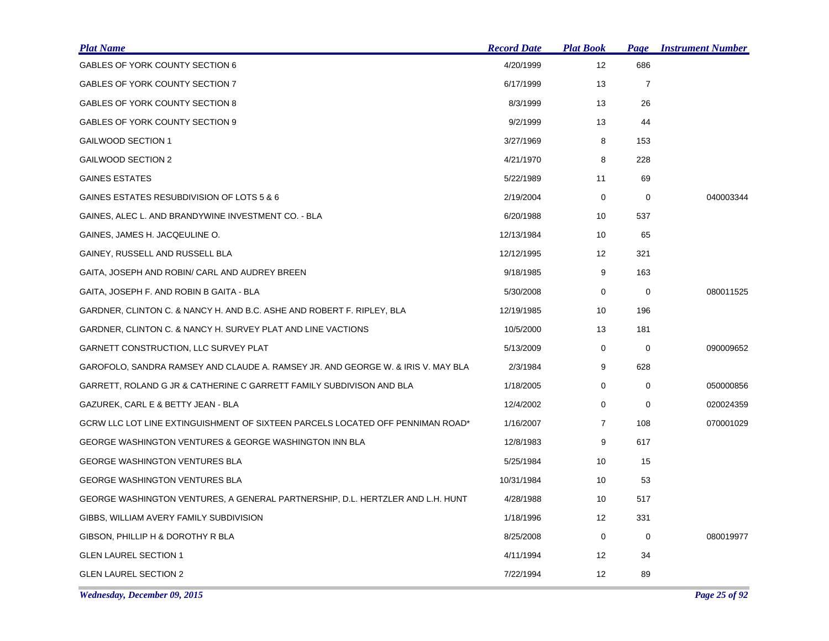| <b>Plat Name</b>                                                                 | <b>Record Date</b> | <b>Plat Book</b>  | <b>Page</b>    | <b>Instrument Number</b> |
|----------------------------------------------------------------------------------|--------------------|-------------------|----------------|--------------------------|
| GABLES OF YORK COUNTY SECTION 6                                                  | 4/20/1999          | 12                | 686            |                          |
| GABLES OF YORK COUNTY SECTION 7                                                  | 6/17/1999          | 13                | $\overline{7}$ |                          |
| <b>GABLES OF YORK COUNTY SECTION 8</b>                                           | 8/3/1999           | 13                | 26             |                          |
| GABLES OF YORK COUNTY SECTION 9                                                  | 9/2/1999           | 13                | 44             |                          |
| GAILWOOD SECTION 1                                                               | 3/27/1969          | 8                 | 153            |                          |
| GAILWOOD SECTION 2                                                               | 4/21/1970          | 8                 | 228            |                          |
| <b>GAINES ESTATES</b>                                                            | 5/22/1989          | 11                | 69             |                          |
| GAINES ESTATES RESUBDIVISION OF LOTS 5 & 6                                       | 2/19/2004          | 0                 | 0              | 040003344                |
| GAINES, ALEC L. AND BRANDYWINE INVESTMENT CO. - BLA                              | 6/20/1988          | 10                | 537            |                          |
| GAINES, JAMES H. JACQEULINE O.                                                   | 12/13/1984         | 10                | 65             |                          |
| GAINEY, RUSSELL AND RUSSELL BLA                                                  | 12/12/1995         | 12                | 321            |                          |
| GAITA, JOSEPH AND ROBIN/ CARL AND AUDREY BREEN                                   | 9/18/1985          | 9                 | 163            |                          |
| GAITA, JOSEPH F. AND ROBIN B GAITA - BLA                                         | 5/30/2008          | 0                 | 0              | 080011525                |
| GARDNER, CLINTON C. & NANCY H. AND B.C. ASHE AND ROBERT F. RIPLEY, BLA           | 12/19/1985         | 10                | 196            |                          |
| GARDNER, CLINTON C. & NANCY H. SURVEY PLAT AND LINE VACTIONS                     | 10/5/2000          | 13                | 181            |                          |
| GARNETT CONSTRUCTION, LLC SURVEY PLAT                                            | 5/13/2009          | $\mathbf 0$       | $\mathbf 0$    | 090009652                |
| GAROFOLO, SANDRA RAMSEY AND CLAUDE A. RAMSEY JR. AND GEORGE W. & IRIS V. MAY BLA | 2/3/1984           | 9                 | 628            |                          |
| GARRETT, ROLAND G JR & CATHERINE C GARRETT FAMILY SUBDIVISON AND BLA             | 1/18/2005          | 0                 | 0              | 050000856                |
| GAZUREK, CARL E & BETTY JEAN - BLA                                               | 12/4/2002          | 0                 | 0              | 020024359                |
| GCRW LLC LOT LINE EXTINGUISHMENT OF SIXTEEN PARCELS LOCATED OFF PENNIMAN ROAD*   | 1/16/2007          | $\overline{7}$    | 108            | 070001029                |
| <b>GEORGE WASHINGTON VENTURES &amp; GEORGE WASHINGTON INN BLA</b>                | 12/8/1983          | 9                 | 617            |                          |
| <b>GEORGE WASHINGTON VENTURES BLA</b>                                            | 5/25/1984          | 10                | 15             |                          |
| <b>GEORGE WASHINGTON VENTURES BLA</b>                                            | 10/31/1984         | 10                | 53             |                          |
| GEORGE WASHINGTON VENTURES, A GENERAL PARTNERSHIP, D.L. HERTZLER AND L.H. HUNT   | 4/28/1988          | 10                | 517            |                          |
| GIBBS, WILLIAM AVERY FAMILY SUBDIVISION                                          | 1/18/1996          | $12 \overline{ }$ | 331            |                          |
| GIBSON, PHILLIP H & DOROTHY R BLA                                                | 8/25/2008          | 0                 | 0              | 080019977                |
| <b>GLEN LAUREL SECTION 1</b>                                                     | 4/11/1994          | 12 <sup>°</sup>   | 34             |                          |
| <b>GLEN LAUREL SECTION 2</b>                                                     | 7/22/1994          | 12                | 89             |                          |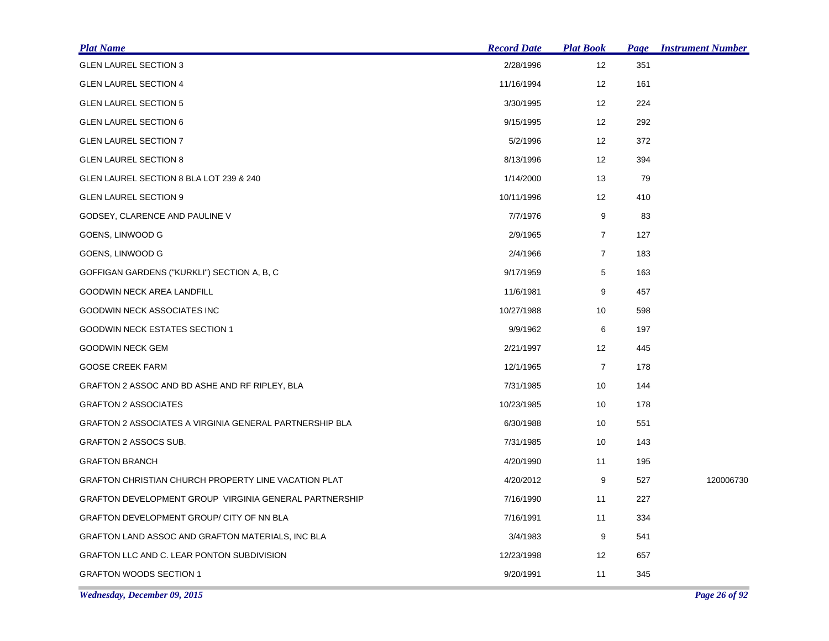| <b>Plat Name</b>                                               | <b>Record Date</b> | <u>Plat Book</u>  | Page | <b>Instrument Number</b> |
|----------------------------------------------------------------|--------------------|-------------------|------|--------------------------|
| <b>GLEN LAUREL SECTION 3</b>                                   | 2/28/1996          | 12                | 351  |                          |
| <b>GLEN LAUREL SECTION 4</b>                                   | 11/16/1994         | $12 \overline{ }$ | 161  |                          |
| <b>GLEN LAUREL SECTION 5</b>                                   | 3/30/1995          | 12                | 224  |                          |
| <b>GLEN LAUREL SECTION 6</b>                                   | 9/15/1995          | $12 \overline{ }$ | 292  |                          |
| <b>GLEN LAUREL SECTION 7</b>                                   | 5/2/1996           | $12 \overline{ }$ | 372  |                          |
| <b>GLEN LAUREL SECTION 8</b>                                   | 8/13/1996          | 12                | 394  |                          |
| GLEN LAUREL SECTION 8 BLA LOT 239 & 240                        | 1/14/2000          | 13                | 79   |                          |
| <b>GLEN LAUREL SECTION 9</b>                                   | 10/11/1996         | 12                | 410  |                          |
| GODSEY, CLARENCE AND PAULINE V                                 | 7/7/1976           | 9                 | 83   |                          |
| GOENS, LINWOOD G                                               | 2/9/1965           | $\overline{7}$    | 127  |                          |
| GOENS, LINWOOD G                                               | 2/4/1966           | $\overline{7}$    | 183  |                          |
| GOFFIGAN GARDENS ("KURKLI") SECTION A, B, C                    | 9/17/1959          | 5                 | 163  |                          |
| <b>GOODWIN NECK AREA LANDFILL</b>                              | 11/6/1981          | 9                 | 457  |                          |
| GOODWIN NECK ASSOCIATES INC                                    | 10/27/1988         | 10                | 598  |                          |
| GOODWIN NECK ESTATES SECTION 1                                 | 9/9/1962           | 6                 | 197  |                          |
| <b>GOODWIN NECK GEM</b>                                        | 2/21/1997          | 12                | 445  |                          |
| <b>GOOSE CREEK FARM</b>                                        | 12/1/1965          | $\overline{7}$    | 178  |                          |
| GRAFTON 2 ASSOC AND BD ASHE AND RF RIPLEY, BLA                 | 7/31/1985          | 10                | 144  |                          |
| <b>GRAFTON 2 ASSOCIATES</b>                                    | 10/23/1985         | 10                | 178  |                          |
| <b>GRAFTON 2 ASSOCIATES A VIRGINIA GENERAL PARTNERSHIP BLA</b> | 6/30/1988          | 10                | 551  |                          |
| <b>GRAFTON 2 ASSOCS SUB.</b>                                   | 7/31/1985          | 10                | 143  |                          |
| <b>GRAFTON BRANCH</b>                                          | 4/20/1990          | 11                | 195  |                          |
| <b>GRAFTON CHRISTIAN CHURCH PROPERTY LINE VACATION PLAT</b>    | 4/20/2012          | 9                 | 527  | 120006730                |
| <b>GRAFTON DEVELOPMENT GROUP VIRGINIA GENERAL PARTNERSHIP</b>  | 7/16/1990          | 11                | 227  |                          |
| GRAFTON DEVELOPMENT GROUP/ CITY OF NN BLA                      | 7/16/1991          | 11                | 334  |                          |
| GRAFTON LAND ASSOC AND GRAFTON MATERIALS, INC BLA              | 3/4/1983           | 9                 | 541  |                          |
| GRAFTON LLC AND C. LEAR PONTON SUBDIVISION                     | 12/23/1998         | $12 \overline{ }$ | 657  |                          |
| <b>GRAFTON WOODS SECTION 1</b>                                 | 9/20/1991          | 11                | 345  |                          |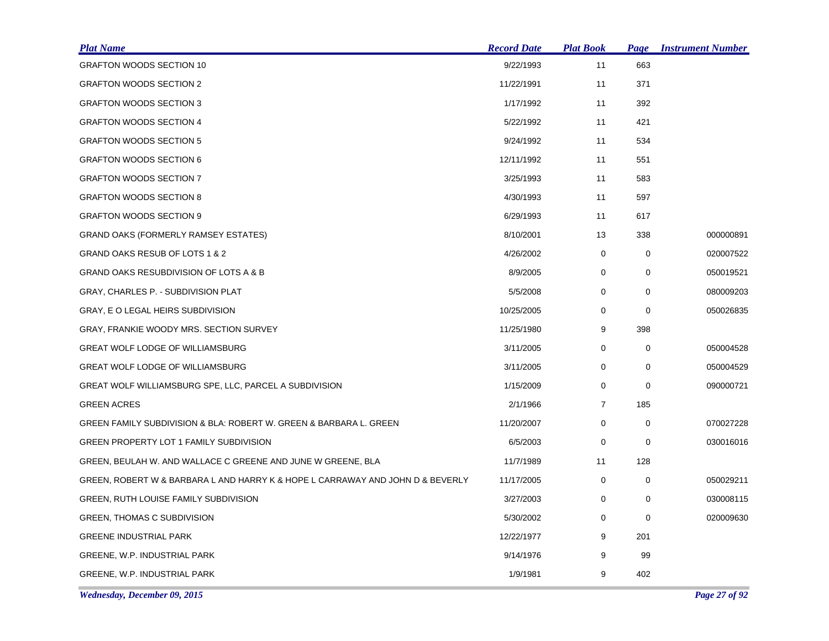| <b>Plat Name</b>                                                               | <b>Record Date</b> | <b>Plat Book</b> | <u>Page</u> | <b>Instrument Number</b> |
|--------------------------------------------------------------------------------|--------------------|------------------|-------------|--------------------------|
| GRAFTON WOODS SECTION 10                                                       | 9/22/1993          | 11               | 663         |                          |
| <b>GRAFTON WOODS SECTION 2</b>                                                 | 11/22/1991         | 11               | 371         |                          |
| <b>GRAFTON WOODS SECTION 3</b>                                                 | 1/17/1992          | 11               | 392         |                          |
| <b>GRAFTON WOODS SECTION 4</b>                                                 | 5/22/1992          | 11               | 421         |                          |
| <b>GRAFTON WOODS SECTION 5</b>                                                 | 9/24/1992          | 11               | 534         |                          |
| <b>GRAFTON WOODS SECTION 6</b>                                                 | 12/11/1992         | 11               | 551         |                          |
| <b>GRAFTON WOODS SECTION 7</b>                                                 | 3/25/1993          | 11               | 583         |                          |
| <b>GRAFTON WOODS SECTION 8</b>                                                 | 4/30/1993          | 11               | 597         |                          |
| <b>GRAFTON WOODS SECTION 9</b>                                                 | 6/29/1993          | 11               | 617         |                          |
| <b>GRAND OAKS (FORMERLY RAMSEY ESTATES)</b>                                    | 8/10/2001          | 13               | 338         | 000000891                |
| GRAND OAKS RESUB OF LOTS 1 & 2                                                 | 4/26/2002          | $\mathbf 0$      | $\mathbf 0$ | 020007522                |
| GRAND OAKS RESUBDIVISION OF LOTS A & B                                         | 8/9/2005           | 0                | 0           | 050019521                |
| GRAY, CHARLES P. - SUBDIVISION PLAT                                            | 5/5/2008           | $\mathbf 0$      | $\mathbf 0$ | 080009203                |
| GRAY, E O LEGAL HEIRS SUBDIVISION                                              | 10/25/2005         | 0                | 0           | 050026835                |
| GRAY, FRANKIE WOODY MRS. SECTION SURVEY                                        | 11/25/1980         | 9                | 398         |                          |
| <b>GREAT WOLF LODGE OF WILLIAMSBURG</b>                                        | 3/11/2005          | $\mathbf 0$      | $\mathbf 0$ | 050004528                |
| GREAT WOLF LODGE OF WILLIAMSBURG                                               | 3/11/2005          | 0                | 0           | 050004529                |
| GREAT WOLF WILLIAMSBURG SPE, LLC, PARCEL A SUBDIVISION                         | 1/15/2009          | 0                | $\Omega$    | 090000721                |
| <b>GREEN ACRES</b>                                                             | 2/1/1966           | $\overline{7}$   | 185         |                          |
| GREEN FAMILY SUBDIVISION & BLA: ROBERT W. GREEN & BARBARA L. GREEN             | 11/20/2007         | 0                | 0           | 070027228                |
| GREEN PROPERTY LOT 1 FAMILY SUBDIVISION                                        | 6/5/2003           | 0                | 0           | 030016016                |
| GREEN, BEULAH W. AND WALLACE C GREENE AND JUNE W GREENE, BLA                   | 11/7/1989          | 11               | 128         |                          |
| GREEN, ROBERT W & BARBARA L AND HARRY K & HOPE L CARRAWAY AND JOHN D & BEVERLY | 11/17/2005         | 0                | 0           | 050029211                |
| <b>GREEN, RUTH LOUISE FAMILY SUBDIVISION</b>                                   | 3/27/2003          | 0                | 0           | 030008115                |
| GREEN, THOMAS C SUBDIVISION                                                    | 5/30/2002          | 0                | 0           | 020009630                |
| <b>GREENE INDUSTRIAL PARK</b>                                                  | 12/22/1977         | 9                | 201         |                          |
| GREENE, W.P. INDUSTRIAL PARK                                                   | 9/14/1976          | 9                | 99          |                          |
| GREENE, W.P. INDUSTRIAL PARK                                                   | 1/9/1981           | 9                | 402         |                          |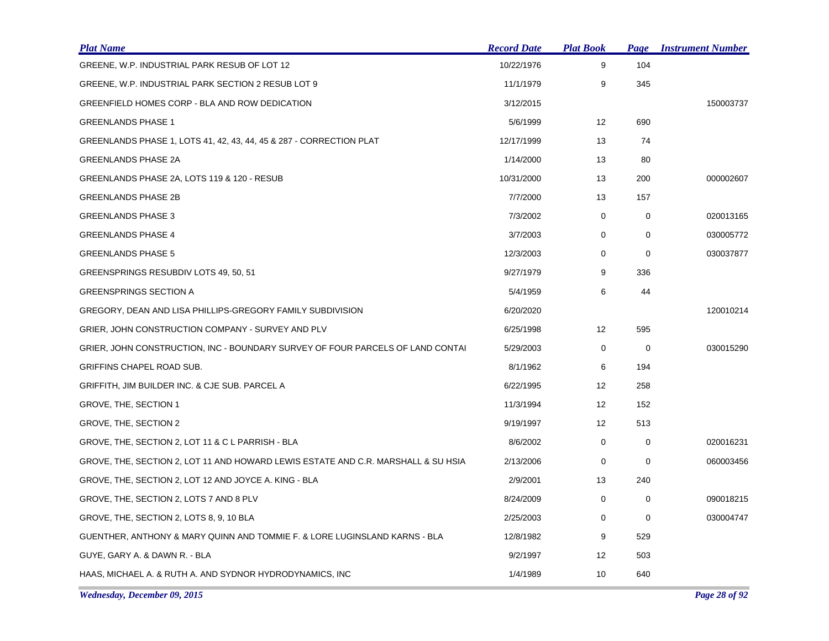| <b>Plat Name</b>                                                                  | <b>Record Date</b> | <b>Plat Book</b>  | Page | <b>Instrument Number</b> |
|-----------------------------------------------------------------------------------|--------------------|-------------------|------|--------------------------|
| GREENE, W.P. INDUSTRIAL PARK RESUB OF LOT 12                                      | 10/22/1976         | 9                 | 104  |                          |
| GREENE, W.P. INDUSTRIAL PARK SECTION 2 RESUB LOT 9                                | 11/1/1979          | 9                 | 345  |                          |
| GREENFIELD HOMES CORP - BLA AND ROW DEDICATION                                    | 3/12/2015          |                   |      | 150003737                |
| <b>GREENLANDS PHASE 1</b>                                                         | 5/6/1999           | 12                | 690  |                          |
| GREENLANDS PHASE 1, LOTS 41, 42, 43, 44, 45 & 287 - CORRECTION PLAT               | 12/17/1999         | 13                | 74   |                          |
| <b>GREENLANDS PHASE 2A</b>                                                        | 1/14/2000          | 13                | 80   |                          |
| GREENLANDS PHASE 2A, LOTS 119 & 120 - RESUB                                       | 10/31/2000         | 13                | 200  | 000002607                |
| <b>GREENLANDS PHASE 2B</b>                                                        | 7/7/2000           | 13                | 157  |                          |
| <b>GREENLANDS PHASE 3</b>                                                         | 7/3/2002           | 0                 | 0    | 020013165                |
| <b>GREENLANDS PHASE 4</b>                                                         | 3/7/2003           | 0                 | 0    | 030005772                |
| <b>GREENLANDS PHASE 5</b>                                                         | 12/3/2003          | 0                 | 0    | 030037877                |
| GREENSPRINGS RESUBDIV LOTS 49, 50, 51                                             | 9/27/1979          | 9                 | 336  |                          |
| <b>GREENSPRINGS SECTION A</b>                                                     | 5/4/1959           | 6                 | 44   |                          |
| GREGORY, DEAN AND LISA PHILLIPS-GREGORY FAMILY SUBDIVISION                        | 6/20/2020          |                   |      | 120010214                |
| GRIER, JOHN CONSTRUCTION COMPANY - SURVEY AND PLV                                 | 6/25/1998          | 12                | 595  |                          |
| GRIER, JOHN CONSTRUCTION, INC - BOUNDARY SURVEY OF FOUR PARCELS OF LAND CONTAI    | 5/29/2003          | 0                 | 0    | 030015290                |
| GRIFFINS CHAPEL ROAD SUB.                                                         | 8/1/1962           | 6                 | 194  |                          |
| GRIFFITH, JIM BUILDER INC. & CJE SUB. PARCEL A                                    | 6/22/1995          | $12 \overline{ }$ | 258  |                          |
| GROVE, THE, SECTION 1                                                             | 11/3/1994          | 12                | 152  |                          |
| GROVE, THE, SECTION 2                                                             | 9/19/1997          | $12 \overline{ }$ | 513  |                          |
| GROVE, THE, SECTION 2, LOT 11 & C L PARRISH - BLA                                 | 8/6/2002           | 0                 | 0    | 020016231                |
| GROVE, THE, SECTION 2, LOT 11 AND HOWARD LEWIS ESTATE AND C.R. MARSHALL & SU HSIA | 2/13/2006          | 0                 | 0    | 060003456                |
| GROVE, THE, SECTION 2, LOT 12 AND JOYCE A. KING - BLA                             | 2/9/2001           | 13                | 240  |                          |
| GROVE, THE, SECTION 2, LOTS 7 AND 8 PLV                                           | 8/24/2009          | 0                 | 0    | 090018215                |
| GROVE, THE, SECTION 2, LOTS 8, 9, 10 BLA                                          | 2/25/2003          | 0                 | 0    | 030004747                |
| GUENTHER, ANTHONY & MARY QUINN AND TOMMIE F. & LORE LUGINSLAND KARNS - BLA        | 12/8/1982          | 9                 | 529  |                          |
| GUYE, GARY A. & DAWN R. - BLA                                                     | 9/2/1997           | 12                | 503  |                          |
| HAAS, MICHAEL A. & RUTH A. AND SYDNOR HYDRODYNAMICS, INC                          | 1/4/1989           | 10                | 640  |                          |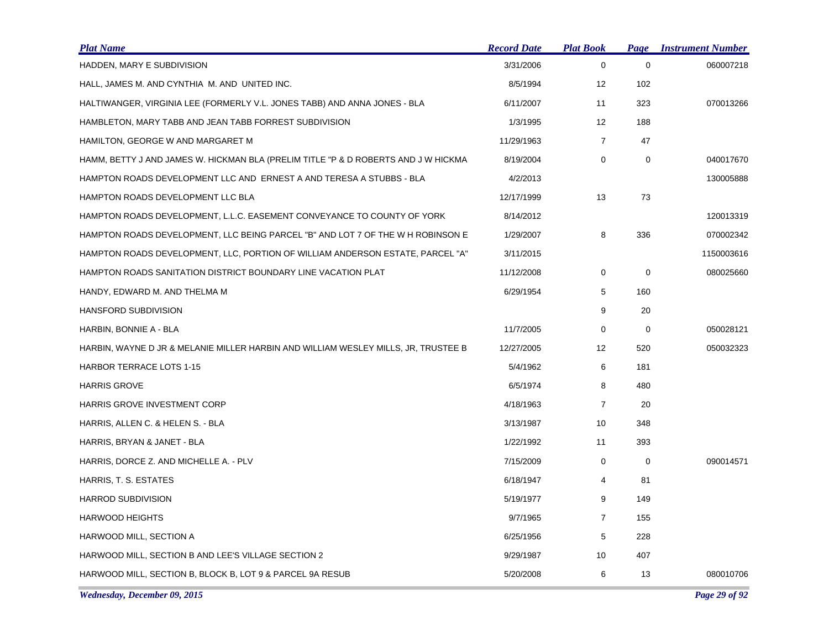| <b>Plat Name</b>                                                                   | <b>Record Date</b> | <b>Plat Book</b> | Page        | <b>Instrument Number</b> |
|------------------------------------------------------------------------------------|--------------------|------------------|-------------|--------------------------|
| HADDEN, MARY E SUBDIVISION                                                         | 3/31/2006          | 0                | $\mathbf 0$ | 060007218                |
| HALL, JAMES M. AND CYNTHIA M. AND UNITED INC.                                      | 8/5/1994           | 12               | 102         |                          |
| HALTIWANGER, VIRGINIA LEE (FORMERLY V.L. JONES TABB) AND ANNA JONES - BLA          | 6/11/2007          | 11               | 323         | 070013266                |
| HAMBLETON, MARY TABB AND JEAN TABB FORREST SUBDIVISION                             | 1/3/1995           | 12               | 188         |                          |
| HAMILTON, GEORGE W AND MARGARET M                                                  | 11/29/1963         | $\overline{7}$   | 47          |                          |
| HAMM, BETTY J AND JAMES W. HICKMAN BLA (PRELIM TITLE "P & D ROBERTS AND J W HICKMA | 8/19/2004          | 0                | $\pmb{0}$   | 040017670                |
| HAMPTON ROADS DEVELOPMENT LLC AND ERNEST A AND TERESA A STUBBS - BLA               | 4/2/2013           |                  |             | 130005888                |
| HAMPTON ROADS DEVELOPMENT LLC BLA                                                  | 12/17/1999         | 13               | 73          |                          |
| HAMPTON ROADS DEVELOPMENT, L.L.C. EASEMENT CONVEYANCE TO COUNTY OF YORK            | 8/14/2012          |                  |             | 120013319                |
| HAMPTON ROADS DEVELOPMENT, LLC BEING PARCEL "B" AND LOT 7 OF THE W H ROBINSON E    | 1/29/2007          | 8                | 336         | 070002342                |
| HAMPTON ROADS DEVELOPMENT, LLC, PORTION OF WILLIAM ANDERSON ESTATE, PARCEL "A"     | 3/11/2015          |                  |             | 1150003616               |
| HAMPTON ROADS SANITATION DISTRICT BOUNDARY LINE VACATION PLAT                      | 11/12/2008         | 0                | $\mathbf 0$ | 080025660                |
| HANDY, EDWARD M. AND THELMA M                                                      | 6/29/1954          | 5                | 160         |                          |
| HANSFORD SUBDIVISION                                                               |                    | 9                | 20          |                          |
| HARBIN, BONNIE A - BLA                                                             | 11/7/2005          | 0                | 0           | 050028121                |
| HARBIN, WAYNE D JR & MELANIE MILLER HARBIN AND WILLIAM WESLEY MILLS, JR, TRUSTEE B | 12/27/2005         | 12               | 520         | 050032323                |
| <b>HARBOR TERRACE LOTS 1-15</b>                                                    | 5/4/1962           | 6                | 181         |                          |
| <b>HARRIS GROVE</b>                                                                | 6/5/1974           | 8                | 480         |                          |
| HARRIS GROVE INVESTMENT CORP                                                       | 4/18/1963          | $\overline{7}$   | 20          |                          |
| HARRIS, ALLEN C. & HELEN S. - BLA                                                  | 3/13/1987          | 10               | 348         |                          |
| HARRIS, BRYAN & JANET - BLA                                                        | 1/22/1992          | 11               | 393         |                          |
| HARRIS, DORCE Z. AND MICHELLE A. - PLV                                             | 7/15/2009          | 0                | $\mathbf 0$ | 090014571                |
| HARRIS, T. S. ESTATES                                                              | 6/18/1947          | 4                | 81          |                          |
| HARROD SUBDIVISION                                                                 | 5/19/1977          | 9                | 149         |                          |
| <b>HARWOOD HEIGHTS</b>                                                             | 9/7/1965           | $\overline{7}$   | 155         |                          |
| HARWOOD MILL, SECTION A                                                            | 6/25/1956          | 5                | 228         |                          |
| HARWOOD MILL, SECTION B AND LEE'S VILLAGE SECTION 2                                | 9/29/1987          | 10               | 407         |                          |
| HARWOOD MILL, SECTION B, BLOCK B, LOT 9 & PARCEL 9A RESUB                          | 5/20/2008          | 6                | 13          | 080010706                |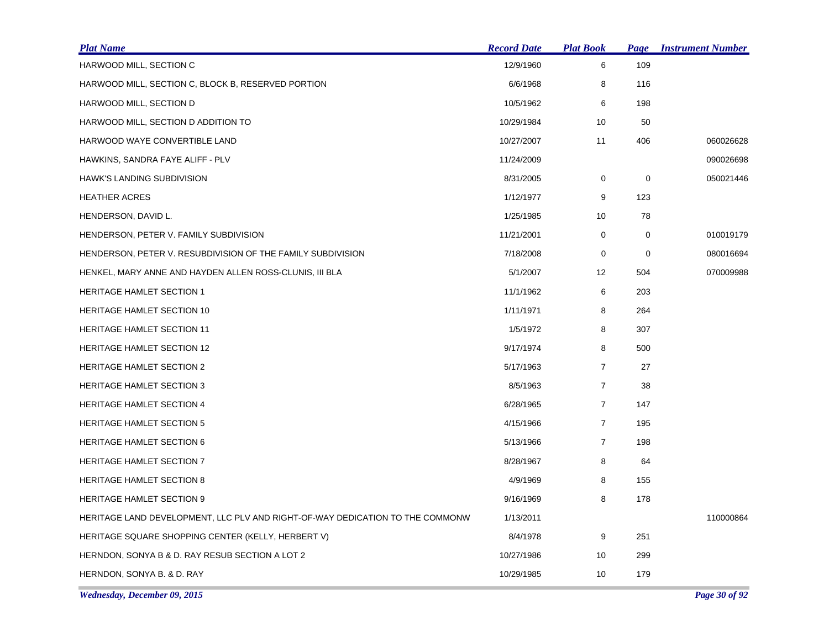| <b>Plat Name</b>                                                              | <b>Record Date</b> | <b>Plat Book</b> | Page | <b>Instrument Number</b> |
|-------------------------------------------------------------------------------|--------------------|------------------|------|--------------------------|
| HARWOOD MILL, SECTION C                                                       | 12/9/1960          | 6                | 109  |                          |
| HARWOOD MILL, SECTION C, BLOCK B, RESERVED PORTION                            | 6/6/1968           | 8                | 116  |                          |
| HARWOOD MILL, SECTION D                                                       | 10/5/1962          | 6                | 198  |                          |
| HARWOOD MILL, SECTION D ADDITION TO                                           | 10/29/1984         | 10               | 50   |                          |
| HARWOOD WAYE CONVERTIBLE LAND                                                 | 10/27/2007         | 11               | 406  | 060026628                |
| HAWKINS, SANDRA FAYE ALIFF - PLV                                              | 11/24/2009         |                  |      | 090026698                |
| <b>HAWK'S LANDING SUBDIVISION</b>                                             | 8/31/2005          | 0                | 0    | 050021446                |
| <b>HEATHER ACRES</b>                                                          | 1/12/1977          | 9                | 123  |                          |
| HENDERSON, DAVID L.                                                           | 1/25/1985          | 10               | 78   |                          |
| HENDERSON, PETER V. FAMILY SUBDIVISION                                        | 11/21/2001         | 0                | 0    | 010019179                |
| HENDERSON, PETER V. RESUBDIVISION OF THE FAMILY SUBDIVISION                   | 7/18/2008          | 0                | 0    | 080016694                |
| HENKEL, MARY ANNE AND HAYDEN ALLEN ROSS-CLUNIS, III BLA                       | 5/1/2007           | 12               | 504  | 070009988                |
| <b>HERITAGE HAMLET SECTION 1</b>                                              | 11/1/1962          | 6                | 203  |                          |
| <b>HERITAGE HAMLET SECTION 10</b>                                             | 1/11/1971          | 8                | 264  |                          |
| <b>HERITAGE HAMLET SECTION 11</b>                                             | 1/5/1972           | 8                | 307  |                          |
| <b>HERITAGE HAMLET SECTION 12</b>                                             | 9/17/1974          | 8                | 500  |                          |
| <b>HERITAGE HAMLET SECTION 2</b>                                              | 5/17/1963          | $\overline{7}$   | 27   |                          |
| <b>HERITAGE HAMLET SECTION 3</b>                                              | 8/5/1963           | $\overline{7}$   | 38   |                          |
| <b>HERITAGE HAMLET SECTION 4</b>                                              | 6/28/1965          | $\overline{7}$   | 147  |                          |
| <b>HERITAGE HAMLET SECTION 5</b>                                              | 4/15/1966          | $\overline{7}$   | 195  |                          |
| <b>HERITAGE HAMLET SECTION 6</b>                                              | 5/13/1966          | $\overline{7}$   | 198  |                          |
| <b>HERITAGE HAMLET SECTION 7</b>                                              | 8/28/1967          | 8                | 64   |                          |
| <b>HERITAGE HAMLET SECTION 8</b>                                              | 4/9/1969           | 8                | 155  |                          |
| <b>HERITAGE HAMLET SECTION 9</b>                                              | 9/16/1969          | 8                | 178  |                          |
| HERITAGE LAND DEVELOPMENT, LLC PLV AND RIGHT-OF-WAY DEDICATION TO THE COMMONW | 1/13/2011          |                  |      | 110000864                |
| HERITAGE SQUARE SHOPPING CENTER (KELLY, HERBERT V)                            | 8/4/1978           | 9                | 251  |                          |
| HERNDON, SONYA B & D. RAY RESUB SECTION A LOT 2                               | 10/27/1986         | 10               | 299  |                          |
| HERNDON, SONYA B. & D. RAY                                                    | 10/29/1985         | 10               | 179  |                          |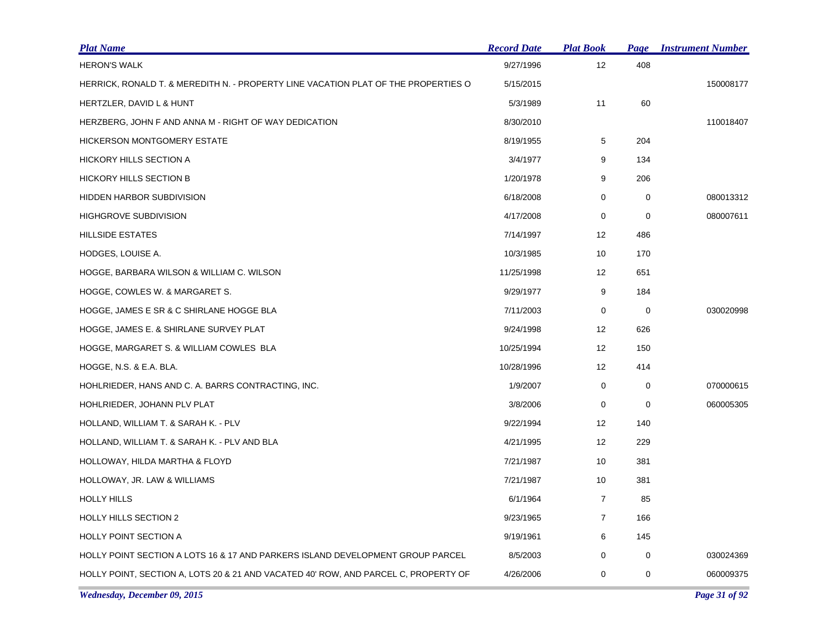| <b>Plat Name</b>                                                                    | <b>Record Date</b> | <b>Plat Book</b>  | <b>Page</b> | <b>Instrument Number</b> |
|-------------------------------------------------------------------------------------|--------------------|-------------------|-------------|--------------------------|
| <b>HERON'S WALK</b>                                                                 | 9/27/1996          | 12                | 408         |                          |
| HERRICK, RONALD T. & MEREDITH N. - PROPERTY LINE VACATION PLAT OF THE PROPERTIES O  | 5/15/2015          |                   |             | 150008177                |
| HERTZLER, DAVID L & HUNT                                                            | 5/3/1989           | 11                | 60          |                          |
| HERZBERG, JOHN F AND ANNA M - RIGHT OF WAY DEDICATION                               | 8/30/2010          |                   |             | 110018407                |
| <b>HICKERSON MONTGOMERY ESTATE</b>                                                  | 8/19/1955          | 5                 | 204         |                          |
| HICKORY HILLS SECTION A                                                             | 3/4/1977           | 9                 | 134         |                          |
| <b>HICKORY HILLS SECTION B</b>                                                      | 1/20/1978          | 9                 | 206         |                          |
| HIDDEN HARBOR SUBDIVISION                                                           | 6/18/2008          | 0                 | 0           | 080013312                |
| <b>HIGHGROVE SUBDIVISION</b>                                                        | 4/17/2008          | 0                 | 0           | 080007611                |
| <b>HILLSIDE ESTATES</b>                                                             | 7/14/1997          | 12                | 486         |                          |
| HODGES, LOUISE A.                                                                   | 10/3/1985          | 10                | 170         |                          |
| HOGGE, BARBARA WILSON & WILLIAM C. WILSON                                           | 11/25/1998         | 12                | 651         |                          |
| HOGGE, COWLES W. & MARGARET S.                                                      | 9/29/1977          | 9                 | 184         |                          |
| HOGGE, JAMES E SR & C SHIRLANE HOGGE BLA                                            | 7/11/2003          | 0                 | 0           | 030020998                |
| HOGGE, JAMES E. & SHIRLANE SURVEY PLAT                                              | 9/24/1998          | 12                | 626         |                          |
| HOGGE, MARGARET S. & WILLIAM COWLES BLA                                             | 10/25/1994         | 12                | 150         |                          |
| HOGGE, N.S. & E.A. BLA.                                                             | 10/28/1996         | 12                | 414         |                          |
| HOHLRIEDER, HANS AND C. A. BARRS CONTRACTING, INC.                                  | 1/9/2007           | 0                 | 0           | 070000615                |
| HOHLRIEDER, JOHANN PLV PLAT                                                         | 3/8/2006           | 0                 | 0           | 060005305                |
| HOLLAND, WILLIAM T. & SARAH K. - PLV                                                | 9/22/1994          | $12 \overline{ }$ | 140         |                          |
| HOLLAND, WILLIAM T. & SARAH K. - PLV AND BLA                                        | 4/21/1995          | 12                | 229         |                          |
| HOLLOWAY, HILDA MARTHA & FLOYD                                                      | 7/21/1987          | 10                | 381         |                          |
| HOLLOWAY, JR. LAW & WILLIAMS                                                        | 7/21/1987          | 10                | 381         |                          |
| <b>HOLLY HILLS</b>                                                                  | 6/1/1964           | $\overline{7}$    | 85          |                          |
| <b>HOLLY HILLS SECTION 2</b>                                                        | 9/23/1965          | $\overline{7}$    | 166         |                          |
| <b>HOLLY POINT SECTION A</b>                                                        | 9/19/1961          | 6                 | 145         |                          |
| HOLLY POINT SECTION A LOTS 16 & 17 AND PARKERS ISLAND DEVELOPMENT GROUP PARCEL      | 8/5/2003           | 0                 | 0           | 030024369                |
| HOLLY POINT, SECTION A, LOTS 20 & 21 AND VACATED 40' ROW, AND PARCEL C, PROPERTY OF | 4/26/2006          | 0                 | 0           | 060009375                |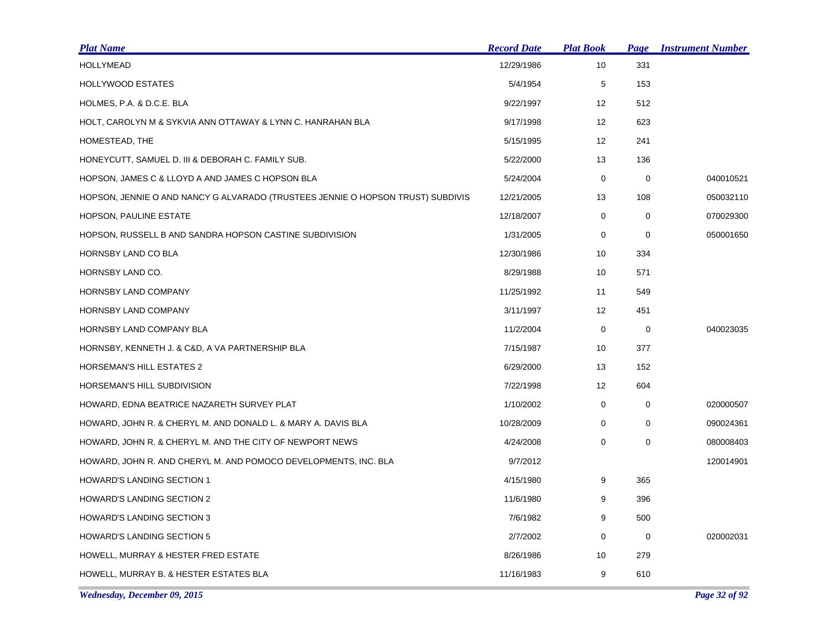| <b>Plat Name</b>                                                                | <b>Record Date</b> | <b>Plat Book</b> | Page        | <b>Instrument Number</b> |
|---------------------------------------------------------------------------------|--------------------|------------------|-------------|--------------------------|
| <b>HOLLYMEAD</b>                                                                | 12/29/1986         | 10               | 331         |                          |
| <b>HOLLYWOOD ESTATES</b>                                                        | 5/4/1954           | 5                | 153         |                          |
| HOLMES, P.A. & D.C.E. BLA                                                       | 9/22/1997          | 12               | 512         |                          |
| HOLT, CAROLYN M & SYKVIA ANN OTTAWAY & LYNN C. HANRAHAN BLA                     | 9/17/1998          | 12               | 623         |                          |
| HOMESTEAD, THE                                                                  | 5/15/1995          | 12               | 241         |                          |
| HONEYCUTT, SAMUEL D. III & DEBORAH C. FAMILY SUB.                               | 5/22/2000          | 13               | 136         |                          |
| HOPSON, JAMES C & LLOYD A AND JAMES C HOPSON BLA                                | 5/24/2004          | 0                | 0           | 040010521                |
| HOPSON, JENNIE O AND NANCY G ALVARADO (TRUSTEES JENNIE O HOPSON TRUST) SUBDIVIS | 12/21/2005         | 13               | 108         | 050032110                |
| HOPSON, PAULINE ESTATE                                                          | 12/18/2007         | 0                | 0           | 070029300                |
| HOPSON, RUSSELL B AND SANDRA HOPSON CASTINE SUBDIVISION                         | 1/31/2005          | 0                | 0           | 050001650                |
| HORNSBY LAND CO BLA                                                             | 12/30/1986         | 10               | 334         |                          |
| HORNSBY LAND CO.                                                                | 8/29/1988          | 10               | 571         |                          |
| HORNSBY LAND COMPANY                                                            | 11/25/1992         | 11               | 549         |                          |
| HORNSBY LAND COMPANY                                                            | 3/11/1997          | 12               | 451         |                          |
| HORNSBY LAND COMPANY BLA                                                        | 11/2/2004          | 0                | 0           | 040023035                |
| HORNSBY, KENNETH J. & C&D, A VA PARTNERSHIP BLA                                 | 7/15/1987          | 10               | 377         |                          |
| <b>HORSEMAN'S HILL ESTATES 2</b>                                                | 6/29/2000          | 13               | 152         |                          |
| HORSEMAN'S HILL SUBDIVISION                                                     | 7/22/1998          | 12               | 604         |                          |
| HOWARD, EDNA BEATRICE NAZARETH SURVEY PLAT                                      | 1/10/2002          | 0                | 0           | 020000507                |
| HOWARD, JOHN R. & CHERYL M. AND DONALD L. & MARY A. DAVIS BLA                   | 10/28/2009         | 0                | $\mathbf 0$ | 090024361                |
| HOWARD, JOHN R. & CHERYL M. AND THE CITY OF NEWPORT NEWS                        | 4/24/2008          | $\mathbf 0$      | $\mathbf 0$ | 080008403                |
| HOWARD, JOHN R. AND CHERYL M. AND POMOCO DEVELOPMENTS, INC. BLA                 | 9/7/2012           |                  |             | 120014901                |
| <b>HOWARD'S LANDING SECTION 1</b>                                               | 4/15/1980          | 9                | 365         |                          |
| <b>HOWARD'S LANDING SECTION 2</b>                                               | 11/6/1980          | 9                | 396         |                          |
| <b>HOWARD'S LANDING SECTION 3</b>                                               | 7/6/1982           | 9                | 500         |                          |
| <b>HOWARD'S LANDING SECTION 5</b>                                               | 2/7/2002           | $\mathbf 0$      | 0           | 020002031                |
| HOWELL, MURRAY & HESTER FRED ESTATE                                             | 8/26/1986          | 10               | 279         |                          |
| HOWELL, MURRAY B. & HESTER ESTATES BLA                                          | 11/16/1983         | 9                | 610         |                          |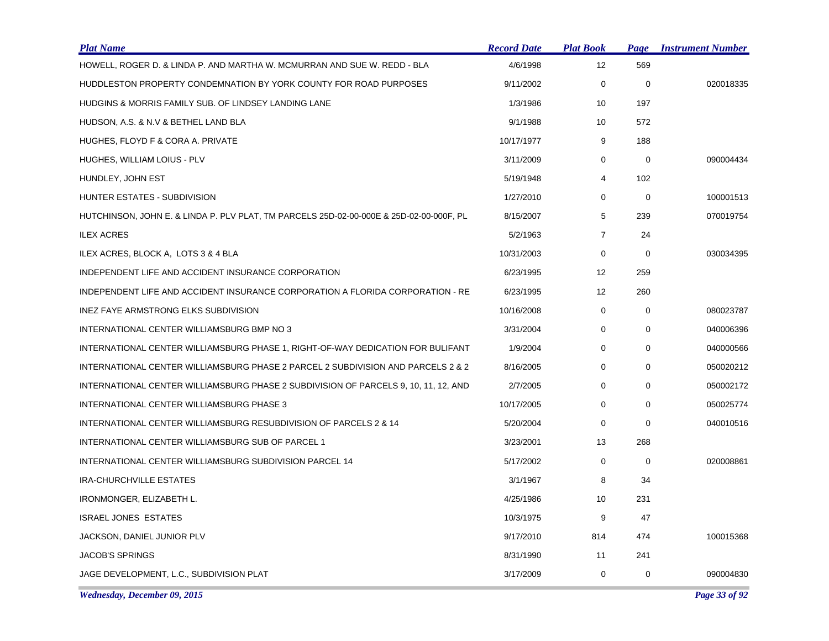| <b>Plat Name</b>                                                                        | <b>Record Date</b> | <b>Plat Book</b> | Page        | <b>Instrument Number</b> |
|-----------------------------------------------------------------------------------------|--------------------|------------------|-------------|--------------------------|
| HOWELL, ROGER D. & LINDA P. AND MARTHA W. MCMURRAN AND SUE W. REDD - BLA                | 4/6/1998           | 12               | 569         |                          |
| HUDDLESTON PROPERTY CONDEMNATION BY YORK COUNTY FOR ROAD PURPOSES                       | 9/11/2002          | 0                | $\mathbf 0$ | 020018335                |
| HUDGINS & MORRIS FAMILY SUB. OF LINDSEY LANDING LANE                                    | 1/3/1986           | 10               | 197         |                          |
| HUDSON, A.S. & N.V & BETHEL LAND BLA                                                    | 9/1/1988           | 10               | 572         |                          |
| HUGHES, FLOYD F & CORA A. PRIVATE                                                       | 10/17/1977         | 9                | 188         |                          |
| HUGHES, WILLIAM LOIUS - PLV                                                             | 3/11/2009          | 0                | 0           | 090004434                |
| HUNDLEY, JOHN EST                                                                       | 5/19/1948          | 4                | 102         |                          |
| HUNTER ESTATES - SUBDIVISION                                                            | 1/27/2010          | $\mathbf 0$      | $\mathbf 0$ | 100001513                |
| HUTCHINSON, JOHN E. & LINDA P. PLV PLAT, TM PARCELS 25D-02-00-000E & 25D-02-00-000F, PL | 8/15/2007          | 5                | 239         | 070019754                |
| <b>ILEX ACRES</b>                                                                       | 5/2/1963           | $\overline{7}$   | 24          |                          |
| ILEX ACRES, BLOCK A, LOTS 3 & 4 BLA                                                     | 10/31/2003         | 0                | $\mathbf 0$ | 030034395                |
| INDEPENDENT LIFE AND ACCIDENT INSURANCE CORPORATION                                     | 6/23/1995          | 12               | 259         |                          |
| INDEPENDENT LIFE AND ACCIDENT INSURANCE CORPORATION A FLORIDA CORPORATION - RE          | 6/23/1995          | 12               | 260         |                          |
| INEZ FAYE ARMSTRONG ELKS SUBDIVISION                                                    | 10/16/2008         | 0                | 0           | 080023787                |
| INTERNATIONAL CENTER WILLIAMSBURG BMP NO 3                                              | 3/31/2004          | 0                | 0           | 040006396                |
| INTERNATIONAL CENTER WILLIAMSBURG PHASE 1, RIGHT-OF-WAY DEDICATION FOR BULIFANT         | 1/9/2004           | 0                | $\mathbf 0$ | 040000566                |
| INTERNATIONAL CENTER WILLIAMSBURG PHASE 2 PARCEL 2 SUBDIVISION AND PARCELS 2 & 2        | 8/16/2005          | 0                | 0           | 050020212                |
| INTERNATIONAL CENTER WILLIAMSBURG PHASE 2 SUBDIVISION OF PARCELS 9, 10, 11, 12, AND     | 2/7/2005           | 0                | 0           | 050002172                |
| INTERNATIONAL CENTER WILLIAMSBURG PHASE 3                                               | 10/17/2005         | 0                | $\mathbf 0$ | 050025774                |
| INTERNATIONAL CENTER WILLIAMSBURG RESUBDIVISION OF PARCELS 2 & 14                       | 5/20/2004          | 0                | $\Omega$    | 040010516                |
| INTERNATIONAL CENTER WILLIAMSBURG SUB OF PARCEL 1                                       | 3/23/2001          | 13               | 268         |                          |
| INTERNATIONAL CENTER WILLIAMSBURG SUBDIVISION PARCEL 14                                 | 5/17/2002          | 0                | 0           | 020008861                |
| IRA-CHURCHVILLE ESTATES                                                                 | 3/1/1967           | 8                | 34          |                          |
| IRONMONGER, ELIZABETH L.                                                                | 4/25/1986          | 10               | 231         |                          |
| <b>ISRAEL JONES ESTATES</b>                                                             | 10/3/1975          | 9                | 47          |                          |
| JACKSON, DANIEL JUNIOR PLV                                                              | 9/17/2010          | 814              | 474         | 100015368                |
| <b>JACOB'S SPRINGS</b>                                                                  | 8/31/1990          | 11               | 241         |                          |
| JAGE DEVELOPMENT, L.C., SUBDIVISION PLAT                                                | 3/17/2009          | 0                | 0           | 090004830                |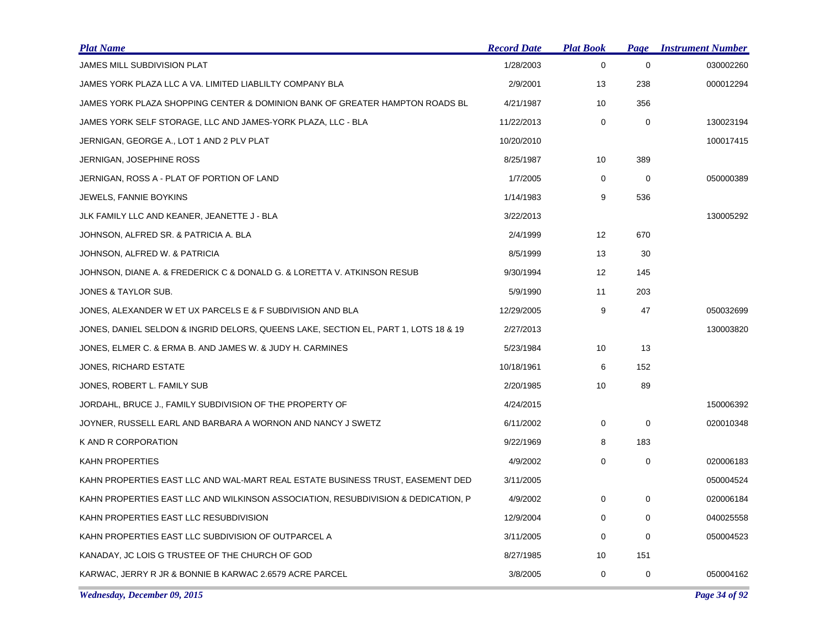| <b>Plat Name</b>                                                                    | <b>Record Date</b> | <b>Plat Book</b>  | Page        | <b>Instrument Number</b> |
|-------------------------------------------------------------------------------------|--------------------|-------------------|-------------|--------------------------|
| JAMES MILL SUBDIVISION PLAT                                                         | 1/28/2003          | $\mathbf 0$       | $\mathbf 0$ | 030002260                |
| JAMES YORK PLAZA LLC A VA. LIMITED LIABLILTY COMPANY BLA                            | 2/9/2001           | 13                | 238         | 000012294                |
| JAMES YORK PLAZA SHOPPING CENTER & DOMINION BANK OF GREATER HAMPTON ROADS BL        | 4/21/1987          | 10                | 356         |                          |
| JAMES YORK SELF STORAGE, LLC AND JAMES-YORK PLAZA, LLC - BLA                        | 11/22/2013         | 0                 | $\mathbf 0$ | 130023194                |
| JERNIGAN, GEORGE A., LOT 1 AND 2 PLV PLAT                                           | 10/20/2010         |                   |             | 100017415                |
| <b>JERNIGAN, JOSEPHINE ROSS</b>                                                     | 8/25/1987          | 10                | 389         |                          |
| JERNIGAN, ROSS A - PLAT OF PORTION OF LAND                                          | 1/7/2005           | 0                 | $\mathbf 0$ | 050000389                |
| <b>JEWELS, FANNIE BOYKINS</b>                                                       | 1/14/1983          | 9                 | 536         |                          |
| JLK FAMILY LLC AND KEANER, JEANETTE J - BLA                                         | 3/22/2013          |                   |             | 130005292                |
| JOHNSON, ALFRED SR. & PATRICIA A. BLA                                               | 2/4/1999           | $12 \overline{ }$ | 670         |                          |
| JOHNSON, ALFRED W. & PATRICIA                                                       | 8/5/1999           | 13                | 30          |                          |
| JOHNSON, DIANE A. & FREDERICK C & DONALD G. & LORETTA V. ATKINSON RESUB             | 9/30/1994          | 12                | 145         |                          |
| JONES & TAYLOR SUB.                                                                 | 5/9/1990           | 11                | 203         |                          |
| JONES, ALEXANDER W ET UX PARCELS E & F SUBDIVISION AND BLA                          | 12/29/2005         | 9                 | 47          | 050032699                |
| JONES, DANIEL SELDON & INGRID DELORS, QUEENS LAKE, SECTION EL, PART 1, LOTS 18 & 19 | 2/27/2013          |                   |             | 130003820                |
| JONES, ELMER C. & ERMA B. AND JAMES W. & JUDY H. CARMINES                           | 5/23/1984          | 10                | 13          |                          |
| <b>JONES, RICHARD ESTATE</b>                                                        | 10/18/1961         | 6                 | 152         |                          |
| JONES, ROBERT L. FAMILY SUB                                                         | 2/20/1985          | 10                | 89          |                          |
| JORDAHL, BRUCE J., FAMILY SUBDIVISION OF THE PROPERTY OF                            | 4/24/2015          |                   |             | 150006392                |
| JOYNER, RUSSELL EARL AND BARBARA A WORNON AND NANCY J SWETZ                         | 6/11/2002          | 0                 | $\mathbf 0$ | 020010348                |
| K AND R CORPORATION                                                                 | 9/22/1969          | 8                 | 183         |                          |
| KAHN PROPERTIES                                                                     | 4/9/2002           | 0                 | $\pmb{0}$   | 020006183                |
| KAHN PROPERTIES EAST LLC AND WAL-MART REAL ESTATE BUSINESS TRUST, EASEMENT DED      | 3/11/2005          |                   |             | 050004524                |
| KAHN PROPERTIES EAST LLC AND WILKINSON ASSOCIATION, RESUBDIVISION & DEDICATION, P   | 4/9/2002           | 0                 | $\mathbf 0$ | 020006184                |
| KAHN PROPERTIES EAST LLC RESUBDIVISION                                              | 12/9/2004          | $\Omega$          | $\mathbf 0$ | 040025558                |
| KAHN PROPERTIES EAST LLC SUBDIVISION OF OUTPARCEL A                                 | 3/11/2005          | 0                 | 0           | 050004523                |
| KANADAY, JC LOIS G TRUSTEE OF THE CHURCH OF GOD                                     | 8/27/1985          | 10                | 151         |                          |
| KARWAC, JERRY R JR & BONNIE B KARWAC 2.6579 ACRE PARCEL                             | 3/8/2005           | 0                 | 0           | 050004162                |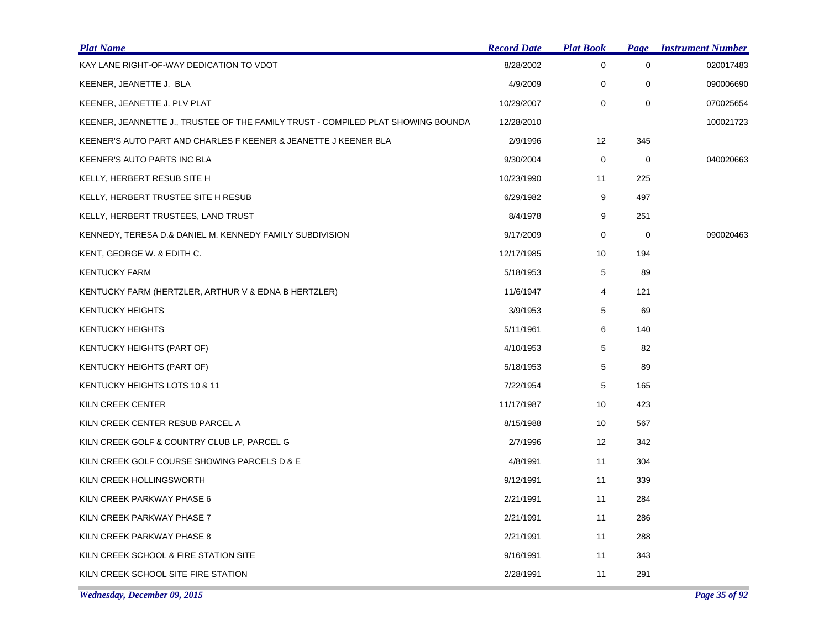| <b>Plat Name</b>                                                                 | <b>Record Date</b> | <b>Plat Book</b> |             | <b>Page Instrument Number</b> |
|----------------------------------------------------------------------------------|--------------------|------------------|-------------|-------------------------------|
| KAY LANE RIGHT-OF-WAY DEDICATION TO VDOT                                         | 8/28/2002          | $\mathbf 0$      | $\mathbf 0$ | 020017483                     |
| KEENER, JEANETTE J. BLA                                                          | 4/9/2009           | $\mathbf 0$      | 0           | 090006690                     |
| KEENER, JEANETTE J. PLV PLAT                                                     | 10/29/2007         | $\mathbf 0$      | $\mathbf 0$ | 070025654                     |
| KEENER, JEANNETTE J., TRUSTEE OF THE FAMILY TRUST - COMPILED PLAT SHOWING BOUNDA | 12/28/2010         |                  |             | 100021723                     |
| KEENER'S AUTO PART AND CHARLES F KEENER & JEANETTE J KEENER BLA                  | 2/9/1996           | 12               | 345         |                               |
| KEENER'S AUTO PARTS INC BLA                                                      | 9/30/2004          | 0                | 0           | 040020663                     |
| KELLY, HERBERT RESUB SITE H                                                      | 10/23/1990         | 11               | 225         |                               |
| KELLY, HERBERT TRUSTEE SITE H RESUB                                              | 6/29/1982          | 9                | 497         |                               |
| KELLY, HERBERT TRUSTEES, LAND TRUST                                              | 8/4/1978           | 9                | 251         |                               |
| KENNEDY, TERESA D.& DANIEL M. KENNEDY FAMILY SUBDIVISION                         | 9/17/2009          | 0                | 0           | 090020463                     |
| KENT, GEORGE W. & EDITH C.                                                       | 12/17/1985         | 10               | 194         |                               |
| <b>KENTUCKY FARM</b>                                                             | 5/18/1953          | 5                | 89          |                               |
| KENTUCKY FARM (HERTZLER, ARTHUR V & EDNA B HERTZLER)                             | 11/6/1947          | 4                | 121         |                               |
| <b>KENTUCKY HEIGHTS</b>                                                          | 3/9/1953           | 5                | 69          |                               |
| <b>KENTUCKY HEIGHTS</b>                                                          | 5/11/1961          | 6                | 140         |                               |
| KENTUCKY HEIGHTS (PART OF)                                                       | 4/10/1953          | 5                | 82          |                               |
| KENTUCKY HEIGHTS (PART OF)                                                       | 5/18/1953          | 5                | 89          |                               |
| KENTUCKY HEIGHTS LOTS 10 & 11                                                    | 7/22/1954          | 5                | 165         |                               |
| KILN CREEK CENTER                                                                | 11/17/1987         | 10               | 423         |                               |
| KILN CREEK CENTER RESUB PARCEL A                                                 | 8/15/1988          | 10               | 567         |                               |
| KILN CREEK GOLF & COUNTRY CLUB LP, PARCEL G                                      | 2/7/1996           | 12               | 342         |                               |
| KILN CREEK GOLF COURSE SHOWING PARCELS D & E                                     | 4/8/1991           | 11               | 304         |                               |
| KILN CREEK HOLLINGSWORTH                                                         | 9/12/1991          | 11               | 339         |                               |
| KILN CREEK PARKWAY PHASE 6                                                       | 2/21/1991          | 11               | 284         |                               |
| KILN CREEK PARKWAY PHASE 7                                                       | 2/21/1991          | 11               | 286         |                               |
| KILN CREEK PARKWAY PHASE 8                                                       | 2/21/1991          | 11               | 288         |                               |
| KILN CREEK SCHOOL & FIRE STATION SITE                                            | 9/16/1991          | 11               | 343         |                               |
| KILN CREEK SCHOOL SITE FIRE STATION                                              | 2/28/1991          | 11               | 291         |                               |

*Wednesday, December 09, 2015 Page 35 of 92*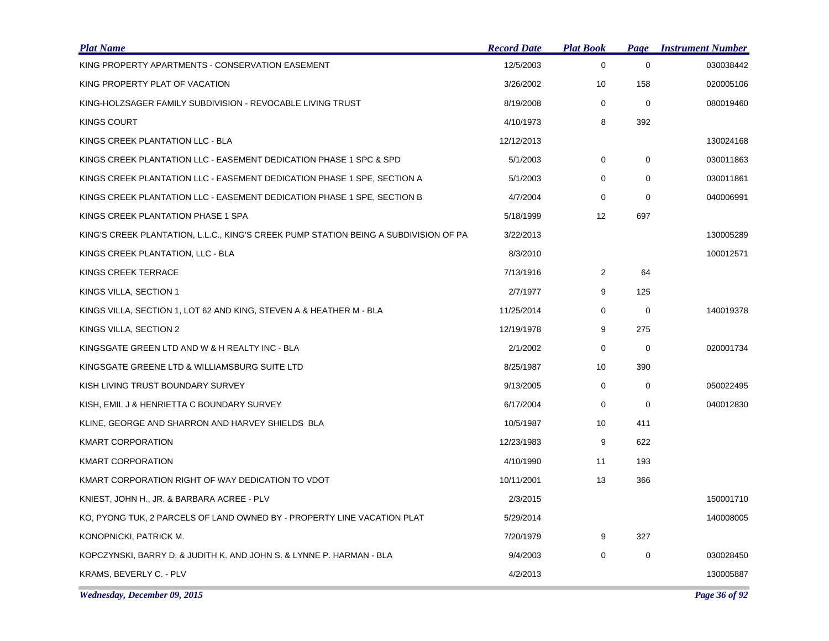| <b>Plat Name</b>                                                                     | <b>Record Date</b> | <b>Plat Book</b> | Page        | <b>Instrument Number</b> |
|--------------------------------------------------------------------------------------|--------------------|------------------|-------------|--------------------------|
| KING PROPERTY APARTMENTS - CONSERVATION EASEMENT                                     | 12/5/2003          | $\mathbf 0$      | $\mathbf 0$ | 030038442                |
| KING PROPERTY PLAT OF VACATION                                                       | 3/26/2002          | 10               | 158         | 020005106                |
| KING-HOLZSAGER FAMILY SUBDIVISION - REVOCABLE LIVING TRUST                           | 8/19/2008          | 0                | $\mathbf 0$ | 080019460                |
| KINGS COURT                                                                          | 4/10/1973          | 8                | 392         |                          |
| KINGS CREEK PLANTATION LLC - BLA                                                     | 12/12/2013         |                  |             | 130024168                |
| KINGS CREEK PLANTATION LLC - EASEMENT DEDICATION PHASE 1 SPC & SPD                   | 5/1/2003           | 0                | 0           | 030011863                |
| KINGS CREEK PLANTATION LLC - EASEMENT DEDICATION PHASE 1 SPE, SECTION A              | 5/1/2003           | 0                | $\mathbf 0$ | 030011861                |
| KINGS CREEK PLANTATION LLC - EASEMENT DEDICATION PHASE 1 SPE, SECTION B              | 4/7/2004           | $\mathbf 0$      | $\mathbf 0$ | 040006991                |
| KINGS CREEK PLANTATION PHASE 1 SPA                                                   | 5/18/1999          | 12               | 697         |                          |
| KING'S CREEK PLANTATION, L.L.C., KING'S CREEK PUMP STATION BEING A SUBDIVISION OF PA | 3/22/2013          |                  |             | 130005289                |
| KINGS CREEK PLANTATION, LLC - BLA                                                    | 8/3/2010           |                  |             | 100012571                |
| KINGS CREEK TERRACE                                                                  | 7/13/1916          | $\overline{2}$   | 64          |                          |
| KINGS VILLA, SECTION 1                                                               | 2/7/1977           | 9                | 125         |                          |
| KINGS VILLA, SECTION 1, LOT 62 AND KING, STEVEN A & HEATHER M - BLA                  | 11/25/2014         | 0                | 0           | 140019378                |
| KINGS VILLA, SECTION 2                                                               | 12/19/1978         | 9                | 275         |                          |
| KINGSGATE GREEN LTD AND W & H REALTY INC - BLA                                       | 2/1/2002           | 0                | $\mathbf 0$ | 020001734                |
| KINGSGATE GREENE LTD & WILLIAMSBURG SUITE LTD                                        | 8/25/1987          | 10               | 390         |                          |
| KISH LIVING TRUST BOUNDARY SURVEY                                                    | 9/13/2005          | $\mathbf 0$      | $\mathbf 0$ | 050022495                |
| KISH, EMIL J & HENRIETTA C BOUNDARY SURVEY                                           | 6/17/2004          | 0                | 0           | 040012830                |
| KLINE, GEORGE AND SHARRON AND HARVEY SHIELDS BLA                                     | 10/5/1987          | 10               | 411         |                          |
| <b>KMART CORPORATION</b>                                                             | 12/23/1983         | 9                | 622         |                          |
| KMART CORPORATION                                                                    | 4/10/1990          | 11               | 193         |                          |
| KMART CORPORATION RIGHT OF WAY DEDICATION TO VDOT                                    | 10/11/2001         | 13               | 366         |                          |
| KNIEST, JOHN H., JR. & BARBARA ACREE - PLV                                           | 2/3/2015           |                  |             | 150001710                |
| KO, PYONG TUK, 2 PARCELS OF LAND OWNED BY - PROPERTY LINE VACATION PLAT              | 5/29/2014          |                  |             | 140008005                |
| KONOPNICKI, PATRICK M.                                                               | 7/20/1979          | 9                | 327         |                          |
| KOPCZYNSKI, BARRY D. & JUDITH K. AND JOHN S. & LYNNE P. HARMAN - BLA                 | 9/4/2003           | $\mathbf 0$      | $\mathbf 0$ | 030028450                |
| KRAMS, BEVERLY C. - PLV                                                              | 4/2/2013           |                  |             | 130005887                |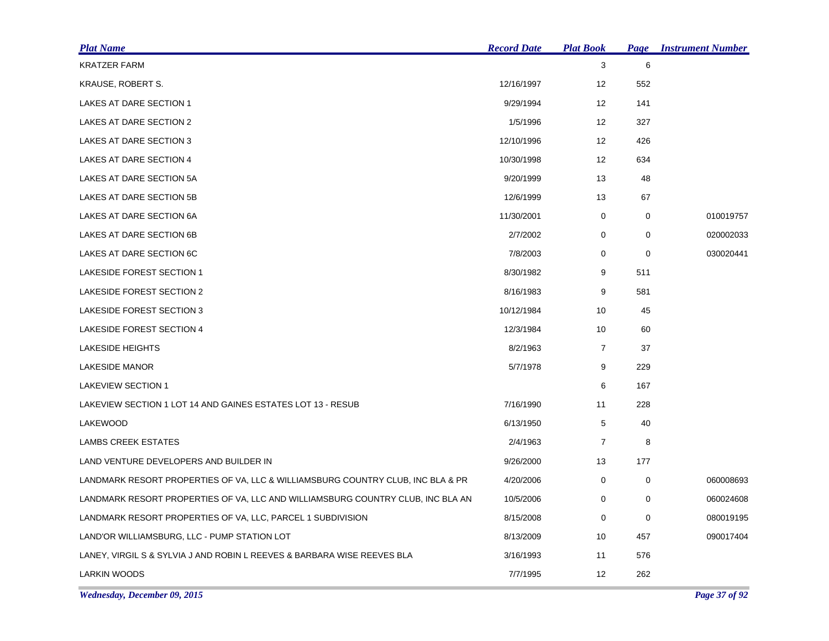| <u>Plat Name</u>                                                                | <b>Record Date</b> | <b>Plat Book</b>  | <b>Page</b> | <b>Instrument Number</b> |
|---------------------------------------------------------------------------------|--------------------|-------------------|-------------|--------------------------|
| <b>KRATZER FARM</b>                                                             |                    | 3                 | 6           |                          |
| KRAUSE, ROBERT S.                                                               | 12/16/1997         | 12                | 552         |                          |
| LAKES AT DARE SECTION 1                                                         | 9/29/1994          | 12                | 141         |                          |
| LAKES AT DARE SECTION 2                                                         | 1/5/1996           | $12 \overline{ }$ | 327         |                          |
| LAKES AT DARE SECTION 3                                                         | 12/10/1996         | 12                | 426         |                          |
| LAKES AT DARE SECTION 4                                                         | 10/30/1998         | 12                | 634         |                          |
| LAKES AT DARE SECTION 5A                                                        | 9/20/1999          | 13                | 48          |                          |
| LAKES AT DARE SECTION 5B                                                        | 12/6/1999          | 13                | 67          |                          |
| LAKES AT DARE SECTION 6A                                                        | 11/30/2001         | 0                 | 0           | 010019757                |
| LAKES AT DARE SECTION 6B                                                        | 2/7/2002           | 0                 | 0           | 020002033                |
| LAKES AT DARE SECTION 6C                                                        | 7/8/2003           | 0                 | 0           | 030020441                |
| <b>LAKESIDE FOREST SECTION 1</b>                                                | 8/30/1982          | 9                 | 511         |                          |
| LAKESIDE FOREST SECTION 2                                                       | 8/16/1983          | 9                 | 581         |                          |
| <b>LAKESIDE FOREST SECTION 3</b>                                                | 10/12/1984         | 10                | 45          |                          |
| <b>LAKESIDE FOREST SECTION 4</b>                                                | 12/3/1984          | 10                | 60          |                          |
| <b>LAKESIDE HEIGHTS</b>                                                         | 8/2/1963           | $\overline{7}$    | 37          |                          |
| <b>LAKESIDE MANOR</b>                                                           | 5/7/1978           | 9                 | 229         |                          |
| LAKEVIEW SECTION 1                                                              |                    | 6                 | 167         |                          |
| LAKEVIEW SECTION 1 LOT 14 AND GAINES ESTATES LOT 13 - RESUB                     | 7/16/1990          | 11                | 228         |                          |
| LAKEWOOD                                                                        | 6/13/1950          | 5                 | 40          |                          |
| LAMBS CREEK ESTATES                                                             | 2/4/1963           | $\overline{7}$    | 8           |                          |
| LAND VENTURE DEVELOPERS AND BUILDER IN                                          | 9/26/2000          | 13                | 177         |                          |
| LANDMARK RESORT PROPERTIES OF VA, LLC & WILLIAMSBURG COUNTRY CLUB, INC BLA & PR | 4/20/2006          | 0                 | 0           | 060008693                |
| LANDMARK RESORT PROPERTIES OF VA, LLC AND WILLIAMSBURG COUNTRY CLUB, INC BLA AN | 10/5/2006          | 0                 | 0           | 060024608                |
| LANDMARK RESORT PROPERTIES OF VA, LLC, PARCEL 1 SUBDIVISION                     | 8/15/2008          | 0                 | 0           | 080019195                |
| LAND'OR WILLIAMSBURG, LLC - PUMP STATION LOT                                    | 8/13/2009          | 10                | 457         | 090017404                |
| LANEY, VIRGIL S & SYLVIA J AND ROBIN L REEVES & BARBARA WISE REEVES BLA         | 3/16/1993          | 11                | 576         |                          |
| <b>LARKIN WOODS</b>                                                             | 7/7/1995           | 12                | 262         |                          |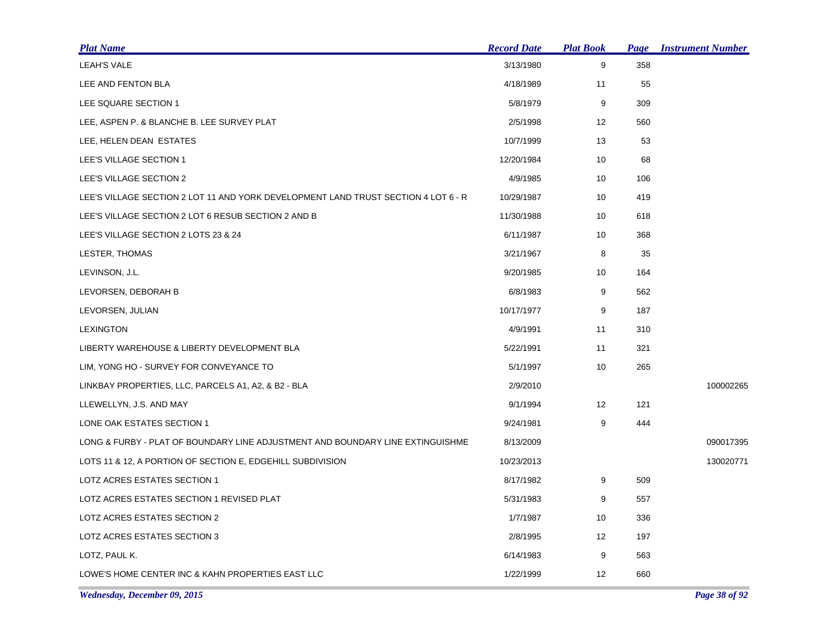| <b>Plat Name</b>                                                                   | <b>Record Date</b> | <b>Plat Book</b> | Page | <b>Instrument Number</b> |
|------------------------------------------------------------------------------------|--------------------|------------------|------|--------------------------|
| <b>LEAH'S VALE</b>                                                                 | 3/13/1980          | 9                | 358  |                          |
| LEE AND FENTON BLA                                                                 | 4/18/1989          | 11               | 55   |                          |
| LEE SQUARE SECTION 1                                                               | 5/8/1979           | 9                | 309  |                          |
| LEE, ASPEN P. & BLANCHE B. LEE SURVEY PLAT                                         | 2/5/1998           | 12               | 560  |                          |
| LEE, HELEN DEAN ESTATES                                                            | 10/7/1999          | 13               | 53   |                          |
| LEE'S VILLAGE SECTION 1                                                            | 12/20/1984         | 10               | 68   |                          |
| LEE'S VILLAGE SECTION 2                                                            | 4/9/1985           | 10               | 106  |                          |
| LEE'S VILLAGE SECTION 2 LOT 11 AND YORK DEVELOPMENT LAND TRUST SECTION 4 LOT 6 - R | 10/29/1987         | 10               | 419  |                          |
| LEE'S VILLAGE SECTION 2 LOT 6 RESUB SECTION 2 AND B                                | 11/30/1988         | 10               | 618  |                          |
| LEE'S VILLAGE SECTION 2 LOTS 23 & 24                                               | 6/11/1987          | 10               | 368  |                          |
| LESTER, THOMAS                                                                     | 3/21/1967          | 8                | 35   |                          |
| LEVINSON, J.L.                                                                     | 9/20/1985          | 10               | 164  |                          |
| LEVORSEN, DEBORAH B                                                                | 6/8/1983           | 9                | 562  |                          |
| LEVORSEN, JULIAN                                                                   | 10/17/1977         | 9                | 187  |                          |
| <b>LEXINGTON</b>                                                                   | 4/9/1991           | 11               | 310  |                          |
| LIBERTY WAREHOUSE & LIBERTY DEVELOPMENT BLA                                        | 5/22/1991          | 11               | 321  |                          |
| LIM, YONG HO - SURVEY FOR CONVEYANCE TO                                            | 5/1/1997           | 10               | 265  |                          |
| LINKBAY PROPERTIES, LLC, PARCELS A1, A2, & B2 - BLA                                | 2/9/2010           |                  |      | 100002265                |
| LLEWELLYN, J.S. AND MAY                                                            | 9/1/1994           | 12               | 121  |                          |
| LONE OAK ESTATES SECTION 1                                                         | 9/24/1981          | 9                | 444  |                          |
| LONG & FURBY - PLAT OF BOUNDARY LINE ADJUSTMENT AND BOUNDARY LINE EXTINGUISHME     | 8/13/2009          |                  |      | 090017395                |
| LOTS 11 & 12, A PORTION OF SECTION E, EDGEHILL SUBDIVISION                         | 10/23/2013         |                  |      | 130020771                |
| LOTZ ACRES ESTATES SECTION 1                                                       | 8/17/1982          | 9                | 509  |                          |
| LOTZ ACRES ESTATES SECTION 1 REVISED PLAT                                          | 5/31/1983          | 9                | 557  |                          |
| LOTZ ACRES ESTATES SECTION 2                                                       | 1/7/1987           | 10               | 336  |                          |
| LOTZ ACRES ESTATES SECTION 3                                                       | 2/8/1995           | 12               | 197  |                          |
| LOTZ, PAUL K.                                                                      | 6/14/1983          | 9                | 563  |                          |
| LOWE'S HOME CENTER INC & KAHN PROPERTIES EAST LLC                                  | 1/22/1999          | 12               | 660  |                          |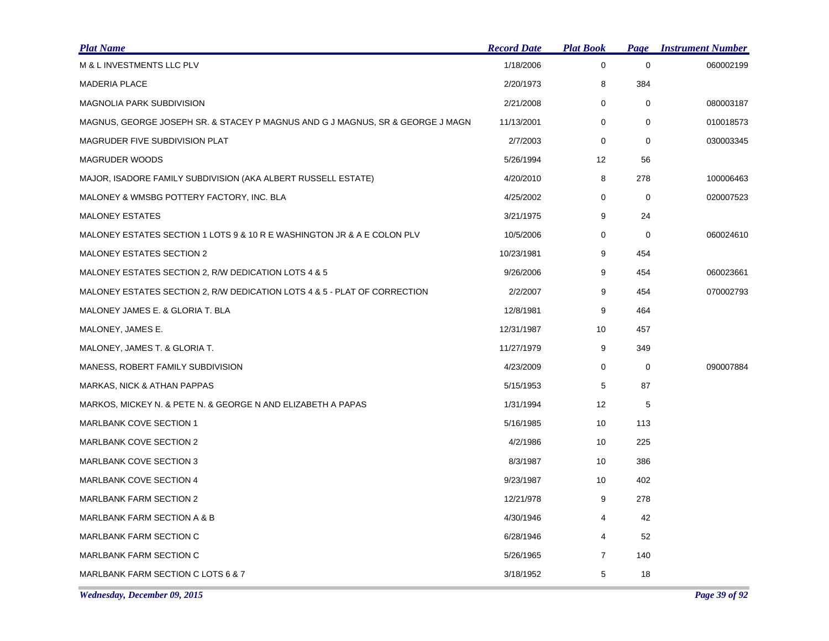| <b>Plat Name</b>                                                               | <b>Record Date</b> | <b>Plat Book</b> | Page        | <b>Instrument Number</b> |
|--------------------------------------------------------------------------------|--------------------|------------------|-------------|--------------------------|
| M & L INVESTMENTS LLC PLV                                                      | 1/18/2006          | $\mathbf 0$      | $\mathbf 0$ | 060002199                |
| <b>MADERIA PLACE</b>                                                           | 2/20/1973          | 8                | 384         |                          |
| <b>MAGNOLIA PARK SUBDIVISION</b>                                               | 2/21/2008          | 0                | 0           | 080003187                |
| MAGNUS, GEORGE JOSEPH SR. & STACEY P MAGNUS AND G J MAGNUS, SR & GEORGE J MAGN | 11/13/2001         | 0                | 0           | 010018573                |
| MAGRUDER FIVE SUBDIVISION PLAT                                                 | 2/7/2003           | 0                | $\mathbf 0$ | 030003345                |
| MAGRUDER WOODS                                                                 | 5/26/1994          | 12               | 56          |                          |
| MAJOR, ISADORE FAMILY SUBDIVISION (AKA ALBERT RUSSELL ESTATE)                  | 4/20/2010          | 8                | 278         | 100006463                |
| MALONEY & WMSBG POTTERY FACTORY, INC. BLA                                      | 4/25/2002          | $\mathbf 0$      | 0           | 020007523                |
| <b>MALONEY ESTATES</b>                                                         | 3/21/1975          | 9                | 24          |                          |
| MALONEY ESTATES SECTION 1 LOTS 9 & 10 R E WASHINGTON JR & A E COLON PLV        | 10/5/2006          | 0                | 0           | 060024610                |
| <b>MALONEY ESTATES SECTION 2</b>                                               | 10/23/1981         | 9                | 454         |                          |
| MALONEY ESTATES SECTION 2, R/W DEDICATION LOTS 4 & 5                           | 9/26/2006          | 9                | 454         | 060023661                |
| MALONEY ESTATES SECTION 2, R/W DEDICATION LOTS 4 & 5 - PLAT OF CORRECTION      | 2/2/2007           | 9                | 454         | 070002793                |
| MALONEY JAMES E. & GLORIA T. BLA                                               | 12/8/1981          | 9                | 464         |                          |
| MALONEY, JAMES E.                                                              | 12/31/1987         | 10               | 457         |                          |
| MALONEY, JAMES T. & GLORIA T.                                                  | 11/27/1979         | 9                | 349         |                          |
| MANESS, ROBERT FAMILY SUBDIVISION                                              | 4/23/2009          | $\mathbf 0$      | 0           | 090007884                |
| MARKAS, NICK & ATHAN PAPPAS                                                    | 5/15/1953          | 5                | 87          |                          |
| MARKOS, MICKEY N. & PETE N. & GEORGE N AND ELIZABETH A PAPAS                   | 1/31/1994          | 12               | 5           |                          |
| <b>MARLBANK COVE SECTION 1</b>                                                 | 5/16/1985          | 10               | 113         |                          |
| MARLBANK COVE SECTION 2                                                        | 4/2/1986           | 10               | 225         |                          |
| MARLBANK COVE SECTION 3                                                        | 8/3/1987           | 10               | 386         |                          |
| MARLBANK COVE SECTION 4                                                        | 9/23/1987          | 10               | 402         |                          |
| <b>MARLBANK FARM SECTION 2</b>                                                 | 12/21/978          | 9                | 278         |                          |
| MARLBANK FARM SECTION A & B                                                    | 4/30/1946          | 4                | 42          |                          |
| <b>MARLBANK FARM SECTION C</b>                                                 | 6/28/1946          | 4                | 52          |                          |
| <b>MARLBANK FARM SECTION C</b>                                                 | 5/26/1965          | $\overline{7}$   | 140         |                          |
| MARLBANK FARM SECTION C LOTS 6 & 7                                             | 3/18/1952          | 5                | 18          |                          |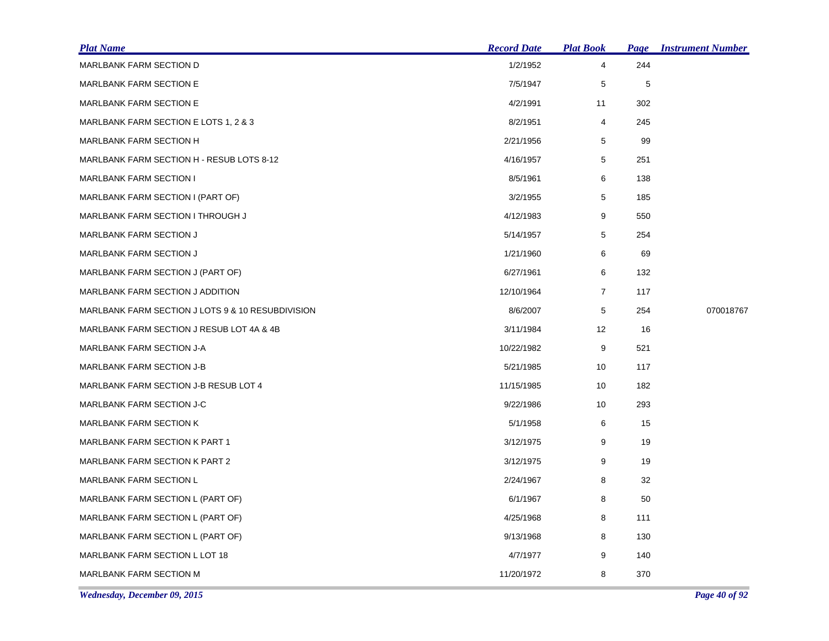| <b>Plat Name</b>                                  | <b>Record Date</b> | <b>Plat Book</b> | Page | <b>Instrument Number</b> |
|---------------------------------------------------|--------------------|------------------|------|--------------------------|
| MARLBANK FARM SECTION D                           | 1/2/1952           | 4                | 244  |                          |
| <b>MARLBANK FARM SECTION E</b>                    | 7/5/1947           | 5                | 5    |                          |
| MARLBANK FARM SECTION E                           | 4/2/1991           | 11               | 302  |                          |
| MARLBANK FARM SECTION E LOTS 1, 2 & 3             | 8/2/1951           | $\overline{4}$   | 245  |                          |
| <b>MARLBANK FARM SECTION H</b>                    | 2/21/1956          | 5                | 99   |                          |
| MARLBANK FARM SECTION H - RESUB LOTS 8-12         | 4/16/1957          | 5                | 251  |                          |
| <b>MARLBANK FARM SECTION I</b>                    | 8/5/1961           | 6                | 138  |                          |
| MARLBANK FARM SECTION I (PART OF)                 | 3/2/1955           | 5                | 185  |                          |
| <b>MARLBANK FARM SECTION I THROUGH J</b>          | 4/12/1983          | 9                | 550  |                          |
| <b>MARLBANK FARM SECTION J</b>                    | 5/14/1957          | 5                | 254  |                          |
| <b>MARLBANK FARM SECTION J</b>                    | 1/21/1960          | 6                | 69   |                          |
| MARLBANK FARM SECTION J (PART OF)                 | 6/27/1961          | 6                | 132  |                          |
| MARLBANK FARM SECTION J ADDITION                  | 12/10/1964         | $\overline{7}$   | 117  |                          |
| MARLBANK FARM SECTION J LOTS 9 & 10 RESUBDIVISION | 8/6/2007           | 5                | 254  | 070018767                |
| MARLBANK FARM SECTION J RESUB LOT 4A & 4B         | 3/11/1984          | 12               | 16   |                          |
| MARLBANK FARM SECTION J-A                         | 10/22/1982         | 9                | 521  |                          |
| <b>MARLBANK FARM SECTION J-B</b>                  | 5/21/1985          | 10               | 117  |                          |
| MARLBANK FARM SECTION J-B RESUB LOT 4             | 11/15/1985         | 10               | 182  |                          |
| MARLBANK FARM SECTION J-C                         | 9/22/1986          | 10               | 293  |                          |
| <b>MARLBANK FARM SECTION K</b>                    | 5/1/1958           | 6                | 15   |                          |
| MARLBANK FARM SECTION K PART 1                    | 3/12/1975          | 9                | 19   |                          |
| MARLBANK FARM SECTION K PART 2                    | 3/12/1975          | 9                | 19   |                          |
| MARLBANK FARM SECTION L                           | 2/24/1967          | 8                | 32   |                          |
| MARLBANK FARM SECTION L (PART OF)                 | 6/1/1967           | 8                | 50   |                          |
| MARLBANK FARM SECTION L (PART OF)                 | 4/25/1968          | 8                | 111  |                          |
| MARLBANK FARM SECTION L (PART OF)                 | 9/13/1968          | 8                | 130  |                          |
| MARLBANK FARM SECTION L LOT 18                    | 4/7/1977           | 9                | 140  |                          |
| <b>MARLBANK FARM SECTION M</b>                    | 11/20/1972         | 8                | 370  |                          |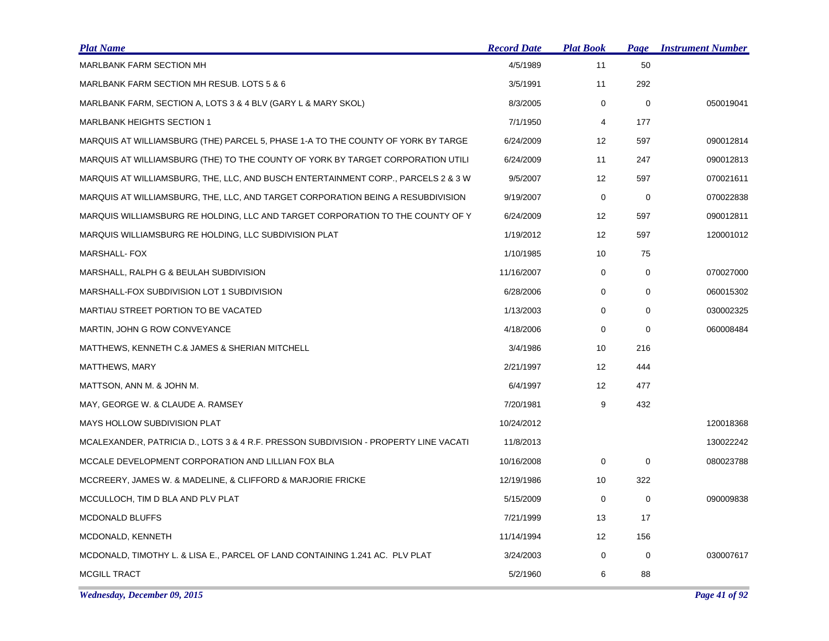| <b>Plat Name</b>                                                                     | <b>Record Date</b> | <b>Plat Book</b>  | Page        | <b>Instrument Number</b> |
|--------------------------------------------------------------------------------------|--------------------|-------------------|-------------|--------------------------|
| <b>MARLBANK FARM SECTION MH</b>                                                      | 4/5/1989           | 11                | 50          |                          |
| MARLBANK FARM SECTION MH RESUB. LOTS 5 & 6                                           | 3/5/1991           | 11                | 292         |                          |
| MARLBANK FARM, SECTION A, LOTS 3 & 4 BLV (GARY L & MARY SKOL)                        | 8/3/2005           | $\mathbf 0$       | $\mathbf 0$ | 050019041                |
| <b>MARLBANK HEIGHTS SECTION 1</b>                                                    | 7/1/1950           | 4                 | 177         |                          |
| MARQUIS AT WILLIAMSBURG (THE) PARCEL 5, PHASE 1-A TO THE COUNTY OF YORK BY TARGE     | 6/24/2009          | 12                | 597         | 090012814                |
| MARQUIS AT WILLIAMSBURG (THE) TO THE COUNTY OF YORK BY TARGET CORPORATION UTILI      | 6/24/2009          | 11                | 247         | 090012813                |
| MARQUIS AT WILLIAMSBURG, THE, LLC, AND BUSCH ENTERTAINMENT CORP., PARCELS 2 & 3 W    | 9/5/2007           | 12                | 597         | 070021611                |
| MARQUIS AT WILLIAMSBURG, THE, LLC, AND TARGET CORPORATION BEING A RESUBDIVISION      | 9/19/2007          | 0                 | 0           | 070022838                |
| MARQUIS WILLIAMSBURG RE HOLDING, LLC AND TARGET CORPORATION TO THE COUNTY OF Y       | 6/24/2009          | 12                | 597         | 090012811                |
| MARQUIS WILLIAMSBURG RE HOLDING, LLC SUBDIVISION PLAT                                | 1/19/2012          | 12                | 597         | 120001012                |
| <b>MARSHALL-FOX</b>                                                                  | 1/10/1985          | 10                | 75          |                          |
| MARSHALL, RALPH G & BEULAH SUBDIVISION                                               | 11/16/2007         | $\mathbf 0$       | $\mathbf 0$ | 070027000                |
| MARSHALL-FOX SUBDIVISION LOT 1 SUBDIVISION                                           | 6/28/2006          | 0                 | 0           | 060015302                |
| MARTIAU STREET PORTION TO BE VACATED                                                 | 1/13/2003          | $\mathbf 0$       | $\mathbf 0$ | 030002325                |
| MARTIN, JOHN G ROW CONVEYANCE                                                        | 4/18/2006          | 0                 | 0           | 060008484                |
| MATTHEWS, KENNETH C.& JAMES & SHERIAN MITCHELL                                       | 3/4/1986           | 10                | 216         |                          |
| MATTHEWS, MARY                                                                       | 2/21/1997          | $12 \overline{ }$ | 444         |                          |
| MATTSON, ANN M. & JOHN M.                                                            | 6/4/1997           | 12                | 477         |                          |
| MAY, GEORGE W. & CLAUDE A. RAMSEY                                                    | 7/20/1981          | 9                 | 432         |                          |
| MAYS HOLLOW SUBDIVISION PLAT                                                         | 10/24/2012         |                   |             | 120018368                |
| MCALEXANDER, PATRICIA D., LOTS 3 & 4 R.F. PRESSON SUBDIVISION - PROPERTY LINE VACATI | 11/8/2013          |                   |             | 130022242                |
| MCCALE DEVELOPMENT CORPORATION AND LILLIAN FOX BLA                                   | 10/16/2008         | 0                 | $\mathbf 0$ | 080023788                |
| MCCREERY, JAMES W. & MADELINE, & CLIFFORD & MARJORIE FRICKE                          | 12/19/1986         | 10                | 322         |                          |
| MCCULLOCH, TIM D BLA AND PLV PLAT                                                    | 5/15/2009          | 0                 | 0           | 090009838                |
| <b>MCDONALD BLUFFS</b>                                                               | 7/21/1999          | 13                | 17          |                          |
| MCDONALD, KENNETH                                                                    | 11/14/1994         | 12                | 156         |                          |
| MCDONALD, TIMOTHY L. & LISA E., PARCEL OF LAND CONTAINING 1.241 AC. PLV PLAT         | 3/24/2003          | $\mathbf 0$       | $\mathbf 0$ | 030007617                |
| <b>MCGILL TRACT</b>                                                                  | 5/2/1960           | 6                 | 88          |                          |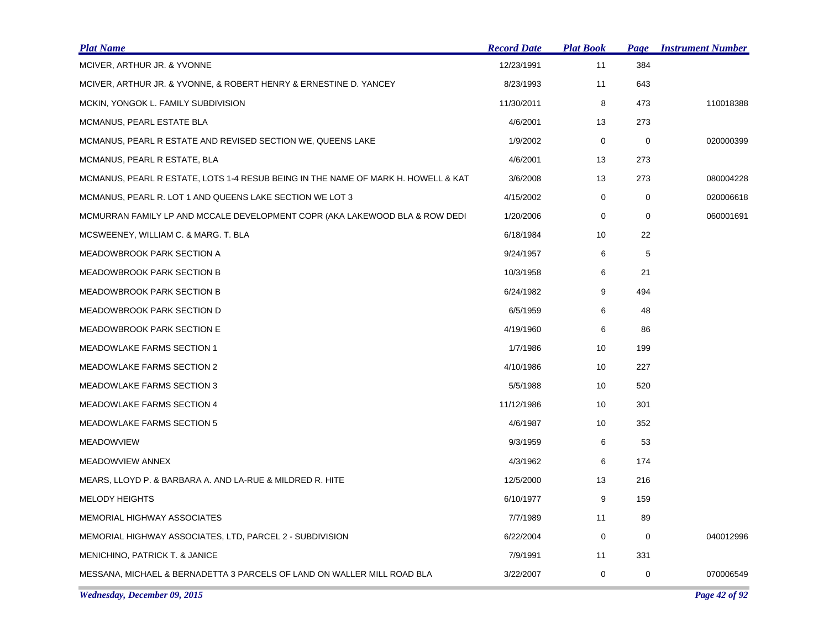| <b>Plat Name</b>                                                                  | <b>Record Date</b> | <b>Plat Book</b> | Page        | <b>Instrument Number</b> |
|-----------------------------------------------------------------------------------|--------------------|------------------|-------------|--------------------------|
| MCIVER, ARTHUR JR. & YVONNE                                                       | 12/23/1991         | 11               | 384         |                          |
| MCIVER, ARTHUR JR. & YVONNE, & ROBERT HENRY & ERNESTINE D. YANCEY                 | 8/23/1993          | 11               | 643         |                          |
| MCKIN, YONGOK L. FAMILY SUBDIVISION                                               | 11/30/2011         | 8                | 473         | 110018388                |
| MCMANUS, PEARL ESTATE BLA                                                         | 4/6/2001           | 13               | 273         |                          |
| MCMANUS, PEARL R ESTATE AND REVISED SECTION WE, QUEENS LAKE                       | 1/9/2002           | 0                | 0           | 020000399                |
| MCMANUS, PEARL R ESTATE, BLA                                                      | 4/6/2001           | 13               | 273         |                          |
| MCMANUS, PEARL R ESTATE, LOTS 1-4 RESUB BEING IN THE NAME OF MARK H. HOWELL & KAT | 3/6/2008           | 13               | 273         | 080004228                |
| MCMANUS, PEARL R. LOT 1 AND QUEENS LAKE SECTION WE LOT 3                          | 4/15/2002          | 0                | $\mathbf 0$ | 020006618                |
| MCMURRAN FAMILY LP AND MCCALE DEVELOPMENT COPR (AKA LAKEWOOD BLA & ROW DEDI       | 1/20/2006          | 0                | $\mathbf 0$ | 060001691                |
| MCSWEENEY, WILLIAM C. & MARG. T. BLA                                              | 6/18/1984          | 10               | 22          |                          |
| MEADOWBROOK PARK SECTION A                                                        | 9/24/1957          | 6                | 5           |                          |
| <b>MEADOWBROOK PARK SECTION B</b>                                                 | 10/3/1958          | 6                | 21          |                          |
| <b>MEADOWBROOK PARK SECTION B</b>                                                 | 6/24/1982          | 9                | 494         |                          |
| <b>MEADOWBROOK PARK SECTION D</b>                                                 | 6/5/1959           | 6                | 48          |                          |
| <b>MEADOWBROOK PARK SECTION E</b>                                                 | 4/19/1960          | 6                | 86          |                          |
| <b>MEADOWLAKE FARMS SECTION 1</b>                                                 | 1/7/1986           | 10               | 199         |                          |
| <b>MEADOWLAKE FARMS SECTION 2</b>                                                 | 4/10/1986          | 10               | 227         |                          |
| <b>MEADOWLAKE FARMS SECTION 3</b>                                                 | 5/5/1988           | 10               | 520         |                          |
| <b>MEADOWLAKE FARMS SECTION 4</b>                                                 | 11/12/1986         | 10               | 301         |                          |
| <b>MEADOWLAKE FARMS SECTION 5</b>                                                 | 4/6/1987           | 10               | 352         |                          |
| <b>MEADOWVIEW</b>                                                                 | 9/3/1959           | 6                | 53          |                          |
| MEADOWVIEW ANNEX                                                                  | 4/3/1962           | 6                | 174         |                          |
| MEARS, LLOYD P. & BARBARA A. AND LA-RUE & MILDRED R. HITE                         | 12/5/2000          | 13               | 216         |                          |
| <b>MELODY HEIGHTS</b>                                                             | 6/10/1977          | 9                | 159         |                          |
| <b>MEMORIAL HIGHWAY ASSOCIATES</b>                                                | 7/7/1989           | 11               | 89          |                          |
| MEMORIAL HIGHWAY ASSOCIATES, LTD, PARCEL 2 - SUBDIVISION                          | 6/22/2004          | $\mathbf 0$      | 0           | 040012996                |
| <b>MENICHINO, PATRICK T. &amp; JANICE</b>                                         | 7/9/1991           | 11               | 331         |                          |
| MESSANA, MICHAEL & BERNADETTA 3 PARCELS OF LAND ON WALLER MILL ROAD BLA           | 3/22/2007          | 0                | 0           | 070006549                |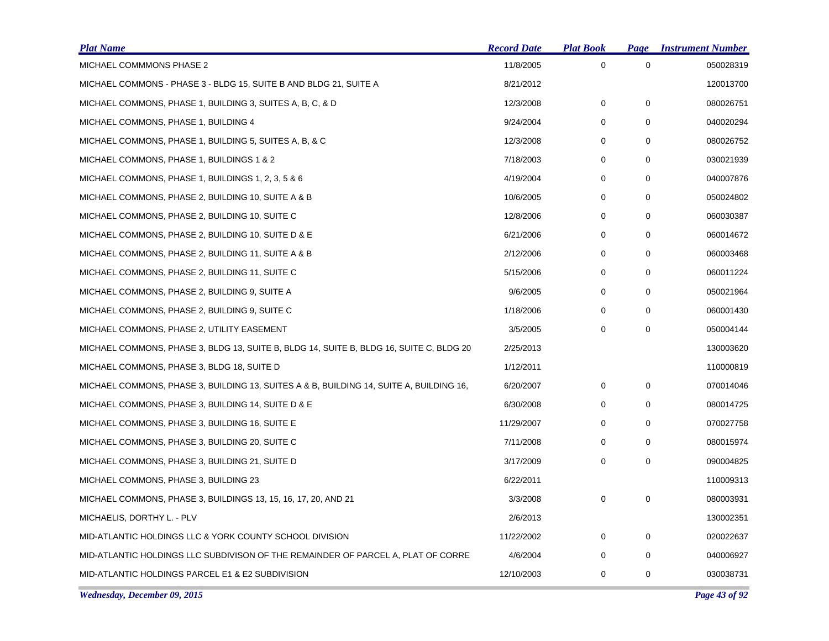| <b>Plat Name</b>                                                                        | <b>Record Date</b> | <b>Plat Book</b> | Page        | <b>Instrument Number</b> |
|-----------------------------------------------------------------------------------------|--------------------|------------------|-------------|--------------------------|
| MICHAEL COMMMONS PHASE 2                                                                | 11/8/2005          | 0                | 0           | 050028319                |
| MICHAEL COMMONS - PHASE 3 - BLDG 15, SUITE B AND BLDG 21, SUITE A                       | 8/21/2012          |                  |             | 120013700                |
| MICHAEL COMMONS, PHASE 1, BUILDING 3, SUITES A, B, C, & D                               | 12/3/2008          | 0                | 0           | 080026751                |
| MICHAEL COMMONS, PHASE 1, BUILDING 4                                                    | 9/24/2004          | 0                | 0           | 040020294                |
| MICHAEL COMMONS, PHASE 1, BUILDING 5, SUITES A, B, & C                                  | 12/3/2008          | 0                | 0           | 080026752                |
| MICHAEL COMMONS, PHASE 1, BUILDINGS 1 & 2                                               | 7/18/2003          | 0                | 0           | 030021939                |
| MICHAEL COMMONS, PHASE 1, BUILDINGS 1, 2, 3, 5 & 6                                      | 4/19/2004          | 0                | 0           | 040007876                |
| MICHAEL COMMONS, PHASE 2, BUILDING 10, SUITE A & B                                      | 10/6/2005          | 0                | $\Omega$    | 050024802                |
| MICHAEL COMMONS, PHASE 2, BUILDING 10, SUITE C                                          | 12/8/2006          | 0                | 0           | 060030387                |
| MICHAEL COMMONS, PHASE 2, BUILDING 10, SUITE D & E                                      | 6/21/2006          | 0                | 0           | 060014672                |
| MICHAEL COMMONS, PHASE 2, BUILDING 11, SUITE A & B                                      | 2/12/2006          | 0                | 0           | 060003468                |
| MICHAEL COMMONS, PHASE 2, BUILDING 11, SUITE C                                          | 5/15/2006          | 0                | 0           | 060011224                |
| MICHAEL COMMONS, PHASE 2, BUILDING 9, SUITE A                                           | 9/6/2005           | 0                | 0           | 050021964                |
| MICHAEL COMMONS, PHASE 2, BUILDING 9, SUITE C                                           | 1/18/2006          | 0                | 0           | 060001430                |
| MICHAEL COMMONS, PHASE 2, UTILITY EASEMENT                                              | 3/5/2005           | 0                | 0           | 050004144                |
| MICHAEL COMMONS, PHASE 3, BLDG 13, SUITE B, BLDG 14, SUITE B, BLDG 16, SUITE C, BLDG 20 | 2/25/2013          |                  |             | 130003620                |
| MICHAEL COMMONS, PHASE 3, BLDG 18, SUITE D                                              | 1/12/2011          |                  |             | 110000819                |
| MICHAEL COMMONS, PHASE 3, BUILDING 13, SUITES A & B, BUILDING 14, SUITE A, BUILDING 16, | 6/20/2007          | 0                | 0           | 070014046                |
| MICHAEL COMMONS, PHASE 3, BUILDING 14, SUITE D & E                                      | 6/30/2008          | 0                | 0           | 080014725                |
| MICHAEL COMMONS, PHASE 3, BUILDING 16, SUITE E                                          | 11/29/2007         | 0                | $\Omega$    | 070027758                |
| MICHAEL COMMONS, PHASE 3, BUILDING 20, SUITE C                                          | 7/11/2008          | 0                | 0           | 080015974                |
| MICHAEL COMMONS, PHASE 3, BUILDING 21, SUITE D                                          | 3/17/2009          | 0                | $\mathbf 0$ | 090004825                |
| MICHAEL COMMONS, PHASE 3, BUILDING 23                                                   | 6/22/2011          |                  |             | 110009313                |
| MICHAEL COMMONS, PHASE 3, BUILDINGS 13, 15, 16, 17, 20, AND 21                          | 3/3/2008           | 0                | 0           | 080003931                |
| MICHAELIS, DORTHY L. - PLV                                                              | 2/6/2013           |                  |             | 130002351                |
| MID-ATLANTIC HOLDINGS LLC & YORK COUNTY SCHOOL DIVISION                                 | 11/22/2002         | 0                | $\mathbf 0$ | 020022637                |
| MID-ATLANTIC HOLDINGS LLC SUBDIVISON OF THE REMAINDER OF PARCEL A, PLAT OF CORRE        | 4/6/2004           | 0                | 0           | 040006927                |
| MID-ATLANTIC HOLDINGS PARCEL E1 & E2 SUBDIVISION                                        | 12/10/2003         | 0                | 0           | 030038731                |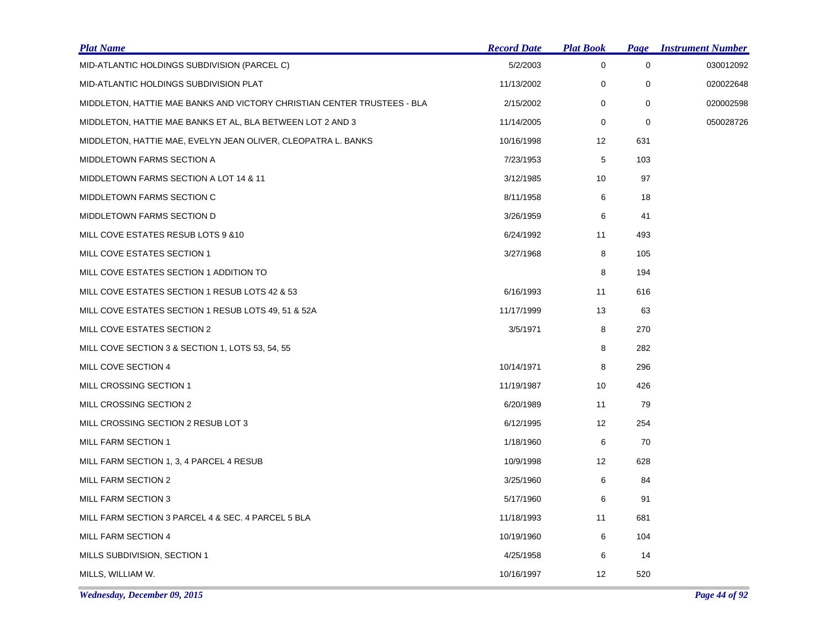| <b>Plat Name</b>                                                        | <b>Record Date</b> | <b>Plat Book</b>  |             | <b>Page Instrument Number</b> |
|-------------------------------------------------------------------------|--------------------|-------------------|-------------|-------------------------------|
| MID-ATLANTIC HOLDINGS SUBDIVISION (PARCEL C)                            | 5/2/2003           | $\mathbf 0$       | $\mathbf 0$ | 030012092                     |
| MID-ATLANTIC HOLDINGS SUBDIVISION PLAT                                  | 11/13/2002         | 0                 | 0           | 020022648                     |
| MIDDLETON, HATTIE MAE BANKS AND VICTORY CHRISTIAN CENTER TRUSTEES - BLA | 2/15/2002          | 0                 | $\mathbf 0$ | 020002598                     |
| MIDDLETON, HATTIE MAE BANKS ET AL, BLA BETWEEN LOT 2 AND 3              | 11/14/2005         | 0                 | 0           | 050028726                     |
| MIDDLETON, HATTIE MAE, EVELYN JEAN OLIVER, CLEOPATRA L. BANKS           | 10/16/1998         | $12 \overline{ }$ | 631         |                               |
| MIDDLETOWN FARMS SECTION A                                              | 7/23/1953          | 5                 | 103         |                               |
| MIDDLETOWN FARMS SECTION A LOT 14 & 11                                  | 3/12/1985          | 10                | 97          |                               |
| MIDDLETOWN FARMS SECTION C                                              | 8/11/1958          | 6                 | 18          |                               |
| MIDDLETOWN FARMS SECTION D                                              | 3/26/1959          | 6                 | 41          |                               |
| MILL COVE ESTATES RESUB LOTS 9 & 10                                     | 6/24/1992          | 11                | 493         |                               |
| MILL COVE ESTATES SECTION 1                                             | 3/27/1968          | 8                 | 105         |                               |
| MILL COVE ESTATES SECTION 1 ADDITION TO                                 |                    | 8                 | 194         |                               |
| MILL COVE ESTATES SECTION 1 RESUB LOTS 42 & 53                          | 6/16/1993          | 11                | 616         |                               |
| MILL COVE ESTATES SECTION 1 RESUB LOTS 49, 51 & 52A                     | 11/17/1999         | 13                | 63          |                               |
| MILL COVE ESTATES SECTION 2                                             | 3/5/1971           | 8                 | 270         |                               |
| MILL COVE SECTION 3 & SECTION 1, LOTS 53, 54, 55                        |                    | 8                 | 282         |                               |
| MILL COVE SECTION 4                                                     | 10/14/1971         | 8                 | 296         |                               |
| MILL CROSSING SECTION 1                                                 | 11/19/1987         | 10                | 426         |                               |
| MILL CROSSING SECTION 2                                                 | 6/20/1989          | 11                | 79          |                               |
| MILL CROSSING SECTION 2 RESUB LOT 3                                     | 6/12/1995          | 12                | 254         |                               |
| MILL FARM SECTION 1                                                     | 1/18/1960          | 6                 | 70          |                               |
| MILL FARM SECTION 1, 3, 4 PARCEL 4 RESUB                                | 10/9/1998          | 12                | 628         |                               |
| MILL FARM SECTION 2                                                     | 3/25/1960          | 6                 | 84          |                               |
| MILL FARM SECTION 3                                                     | 5/17/1960          | 6                 | 91          |                               |
| MILL FARM SECTION 3 PARCEL 4 & SEC. 4 PARCEL 5 BLA                      | 11/18/1993         | 11                | 681         |                               |
| MILL FARM SECTION 4                                                     | 10/19/1960         | 6                 | 104         |                               |
| MILLS SUBDIVISION, SECTION 1                                            | 4/25/1958          | 6                 | 14          |                               |
| MILLS, WILLIAM W.                                                       | 10/16/1997         | 12                | 520         |                               |
|                                                                         |                    |                   |             |                               |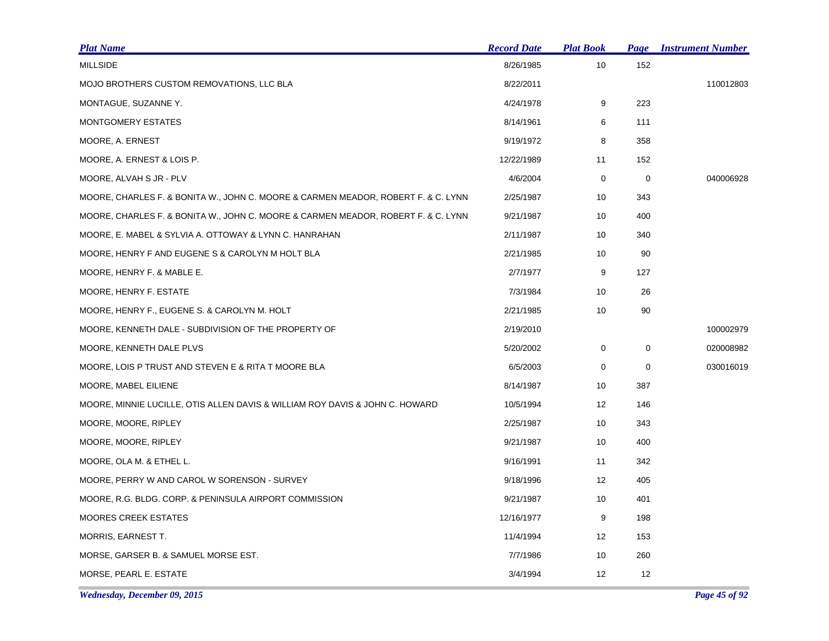| <u>Plat Name</u>                                                                  | <b>Record Date</b> | <b>Plat Book</b>  | Page        | <b>Instrument Number</b> |
|-----------------------------------------------------------------------------------|--------------------|-------------------|-------------|--------------------------|
| <b>MILLSIDE</b>                                                                   | 8/26/1985          | 10                | 152         |                          |
| MOJO BROTHERS CUSTOM REMOVATIONS, LLC BLA                                         | 8/22/2011          |                   |             | 110012803                |
| MONTAGUE, SUZANNE Y.                                                              | 4/24/1978          | 9                 | 223         |                          |
| MONTGOMERY ESTATES                                                                | 8/14/1961          | 6                 | 111         |                          |
| MOORE, A. ERNEST                                                                  | 9/19/1972          | 8                 | 358         |                          |
| MOORE, A. ERNEST & LOIS P.                                                        | 12/22/1989         | 11                | 152         |                          |
| MOORE, ALVAH S JR - PLV                                                           | 4/6/2004           | 0                 | 0           | 040006928                |
| MOORE, CHARLES F. & BONITA W., JOHN C. MOORE & CARMEN MEADOR, ROBERT F. & C. LYNN | 2/25/1987          | 10                | 343         |                          |
| MOORE, CHARLES F. & BONITA W., JOHN C. MOORE & CARMEN MEADOR, ROBERT F. & C. LYNN | 9/21/1987          | 10                | 400         |                          |
| MOORE, E. MABEL & SYLVIA A. OTTOWAY & LYNN C. HANRAHAN                            | 2/11/1987          | 10                | 340         |                          |
| MOORE, HENRY F AND EUGENE S & CAROLYN M HOLT BLA                                  | 2/21/1985          | 10                | 90          |                          |
| MOORE, HENRY F. & MABLE E.                                                        | 2/7/1977           | 9                 | 127         |                          |
| MOORE, HENRY F. ESTATE                                                            | 7/3/1984           | 10                | 26          |                          |
| MOORE, HENRY F., EUGENE S. & CAROLYN M. HOLT                                      | 2/21/1985          | 10                | 90          |                          |
| MOORE, KENNETH DALE - SUBDIVISION OF THE PROPERTY OF                              | 2/19/2010          |                   |             | 100002979                |
| MOORE, KENNETH DALE PLVS                                                          | 5/20/2002          | 0                 | $\mathbf 0$ | 020008982                |
| MOORE, LOIS P TRUST AND STEVEN E & RITA T MOORE BLA                               | 6/5/2003           | 0                 | 0           | 030016019                |
| MOORE, MABEL EILIENE                                                              | 8/14/1987          | 10                | 387         |                          |
| MOORE, MINNIE LUCILLE, OTIS ALLEN DAVIS & WILLIAM ROY DAVIS & JOHN C. HOWARD      | 10/5/1994          | 12                | 146         |                          |
| MOORE, MOORE, RIPLEY                                                              | 2/25/1987          | 10                | 343         |                          |
| MOORE, MOORE, RIPLEY                                                              | 9/21/1987          | 10                | 400         |                          |
| MOORE, OLA M. & ETHEL L.                                                          | 9/16/1991          | 11                | 342         |                          |
| MOORE, PERRY W AND CAROL W SORENSON - SURVEY                                      | 9/18/1996          | $12 \overline{ }$ | 405         |                          |
| MOORE, R.G. BLDG. CORP. & PENINSULA AIRPORT COMMISSION                            | 9/21/1987          | 10                | 401         |                          |
| <b>MOORES CREEK ESTATES</b>                                                       | 12/16/1977         | 9                 | 198         |                          |
| MORRIS, EARNEST T.                                                                | 11/4/1994          | $12 \overline{ }$ | 153         |                          |
| MORSE, GARSER B. & SAMUEL MORSE EST.                                              | 7/7/1986           | 10                | 260         |                          |
| MORSE, PEARL E. ESTATE                                                            | 3/4/1994           | 12                | 12          |                          |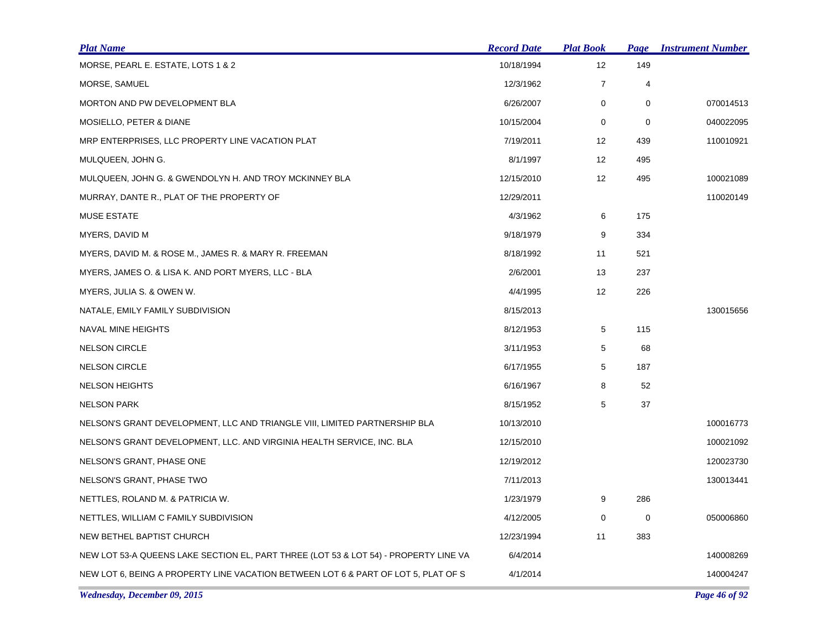| <b>Plat Name</b>                                                                     | <b>Record Date</b> | <b>Plat Book</b> | Page | <b>Instrument Number</b> |
|--------------------------------------------------------------------------------------|--------------------|------------------|------|--------------------------|
| MORSE, PEARL E. ESTATE, LOTS 1 & 2                                                   | 10/18/1994         | 12               | 149  |                          |
| MORSE, SAMUEL                                                                        | 12/3/1962          | $\overline{7}$   | 4    |                          |
| MORTON AND PW DEVELOPMENT BLA                                                        | 6/26/2007          | 0                | 0    | 070014513                |
| MOSIELLO, PETER & DIANE                                                              | 10/15/2004         | 0                | 0    | 040022095                |
| MRP ENTERPRISES, LLC PROPERTY LINE VACATION PLAT                                     | 7/19/2011          | 12               | 439  | 110010921                |
| MULQUEEN, JOHN G.                                                                    | 8/1/1997           | 12               | 495  |                          |
| MULQUEEN, JOHN G. & GWENDOLYN H. AND TROY MCKINNEY BLA                               | 12/15/2010         | 12               | 495  | 100021089                |
| MURRAY, DANTE R., PLAT OF THE PROPERTY OF                                            | 12/29/2011         |                  |      | 110020149                |
| <b>MUSE ESTATE</b>                                                                   | 4/3/1962           | 6                | 175  |                          |
| MYERS, DAVID M                                                                       | 9/18/1979          | 9                | 334  |                          |
| MYERS, DAVID M. & ROSE M., JAMES R. & MARY R. FREEMAN                                | 8/18/1992          | 11               | 521  |                          |
| MYERS, JAMES O. & LISA K. AND PORT MYERS, LLC - BLA                                  | 2/6/2001           | 13               | 237  |                          |
| MYERS, JULIA S. & OWEN W.                                                            | 4/4/1995           | 12               | 226  |                          |
| NATALE, EMILY FAMILY SUBDIVISION                                                     | 8/15/2013          |                  |      | 130015656                |
| NAVAL MINE HEIGHTS                                                                   | 8/12/1953          | 5                | 115  |                          |
| <b>NELSON CIRCLE</b>                                                                 | 3/11/1953          | 5                | 68   |                          |
| <b>NELSON CIRCLE</b>                                                                 | 6/17/1955          | 5                | 187  |                          |
| <b>NELSON HEIGHTS</b>                                                                | 6/16/1967          | 8                | 52   |                          |
| <b>NELSON PARK</b>                                                                   | 8/15/1952          | 5                | 37   |                          |
| NELSON'S GRANT DEVELOPMENT, LLC AND TRIANGLE VIII, LIMITED PARTNERSHIP BLA           | 10/13/2010         |                  |      | 100016773                |
| NELSON'S GRANT DEVELOPMENT, LLC. AND VIRGINIA HEALTH SERVICE, INC. BLA               | 12/15/2010         |                  |      | 100021092                |
| NELSON'S GRANT, PHASE ONE                                                            | 12/19/2012         |                  |      | 120023730                |
| NELSON'S GRANT, PHASE TWO                                                            | 7/11/2013          |                  |      | 130013441                |
| NETTLES, ROLAND M. & PATRICIA W.                                                     | 1/23/1979          | 9                | 286  |                          |
| NETTLES, WILLIAM C FAMILY SUBDIVISION                                                | 4/12/2005          | 0                | 0    | 050006860                |
| NEW BETHEL BAPTIST CHURCH                                                            | 12/23/1994         | 11               | 383  |                          |
| NEW LOT 53-A QUEENS LAKE SECTION EL, PART THREE (LOT 53 & LOT 54) - PROPERTY LINE VA | 6/4/2014           |                  |      | 140008269                |
| NEW LOT 6, BEING A PROPERTY LINE VACATION BETWEEN LOT 6 & PART OF LOT 5, PLAT OF S   | 4/1/2014           |                  |      | 140004247                |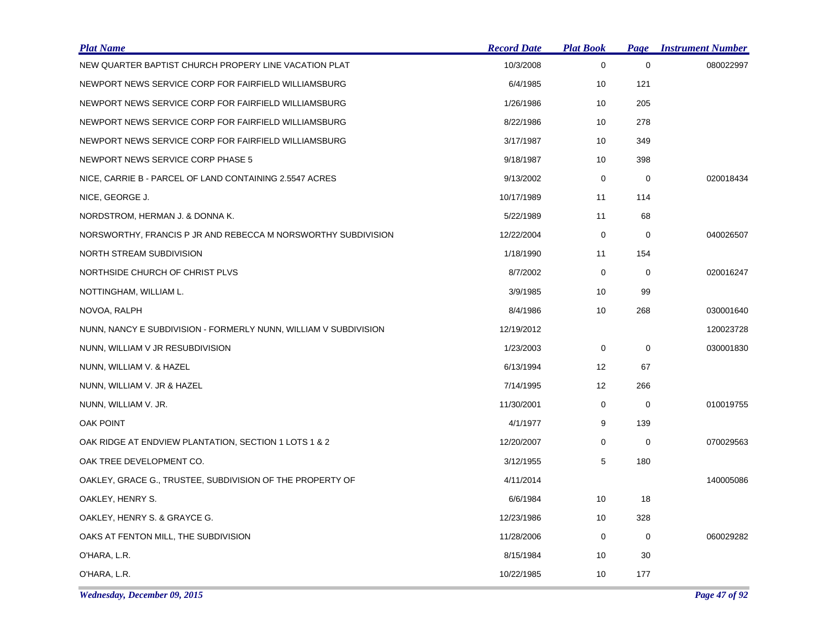| <b>Plat Name</b>                                                 | <b>Record Date</b> | <b>Plat Book</b> | <b>Page</b> | <b>Instrument Number</b> |
|------------------------------------------------------------------|--------------------|------------------|-------------|--------------------------|
| NEW QUARTER BAPTIST CHURCH PROPERY LINE VACATION PLAT            | 10/3/2008          | 0                | $\mathbf 0$ | 080022997                |
| NEWPORT NEWS SERVICE CORP FOR FAIRFIELD WILLIAMSBURG             | 6/4/1985           | 10               | 121         |                          |
| NEWPORT NEWS SERVICE CORP FOR FAIRFIELD WILLIAMSBURG             | 1/26/1986          | 10               | 205         |                          |
| NEWPORT NEWS SERVICE CORP FOR FAIRFIELD WILLIAMSBURG             | 8/22/1986          | 10               | 278         |                          |
| NEWPORT NEWS SERVICE CORP FOR FAIRFIELD WILLIAMSBURG             | 3/17/1987          | 10               | 349         |                          |
| NEWPORT NEWS SERVICE CORP PHASE 5                                | 9/18/1987          | 10               | 398         |                          |
| NICE, CARRIE B - PARCEL OF LAND CONTAINING 2.5547 ACRES          | 9/13/2002          | 0                | $\mathbf 0$ | 020018434                |
| NICE, GEORGE J.                                                  | 10/17/1989         | 11               | 114         |                          |
| NORDSTROM, HERMAN J. & DONNA K.                                  | 5/22/1989          | 11               | 68          |                          |
| NORSWORTHY, FRANCIS P JR AND REBECCA M NORSWORTHY SUBDIVISION    | 12/22/2004         | 0                | 0           | 040026507                |
| NORTH STREAM SUBDIVISION                                         | 1/18/1990          | 11               | 154         |                          |
| NORTHSIDE CHURCH OF CHRIST PLVS                                  | 8/7/2002           | 0                | 0           | 020016247                |
| NOTTINGHAM, WILLIAM L.                                           | 3/9/1985           | 10               | 99          |                          |
| NOVOA, RALPH                                                     | 8/4/1986           | 10               | 268         | 030001640                |
| NUNN, NANCY E SUBDIVISION - FORMERLY NUNN, WILLIAM V SUBDIVISION | 12/19/2012         |                  |             | 120023728                |
| NUNN, WILLIAM V JR RESUBDIVISION                                 | 1/23/2003          | 0                | 0           | 030001830                |
| NUNN, WILLIAM V. & HAZEL                                         | 6/13/1994          | 12               | 67          |                          |
| NUNN, WILLIAM V. JR & HAZEL                                      | 7/14/1995          | 12               | 266         |                          |
| NUNN, WILLIAM V. JR.                                             | 11/30/2001         | 0                | $\mathbf 0$ | 010019755                |
| OAK POINT                                                        | 4/1/1977           | 9                | 139         |                          |
| OAK RIDGE AT ENDVIEW PLANTATION, SECTION 1 LOTS 1 & 2            | 12/20/2007         | 0                | $\mathbf 0$ | 070029563                |
| OAK TREE DEVELOPMENT CO.                                         | 3/12/1955          | 5                | 180         |                          |
| OAKLEY, GRACE G., TRUSTEE, SUBDIVISION OF THE PROPERTY OF        | 4/11/2014          |                  |             | 140005086                |
| OAKLEY, HENRY S.                                                 | 6/6/1984           | 10               | 18          |                          |
| OAKLEY, HENRY S. & GRAYCE G.                                     | 12/23/1986         | 10               | 328         |                          |
| OAKS AT FENTON MILL, THE SUBDIVISION                             | 11/28/2006         | 0                | 0           | 060029282                |
| O'HARA, L.R.                                                     | 8/15/1984          | 10               | 30          |                          |
| O'HARA, L.R.                                                     | 10/22/1985         | 10               | 177         |                          |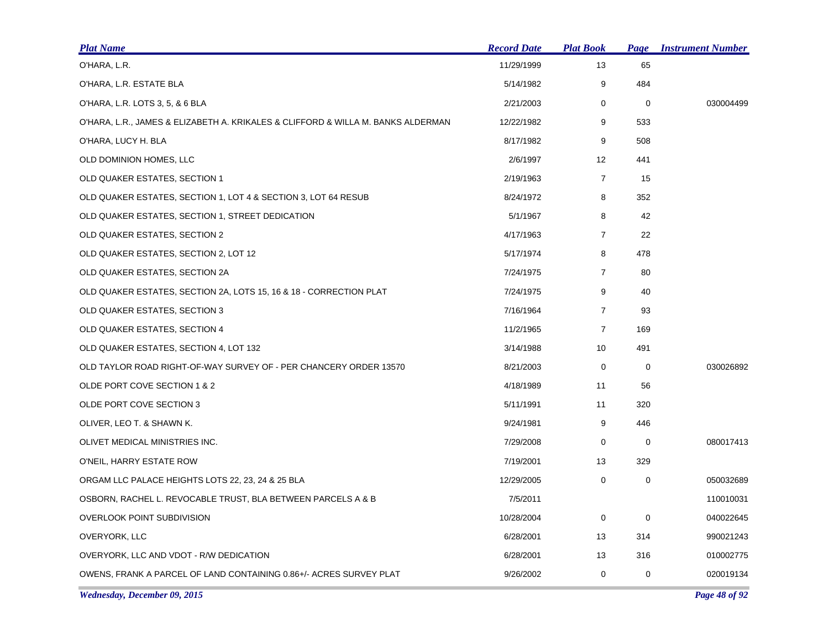| <b>Plat Name</b>                                                                 | <b>Record Date</b> | <b>Plat Book</b> | Page        | <b>Instrument Number</b> |
|----------------------------------------------------------------------------------|--------------------|------------------|-------------|--------------------------|
| O'HARA, L.R.                                                                     | 11/29/1999         | 13               | 65          |                          |
| O'HARA, L.R. ESTATE BLA                                                          | 5/14/1982          | 9                | 484         |                          |
| O'HARA, L.R. LOTS 3, 5, & 6 BLA                                                  | 2/21/2003          | 0                | 0           | 030004499                |
| O'HARA, L.R., JAMES & ELIZABETH A. KRIKALES & CLIFFORD & WILLA M. BANKS ALDERMAN | 12/22/1982         | 9                | 533         |                          |
| O'HARA, LUCY H. BLA                                                              | 8/17/1982          | 9                | 508         |                          |
| OLD DOMINION HOMES, LLC                                                          | 2/6/1997           | 12               | 441         |                          |
| OLD QUAKER ESTATES, SECTION 1                                                    | 2/19/1963          | $\overline{7}$   | 15          |                          |
| OLD QUAKER ESTATES, SECTION 1, LOT 4 & SECTION 3, LOT 64 RESUB                   | 8/24/1972          | 8                | 352         |                          |
| OLD QUAKER ESTATES, SECTION 1, STREET DEDICATION                                 | 5/1/1967           | 8                | 42          |                          |
| OLD QUAKER ESTATES, SECTION 2                                                    | 4/17/1963          | $\overline{7}$   | 22          |                          |
| OLD QUAKER ESTATES, SECTION 2, LOT 12                                            | 5/17/1974          | 8                | 478         |                          |
| OLD QUAKER ESTATES, SECTION 2A                                                   | 7/24/1975          | $\overline{7}$   | 80          |                          |
| OLD QUAKER ESTATES, SECTION 2A, LOTS 15, 16 & 18 - CORRECTION PLAT               | 7/24/1975          | 9                | 40          |                          |
| OLD QUAKER ESTATES, SECTION 3                                                    | 7/16/1964          | $\overline{7}$   | 93          |                          |
| OLD QUAKER ESTATES, SECTION 4                                                    | 11/2/1965          | $\overline{7}$   | 169         |                          |
| OLD QUAKER ESTATES, SECTION 4, LOT 132                                           | 3/14/1988          | 10               | 491         |                          |
| OLD TAYLOR ROAD RIGHT-OF-WAY SURVEY OF - PER CHANCERY ORDER 13570                | 8/21/2003          | 0                | 0           | 030026892                |
| OLDE PORT COVE SECTION 1 & 2                                                     | 4/18/1989          | 11               | 56          |                          |
| OLDE PORT COVE SECTION 3                                                         | 5/11/1991          | 11               | 320         |                          |
| OLIVER, LEO T. & SHAWN K.                                                        | 9/24/1981          | 9                | 446         |                          |
| OLIVET MEDICAL MINISTRIES INC.                                                   | 7/29/2008          | 0                | $\mathbf 0$ | 080017413                |
| O'NEIL, HARRY ESTATE ROW                                                         | 7/19/2001          | 13               | 329         |                          |
| ORGAM LLC PALACE HEIGHTS LOTS 22, 23, 24 & 25 BLA                                | 12/29/2005         | 0                | 0           | 050032689                |
| OSBORN, RACHEL L. REVOCABLE TRUST, BLA BETWEEN PARCELS A & B                     | 7/5/2011           |                  |             | 110010031                |
| OVERLOOK POINT SUBDIVISION                                                       | 10/28/2004         | 0                | 0           | 040022645                |
| OVERYORK, LLC                                                                    | 6/28/2001          | 13               | 314         | 990021243                |
| OVERYORK, LLC AND VDOT - R/W DEDICATION                                          | 6/28/2001          | 13               | 316         | 010002775                |
| OWENS, FRANK A PARCEL OF LAND CONTAINING 0.86+/- ACRES SURVEY PLAT               | 9/26/2002          | 0                | 0           | 020019134                |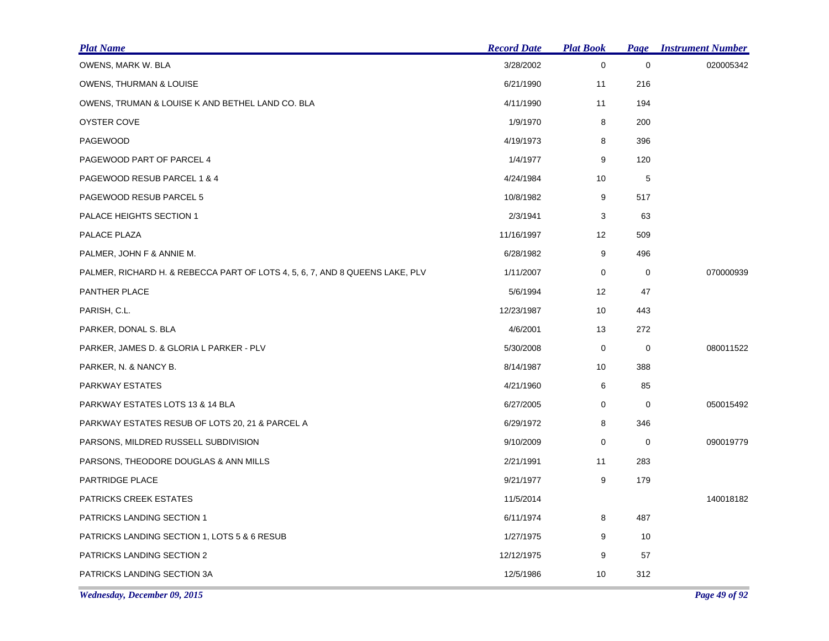| <b>Plat Name</b>                                                             | <b>Record Date</b> | <b>Plat Book</b>  | Page        | <b>Instrument Number</b> |
|------------------------------------------------------------------------------|--------------------|-------------------|-------------|--------------------------|
| OWENS, MARK W. BLA                                                           | 3/28/2002          | 0                 | $\pmb{0}$   | 020005342                |
| OWENS, THURMAN & LOUISE                                                      | 6/21/1990          | 11                | 216         |                          |
| OWENS, TRUMAN & LOUISE K AND BETHEL LAND CO. BLA                             | 4/11/1990          | 11                | 194         |                          |
| OYSTER COVE                                                                  | 1/9/1970           | 8                 | 200         |                          |
| PAGEWOOD                                                                     | 4/19/1973          | 8                 | 396         |                          |
| PAGEWOOD PART OF PARCEL 4                                                    | 1/4/1977           | 9                 | 120         |                          |
| PAGEWOOD RESUB PARCEL 1 & 4                                                  | 4/24/1984          | 10                | $\mathbf 5$ |                          |
| PAGEWOOD RESUB PARCEL 5                                                      | 10/8/1982          | 9                 | 517         |                          |
| PALACE HEIGHTS SECTION 1                                                     | 2/3/1941           | 3                 | 63          |                          |
| PALACE PLAZA                                                                 | 11/16/1997         | $12 \overline{ }$ | 509         |                          |
| PALMER, JOHN F & ANNIE M.                                                    | 6/28/1982          | 9                 | 496         |                          |
| PALMER, RICHARD H. & REBECCA PART OF LOTS 4, 5, 6, 7, AND 8 QUEENS LAKE, PLV | 1/11/2007          | 0                 | 0           | 070000939                |
| PANTHER PLACE                                                                | 5/6/1994           | 12                | 47          |                          |
| PARISH, C.L.                                                                 | 12/23/1987         | 10                | 443         |                          |
| PARKER, DONAL S. BLA                                                         | 4/6/2001           | 13                | 272         |                          |
| PARKER, JAMES D. & GLORIA L PARKER - PLV                                     | 5/30/2008          | 0                 | 0           | 080011522                |
| PARKER, N. & NANCY B.                                                        | 8/14/1987          | 10                | 388         |                          |
| PARKWAY ESTATES                                                              | 4/21/1960          | 6                 | 85          |                          |
| PARKWAY ESTATES LOTS 13 & 14 BLA                                             | 6/27/2005          | 0                 | 0           | 050015492                |
| PARKWAY ESTATES RESUB OF LOTS 20, 21 & PARCEL A                              | 6/29/1972          | 8                 | 346         |                          |
| PARSONS, MILDRED RUSSELL SUBDIVISION                                         | 9/10/2009          | 0                 | 0           | 090019779                |
| PARSONS, THEODORE DOUGLAS & ANN MILLS                                        | 2/21/1991          | 11                | 283         |                          |
| PARTRIDGE PLACE                                                              | 9/21/1977          | 9                 | 179         |                          |
| PATRICKS CREEK ESTATES                                                       | 11/5/2014          |                   |             | 140018182                |
| <b>PATRICKS LANDING SECTION 1</b>                                            | 6/11/1974          | 8                 | 487         |                          |
| PATRICKS LANDING SECTION 1, LOTS 5 & 6 RESUB                                 | 1/27/1975          | 9                 | 10          |                          |
| PATRICKS LANDING SECTION 2                                                   | 12/12/1975         | 9                 | 57          |                          |
| PATRICKS LANDING SECTION 3A                                                  | 12/5/1986          | 10                | 312         |                          |

*Wednesday, December 09, 2015 Page 49 of 92*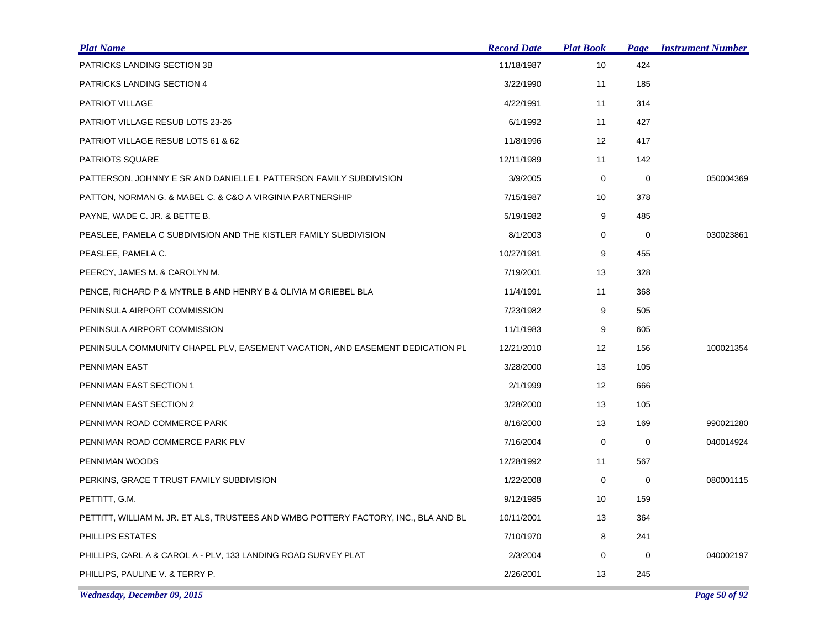| <b>Plat Name</b>                                                                    | <b>Record Date</b> | <b>Plat Book</b>  | Page        | <b>Instrument Number</b> |
|-------------------------------------------------------------------------------------|--------------------|-------------------|-------------|--------------------------|
| PATRICKS LANDING SECTION 3B                                                         | 11/18/1987         | 10                | 424         |                          |
| PATRICKS LANDING SECTION 4                                                          | 3/22/1990          | 11                | 185         |                          |
| PATRIOT VILLAGE                                                                     | 4/22/1991          | 11                | 314         |                          |
| PATRIOT VILLAGE RESUB LOTS 23-26                                                    | 6/1/1992           | 11                | 427         |                          |
| PATRIOT VILLAGE RESUB LOTS 61 & 62                                                  | 11/8/1996          | $12 \overline{ }$ | 417         |                          |
| <b>PATRIOTS SQUARE</b>                                                              | 12/11/1989         | 11                | 142         |                          |
| PATTERSON, JOHNNY E SR AND DANIELLE L PATTERSON FAMILY SUBDIVISION                  | 3/9/2005           | 0                 | $\mathbf 0$ | 050004369                |
| PATTON, NORMAN G. & MABEL C. & C&O A VIRGINIA PARTNERSHIP                           | 7/15/1987          | 10                | 378         |                          |
| PAYNE, WADE C. JR. & BETTE B.                                                       | 5/19/1982          | 9                 | 485         |                          |
| PEASLEE, PAMELA C SUBDIVISION AND THE KISTLER FAMILY SUBDIVISION                    | 8/1/2003           | 0                 | 0           | 030023861                |
| PEASLEE, PAMELA C.                                                                  | 10/27/1981         | 9                 | 455         |                          |
| PEERCY, JAMES M. & CAROLYN M.                                                       | 7/19/2001          | 13                | 328         |                          |
| PENCE, RICHARD P & MYTRLE B AND HENRY B & OLIVIA M GRIEBEL BLA                      | 11/4/1991          | 11                | 368         |                          |
| PENINSULA AIRPORT COMMISSION                                                        | 7/23/1982          | 9                 | 505         |                          |
| PENINSULA AIRPORT COMMISSION                                                        | 11/1/1983          | 9                 | 605         |                          |
| PENINSULA COMMUNITY CHAPEL PLV, EASEMENT VACATION, AND EASEMENT DEDICATION PL       | 12/21/2010         | $12 \overline{ }$ | 156         | 100021354                |
| PENNIMAN EAST                                                                       | 3/28/2000          | 13                | 105         |                          |
| PENNIMAN EAST SECTION 1                                                             | 2/1/1999           | 12                | 666         |                          |
| PENNIMAN EAST SECTION 2                                                             | 3/28/2000          | 13                | 105         |                          |
| PENNIMAN ROAD COMMERCE PARK                                                         | 8/16/2000          | 13                | 169         | 990021280                |
| PENNIMAN ROAD COMMERCE PARK PLV                                                     | 7/16/2004          | $\mathbf 0$       | 0           | 040014924                |
| PENNIMAN WOODS                                                                      | 12/28/1992         | 11                | 567         |                          |
| PERKINS, GRACE T TRUST FAMILY SUBDIVISION                                           | 1/22/2008          | 0                 | 0           | 080001115                |
| PETTITT, G.M.                                                                       | 9/12/1985          | 10                | 159         |                          |
| PETTITT, WILLIAM M. JR. ET ALS, TRUSTEES AND WMBG POTTERY FACTORY, INC., BLA AND BL | 10/11/2001         | 13                | 364         |                          |
| PHILLIPS ESTATES                                                                    | 7/10/1970          | 8                 | 241         |                          |
| PHILLIPS, CARL A & CAROL A - PLV, 133 LANDING ROAD SURVEY PLAT                      | 2/3/2004           | $\mathbf 0$       | 0           | 040002197                |
| PHILLIPS, PAULINE V. & TERRY P.                                                     | 2/26/2001          | 13                | 245         |                          |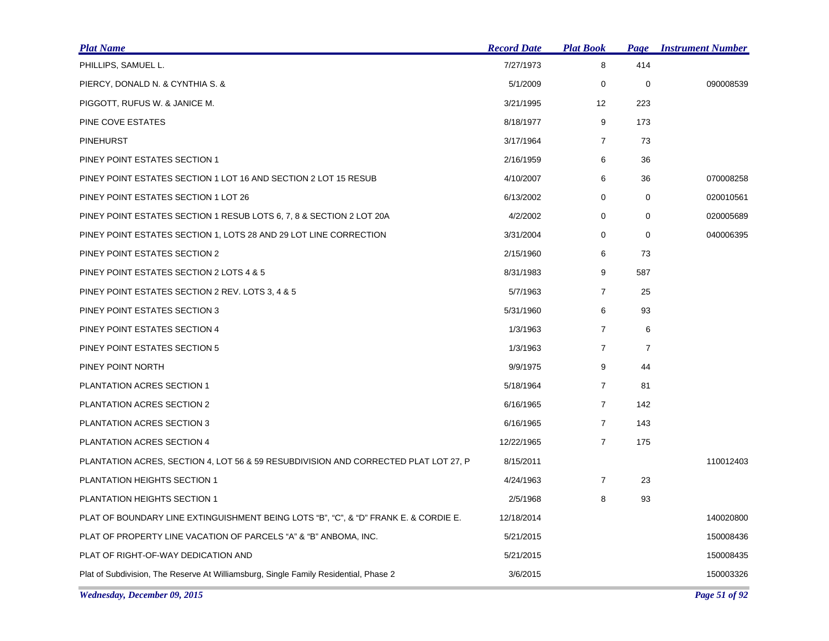| <b>Plat Name</b>                                                                     | <b>Record Date</b> | <b>Plat Book</b>  | <b>Page</b>    | <b>Instrument Number</b> |
|--------------------------------------------------------------------------------------|--------------------|-------------------|----------------|--------------------------|
| PHILLIPS, SAMUEL L.                                                                  | 7/27/1973          | 8                 | 414            |                          |
| PIERCY, DONALD N. & CYNTHIA S. &                                                     | 5/1/2009           | 0                 | $\mathbf 0$    | 090008539                |
| PIGGOTT, RUFUS W. & JANICE M.                                                        | 3/21/1995          | $12 \overline{ }$ | 223            |                          |
| PINE COVE ESTATES                                                                    | 8/18/1977          | 9                 | 173            |                          |
| <b>PINEHURST</b>                                                                     | 3/17/1964          | $\overline{7}$    | 73             |                          |
| PINEY POINT ESTATES SECTION 1                                                        | 2/16/1959          | 6                 | 36             |                          |
| PINEY POINT ESTATES SECTION 1 LOT 16 AND SECTION 2 LOT 15 RESUB                      | 4/10/2007          | 6                 | 36             | 070008258                |
| PINEY POINT ESTATES SECTION 1 LOT 26                                                 | 6/13/2002          | 0                 | 0              | 020010561                |
| PINEY POINT ESTATES SECTION 1 RESUB LOTS 6, 7, 8 & SECTION 2 LOT 20A                 | 4/2/2002           | 0                 | $\mathbf 0$    | 020005689                |
| PINEY POINT ESTATES SECTION 1, LOTS 28 AND 29 LOT LINE CORRECTION                    | 3/31/2004          | $\mathbf 0$       | 0              | 040006395                |
| PINEY POINT ESTATES SECTION 2                                                        | 2/15/1960          | 6                 | 73             |                          |
| PINEY POINT ESTATES SECTION 2 LOTS 4 & 5                                             | 8/31/1983          | 9                 | 587            |                          |
| PINEY POINT ESTATES SECTION 2 REV. LOTS 3, 4 & 5                                     | 5/7/1963           | $\overline{7}$    | 25             |                          |
| PINEY POINT ESTATES SECTION 3                                                        | 5/31/1960          | 6                 | 93             |                          |
| PINEY POINT ESTATES SECTION 4                                                        | 1/3/1963           | $\overline{7}$    | 6              |                          |
| PINEY POINT ESTATES SECTION 5                                                        | 1/3/1963           | $\overline{7}$    | $\overline{7}$ |                          |
| PINEY POINT NORTH                                                                    | 9/9/1975           | 9                 | 44             |                          |
| PLANTATION ACRES SECTION 1                                                           | 5/18/1964          | $\overline{7}$    | 81             |                          |
| PLANTATION ACRES SECTION 2                                                           | 6/16/1965          | $\overline{7}$    | 142            |                          |
| PLANTATION ACRES SECTION 3                                                           | 6/16/1965          | $\overline{7}$    | 143            |                          |
| PLANTATION ACRES SECTION 4                                                           | 12/22/1965         | $\overline{7}$    | 175            |                          |
| PLANTATION ACRES, SECTION 4, LOT 56 & 59 RESUBDIVISION AND CORRECTED PLAT LOT 27, P  | 8/15/2011          |                   |                | 110012403                |
| PLANTATION HEIGHTS SECTION 1                                                         | 4/24/1963          | $\overline{7}$    | 23             |                          |
| PLANTATION HEIGHTS SECTION 1                                                         | 2/5/1968           | 8                 | 93             |                          |
| PLAT OF BOUNDARY LINE EXTINGUISHMENT BEING LOTS "B", "C", & "D" FRANK E. & CORDIE E. | 12/18/2014         |                   |                | 140020800                |
| PLAT OF PROPERTY LINE VACATION OF PARCELS "A" & "B" ANBOMA, INC.                     | 5/21/2015          |                   |                | 150008436                |
| PLAT OF RIGHT-OF-WAY DEDICATION AND                                                  | 5/21/2015          |                   |                | 150008435                |
| Plat of Subdivision, The Reserve At Williamsburg, Single Family Residential, Phase 2 | 3/6/2015           |                   |                | 150003326                |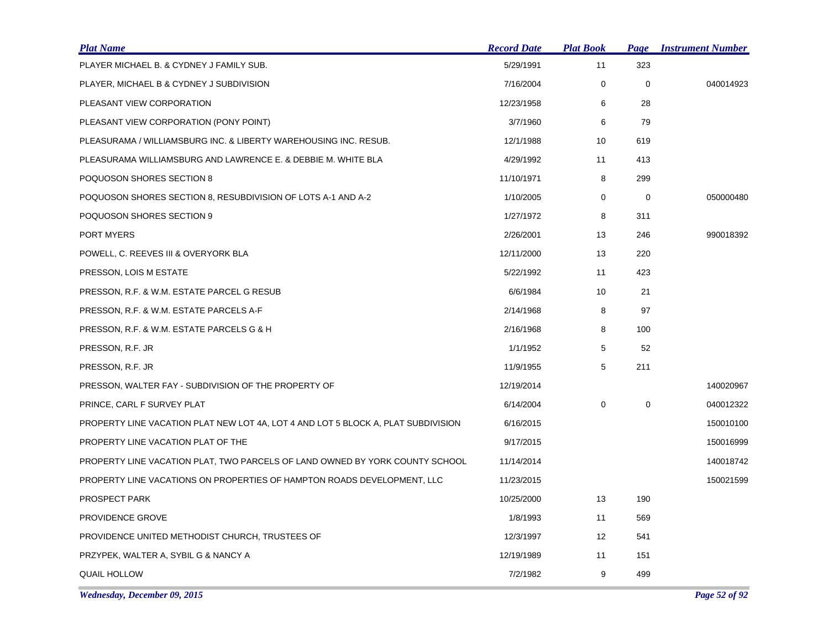| <b>Plat Name</b>                                                                  | <b>Record Date</b> | <b>Plat Book</b>  | Page        | <b>Instrument Number</b> |
|-----------------------------------------------------------------------------------|--------------------|-------------------|-------------|--------------------------|
| PLAYER MICHAEL B. & CYDNEY J FAMILY SUB.                                          | 5/29/1991          | 11                | 323         |                          |
| PLAYER, MICHAEL B & CYDNEY J SUBDIVISION                                          | 7/16/2004          | 0                 | $\mathbf 0$ | 040014923                |
| PLEASANT VIEW CORPORATION                                                         | 12/23/1958         | 6                 | 28          |                          |
| PLEASANT VIEW CORPORATION (PONY POINT)                                            | 3/7/1960           | 6                 | 79          |                          |
| PLEASURAMA / WILLIAMSBURG INC. & LIBERTY WAREHOUSING INC. RESUB.                  | 12/1/1988          | 10                | 619         |                          |
| PLEASURAMA WILLIAMSBURG AND LAWRENCE E. & DEBBIE M. WHITE BLA                     | 4/29/1992          | 11                | 413         |                          |
| POQUOSON SHORES SECTION 8                                                         | 11/10/1971         | 8                 | 299         |                          |
| POQUOSON SHORES SECTION 8, RESUBDIVISION OF LOTS A-1 AND A-2                      | 1/10/2005          | 0                 | 0           | 050000480                |
| POQUOSON SHORES SECTION 9                                                         | 1/27/1972          | 8                 | 311         |                          |
| PORT MYERS                                                                        | 2/26/2001          | 13                | 246         | 990018392                |
| POWELL, C. REEVES III & OVERYORK BLA                                              | 12/11/2000         | 13                | 220         |                          |
| PRESSON, LOIS M ESTATE                                                            | 5/22/1992          | 11                | 423         |                          |
| PRESSON, R.F. & W.M. ESTATE PARCEL G RESUB                                        | 6/6/1984           | 10                | 21          |                          |
| PRESSON, R.F. & W.M. ESTATE PARCELS A-F                                           | 2/14/1968          | 8                 | 97          |                          |
| PRESSON, R.F. & W.M. ESTATE PARCELS G & H                                         | 2/16/1968          | 8                 | 100         |                          |
| PRESSON, R.F. JR                                                                  | 1/1/1952           | 5                 | 52          |                          |
| PRESSON, R.F. JR                                                                  | 11/9/1955          | 5                 | 211         |                          |
| PRESSON, WALTER FAY - SUBDIVISION OF THE PROPERTY OF                              | 12/19/2014         |                   |             | 140020967                |
| PRINCE, CARL F SURVEY PLAT                                                        | 6/14/2004          | 0                 | $\pmb{0}$   | 040012322                |
| PROPERTY LINE VACATION PLAT NEW LOT 4A, LOT 4 AND LOT 5 BLOCK A, PLAT SUBDIVISION | 6/16/2015          |                   |             | 150010100                |
| PROPERTY LINE VACATION PLAT OF THE                                                | 9/17/2015          |                   |             | 150016999                |
| PROPERTY LINE VACATION PLAT, TWO PARCELS OF LAND OWNED BY YORK COUNTY SCHOOL      | 11/14/2014         |                   |             | 140018742                |
| PROPERTY LINE VACATIONS ON PROPERTIES OF HAMPTON ROADS DEVELOPMENT, LLC           | 11/23/2015         |                   |             | 150021599                |
| <b>PROSPECT PARK</b>                                                              | 10/25/2000         | 13                | 190         |                          |
| PROVIDENCE GROVE                                                                  | 1/8/1993           | 11                | 569         |                          |
| PROVIDENCE UNITED METHODIST CHURCH, TRUSTEES OF                                   | 12/3/1997          | $12 \overline{ }$ | 541         |                          |
| PRZYPEK, WALTER A, SYBIL G & NANCY A                                              | 12/19/1989         | 11                | 151         |                          |
| <b>QUAIL HOLLOW</b>                                                               | 7/2/1982           | 9                 | 499         |                          |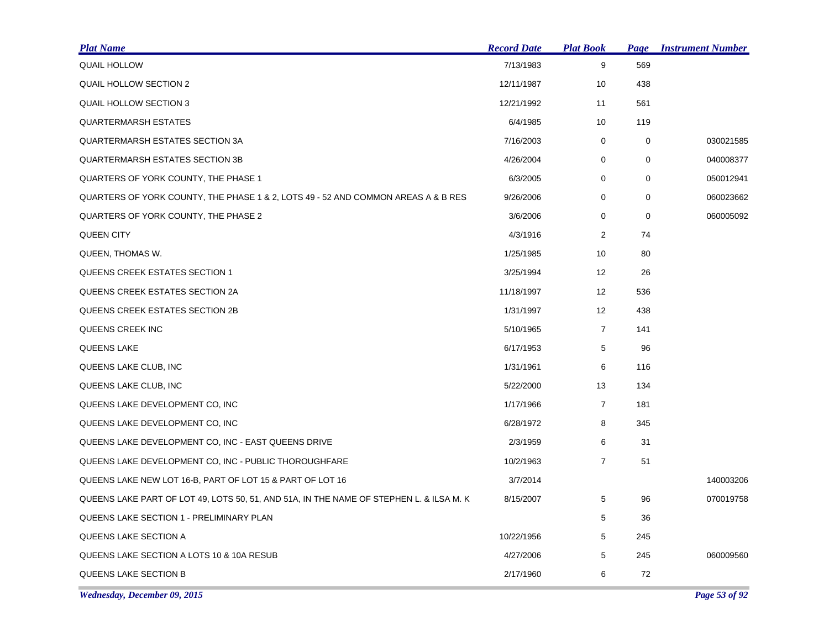| <u>Plat Name</u>                                                                        | <b>Record Date</b> | <b>Plat Book</b> | Page        | <b>Instrument Number</b> |
|-----------------------------------------------------------------------------------------|--------------------|------------------|-------------|--------------------------|
| <b>QUAIL HOLLOW</b>                                                                     | 7/13/1983          | 9                | 569         |                          |
| <b>QUAIL HOLLOW SECTION 2</b>                                                           | 12/11/1987         | 10               | 438         |                          |
| <b>QUAIL HOLLOW SECTION 3</b>                                                           | 12/21/1992         | 11               | 561         |                          |
| <b>QUARTERMARSH ESTATES</b>                                                             | 6/4/1985           | 10               | 119         |                          |
| <b>QUARTERMARSH ESTATES SECTION 3A</b>                                                  | 7/16/2003          | 0                | 0           | 030021585                |
| <b>QUARTERMARSH ESTATES SECTION 3B</b>                                                  | 4/26/2004          | 0                | 0           | 040008377                |
| QUARTERS OF YORK COUNTY, THE PHASE 1                                                    | 6/3/2005           | 0                | 0           | 050012941                |
| QUARTERS OF YORK COUNTY, THE PHASE 1 & 2, LOTS 49 - 52 AND COMMON AREAS A & B RES       | 9/26/2006          | 0                | $\mathbf 0$ | 060023662                |
| QUARTERS OF YORK COUNTY, THE PHASE 2                                                    | 3/6/2006           | 0                | 0           | 060005092                |
| <b>QUEEN CITY</b>                                                                       | 4/3/1916           | $\overline{2}$   | 74          |                          |
| QUEEN, THOMAS W.                                                                        | 1/25/1985          | 10               | 80          |                          |
| QUEENS CREEK ESTATES SECTION 1                                                          | 3/25/1994          | 12               | 26          |                          |
| QUEENS CREEK ESTATES SECTION 2A                                                         | 11/18/1997         | 12               | 536         |                          |
| QUEENS CREEK ESTATES SECTION 2B                                                         | 1/31/1997          | 12 <sup>2</sup>  | 438         |                          |
| QUEENS CREEK INC                                                                        | 5/10/1965          | $\overline{7}$   | 141         |                          |
| QUEENS LAKE                                                                             | 6/17/1953          | 5                | 96          |                          |
| QUEENS LAKE CLUB, INC                                                                   | 1/31/1961          | 6                | 116         |                          |
| QUEENS LAKE CLUB, INC                                                                   | 5/22/2000          | 13               | 134         |                          |
| QUEENS LAKE DEVELOPMENT CO, INC                                                         | 1/17/1966          | $\overline{7}$   | 181         |                          |
| QUEENS LAKE DEVELOPMENT CO, INC                                                         | 6/28/1972          | 8                | 345         |                          |
| QUEENS LAKE DEVELOPMENT CO, INC - EAST QUEENS DRIVE                                     | 2/3/1959           | 6                | 31          |                          |
| QUEENS LAKE DEVELOPMENT CO, INC - PUBLIC THOROUGHFARE                                   | 10/2/1963          | $\overline{7}$   | 51          |                          |
| QUEENS LAKE NEW LOT 16-B, PART OF LOT 15 & PART OF LOT 16                               | 3/7/2014           |                  |             | 140003206                |
| QUEENS LAKE PART OF LOT 49, LOTS 50, 51, AND 51A, IN THE NAME OF STEPHEN L. & ILSA M. K | 8/15/2007          | 5                | 96          | 070019758                |
| <b>QUEENS LAKE SECTION 1 - PRELIMINARY PLAN</b>                                         |                    | 5                | 36          |                          |
| QUEENS LAKE SECTION A                                                                   | 10/22/1956         | 5                | 245         |                          |
| QUEENS LAKE SECTION A LOTS 10 & 10A RESUB                                               | 4/27/2006          | 5                | 245         | 060009560                |
| <b>QUEENS LAKE SECTION B</b>                                                            | 2/17/1960          | 6                | 72          |                          |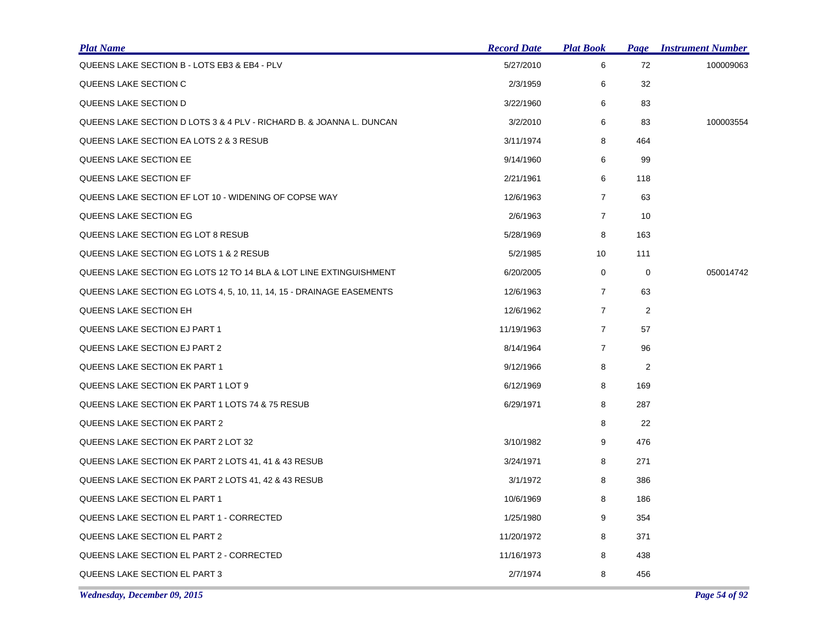| <b>Plat Name</b>                                                      | <b>Record Date</b> | <u> Plat Book</u> | Page           | <b>Instrument Number</b> |
|-----------------------------------------------------------------------|--------------------|-------------------|----------------|--------------------------|
| QUEENS LAKE SECTION B - LOTS EB3 & EB4 - PLV                          | 5/27/2010          | 6                 | 72             | 100009063                |
| QUEENS LAKE SECTION C                                                 | 2/3/1959           | 6                 | 32             |                          |
| QUEENS LAKE SECTION D                                                 | 3/22/1960          | 6                 | 83             |                          |
| QUEENS LAKE SECTION D LOTS 3 & 4 PLV - RICHARD B. & JOANNA L. DUNCAN  | 3/2/2010           | 6                 | 83             | 100003554                |
| QUEENS LAKE SECTION EA LOTS 2 & 3 RESUB                               | 3/11/1974          | 8                 | 464            |                          |
| QUEENS LAKE SECTION EE                                                | 9/14/1960          | 6                 | 99             |                          |
| QUEENS LAKE SECTION EF                                                | 2/21/1961          | 6                 | 118            |                          |
| QUEENS LAKE SECTION EF LOT 10 - WIDENING OF COPSE WAY                 | 12/6/1963          | 7                 | 63             |                          |
| QUEENS LAKE SECTION EG                                                | 2/6/1963           | $\overline{7}$    | 10             |                          |
| QUEENS LAKE SECTION EG LOT 8 RESUB                                    | 5/28/1969          | 8                 | 163            |                          |
| QUEENS LAKE SECTION EG LOTS 1 & 2 RESUB                               | 5/2/1985           | 10                | 111            |                          |
| QUEENS LAKE SECTION EG LOTS 12 TO 14 BLA & LOT LINE EXTINGUISHMENT    | 6/20/2005          | 0                 | 0              | 050014742                |
| QUEENS LAKE SECTION EG LOTS 4, 5, 10, 11, 14, 15 - DRAINAGE EASEMENTS | 12/6/1963          | $\overline{7}$    | 63             |                          |
| QUEENS LAKE SECTION EH                                                | 12/6/1962          | $\overline{7}$    | $\overline{2}$ |                          |
| QUEENS LAKE SECTION EJ PART 1                                         | 11/19/1963         | $\overline{7}$    | 57             |                          |
| QUEENS LAKE SECTION EJ PART 2                                         | 8/14/1964          | $\overline{7}$    | 96             |                          |
| QUEENS LAKE SECTION EK PART 1                                         | 9/12/1966          | 8                 | $\overline{c}$ |                          |
| QUEENS LAKE SECTION EK PART 1 LOT 9                                   | 6/12/1969          | 8                 | 169            |                          |
| QUEENS LAKE SECTION EK PART 1 LOTS 74 & 75 RESUB                      | 6/29/1971          | 8                 | 287            |                          |
| QUEENS LAKE SECTION EK PART 2                                         |                    | 8                 | 22             |                          |
| QUEENS LAKE SECTION EK PART 2 LOT 32                                  | 3/10/1982          | 9                 | 476            |                          |
| QUEENS LAKE SECTION EK PART 2 LOTS 41, 41 & 43 RESUB                  | 3/24/1971          | 8                 | 271            |                          |
| QUEENS LAKE SECTION EK PART 2 LOTS 41, 42 & 43 RESUB                  | 3/1/1972           | 8                 | 386            |                          |
| QUEENS LAKE SECTION EL PART 1                                         | 10/6/1969          | 8                 | 186            |                          |
| QUEENS LAKE SECTION EL PART 1 - CORRECTED                             | 1/25/1980          | 9                 | 354            |                          |
| QUEENS LAKE SECTION EL PART 2                                         | 11/20/1972         | 8                 | 371            |                          |
| QUEENS LAKE SECTION EL PART 2 - CORRECTED                             | 11/16/1973         | 8                 | 438            |                          |
| QUEENS LAKE SECTION EL PART 3                                         | 2/7/1974           | 8                 | 456            |                          |

*Wednesday, December 09, 2015 Page 54 of 92*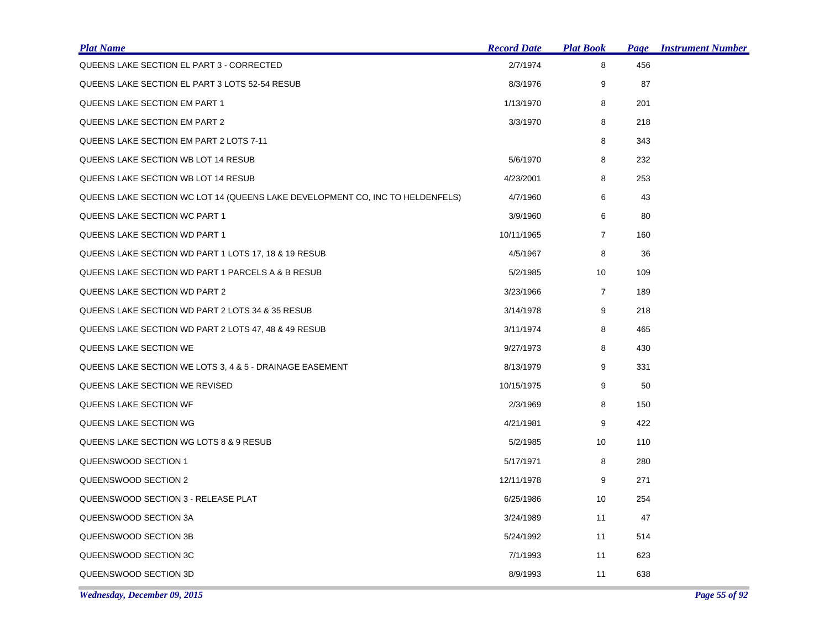| <b>Plat Name</b>                                                              | <b>Record Date</b> | <u>Plat Book</u> | Page | <b>Instrument Number</b> |
|-------------------------------------------------------------------------------|--------------------|------------------|------|--------------------------|
| QUEENS LAKE SECTION EL PART 3 - CORRECTED                                     | 2/7/1974           | 8                | 456  |                          |
| QUEENS LAKE SECTION EL PART 3 LOTS 52-54 RESUB                                | 8/3/1976           | 9                | 87   |                          |
| QUEENS LAKE SECTION EM PART 1                                                 | 1/13/1970          | 8                | 201  |                          |
| <b>QUEENS LAKE SECTION EM PART 2</b>                                          | 3/3/1970           | 8                | 218  |                          |
| QUEENS LAKE SECTION EM PART 2 LOTS 7-11                                       |                    | 8                | 343  |                          |
| QUEENS LAKE SECTION WB LOT 14 RESUB                                           | 5/6/1970           | 8                | 232  |                          |
| QUEENS LAKE SECTION WB LOT 14 RESUB                                           | 4/23/2001          | 8                | 253  |                          |
| QUEENS LAKE SECTION WC LOT 14 (QUEENS LAKE DEVELOPMENT CO, INC TO HELDENFELS) | 4/7/1960           | 6                | 43   |                          |
| QUEENS LAKE SECTION WC PART 1                                                 | 3/9/1960           | 6                | 80   |                          |
| QUEENS LAKE SECTION WD PART 1                                                 | 10/11/1965         | $\overline{7}$   | 160  |                          |
| QUEENS LAKE SECTION WD PART 1 LOTS 17, 18 & 19 RESUB                          | 4/5/1967           | 8                | 36   |                          |
| QUEENS LAKE SECTION WD PART 1 PARCELS A & B RESUB                             | 5/2/1985           | 10               | 109  |                          |
| QUEENS LAKE SECTION WD PART 2                                                 | 3/23/1966          | $\overline{7}$   | 189  |                          |
| QUEENS LAKE SECTION WD PART 2 LOTS 34 & 35 RESUB                              | 3/14/1978          | 9                | 218  |                          |
| QUEENS LAKE SECTION WD PART 2 LOTS 47, 48 & 49 RESUB                          | 3/11/1974          | 8                | 465  |                          |
| QUEENS LAKE SECTION WE                                                        | 9/27/1973          | 8                | 430  |                          |
| QUEENS LAKE SECTION WE LOTS 3, 4 & 5 - DRAINAGE EASEMENT                      | 8/13/1979          | 9                | 331  |                          |
| QUEENS LAKE SECTION WE REVISED                                                | 10/15/1975         | 9                | 50   |                          |
| QUEENS LAKE SECTION WF                                                        | 2/3/1969           | 8                | 150  |                          |
| QUEENS LAKE SECTION WG                                                        | 4/21/1981          | 9                | 422  |                          |
| QUEENS LAKE SECTION WG LOTS 8 & 9 RESUB                                       | 5/2/1985           | 10               | 110  |                          |
| QUEENSWOOD SECTION 1                                                          | 5/17/1971          | 8                | 280  |                          |
| QUEENSWOOD SECTION 2                                                          | 12/11/1978         | 9                | 271  |                          |
| QUEENSWOOD SECTION 3 - RELEASE PLAT                                           | 6/25/1986          | 10               | 254  |                          |
| QUEENSWOOD SECTION 3A                                                         | 3/24/1989          | 11               | 47   |                          |
| QUEENSWOOD SECTION 3B                                                         | 5/24/1992          | 11               | 514  |                          |
| QUEENSWOOD SECTION 3C                                                         | 7/1/1993           | 11               | 623  |                          |
| QUEENSWOOD SECTION 3D                                                         | 8/9/1993           | 11               | 638  |                          |

*Wednesday, December 09, 2015 Page 55 of 92*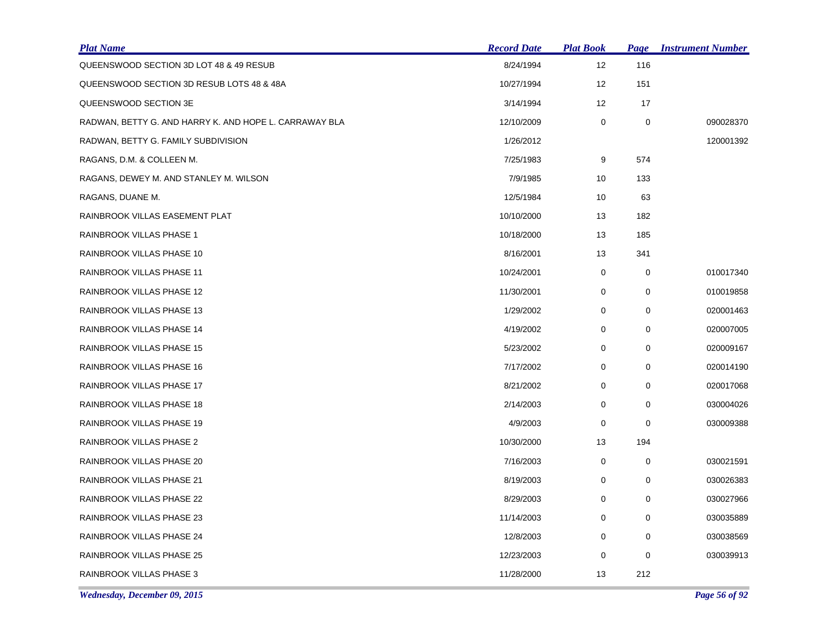| <b>Plat Name</b>                                       | <b>Record Date</b> | <b>Plat Book</b> | Page        | <b>Instrument Number</b> |
|--------------------------------------------------------|--------------------|------------------|-------------|--------------------------|
| QUEENSWOOD SECTION 3D LOT 48 & 49 RESUB                | 8/24/1994          | 12               | 116         |                          |
| QUEENSWOOD SECTION 3D RESUB LOTS 48 & 48A              | 10/27/1994         | 12               | 151         |                          |
| QUEENSWOOD SECTION 3E                                  | 3/14/1994          | 12               | 17          |                          |
| RADWAN, BETTY G. AND HARRY K. AND HOPE L. CARRAWAY BLA | 12/10/2009         | 0                | 0           | 090028370                |
| RADWAN, BETTY G. FAMILY SUBDIVISION                    | 1/26/2012          |                  |             | 120001392                |
| RAGANS, D.M. & COLLEEN M.                              | 7/25/1983          | 9                | 574         |                          |
| RAGANS, DEWEY M. AND STANLEY M. WILSON                 | 7/9/1985           | 10               | 133         |                          |
| RAGANS, DUANE M.                                       | 12/5/1984          | 10               | 63          |                          |
| RAINBROOK VILLAS EASEMENT PLAT                         | 10/10/2000         | 13               | 182         |                          |
| RAINBROOK VILLAS PHASE 1                               | 10/18/2000         | 13               | 185         |                          |
| RAINBROOK VILLAS PHASE 10                              | 8/16/2001          | 13               | 341         |                          |
| RAINBROOK VILLAS PHASE 11                              | 10/24/2001         | 0                | 0           | 010017340                |
| RAINBROOK VILLAS PHASE 12                              | 11/30/2001         | 0                | $\mathbf 0$ | 010019858                |
| RAINBROOK VILLAS PHASE 13                              | 1/29/2002          | 0                | 0           | 020001463                |
| RAINBROOK VILLAS PHASE 14                              | 4/19/2002          | 0                | 0           | 020007005                |
| RAINBROOK VILLAS PHASE 15                              | 5/23/2002          | 0                | 0           | 020009167                |
| RAINBROOK VILLAS PHASE 16                              | 7/17/2002          | 0                | 0           | 020014190                |
| RAINBROOK VILLAS PHASE 17                              | 8/21/2002          | $\mathbf 0$      | 0           | 020017068                |
| RAINBROOK VILLAS PHASE 18                              | 2/14/2003          | 0                | 0           | 030004026                |
| RAINBROOK VILLAS PHASE 19                              | 4/9/2003           | 0                | $\mathbf 0$ | 030009388                |
| RAINBROOK VILLAS PHASE 2                               | 10/30/2000         | 13               | 194         |                          |
| RAINBROOK VILLAS PHASE 20                              | 7/16/2003          | 0                | 0           | 030021591                |
| RAINBROOK VILLAS PHASE 21                              | 8/19/2003          | 0                | 0           | 030026383                |
| RAINBROOK VILLAS PHASE 22                              | 8/29/2003          | 0                | 0           | 030027966                |
| RAINBROOK VILLAS PHASE 23                              | 11/14/2003         | 0                | 0           | 030035889                |
| RAINBROOK VILLAS PHASE 24                              | 12/8/2003          | 0                | 0           | 030038569                |
| RAINBROOK VILLAS PHASE 25                              | 12/23/2003         | 0                | 0           | 030039913                |
| RAINBROOK VILLAS PHASE 3                               | 11/28/2000         | 13               | 212         |                          |

*Wednesday, December 09, 2015 Page 56 of 92*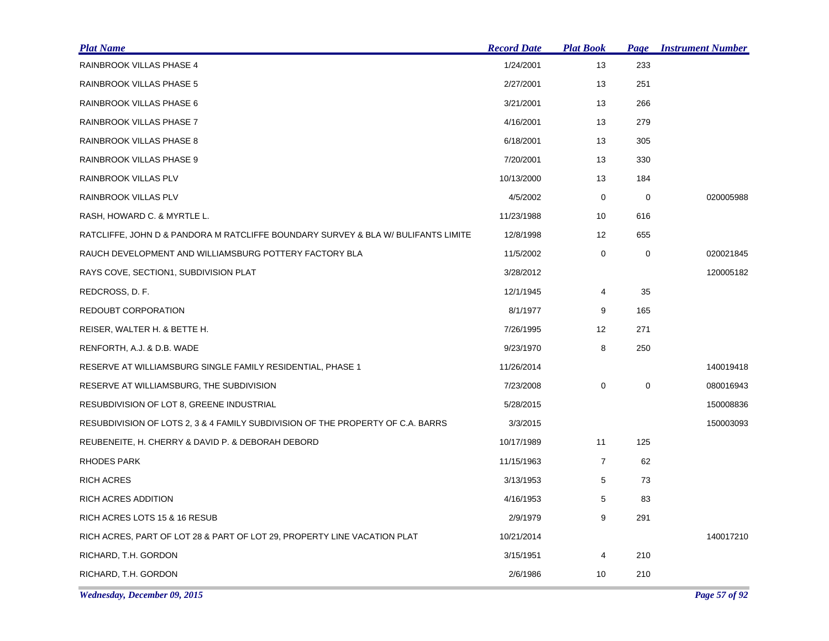| <b>Plat Name</b>                                                                  | <b>Record Date</b> | <b>Plat Book</b> | <b>Page</b> | <b>Instrument Number</b> |
|-----------------------------------------------------------------------------------|--------------------|------------------|-------------|--------------------------|
| RAINBROOK VILLAS PHASE 4                                                          | 1/24/2001          | 13               | 233         |                          |
| RAINBROOK VILLAS PHASE 5                                                          | 2/27/2001          | 13               | 251         |                          |
| RAINBROOK VILLAS PHASE 6                                                          | 3/21/2001          | 13               | 266         |                          |
| RAINBROOK VILLAS PHASE 7                                                          | 4/16/2001          | 13               | 279         |                          |
| RAINBROOK VILLAS PHASE 8                                                          | 6/18/2001          | 13               | 305         |                          |
| RAINBROOK VILLAS PHASE 9                                                          | 7/20/2001          | 13               | 330         |                          |
| RAINBROOK VILLAS PLV                                                              | 10/13/2000         | 13               | 184         |                          |
| RAINBROOK VILLAS PLV                                                              | 4/5/2002           | $\mathbf 0$      | $\mathbf 0$ | 020005988                |
| RASH, HOWARD C. & MYRTLE L.                                                       | 11/23/1988         | 10               | 616         |                          |
| RATCLIFFE, JOHN D & PANDORA M RATCLIFFE BOUNDARY SURVEY & BLA W/ BULIFANTS LIMITE | 12/8/1998          | 12               | 655         |                          |
| RAUCH DEVELOPMENT AND WILLIAMSBURG POTTERY FACTORY BLA                            | 11/5/2002          | 0                | 0           | 020021845                |
| RAYS COVE, SECTION1, SUBDIVISION PLAT                                             | 3/28/2012          |                  |             | 120005182                |
| REDCROSS, D. F.                                                                   | 12/1/1945          | $\overline{4}$   | 35          |                          |
| REDOUBT CORPORATION                                                               | 8/1/1977           | 9                | 165         |                          |
| REISER, WALTER H. & BETTE H.                                                      | 7/26/1995          | 12               | 271         |                          |
| RENFORTH, A.J. & D.B. WADE                                                        | 9/23/1970          | 8                | 250         |                          |
| RESERVE AT WILLIAMSBURG SINGLE FAMILY RESIDENTIAL, PHASE 1                        | 11/26/2014         |                  |             | 140019418                |
| RESERVE AT WILLIAMSBURG, THE SUBDIVISION                                          | 7/23/2008          | 0                | 0           | 080016943                |
| RESUBDIVISION OF LOT 8, GREENE INDUSTRIAL                                         | 5/28/2015          |                  |             | 150008836                |
| RESUBDIVISION OF LOTS 2, 3 & 4 FAMILY SUBDIVISION OF THE PROPERTY OF C.A. BARRS   | 3/3/2015           |                  |             | 150003093                |
| REUBENEITE, H. CHERRY & DAVID P. & DEBORAH DEBORD                                 | 10/17/1989         | 11               | 125         |                          |
| <b>RHODES PARK</b>                                                                | 11/15/1963         | $\overline{7}$   | 62          |                          |
| <b>RICH ACRES</b>                                                                 | 3/13/1953          | 5                | 73          |                          |
| RICH ACRES ADDITION                                                               | 4/16/1953          | 5                | 83          |                          |
| RICH ACRES LOTS 15 & 16 RESUB                                                     | 2/9/1979           | 9                | 291         |                          |
| RICH ACRES, PART OF LOT 28 & PART OF LOT 29, PROPERTY LINE VACATION PLAT          | 10/21/2014         |                  |             | 140017210                |
| RICHARD, T.H. GORDON                                                              | 3/15/1951          | 4                | 210         |                          |
| RICHARD, T.H. GORDON                                                              | 2/6/1986           | 10               | 210         |                          |

*Wednesday, December 09, 2015 Page 57 of 92*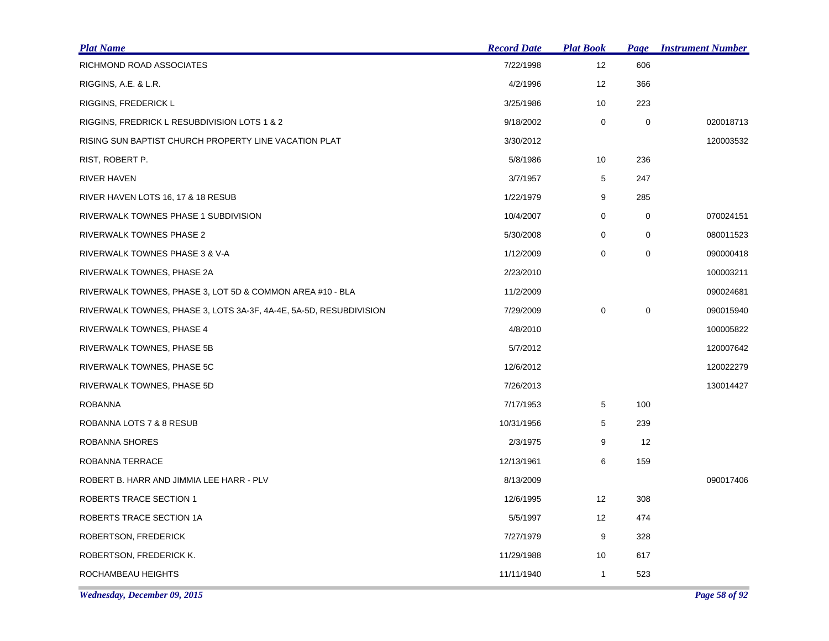| <b>Plat Name</b>                                                   | <b>Record Date</b> | <b>Plat Book</b> | Page        | <b>Instrument Number</b> |
|--------------------------------------------------------------------|--------------------|------------------|-------------|--------------------------|
| RICHMOND ROAD ASSOCIATES                                           | 7/22/1998          | 12               | 606         |                          |
| RIGGINS, A.E. & L.R.                                               | 4/2/1996           | 12               | 366         |                          |
| <b>RIGGINS, FREDERICK L</b>                                        | 3/25/1986          | 10               | 223         |                          |
| RIGGINS, FREDRICK L RESUBDIVISION LOTS 1 & 2                       | 9/18/2002          | 0                | $\mathbf 0$ | 020018713                |
| RISING SUN BAPTIST CHURCH PROPERTY LINE VACATION PLAT              | 3/30/2012          |                  |             | 120003532                |
| RIST, ROBERT P.                                                    | 5/8/1986           | 10               | 236         |                          |
| <b>RIVER HAVEN</b>                                                 | 3/7/1957           | 5                | 247         |                          |
| RIVER HAVEN LOTS 16, 17 & 18 RESUB                                 | 1/22/1979          | 9                | 285         |                          |
| RIVERWALK TOWNES PHASE 1 SUBDIVISION                               | 10/4/2007          | 0                | $\mathbf 0$ | 070024151                |
| RIVERWALK TOWNES PHASE 2                                           | 5/30/2008          | $\mathbf 0$      | $\mathbf 0$ | 080011523                |
| RIVERWALK TOWNES PHASE 3 & V-A                                     | 1/12/2009          | 0                | $\pmb{0}$   | 090000418                |
| RIVERWALK TOWNES, PHASE 2A                                         | 2/23/2010          |                  |             | 100003211                |
| RIVERWALK TOWNES, PHASE 3, LOT 5D & COMMON AREA #10 - BLA          | 11/2/2009          |                  |             | 090024681                |
| RIVERWALK TOWNES, PHASE 3, LOTS 3A-3F, 4A-4E, 5A-5D, RESUBDIVISION | 7/29/2009          | 0                | 0           | 090015940                |
| RIVERWALK TOWNES, PHASE 4                                          | 4/8/2010           |                  |             | 100005822                |
| RIVERWALK TOWNES, PHASE 5B                                         | 5/7/2012           |                  |             | 120007642                |
| RIVERWALK TOWNES, PHASE 5C                                         | 12/6/2012          |                  |             | 120022279                |
| RIVERWALK TOWNES, PHASE 5D                                         | 7/26/2013          |                  |             | 130014427                |
| <b>ROBANNA</b>                                                     | 7/17/1953          | 5                | 100         |                          |
| ROBANNA LOTS 7 & 8 RESUB                                           | 10/31/1956         | 5                | 239         |                          |
| ROBANNA SHORES                                                     | 2/3/1975           | 9                | 12          |                          |
| ROBANNA TERRACE                                                    | 12/13/1961         | 6                | 159         |                          |
| ROBERT B. HARR AND JIMMIA LEE HARR - PLV                           | 8/13/2009          |                  |             | 090017406                |
| <b>ROBERTS TRACE SECTION 1</b>                                     | 12/6/1995          | 12               | 308         |                          |
| ROBERTS TRACE SECTION 1A                                           | 5/5/1997           | 12 <sup>°</sup>  | 474         |                          |
| ROBERTSON, FREDERICK                                               | 7/27/1979          | 9                | 328         |                          |
| ROBERTSON, FREDERICK K.                                            | 11/29/1988         | 10               | 617         |                          |
| ROCHAMBEAU HEIGHTS                                                 | 11/11/1940         | 1                | 523         |                          |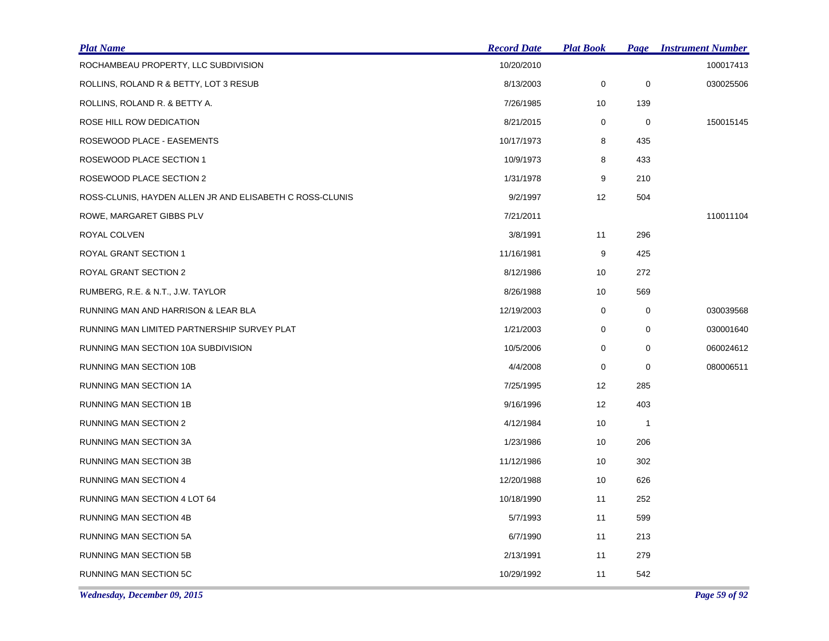| <b>Plat Name</b>                                         | <b>Record Date</b> | <u>Plat Book</u> | <b>Page</b>  | <b>Instrument Number</b> |
|----------------------------------------------------------|--------------------|------------------|--------------|--------------------------|
| ROCHAMBEAU PROPERTY, LLC SUBDIVISION                     | 10/20/2010         |                  |              | 100017413                |
| ROLLINS, ROLAND R & BETTY, LOT 3 RESUB                   | 8/13/2003          | $\pmb{0}$        | $\pmb{0}$    | 030025506                |
| ROLLINS, ROLAND R. & BETTY A.                            | 7/26/1985          | 10               | 139          |                          |
| ROSE HILL ROW DEDICATION                                 | 8/21/2015          | 0                | 0            | 150015145                |
| ROSEWOOD PLACE - EASEMENTS                               | 10/17/1973         | 8                | 435          |                          |
| ROSEWOOD PLACE SECTION 1                                 | 10/9/1973          | 8                | 433          |                          |
| ROSEWOOD PLACE SECTION 2                                 | 1/31/1978          | 9                | 210          |                          |
| ROSS-CLUNIS, HAYDEN ALLEN JR AND ELISABETH C ROSS-CLUNIS | 9/2/1997           | 12               | 504          |                          |
| ROWE, MARGARET GIBBS PLV                                 | 7/21/2011          |                  |              | 110011104                |
| ROYAL COLVEN                                             | 3/8/1991           | 11               | 296          |                          |
| ROYAL GRANT SECTION 1                                    | 11/16/1981         | 9                | 425          |                          |
| ROYAL GRANT SECTION 2                                    | 8/12/1986          | 10               | 272          |                          |
| RUMBERG, R.E. & N.T., J.W. TAYLOR                        | 8/26/1988          | 10               | 569          |                          |
| RUNNING MAN AND HARRISON & LEAR BLA                      | 12/19/2003         | 0                | 0            | 030039568                |
| RUNNING MAN LIMITED PARTNERSHIP SURVEY PLAT              | 1/21/2003          | 0                | 0            | 030001640                |
| RUNNING MAN SECTION 10A SUBDIVISION                      | 10/5/2006          | 0                | 0            | 060024612                |
| RUNNING MAN SECTION 10B                                  | 4/4/2008           | 0                | 0            | 080006511                |
| RUNNING MAN SECTION 1A                                   | 7/25/1995          | 12               | 285          |                          |
| RUNNING MAN SECTION 1B                                   | 9/16/1996          | 12               | 403          |                          |
| <b>RUNNING MAN SECTION 2</b>                             | 4/12/1984          | 10               | $\mathbf{1}$ |                          |
| RUNNING MAN SECTION 3A                                   | 1/23/1986          | 10               | 206          |                          |
| RUNNING MAN SECTION 3B                                   | 11/12/1986         | 10               | 302          |                          |
| <b>RUNNING MAN SECTION 4</b>                             | 12/20/1988         | 10               | 626          |                          |
| RUNNING MAN SECTION 4 LOT 64                             | 10/18/1990         | 11               | 252          |                          |
| RUNNING MAN SECTION 4B                                   | 5/7/1993           | 11               | 599          |                          |
| <b>RUNNING MAN SECTION 5A</b>                            | 6/7/1990           | 11               | 213          |                          |
| RUNNING MAN SECTION 5B                                   | 2/13/1991          | 11               | 279          |                          |
| RUNNING MAN SECTION 5C                                   | 10/29/1992         | 11               | 542          |                          |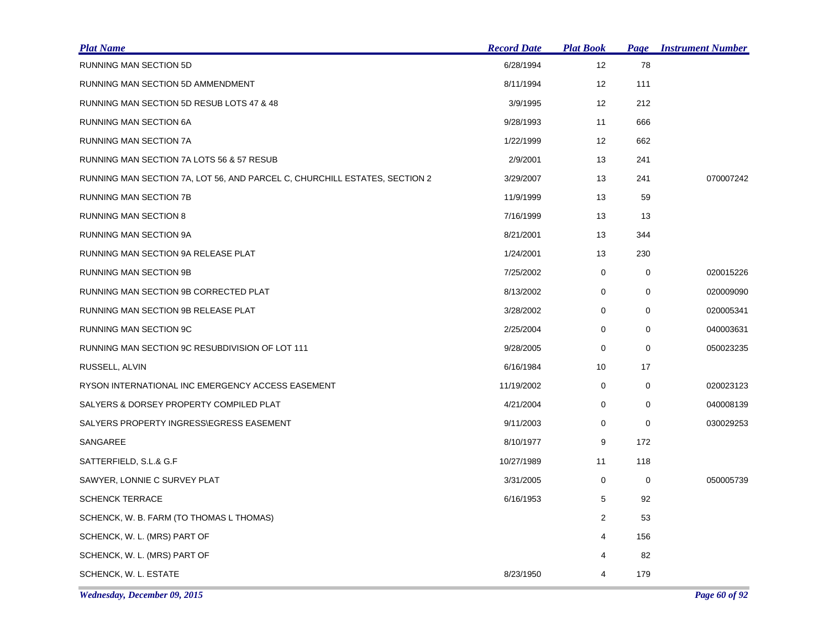| <b>Plat Name</b>                                                           | <b>Record Date</b> | <b>Plat Book</b> | <b>Page</b> | <b>Instrument Number</b> |
|----------------------------------------------------------------------------|--------------------|------------------|-------------|--------------------------|
| <b>RUNNING MAN SECTION 5D</b>                                              | 6/28/1994          | 12               | 78          |                          |
| RUNNING MAN SECTION 5D AMMENDMENT                                          | 8/11/1994          | 12               | 111         |                          |
| RUNNING MAN SECTION 5D RESUB LOTS 47 & 48                                  | 3/9/1995           | 12               | 212         |                          |
| RUNNING MAN SECTION 6A                                                     | 9/28/1993          | 11               | 666         |                          |
| RUNNING MAN SECTION 7A                                                     | 1/22/1999          | 12               | 662         |                          |
| RUNNING MAN SECTION 7A LOTS 56 & 57 RESUB                                  | 2/9/2001           | 13               | 241         |                          |
| RUNNING MAN SECTION 7A, LOT 56, AND PARCEL C, CHURCHILL ESTATES, SECTION 2 | 3/29/2007          | 13               | 241         | 070007242                |
| <b>RUNNING MAN SECTION 7B</b>                                              | 11/9/1999          | 13               | 59          |                          |
| <b>RUNNING MAN SECTION 8</b>                                               | 7/16/1999          | 13               | 13          |                          |
| RUNNING MAN SECTION 9A                                                     | 8/21/2001          | 13               | 344         |                          |
| RUNNING MAN SECTION 9A RELEASE PLAT                                        | 1/24/2001          | 13               | 230         |                          |
| RUNNING MAN SECTION 9B                                                     | 7/25/2002          | 0                | $\mathbf 0$ | 020015226                |
| RUNNING MAN SECTION 9B CORRECTED PLAT                                      | 8/13/2002          | 0                | 0           | 020009090                |
| RUNNING MAN SECTION 9B RELEASE PLAT                                        | 3/28/2002          | 0                | 0           | 020005341                |
| RUNNING MAN SECTION 9C                                                     | 2/25/2004          | 0                | 0           | 040003631                |
| RUNNING MAN SECTION 9C RESUBDIVISION OF LOT 111                            | 9/28/2005          | 0                | $\mathbf 0$ | 050023235                |
| RUSSELL, ALVIN                                                             | 6/16/1984          | 10               | 17          |                          |
| RYSON INTERNATIONAL INC EMERGENCY ACCESS EASEMENT                          | 11/19/2002         | 0                | 0           | 020023123                |
| SALYERS & DORSEY PROPERTY COMPILED PLAT                                    | 4/21/2004          | 0                | $\mathbf 0$ | 040008139                |
| SALYERS PROPERTY INGRESS\EGRESS EASEMENT                                   | 9/11/2003          | 0                | 0           | 030029253                |
| SANGAREE                                                                   | 8/10/1977          | 9                | 172         |                          |
| SATTERFIELD, S.L.& G.F                                                     | 10/27/1989         | 11               | 118         |                          |
| SAWYER, LONNIE C SURVEY PLAT                                               | 3/31/2005          | 0                | 0           | 050005739                |
| <b>SCHENCK TERRACE</b>                                                     | 6/16/1953          | 5                | 92          |                          |
| SCHENCK, W. B. FARM (TO THOMAS L THOMAS)                                   |                    | $\overline{2}$   | 53          |                          |
| SCHENCK, W. L. (MRS) PART OF                                               |                    | 4                | 156         |                          |
| SCHENCK, W. L. (MRS) PART OF                                               |                    | 4                | 82          |                          |
| SCHENCK, W. L. ESTATE                                                      | 8/23/1950          | 4                | 179         |                          |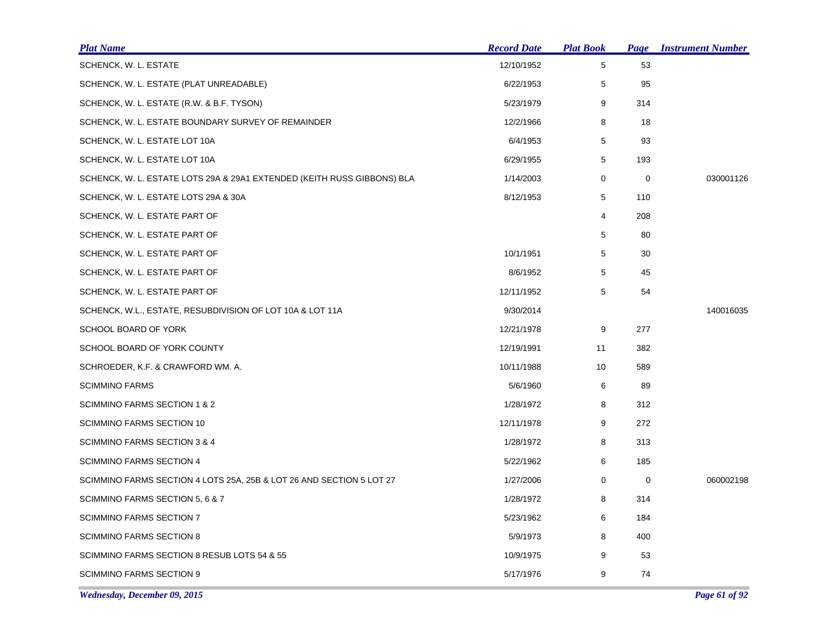| <b>Plat Name</b>                                                        | <b>Record Date</b> | <b>Plat Book</b> |     | <b>Page Instrument Number</b> |
|-------------------------------------------------------------------------|--------------------|------------------|-----|-------------------------------|
| SCHENCK, W. L. ESTATE                                                   | 12/10/1952         | 5                | 53  |                               |
| SCHENCK, W. L. ESTATE (PLAT UNREADABLE)                                 | 6/22/1953          | 5                | 95  |                               |
| SCHENCK, W. L. ESTATE (R.W. & B.F. TYSON)                               | 5/23/1979          | 9                | 314 |                               |
| SCHENCK, W. L. ESTATE BOUNDARY SURVEY OF REMAINDER                      | 12/2/1966          | 8                | 18  |                               |
| SCHENCK, W. L. ESTATE LOT 10A                                           | 6/4/1953           | 5                | 93  |                               |
| SCHENCK, W. L. ESTATE LOT 10A                                           | 6/29/1955          | 5                | 193 |                               |
| SCHENCK, W. L. ESTATE LOTS 29A & 29A1 EXTENDED (KEITH RUSS GIBBONS) BLA | 1/14/2003          | 0                | 0   | 030001126                     |
| SCHENCK, W. L. ESTATE LOTS 29A & 30A                                    | 8/12/1953          | 5                | 110 |                               |
| SCHENCK, W. L. ESTATE PART OF                                           |                    | 4                | 208 |                               |
| SCHENCK, W. L. ESTATE PART OF                                           |                    | 5                | 80  |                               |
| SCHENCK, W. L. ESTATE PART OF                                           | 10/1/1951          | 5                | 30  |                               |
| SCHENCK, W. L. ESTATE PART OF                                           | 8/6/1952           | 5                | 45  |                               |
| SCHENCK, W. L. ESTATE PART OF                                           | 12/11/1952         | 5                | 54  |                               |
| SCHENCK, W.L., ESTATE, RESUBDIVISION OF LOT 10A & LOT 11A               | 9/30/2014          |                  |     | 140016035                     |
| SCHOOL BOARD OF YORK                                                    | 12/21/1978         | 9                | 277 |                               |
| SCHOOL BOARD OF YORK COUNTY                                             | 12/19/1991         | 11               | 382 |                               |
| SCHROEDER, K.F. & CRAWFORD WM. A.                                       | 10/11/1988         | 10               | 589 |                               |
| SCIMMINO FARMS                                                          | 5/6/1960           | 6                | 89  |                               |
| SCIMMINO FARMS SECTION 1 & 2                                            | 1/28/1972          | 8                | 312 |                               |
| SCIMMINO FARMS SECTION 10                                               | 12/11/1978         | 9                | 272 |                               |
| SCIMMINO FARMS SECTION 3 & 4                                            | 1/28/1972          | 8                | 313 |                               |
| SCIMMINO FARMS SECTION 4                                                | 5/22/1962          | 6                | 185 |                               |
| SCIMMINO FARMS SECTION 4 LOTS 25A, 25B & LOT 26 AND SECTION 5 LOT 27    | 1/27/2006          | 0                | 0   | 060002198                     |
| SCIMMINO FARMS SECTION 5, 6 & 7                                         | 1/28/1972          | 8                | 314 |                               |
| SCIMMINO FARMS SECTION 7                                                | 5/23/1962          | 6                | 184 |                               |
| <b>SCIMMINO FARMS SECTION 8</b>                                         | 5/9/1973           | 8                | 400 |                               |
| SCIMMINO FARMS SECTION 8 RESUB LOTS 54 & 55                             | 10/9/1975          | 9                | 53  |                               |
| <b>SCIMMINO FARMS SECTION 9</b>                                         | 5/17/1976          | 9                | 74  |                               |
| Wednesday, December 09, 2015                                            |                    |                  |     | Page 61 of 92                 |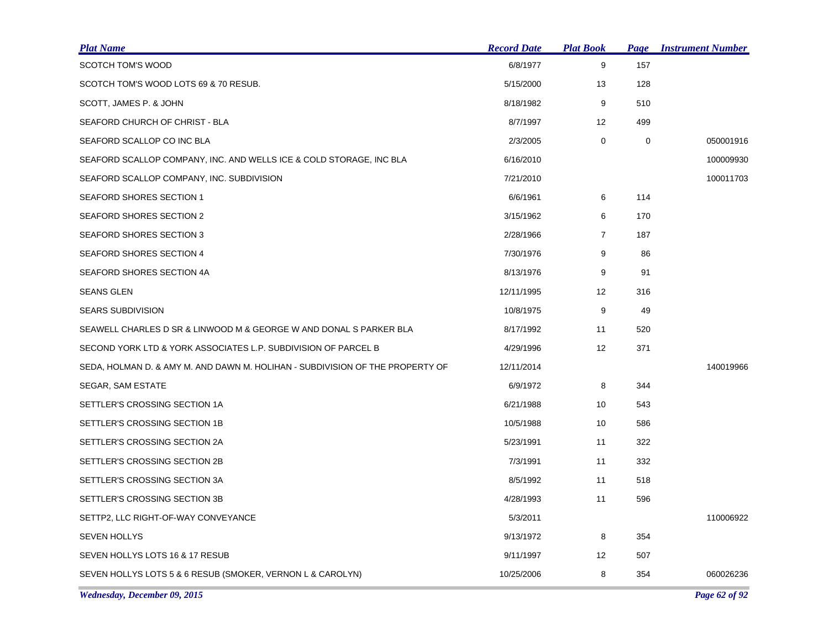| <u>Plat Name</u>                                                              | <b>Record Date</b> | <b>Plat Book</b> | Page        | <b>Instrument Number</b> |
|-------------------------------------------------------------------------------|--------------------|------------------|-------------|--------------------------|
| SCOTCH TOM'S WOOD                                                             | 6/8/1977           | 9                | 157         |                          |
| SCOTCH TOM'S WOOD LOTS 69 & 70 RESUB.                                         | 5/15/2000          | 13               | 128         |                          |
| SCOTT, JAMES P. & JOHN                                                        | 8/18/1982          | 9                | 510         |                          |
| SEAFORD CHURCH OF CHRIST - BLA                                                | 8/7/1997           | 12               | 499         |                          |
| SEAFORD SCALLOP CO INC BLA                                                    | 2/3/2005           | $\mathbf 0$      | $\mathbf 0$ | 050001916                |
| SEAFORD SCALLOP COMPANY, INC. AND WELLS ICE & COLD STORAGE, INC BLA           | 6/16/2010          |                  |             | 100009930                |
| SEAFORD SCALLOP COMPANY, INC. SUBDIVISION                                     | 7/21/2010          |                  |             | 100011703                |
| <b>SEAFORD SHORES SECTION 1</b>                                               | 6/6/1961           | 6                | 114         |                          |
| SEAFORD SHORES SECTION 2                                                      | 3/15/1962          | 6                | 170         |                          |
| SEAFORD SHORES SECTION 3                                                      | 2/28/1966          | $\overline{7}$   | 187         |                          |
| SEAFORD SHORES SECTION 4                                                      | 7/30/1976          | 9                | 86          |                          |
| SEAFORD SHORES SECTION 4A                                                     | 8/13/1976          | 9                | 91          |                          |
| <b>SEANS GLEN</b>                                                             | 12/11/1995         | 12               | 316         |                          |
| <b>SEARS SUBDIVISION</b>                                                      | 10/8/1975          | 9                | 49          |                          |
| SEAWELL CHARLES D SR & LINWOOD M & GEORGE W AND DONAL S PARKER BLA            | 8/17/1992          | 11               | 520         |                          |
| SECOND YORK LTD & YORK ASSOCIATES L.P. SUBDIVISION OF PARCEL B                | 4/29/1996          | 12               | 371         |                          |
| SEDA, HOLMAN D. & AMY M. AND DAWN M. HOLIHAN - SUBDIVISION OF THE PROPERTY OF | 12/11/2014         |                  |             | 140019966                |
| SEGAR, SAM ESTATE                                                             | 6/9/1972           | 8                | 344         |                          |
| SETTLER'S CROSSING SECTION 1A                                                 | 6/21/1988          | 10               | 543         |                          |
| SETTLER'S CROSSING SECTION 1B                                                 | 10/5/1988          | 10               | 586         |                          |
| SETTLER'S CROSSING SECTION 2A                                                 | 5/23/1991          | 11               | 322         |                          |
| SETTLER'S CROSSING SECTION 2B                                                 | 7/3/1991           | 11               | 332         |                          |
| SETTLER'S CROSSING SECTION 3A                                                 | 8/5/1992           | 11               | 518         |                          |
| SETTLER'S CROSSING SECTION 3B                                                 | 4/28/1993          | 11               | 596         |                          |
| SETTP2, LLC RIGHT-OF-WAY CONVEYANCE                                           | 5/3/2011           |                  |             | 110006922                |
| <b>SEVEN HOLLYS</b>                                                           | 9/13/1972          | 8                | 354         |                          |
| SEVEN HOLLYS LOTS 16 & 17 RESUB                                               | 9/11/1997          | 12               | 507         |                          |
| SEVEN HOLLYS LOTS 5 & 6 RESUB (SMOKER, VERNON L & CAROLYN)                    | 10/25/2006         | 8                | 354         | 060026236                |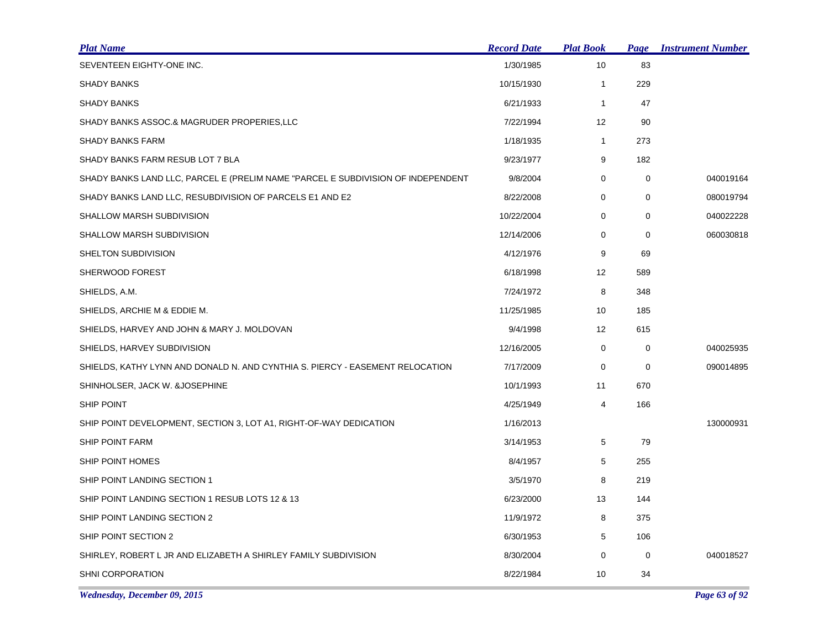| <b>Plat Name</b>                                                                 | <b>Record Date</b> | <b>Plat Book</b> | <b>Page</b> | <b>Instrument Number</b> |
|----------------------------------------------------------------------------------|--------------------|------------------|-------------|--------------------------|
| SEVENTEEN EIGHTY-ONE INC.                                                        | 1/30/1985          | 10               | 83          |                          |
| <b>SHADY BANKS</b>                                                               | 10/15/1930         | $\mathbf{1}$     | 229         |                          |
| <b>SHADY BANKS</b>                                                               | 6/21/1933          | $\mathbf{1}$     | 47          |                          |
| SHADY BANKS ASSOC.& MAGRUDER PROPERIES, LLC                                      | 7/22/1994          | 12               | 90          |                          |
| <b>SHADY BANKS FARM</b>                                                          | 1/18/1935          | $\mathbf{1}$     | 273         |                          |
| SHADY BANKS FARM RESUB LOT 7 BLA                                                 | 9/23/1977          | 9                | 182         |                          |
| SHADY BANKS LAND LLC, PARCEL E (PRELIM NAME "PARCEL E SUBDIVISION OF INDEPENDENT | 9/8/2004           | 0                | 0           | 040019164                |
| SHADY BANKS LAND LLC, RESUBDIVISION OF PARCELS E1 AND E2                         | 8/22/2008          | 0                | 0           | 080019794                |
| SHALLOW MARSH SUBDIVISION                                                        | 10/22/2004         | 0                | 0           | 040022228                |
| SHALLOW MARSH SUBDIVISION                                                        | 12/14/2006         | 0                | 0           | 060030818                |
| SHELTON SUBDIVISION                                                              | 4/12/1976          | 9                | 69          |                          |
| SHERWOOD FOREST                                                                  | 6/18/1998          | 12               | 589         |                          |
| SHIELDS, A.M.                                                                    | 7/24/1972          | 8                | 348         |                          |
| SHIELDS, ARCHIE M & EDDIE M.                                                     | 11/25/1985         | 10               | 185         |                          |
| SHIELDS, HARVEY AND JOHN & MARY J. MOLDOVAN                                      | 9/4/1998           | 12               | 615         |                          |
| SHIELDS, HARVEY SUBDIVISION                                                      | 12/16/2005         | 0                | 0           | 040025935                |
| SHIELDS, KATHY LYNN AND DONALD N. AND CYNTHIA S. PIERCY - EASEMENT RELOCATION    | 7/17/2009          | 0                | 0           | 090014895                |
| SHINHOLSER, JACK W. &JOSEPHINE                                                   | 10/1/1993          | 11               | 670         |                          |
| SHIP POINT                                                                       | 4/25/1949          | 4                | 166         |                          |
| SHIP POINT DEVELOPMENT, SECTION 3, LOT A1, RIGHT-OF-WAY DEDICATION               | 1/16/2013          |                  |             | 130000931                |
| SHIP POINT FARM                                                                  | 3/14/1953          | 5                | 79          |                          |
| SHIP POINT HOMES                                                                 | 8/4/1957           | 5                | 255         |                          |
| SHIP POINT LANDING SECTION 1                                                     | 3/5/1970           | 8                | 219         |                          |
| SHIP POINT LANDING SECTION 1 RESUB LOTS 12 & 13                                  | 6/23/2000          | 13               | 144         |                          |
| SHIP POINT LANDING SECTION 2                                                     | 11/9/1972          | 8                | 375         |                          |
| SHIP POINT SECTION 2                                                             | 6/30/1953          | 5                | 106         |                          |
| SHIRLEY, ROBERT L JR AND ELIZABETH A SHIRLEY FAMILY SUBDIVISION                  | 8/30/2004          | 0                | 0           | 040018527                |
| <b>SHNI CORPORATION</b>                                                          | 8/22/1984          | 10               | 34          |                          |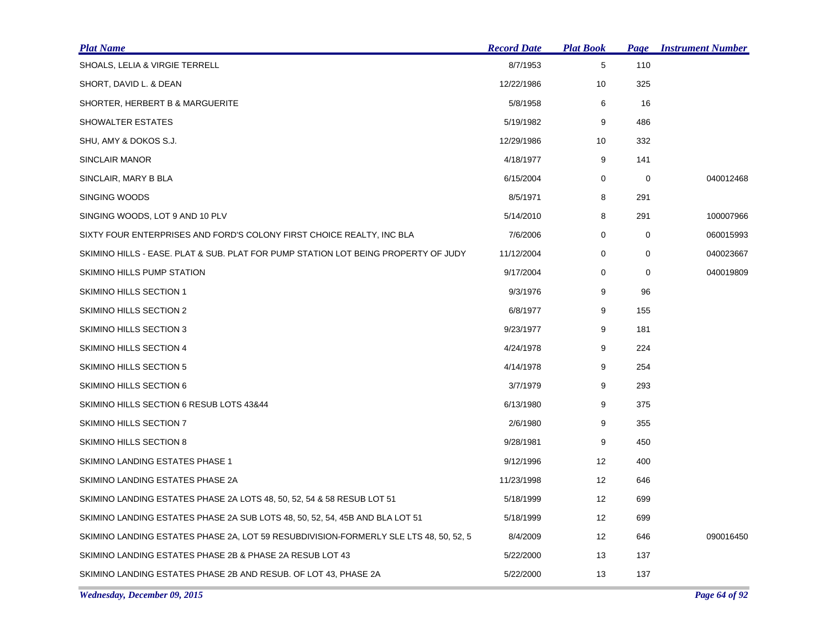| <u>Plat Name</u>                                                                      | <b>Record Date</b> | <b>Plat Book</b>  | Page        | <b>Instrument Number</b> |
|---------------------------------------------------------------------------------------|--------------------|-------------------|-------------|--------------------------|
| SHOALS, LELIA & VIRGIE TERRELL                                                        | 8/7/1953           | 5                 | 110         |                          |
| SHORT, DAVID L. & DEAN                                                                | 12/22/1986         | 10                | 325         |                          |
| SHORTER, HERBERT B & MARGUERITE                                                       | 5/8/1958           | 6                 | 16          |                          |
| SHOWALTER ESTATES                                                                     | 5/19/1982          | 9                 | 486         |                          |
| SHU, AMY & DOKOS S.J.                                                                 | 12/29/1986         | 10                | 332         |                          |
| SINCLAIR MANOR                                                                        | 4/18/1977          | 9                 | 141         |                          |
| SINCLAIR, MARY B BLA                                                                  | 6/15/2004          | 0                 | 0           | 040012468                |
| SINGING WOODS                                                                         | 8/5/1971           | 8                 | 291         |                          |
| SINGING WOODS, LOT 9 AND 10 PLV                                                       | 5/14/2010          | 8                 | 291         | 100007966                |
| SIXTY FOUR ENTERPRISES AND FORD'S COLONY FIRST CHOICE REALTY, INC BLA                 | 7/6/2006           | 0                 | 0           | 060015993                |
| SKIMINO HILLS - EASE. PLAT & SUB. PLAT FOR PUMP STATION LOT BEING PROPERTY OF JUDY    | 11/12/2004         | 0                 | 0           | 040023667                |
| SKIMINO HILLS PUMP STATION                                                            | 9/17/2004          | 0                 | $\mathbf 0$ | 040019809                |
| SKIMINO HILLS SECTION 1                                                               | 9/3/1976           | 9                 | 96          |                          |
| SKIMINO HILLS SECTION 2                                                               | 6/8/1977           | 9                 | 155         |                          |
| SKIMINO HILLS SECTION 3                                                               | 9/23/1977          | 9                 | 181         |                          |
| SKIMINO HILLS SECTION 4                                                               | 4/24/1978          | 9                 | 224         |                          |
| SKIMINO HILLS SECTION 5                                                               | 4/14/1978          | 9                 | 254         |                          |
| SKIMINO HILLS SECTION 6                                                               | 3/7/1979           | 9                 | 293         |                          |
| SKIMINO HILLS SECTION 6 RESUB LOTS 43&44                                              | 6/13/1980          | 9                 | 375         |                          |
| SKIMINO HILLS SECTION 7                                                               | 2/6/1980           | 9                 | 355         |                          |
| SKIMINO HILLS SECTION 8                                                               | 9/28/1981          | 9                 | 450         |                          |
| SKIMINO LANDING ESTATES PHASE 1                                                       | 9/12/1996          | 12                | 400         |                          |
| SKIMINO LANDING ESTATES PHASE 2A                                                      | 11/23/1998         | 12                | 646         |                          |
| SKIMINO LANDING ESTATES PHASE 2A LOTS 48, 50, 52, 54 & 58 RESUB LOT 51                | 5/18/1999          | 12                | 699         |                          |
| SKIMINO LANDING ESTATES PHASE 2A SUB LOTS 48, 50, 52, 54, 45B AND BLA LOT 51          | 5/18/1999          | $12 \overline{ }$ | 699         |                          |
| SKIMINO LANDING ESTATES PHASE 2A, LOT 59 RESUBDIVISION-FORMERLY SLE LTS 48, 50, 52, 5 | 8/4/2009           | 12                | 646         | 090016450                |
| SKIMINO LANDING ESTATES PHASE 2B & PHASE 2A RESUB LOT 43                              | 5/22/2000          | 13                | 137         |                          |
| SKIMINO LANDING ESTATES PHASE 2B AND RESUB. OF LOT 43, PHASE 2A                       | 5/22/2000          | 13                | 137         |                          |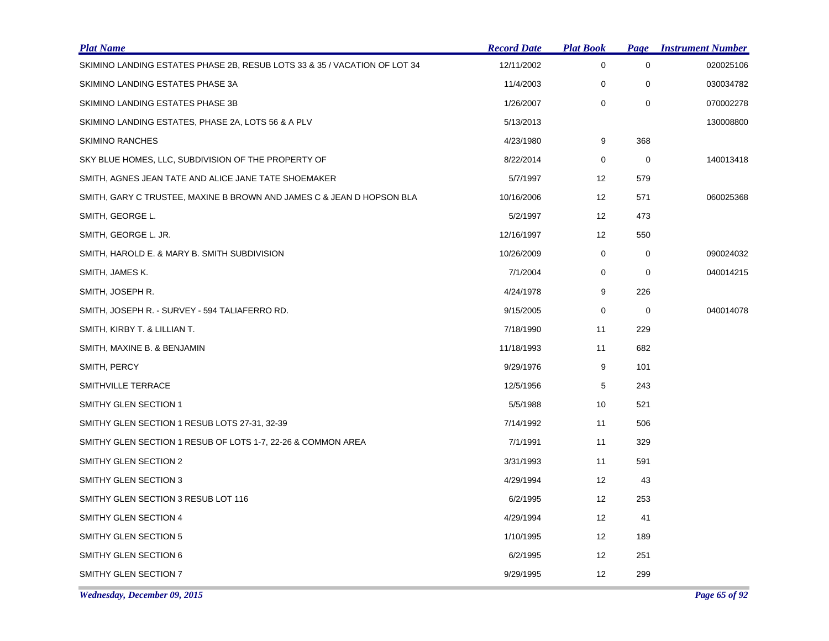| <b>Plat Name</b>                                                          | <b>Record Date</b> | <b>Plat Book</b> | Page | <b>Instrument Number</b> |
|---------------------------------------------------------------------------|--------------------|------------------|------|--------------------------|
| SKIMINO LANDING ESTATES PHASE 2B, RESUB LOTS 33 & 35 / VACATION OF LOT 34 | 12/11/2002         | 0                | 0    | 020025106                |
| SKIMINO LANDING ESTATES PHASE 3A                                          | 11/4/2003          | $\mathbf 0$      | 0    | 030034782                |
| SKIMINO LANDING ESTATES PHASE 3B                                          | 1/26/2007          | 0                | 0    | 070002278                |
| SKIMINO LANDING ESTATES, PHASE 2A, LOTS 56 & A PLV                        | 5/13/2013          |                  |      | 130008800                |
| <b>SKIMINO RANCHES</b>                                                    | 4/23/1980          | 9                | 368  |                          |
| SKY BLUE HOMES, LLC, SUBDIVISION OF THE PROPERTY OF                       | 8/22/2014          | 0                | 0    | 140013418                |
| SMITH, AGNES JEAN TATE AND ALICE JANE TATE SHOEMAKER                      | 5/7/1997           | 12               | 579  |                          |
| SMITH, GARY C TRUSTEE, MAXINE B BROWN AND JAMES C & JEAN D HOPSON BLA     | 10/16/2006         | 12               | 571  | 060025368                |
| SMITH, GEORGE L.                                                          | 5/2/1997           | 12               | 473  |                          |
| SMITH, GEORGE L. JR.                                                      | 12/16/1997         | 12               | 550  |                          |
| SMITH, HAROLD E. & MARY B. SMITH SUBDIVISION                              | 10/26/2009         | 0                | 0    | 090024032                |
| SMITH, JAMES K.                                                           | 7/1/2004           | 0                | 0    | 040014215                |
| SMITH, JOSEPH R.                                                          | 4/24/1978          | 9                | 226  |                          |
| SMITH, JOSEPH R. - SURVEY - 594 TALIAFERRO RD.                            | 9/15/2005          | 0                | 0    | 040014078                |
| SMITH, KIRBY T. & LILLIAN T.                                              | 7/18/1990          | 11               | 229  |                          |
| SMITH, MAXINE B. & BENJAMIN                                               | 11/18/1993         | 11               | 682  |                          |
| SMITH, PERCY                                                              | 9/29/1976          | 9                | 101  |                          |
| SMITHVILLE TERRACE                                                        | 12/5/1956          | 5                | 243  |                          |
| SMITHY GLEN SECTION 1                                                     | 5/5/1988           | 10               | 521  |                          |
| SMITHY GLEN SECTION 1 RESUB LOTS 27-31, 32-39                             | 7/14/1992          | 11               | 506  |                          |
| SMITHY GLEN SECTION 1 RESUB OF LOTS 1-7, 22-26 & COMMON AREA              | 7/1/1991           | 11               | 329  |                          |
| SMITHY GLEN SECTION 2                                                     | 3/31/1993          | 11               | 591  |                          |
| <b>SMITHY GLEN SECTION 3</b>                                              | 4/29/1994          | 12               | 43   |                          |
| SMITHY GLEN SECTION 3 RESUB LOT 116                                       | 6/2/1995           | 12               | 253  |                          |
| SMITHY GLEN SECTION 4                                                     | 4/29/1994          | 12               | 41   |                          |
| <b>SMITHY GLEN SECTION 5</b>                                              | 1/10/1995          | 12               | 189  |                          |
| SMITHY GLEN SECTION 6                                                     | 6/2/1995           | 12               | 251  |                          |
| SMITHY GLEN SECTION 7                                                     | 9/29/1995          | 12               | 299  |                          |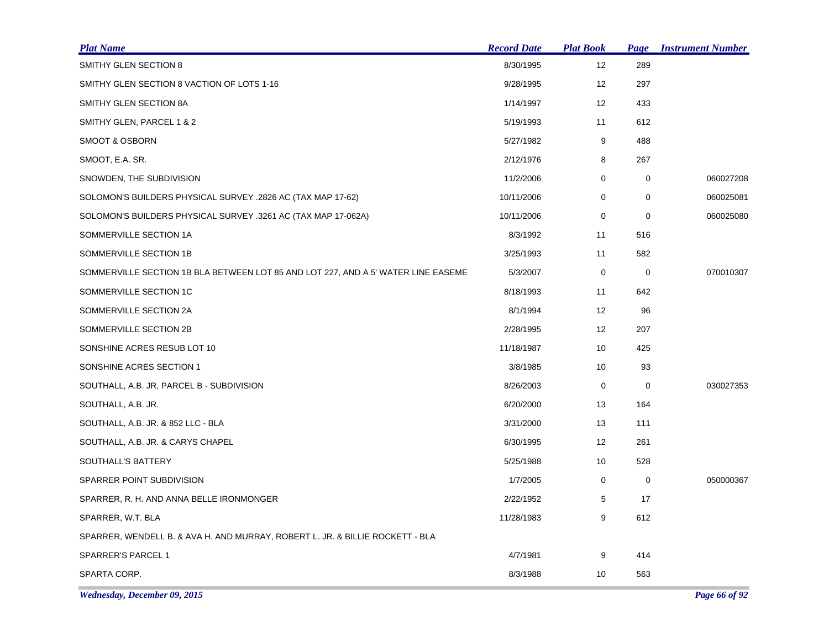| <b>Plat Name</b>                                                                  | <b>Record Date</b> | <b>Plat Book</b>  | Page        | <b>Instrument Number</b> |
|-----------------------------------------------------------------------------------|--------------------|-------------------|-------------|--------------------------|
| <b>SMITHY GLEN SECTION 8</b>                                                      | 8/30/1995          | 12                | 289         |                          |
| SMITHY GLEN SECTION 8 VACTION OF LOTS 1-16                                        | 9/28/1995          | 12                | 297         |                          |
| SMITHY GLEN SECTION 8A                                                            | 1/14/1997          | $12 \overline{ }$ | 433         |                          |
| SMITHY GLEN, PARCEL 1 & 2                                                         | 5/19/1993          | 11                | 612         |                          |
| <b>SMOOT &amp; OSBORN</b>                                                         | 5/27/1982          | 9                 | 488         |                          |
| SMOOT, E.A. SR.                                                                   | 2/12/1976          | 8                 | 267         |                          |
| SNOWDEN, THE SUBDIVISION                                                          | 11/2/2006          | 0                 | 0           | 060027208                |
| SOLOMON'S BUILDERS PHYSICAL SURVEY .2826 AC (TAX MAP 17-62)                       | 10/11/2006         | 0                 | $\mathbf 0$ | 060025081                |
| SOLOMON'S BUILDERS PHYSICAL SURVEY .3261 AC (TAX MAP 17-062A)                     | 10/11/2006         | 0                 | $\mathbf 0$ | 060025080                |
| SOMMERVILLE SECTION 1A                                                            | 8/3/1992           | 11                | 516         |                          |
| SOMMERVILLE SECTION 1B                                                            | 3/25/1993          | 11                | 582         |                          |
| SOMMERVILLE SECTION 1B BLA BETWEEN LOT 85 AND LOT 227, AND A 5' WATER LINE EASEME | 5/3/2007           | 0                 | 0           | 070010307                |
| SOMMERVILLE SECTION 1C                                                            | 8/18/1993          | 11                | 642         |                          |
| SOMMERVILLE SECTION 2A                                                            | 8/1/1994           | 12                | 96          |                          |
| SOMMERVILLE SECTION 2B                                                            | 2/28/1995          | $12 \overline{ }$ | 207         |                          |
| SONSHINE ACRES RESUB LOT 10                                                       | 11/18/1987         | 10                | 425         |                          |
| SONSHINE ACRES SECTION 1                                                          | 3/8/1985           | 10                | 93          |                          |
| SOUTHALL, A.B. JR, PARCEL B - SUBDIVISION                                         | 8/26/2003          | 0                 | 0           | 030027353                |
| SOUTHALL, A.B. JR.                                                                | 6/20/2000          | 13                | 164         |                          |
| SOUTHALL, A.B. JR. & 852 LLC - BLA                                                | 3/31/2000          | 13                | 111         |                          |
| SOUTHALL, A.B. JR. & CARYS CHAPEL                                                 | 6/30/1995          | 12                | 261         |                          |
| SOUTHALL'S BATTERY                                                                | 5/25/1988          | 10                | 528         |                          |
| SPARRER POINT SUBDIVISION                                                         | 1/7/2005           | 0                 | $\mathbf 0$ | 050000367                |
| SPARRER, R. H. AND ANNA BELLE IRONMONGER                                          | 2/22/1952          | 5                 | 17          |                          |
| SPARRER, W.T. BLA                                                                 | 11/28/1983         | 9                 | 612         |                          |
| SPARRER, WENDELL B. & AVA H. AND MURRAY, ROBERT L. JR. & BILLIE ROCKETT - BLA     |                    |                   |             |                          |
| SPARRER'S PARCEL 1                                                                | 4/7/1981           | 9                 | 414         |                          |
| SPARTA CORP.                                                                      | 8/3/1988           | 10                | 563         |                          |

*Wednesday, December 09, 2015 Page 66 of 92*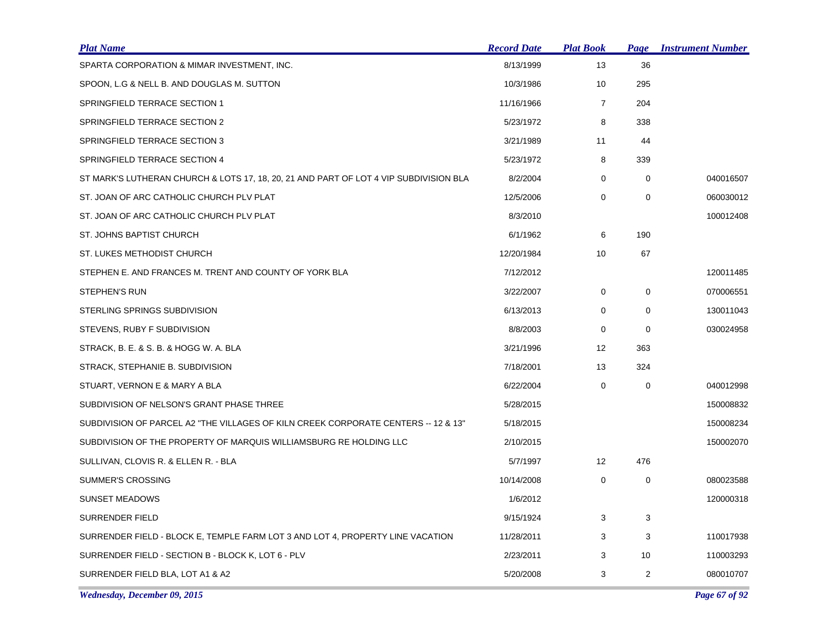| <b>Plat Name</b>                                                                      | <b>Record Date</b> | <b>Plat Book</b>  | Page           | <b>Instrument Number</b> |
|---------------------------------------------------------------------------------------|--------------------|-------------------|----------------|--------------------------|
| SPARTA CORPORATION & MIMAR INVESTMENT, INC.                                           | 8/13/1999          | 13                | 36             |                          |
| SPOON, L.G & NELL B. AND DOUGLAS M. SUTTON                                            | 10/3/1986          | 10                | 295            |                          |
| SPRINGFIELD TERRACE SECTION 1                                                         | 11/16/1966         | $\overline{7}$    | 204            |                          |
| SPRINGFIELD TERRACE SECTION 2                                                         | 5/23/1972          | 8                 | 338            |                          |
| SPRINGFIELD TERRACE SECTION 3                                                         | 3/21/1989          | 11                | 44             |                          |
| SPRINGFIELD TERRACE SECTION 4                                                         | 5/23/1972          | 8                 | 339            |                          |
| ST MARK'S LUTHERAN CHURCH & LOTS 17, 18, 20, 21 AND PART OF LOT 4 VIP SUBDIVISION BLA | 8/2/2004           | 0                 | 0              | 040016507                |
| ST. JOAN OF ARC CATHOLIC CHURCH PLV PLAT                                              | 12/5/2006          | $\mathbf 0$       | 0              | 060030012                |
| ST. JOAN OF ARC CATHOLIC CHURCH PLV PLAT                                              | 8/3/2010           |                   |                | 100012408                |
| ST. JOHNS BAPTIST CHURCH                                                              | 6/1/1962           | 6                 | 190            |                          |
| ST. LUKES METHODIST CHURCH                                                            | 12/20/1984         | 10                | 67             |                          |
| STEPHEN E. AND FRANCES M. TRENT AND COUNTY OF YORK BLA                                | 7/12/2012          |                   |                | 120011485                |
| STEPHEN'S RUN                                                                         | 3/22/2007          | $\mathbf 0$       | $\mathbf 0$    | 070006551                |
| STERLING SPRINGS SUBDIVISION                                                          | 6/13/2013          | 0                 | 0              | 130011043                |
| STEVENS, RUBY F SUBDIVISION                                                           | 8/8/2003           | 0                 | 0              | 030024958                |
| STRACK, B. E. & S. B. & HOGG W. A. BLA                                                | 3/21/1996          | $12 \overline{ }$ | 363            |                          |
| STRACK, STEPHANIE B. SUBDIVISION                                                      | 7/18/2001          | 13                | 324            |                          |
| STUART, VERNON E & MARY A BLA                                                         | 6/22/2004          | $\mathbf 0$       | $\mathbf 0$    | 040012998                |
| SUBDIVISION OF NELSON'S GRANT PHASE THREE                                             | 5/28/2015          |                   |                | 150008832                |
| SUBDIVISION OF PARCEL A2 "THE VILLAGES OF KILN CREEK CORPORATE CENTERS -- 12 & 13"    | 5/18/2015          |                   |                | 150008234                |
| SUBDIVISION OF THE PROPERTY OF MARQUIS WILLIAMSBURG RE HOLDING LLC                    | 2/10/2015          |                   |                | 150002070                |
| SULLIVAN, CLOVIS R. & ELLEN R. - BLA                                                  | 5/7/1997           | 12                | 476            |                          |
| <b>SUMMER'S CROSSING</b>                                                              | 10/14/2008         | 0                 | 0              | 080023588                |
| <b>SUNSET MEADOWS</b>                                                                 | 1/6/2012           |                   |                | 120000318                |
| <b>SURRENDER FIELD</b>                                                                | 9/15/1924          | 3                 | 3              |                          |
| SURRENDER FIELD - BLOCK E, TEMPLE FARM LOT 3 AND LOT 4, PROPERTY LINE VACATION        | 11/28/2011         | 3                 | 3              | 110017938                |
| SURRENDER FIELD - SECTION B - BLOCK K, LOT 6 - PLV                                    | 2/23/2011          | 3                 | 10             | 110003293                |
| SURRENDER FIELD BLA, LOT A1 & A2                                                      | 5/20/2008          | 3                 | $\overline{2}$ | 080010707                |

*Wednesday, December 09, 2015 Page 67 of 92*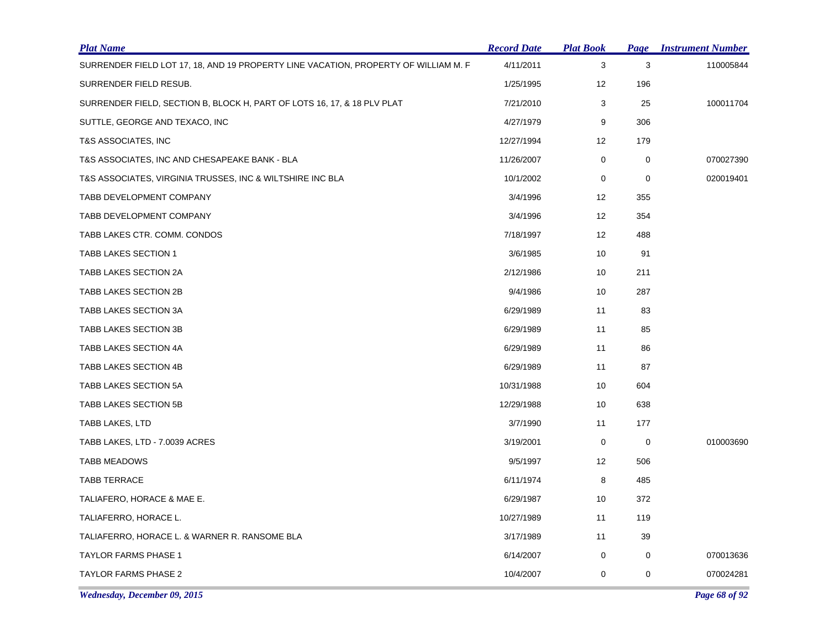| <b>Plat Name</b>                                                                    | <b>Record Date</b> | <b>Plat Book</b> | Page      | <b>Instrument Number</b> |
|-------------------------------------------------------------------------------------|--------------------|------------------|-----------|--------------------------|
| SURRENDER FIELD LOT 17, 18, AND 19 PROPERTY LINE VACATION, PROPERTY OF WILLIAM M. F | 4/11/2011          | $\sqrt{3}$       | 3         | 110005844                |
| SURRENDER FIELD RESUB.                                                              | 1/25/1995          | 12               | 196       |                          |
| SURRENDER FIELD, SECTION B, BLOCK H, PART OF LOTS 16, 17, & 18 PLV PLAT             | 7/21/2010          | 3                | 25        | 100011704                |
| SUTTLE, GEORGE AND TEXACO, INC                                                      | 4/27/1979          | 9                | 306       |                          |
| T&S ASSOCIATES, INC                                                                 | 12/27/1994         | 12               | 179       |                          |
| T&S ASSOCIATES, INC AND CHESAPEAKE BANK - BLA                                       | 11/26/2007         | 0                | 0         | 070027390                |
| T&S ASSOCIATES, VIRGINIA TRUSSES, INC & WILTSHIRE INC BLA                           | 10/1/2002          | 0                | 0         | 020019401                |
| TABB DEVELOPMENT COMPANY                                                            | 3/4/1996           | 12               | 355       |                          |
| TABB DEVELOPMENT COMPANY                                                            | 3/4/1996           | 12               | 354       |                          |
| TABB LAKES CTR. COMM. CONDOS                                                        | 7/18/1997          | 12               | 488       |                          |
| <b>TABB LAKES SECTION 1</b>                                                         | 3/6/1985           | 10               | 91        |                          |
| TABB LAKES SECTION 2A                                                               | 2/12/1986          | 10               | 211       |                          |
| TABB LAKES SECTION 2B                                                               | 9/4/1986           | 10               | 287       |                          |
| TABB LAKES SECTION 3A                                                               | 6/29/1989          | 11               | 83        |                          |
| TABB LAKES SECTION 3B                                                               | 6/29/1989          | 11               | 85        |                          |
| TABB LAKES SECTION 4A                                                               | 6/29/1989          | 11               | 86        |                          |
| TABB LAKES SECTION 4B                                                               | 6/29/1989          | 11               | 87        |                          |
| TABB LAKES SECTION 5A                                                               | 10/31/1988         | 10               | 604       |                          |
| <b>TABB LAKES SECTION 5B</b>                                                        | 12/29/1988         | 10               | 638       |                          |
| TABB LAKES, LTD                                                                     | 3/7/1990           | 11               | 177       |                          |
| TABB LAKES, LTD - 7.0039 ACRES                                                      | 3/19/2001          | 0                | $\pmb{0}$ | 010003690                |
| <b>TABB MEADOWS</b>                                                                 | 9/5/1997           | 12               | 506       |                          |
| <b>TABB TERRACE</b>                                                                 | 6/11/1974          | 8                | 485       |                          |
| TALIAFERO, HORACE & MAE E.                                                          | 6/29/1987          | 10               | 372       |                          |
| TALIAFERRO, HORACE L.                                                               | 10/27/1989         | 11               | 119       |                          |
| TALIAFERRO, HORACE L. & WARNER R. RANSOME BLA                                       | 3/17/1989          | 11               | 39        |                          |
| <b>TAYLOR FARMS PHASE 1</b>                                                         | 6/14/2007          | 0                | 0         | 070013636                |
| <b>TAYLOR FARMS PHASE 2</b>                                                         | 10/4/2007          | 0                | 0         | 070024281                |

*Wednesday, December 09, 2015 Page 68 of 92*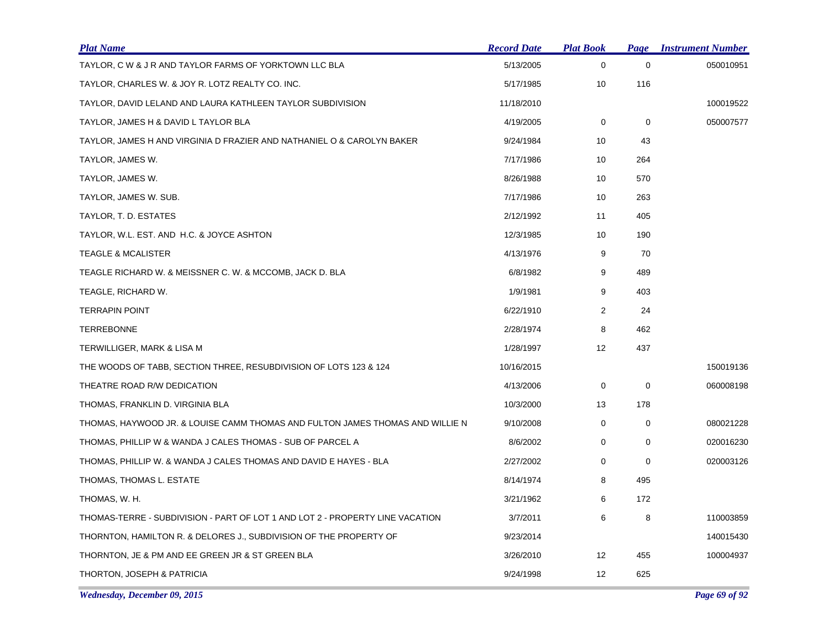| <b>Plat Name</b>                                                              | <b>Record Date</b> | <b>Plat Book</b>  | Page        | <b>Instrument Number</b> |
|-------------------------------------------------------------------------------|--------------------|-------------------|-------------|--------------------------|
| TAYLOR, C W & J R AND TAYLOR FARMS OF YORKTOWN LLC BLA                        | 5/13/2005          | 0                 | $\mathbf 0$ | 050010951                |
| TAYLOR, CHARLES W. & JOY R. LOTZ REALTY CO. INC.                              | 5/17/1985          | 10                | 116         |                          |
| TAYLOR, DAVID LELAND AND LAURA KATHLEEN TAYLOR SUBDIVISION                    | 11/18/2010         |                   |             | 100019522                |
| TAYLOR, JAMES H & DAVID L TAYLOR BLA                                          | 4/19/2005          | 0                 | 0           | 050007577                |
| TAYLOR, JAMES H AND VIRGINIA D FRAZIER AND NATHANIEL O & CAROLYN BAKER        | 9/24/1984          | 10                | 43          |                          |
| TAYLOR, JAMES W.                                                              | 7/17/1986          | 10                | 264         |                          |
| TAYLOR, JAMES W.                                                              | 8/26/1988          | 10                | 570         |                          |
| TAYLOR, JAMES W. SUB.                                                         | 7/17/1986          | 10                | 263         |                          |
| TAYLOR, T. D. ESTATES                                                         | 2/12/1992          | 11                | 405         |                          |
| TAYLOR, W.L. EST. AND H.C. & JOYCE ASHTON                                     | 12/3/1985          | 10                | 190         |                          |
| <b>TEAGLE &amp; MCALISTER</b>                                                 | 4/13/1976          | 9                 | 70          |                          |
| TEAGLE RICHARD W. & MEISSNER C. W. & MCCOMB, JACK D. BLA                      | 6/8/1982           | 9                 | 489         |                          |
| TEAGLE, RICHARD W.                                                            | 1/9/1981           | 9                 | 403         |                          |
| <b>TERRAPIN POINT</b>                                                         | 6/22/1910          | $\overline{2}$    | 24          |                          |
| <b>TERREBONNE</b>                                                             | 2/28/1974          | 8                 | 462         |                          |
| TERWILLIGER, MARK & LISA M                                                    | 1/28/1997          | 12                | 437         |                          |
| THE WOODS OF TABB, SECTION THREE, RESUBDIVISION OF LOTS 123 & 124             | 10/16/2015         |                   |             | 150019136                |
| THEATRE ROAD R/W DEDICATION                                                   | 4/13/2006          | 0                 | $\mathbf 0$ | 060008198                |
| THOMAS, FRANKLIN D. VIRGINIA BLA                                              | 10/3/2000          | 13                | 178         |                          |
| THOMAS, HAYWOOD JR. & LOUISE CAMM THOMAS AND FULTON JAMES THOMAS AND WILLIE N | 9/10/2008          | $\mathbf 0$       | $\mathbf 0$ | 080021228                |
| THOMAS, PHILLIP W & WANDA J CALES THOMAS - SUB OF PARCEL A                    | 8/6/2002           | 0                 | 0           | 020016230                |
| THOMAS, PHILLIP W. & WANDA J CALES THOMAS AND DAVID E HAYES - BLA             | 2/27/2002          | $\mathbf 0$       | $\mathbf 0$ | 020003126                |
| THOMAS, THOMAS L. ESTATE                                                      | 8/14/1974          | 8                 | 495         |                          |
| THOMAS, W. H.                                                                 | 3/21/1962          | 6                 | 172         |                          |
| THOMAS-TERRE - SUBDIVISION - PART OF LOT 1 AND LOT 2 - PROPERTY LINE VACATION | 3/7/2011           | 6                 | 8           | 110003859                |
| THORNTON, HAMILTON R. & DELORES J., SUBDIVISION OF THE PROPERTY OF            | 9/23/2014          |                   |             | 140015430                |
| THORNTON, JE & PM AND EE GREEN JR & ST GREEN BLA                              | 3/26/2010          | $12 \overline{ }$ | 455         | 100004937                |
| THORTON, JOSEPH & PATRICIA                                                    | 9/24/1998          | 12                | 625         |                          |

*Wednesday, December 09, 2015 Page 69 of 92*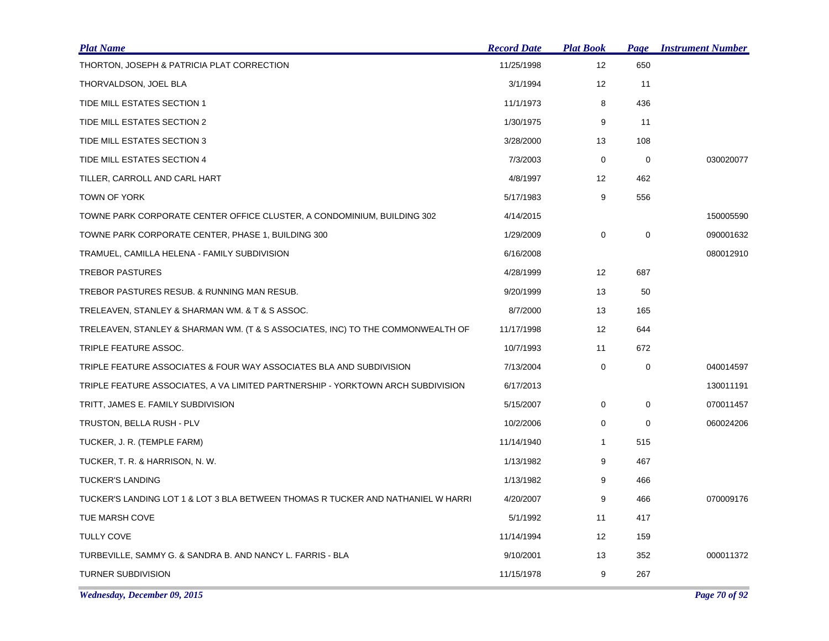| <b>Plat Name</b>                                                                 | <b>Record Date</b> | <b>Plat Book</b> | <b>Page</b> | <b>Instrument Number</b> |
|----------------------------------------------------------------------------------|--------------------|------------------|-------------|--------------------------|
| THORTON, JOSEPH & PATRICIA PLAT CORRECTION                                       | 11/25/1998         | 12               | 650         |                          |
| THORVALDSON, JOEL BLA                                                            | 3/1/1994           | 12               | 11          |                          |
| TIDE MILL ESTATES SECTION 1                                                      | 11/1/1973          | 8                | 436         |                          |
| TIDE MILL ESTATES SECTION 2                                                      | 1/30/1975          | 9                | 11          |                          |
| TIDE MILL ESTATES SECTION 3                                                      | 3/28/2000          | 13               | 108         |                          |
| TIDE MILL ESTATES SECTION 4                                                      | 7/3/2003           | $\mathbf 0$      | $\mathbf 0$ | 030020077                |
| TILLER, CARROLL AND CARL HART                                                    | 4/8/1997           | 12               | 462         |                          |
| TOWN OF YORK                                                                     | 5/17/1983          | 9                | 556         |                          |
| TOWNE PARK CORPORATE CENTER OFFICE CLUSTER, A CONDOMINIUM, BUILDING 302          | 4/14/2015          |                  |             | 150005590                |
| TOWNE PARK CORPORATE CENTER, PHASE 1, BUILDING 300                               | 1/29/2009          | 0                | $\pmb{0}$   | 090001632                |
| TRAMUEL, CAMILLA HELENA - FAMILY SUBDIVISION                                     | 6/16/2008          |                  |             | 080012910                |
| <b>TREBOR PASTURES</b>                                                           | 4/28/1999          | 12               | 687         |                          |
| TREBOR PASTURES RESUB. & RUNNING MAN RESUB.                                      | 9/20/1999          | 13               | 50          |                          |
| TRELEAVEN, STANLEY & SHARMAN WM. & T & S ASSOC.                                  | 8/7/2000           | 13               | 165         |                          |
| TRELEAVEN, STANLEY & SHARMAN WM. (T & S ASSOCIATES, INC) TO THE COMMONWEALTH OF  | 11/17/1998         | 12               | 644         |                          |
| TRIPLE FEATURE ASSOC.                                                            | 10/7/1993          | 11               | 672         |                          |
| TRIPLE FEATURE ASSOCIATES & FOUR WAY ASSOCIATES BLA AND SUBDIVISION              | 7/13/2004          | 0                | $\pmb{0}$   | 040014597                |
| TRIPLE FEATURE ASSOCIATES, A VA LIMITED PARTNERSHIP - YORKTOWN ARCH SUBDIVISION  | 6/17/2013          |                  |             | 130011191                |
| TRITT, JAMES E. FAMILY SUBDIVISION                                               | 5/15/2007          | 0                | 0           | 070011457                |
| TRUSTON, BELLA RUSH - PLV                                                        | 10/2/2006          | 0                | 0           | 060024206                |
| TUCKER, J. R. (TEMPLE FARM)                                                      | 11/14/1940         | $\mathbf{1}$     | 515         |                          |
| TUCKER, T. R. & HARRISON, N. W.                                                  | 1/13/1982          | 9                | 467         |                          |
| <b>TUCKER'S LANDING</b>                                                          | 1/13/1982          | 9                | 466         |                          |
| TUCKER'S LANDING LOT 1 & LOT 3 BLA BETWEEN THOMAS R TUCKER AND NATHANIEL W HARRI | 4/20/2007          | 9                | 466         | 070009176                |
| TUE MARSH COVE                                                                   | 5/1/1992           | 11               | 417         |                          |
| <b>TULLY COVE</b>                                                                | 11/14/1994         | 12               | 159         |                          |
| TURBEVILLE, SAMMY G. & SANDRA B. AND NANCY L. FARRIS - BLA                       | 9/10/2001          | 13               | 352         | 000011372                |
| <b>TURNER SUBDIVISION</b>                                                        | 11/15/1978         | 9                | 267         |                          |

*Wednesday, December 09, 2015 Page 70 of 92*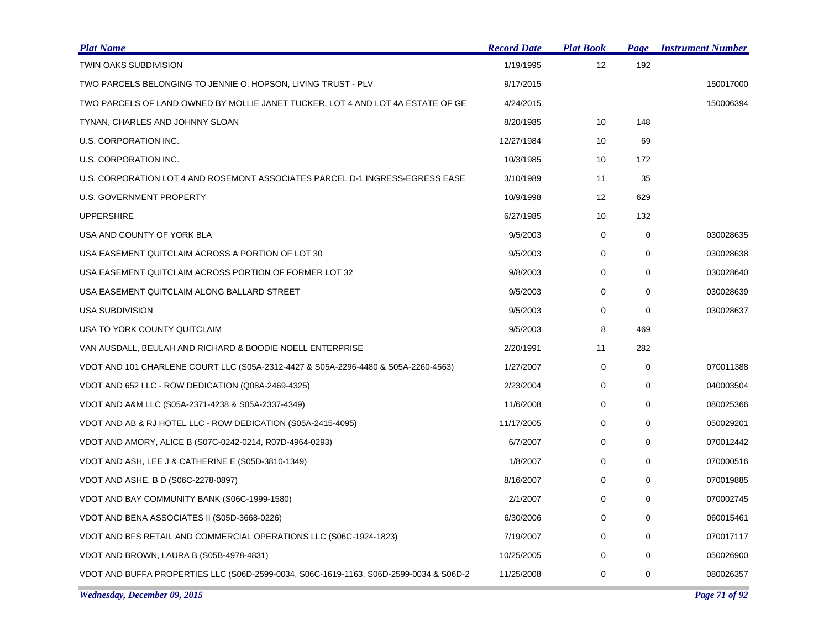| <b>Plat Name</b>                                                                       | <b>Record Date</b> | <b>Plat Book</b> | Page        | <b>Instrument Number</b> |
|----------------------------------------------------------------------------------------|--------------------|------------------|-------------|--------------------------|
| TWIN OAKS SUBDIVISION                                                                  | 1/19/1995          | 12               | 192         |                          |
| TWO PARCELS BELONGING TO JENNIE O. HOPSON, LIVING TRUST - PLV                          | 9/17/2015          |                  |             | 150017000                |
| TWO PARCELS OF LAND OWNED BY MOLLIE JANET TUCKER, LOT 4 AND LOT 4A ESTATE OF GE        | 4/24/2015          |                  |             | 150006394                |
| TYNAN, CHARLES AND JOHNNY SLOAN                                                        | 8/20/1985          | 10               | 148         |                          |
| U.S. CORPORATION INC.                                                                  | 12/27/1984         | 10               | 69          |                          |
| U.S. CORPORATION INC.                                                                  | 10/3/1985          | 10               | 172         |                          |
| U.S. CORPORATION LOT 4 AND ROSEMONT ASSOCIATES PARCEL D-1 INGRESS-EGRESS EASE          | 3/10/1989          | 11               | 35          |                          |
| U.S. GOVERNMENT PROPERTY                                                               | 10/9/1998          | 12               | 629         |                          |
| <b>UPPERSHIRE</b>                                                                      | 6/27/1985          | 10               | 132         |                          |
| USA AND COUNTY OF YORK BLA                                                             | 9/5/2003           | $\mathbf 0$      | $\mathbf 0$ | 030028635                |
| USA EASEMENT QUITCLAIM ACROSS A PORTION OF LOT 30                                      | 9/5/2003           | 0                | $\mathbf 0$ | 030028638                |
| USA EASEMENT QUITCLAIM ACROSS PORTION OF FORMER LOT 32                                 | 9/8/2003           | $\mathbf 0$      | $\mathbf 0$ | 030028640                |
| USA EASEMENT QUITCLAIM ALONG BALLARD STREET                                            | 9/5/2003           | 0                | 0           | 030028639                |
| <b>USA SUBDIVISION</b>                                                                 | 9/5/2003           | 0                | $\mathbf 0$ | 030028637                |
| USA TO YORK COUNTY QUITCLAIM                                                           | 9/5/2003           | 8                | 469         |                          |
| VAN AUSDALL, BEULAH AND RICHARD & BOODIE NOELL ENTERPRISE                              | 2/20/1991          | 11               | 282         |                          |
| VDOT AND 101 CHARLENE COURT LLC (S05A-2312-4427 & S05A-2296-4480 & S05A-2260-4563)     | 1/27/2007          | $\mathbf 0$      | $\mathbf 0$ | 070011388                |
| VDOT AND 652 LLC - ROW DEDICATION (Q08A-2469-4325)                                     | 2/23/2004          | 0                | 0           | 040003504                |
| VDOT AND A&M LLC (S05A-2371-4238 & S05A-2337-4349)                                     | 11/6/2008          | 0                | 0           | 080025366                |
| VDOT AND AB & RJ HOTEL LLC - ROW DEDICATION (S05A-2415-4095)                           | 11/17/2005         | 0                | 0           | 050029201                |
| VDOT AND AMORY, ALICE B (S07C-0242-0214, R07D-4964-0293)                               | 6/7/2007           | 0                | 0           | 070012442                |
| VDOT AND ASH, LEE J & CATHERINE E (S05D-3810-1349)                                     | 1/8/2007           | 0                | $\mathbf 0$ | 070000516                |
| VDOT AND ASHE, B D (S06C-2278-0897)                                                    | 8/16/2007          | 0                | 0           | 070019885                |
| VDOT AND BAY COMMUNITY BANK (S06C-1999-1580)                                           | 2/1/2007           | 0                | 0           | 070002745                |
| VDOT AND BENA ASSOCIATES II (S05D-3668-0226)                                           | 6/30/2006          | 0                | $\mathbf 0$ | 060015461                |
| VDOT AND BFS RETAIL AND COMMERCIAL OPERATIONS LLC (S06C-1924-1823)                     | 7/19/2007          | 0                | 0           | 070017117                |
| VDOT AND BROWN, LAURA B (S05B-4978-4831)                                               | 10/25/2005         | $\mathbf 0$      | 0           | 050026900                |
| VDOT AND BUFFA PROPERTIES LLC (S06D-2599-0034, S06C-1619-1163, S06D-2599-0034 & S06D-2 | 11/25/2008         | 0                | 0           | 080026357                |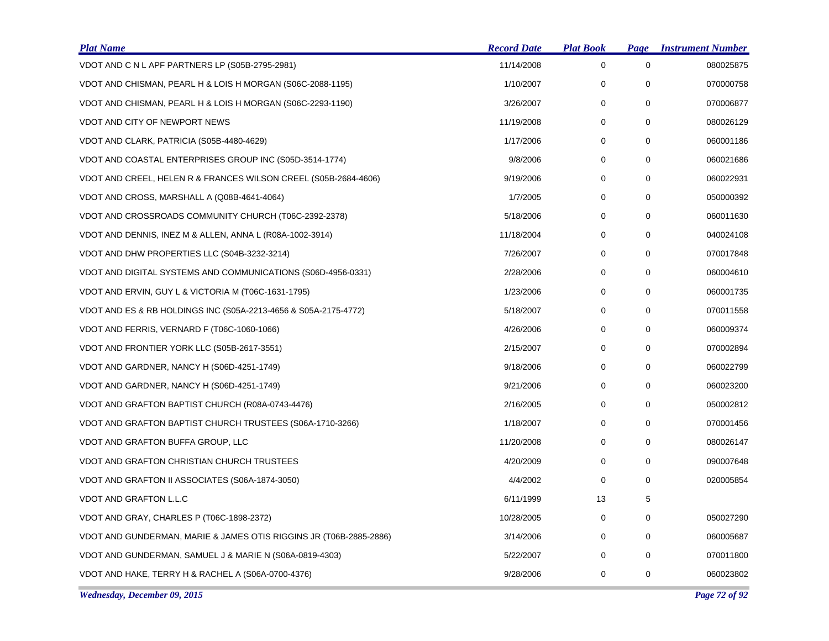| <b>Plat Name</b>                                                   | <b>Record Date</b> | <b>Plat Book</b> | Page        | <b>Instrument Number</b> |
|--------------------------------------------------------------------|--------------------|------------------|-------------|--------------------------|
| VDOT AND C N L APF PARTNERS LP (S05B-2795-2981)                    | 11/14/2008         | $\mathbf 0$      | $\mathbf 0$ | 080025875                |
| VDOT AND CHISMAN, PEARL H & LOIS H MORGAN (S06C-2088-1195)         | 1/10/2007          | 0                | 0           | 070000758                |
| VDOT AND CHISMAN, PEARL H & LOIS H MORGAN (S06C-2293-1190)         | 3/26/2007          | 0                | 0           | 070006877                |
| <b>VDOT AND CITY OF NEWPORT NEWS</b>                               | 11/19/2008         | 0                | $\mathbf 0$ | 080026129                |
| VDOT AND CLARK, PATRICIA (S05B-4480-4629)                          | 1/17/2006          | 0                | $\mathbf 0$ | 060001186                |
| VDOT AND COASTAL ENTERPRISES GROUP INC (S05D-3514-1774)            | 9/8/2006           | 0                | 0           | 060021686                |
| VDOT AND CREEL, HELEN R & FRANCES WILSON CREEL (S05B-2684-4606)    | 9/19/2006          | $\mathbf 0$      | $\mathbf 0$ | 060022931                |
| VDOT AND CROSS, MARSHALL A (Q08B-4641-4064)                        | 1/7/2005           | 0                | 0           | 050000392                |
| VDOT AND CROSSROADS COMMUNITY CHURCH (T06C-2392-2378)              | 5/18/2006          | 0                | 0           | 060011630                |
| VDOT AND DENNIS, INEZ M & ALLEN, ANNA L (R08A-1002-3914)           | 11/18/2004         | $\mathbf 0$      | $\mathbf 0$ | 040024108                |
| VDOT AND DHW PROPERTIES LLC (S04B-3232-3214)                       | 7/26/2007          | 0                | 0           | 070017848                |
| VDOT AND DIGITAL SYSTEMS AND COMMUNICATIONS (S06D-4956-0331)       | 2/28/2006          | 0                | 0           | 060004610                |
| VDOT AND ERVIN, GUY L & VICTORIA M (T06C-1631-1795)                | 1/23/2006          | 0                | $\mathbf 0$ | 060001735                |
| VDOT AND ES & RB HOLDINGS INC (S05A-2213-4656 & S05A-2175-4772)    | 5/18/2007          | 0                | $\mathbf 0$ | 070011558                |
| VDOT AND FERRIS, VERNARD F (T06C-1060-1066)                        | 4/26/2006          | 0                | 0           | 060009374                |
| VDOT AND FRONTIER YORK LLC (S05B-2617-3551)                        | 2/15/2007          | 0                | 0           | 070002894                |
| VDOT AND GARDNER, NANCY H (S06D-4251-1749)                         | 9/18/2006          | 0                | 0           | 060022799                |
| VDOT AND GARDNER, NANCY H (S06D-4251-1749)                         | 9/21/2006          | 0                | 0           | 060023200                |
| VDOT AND GRAFTON BAPTIST CHURCH (R08A-0743-4476)                   | 2/16/2005          | 0                | $\mathbf 0$ | 050002812                |
| VDOT AND GRAFTON BAPTIST CHURCH TRUSTEES (S06A-1710-3266)          | 1/18/2007          | 0                | $\mathbf 0$ | 070001456                |
| VDOT AND GRAFTON BUFFA GROUP, LLC                                  | 11/20/2008         | 0                | $\mathbf 0$ | 080026147                |
| <b>VDOT AND GRAFTON CHRISTIAN CHURCH TRUSTEES</b>                  | 4/20/2009          | $\mathbf 0$      | $\mathbf 0$ | 090007648                |
| VDOT AND GRAFTON II ASSOCIATES (S06A-1874-3050)                    | 4/4/2002           | 0                | 0           | 020005854                |
| VDOT AND GRAFTON L.L.C                                             | 6/11/1999          | 13               | 5           |                          |
| VDOT AND GRAY, CHARLES P (T06C-1898-2372)                          | 10/28/2005         | 0                | $\mathbf 0$ | 050027290                |
| VDOT AND GUNDERMAN, MARIE & JAMES OTIS RIGGINS JR (T06B-2885-2886) | 3/14/2006          | 0                | $\mathbf 0$ | 060005687                |
| VDOT AND GUNDERMAN, SAMUEL J & MARIE N (S06A-0819-4303)            | 5/22/2007          | 0                | 0           | 070011800                |
| VDOT AND HAKE, TERRY H & RACHEL A (S06A-0700-4376)                 | 9/28/2006          | 0                | 0           | 060023802                |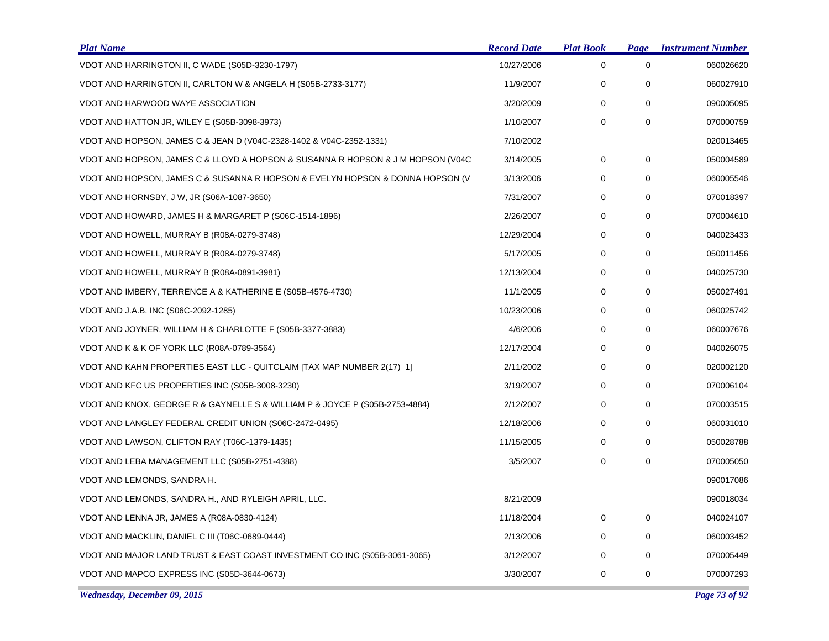| <b>Plat Name</b>                                                                | <b>Record Date</b> | <b>Plat Book</b> | Page | <b>Instrument Number</b> |
|---------------------------------------------------------------------------------|--------------------|------------------|------|--------------------------|
| VDOT AND HARRINGTON II, C WADE (S05D-3230-1797)                                 | 10/27/2006         | 0                | 0    | 060026620                |
| VDOT AND HARRINGTON II, CARLTON W & ANGELA H (S05B-2733-3177)                   | 11/9/2007          | 0                | 0    | 060027910                |
| VDOT AND HARWOOD WAYE ASSOCIATION                                               | 3/20/2009          | 0                | 0    | 090005095                |
| VDOT AND HATTON JR, WILEY E (S05B-3098-3973)                                    | 1/10/2007          | 0                | 0    | 070000759                |
| VDOT AND HOPSON, JAMES C & JEAN D (V04C-2328-1402 & V04C-2352-1331)             | 7/10/2002          |                  |      | 020013465                |
| VDOT AND HOPSON, JAMES C & LLOYD A HOPSON & SUSANNA R HOPSON & J M HOPSON (V04C | 3/14/2005          | 0                | 0    | 050004589                |
| VDOT AND HOPSON, JAMES C & SUSANNA R HOPSON & EVELYN HOPSON & DONNA HOPSON (V   | 3/13/2006          | 0                | 0    | 060005546                |
| VDOT AND HORNSBY, J W, JR (S06A-1087-3650)                                      | 7/31/2007          | 0                | 0    | 070018397                |
| VDOT AND HOWARD, JAMES H & MARGARET P (S06C-1514-1896)                          | 2/26/2007          | 0                | 0    | 070004610                |
| VDOT AND HOWELL, MURRAY B (R08A-0279-3748)                                      | 12/29/2004         | 0                | 0    | 040023433                |
| VDOT AND HOWELL, MURRAY B (R08A-0279-3748)                                      | 5/17/2005          | 0                | 0    | 050011456                |
| VDOT AND HOWELL, MURRAY B (R08A-0891-3981)                                      | 12/13/2004         | 0                | 0    | 040025730                |
| VDOT AND IMBERY, TERRENCE A & KATHERINE E (S05B-4576-4730)                      | 11/1/2005          | 0                | 0    | 050027491                |
| VDOT AND J.A.B. INC (S06C-2092-1285)                                            | 10/23/2006         | 0                | 0    | 060025742                |
| VDOT AND JOYNER, WILLIAM H & CHARLOTTE F (S05B-3377-3883)                       | 4/6/2006           | 0                | 0    | 060007676                |
| VDOT AND K & K OF YORK LLC (R08A-0789-3564)                                     | 12/17/2004         | 0                | 0    | 040026075                |
| VDOT AND KAHN PROPERTIES EAST LLC - QUITCLAIM [TAX MAP NUMBER 2(17) 1]          | 2/11/2002          | 0                | 0    | 020002120                |
| VDOT AND KFC US PROPERTIES INC (S05B-3008-3230)                                 | 3/19/2007          | 0                | 0    | 070006104                |
| VDOT AND KNOX, GEORGE R & GAYNELLE S & WILLIAM P & JOYCE P (S05B-2753-4884)     | 2/12/2007          | 0                | 0    | 070003515                |
| VDOT AND LANGLEY FEDERAL CREDIT UNION (S06C-2472-0495)                          | 12/18/2006         | 0                | 0    | 060031010                |
| VDOT AND LAWSON, CLIFTON RAY (T06C-1379-1435)                                   | 11/15/2005         | 0                | 0    | 050028788                |
| VDOT AND LEBA MANAGEMENT LLC (S05B-2751-4388)                                   | 3/5/2007           | 0                | 0    | 070005050                |
| VDOT AND LEMONDS, SANDRA H.                                                     |                    |                  |      | 090017086                |
| VDOT AND LEMONDS, SANDRA H., AND RYLEIGH APRIL, LLC.                            | 8/21/2009          |                  |      | 090018034                |
| VDOT AND LENNA JR, JAMES A (R08A-0830-4124)                                     | 11/18/2004         | 0                | 0    | 040024107                |
| VDOT AND MACKLIN, DANIEL C III (T06C-0689-0444)                                 | 2/13/2006          | 0                | 0    | 060003452                |
| VDOT AND MAJOR LAND TRUST & EAST COAST INVESTMENT CO INC (S05B-3061-3065)       | 3/12/2007          | 0                | 0    | 070005449                |
| VDOT AND MAPCO EXPRESS INC (S05D-3644-0673)                                     | 3/30/2007          | 0                | 0    | 070007293                |
| Wednesday, December 09, 2015                                                    |                    |                  |      | Page 73 of 92            |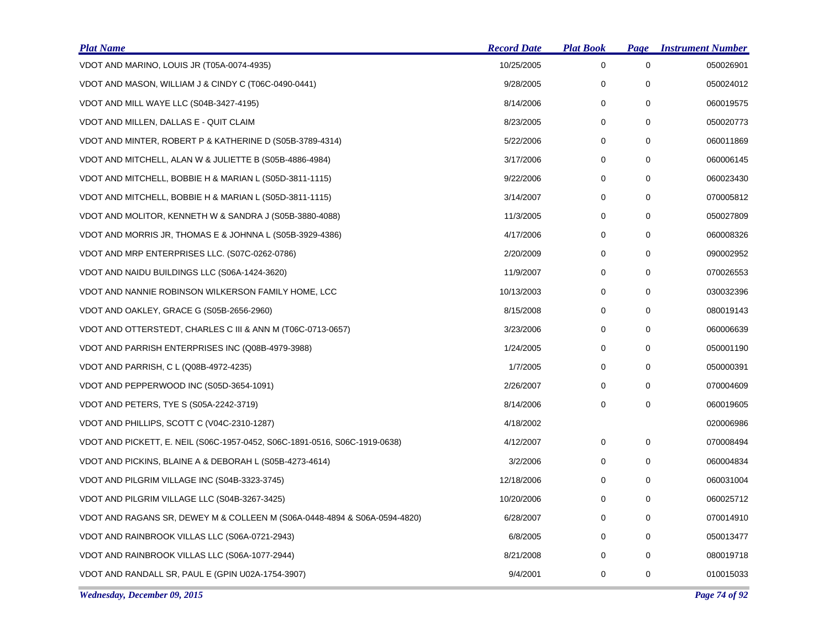| <b>Plat Name</b>                                                           | <b>Record Date</b> | <u>Plat Book</u> | Page        | <b>Instrument Number</b> |
|----------------------------------------------------------------------------|--------------------|------------------|-------------|--------------------------|
| VDOT AND MARINO, LOUIS JR (T05A-0074-4935)                                 | 10/25/2005         | 0                | 0           | 050026901                |
| VDOT AND MASON, WILLIAM J & CINDY C (T06C-0490-0441)                       | 9/28/2005          | 0                | $\mathbf 0$ | 050024012                |
| VDOT AND MILL WAYE LLC (S04B-3427-4195)                                    | 8/14/2006          | 0                | 0           | 060019575                |
| VDOT AND MILLEN, DALLAS E - QUIT CLAIM                                     | 8/23/2005          | 0                | 0           | 050020773                |
| VDOT AND MINTER, ROBERT P & KATHERINE D (S05B-3789-4314)                   | 5/22/2006          | 0                | 0           | 060011869                |
| VDOT AND MITCHELL, ALAN W & JULIETTE B (S05B-4886-4984)                    | 3/17/2006          | 0                | 0           | 060006145                |
| VDOT AND MITCHELL, BOBBIE H & MARIAN L (S05D-3811-1115)                    | 9/22/2006          | 0                | 0           | 060023430                |
| VDOT AND MITCHELL, BOBBIE H & MARIAN L (S05D-3811-1115)                    | 3/14/2007          | $\mathbf 0$      | $\mathbf 0$ | 070005812                |
| VDOT AND MOLITOR, KENNETH W & SANDRA J (S05B-3880-4088)                    | 11/3/2005          | 0                | 0           | 050027809                |
| VDOT AND MORRIS JR, THOMAS E & JOHNNA L (S05B-3929-4386)                   | 4/17/2006          | 0                | $\mathbf 0$ | 060008326                |
| VDOT AND MRP ENTERPRISES LLC. (S07C-0262-0786)                             | 2/20/2009          | 0                | 0           | 090002952                |
| VDOT AND NAIDU BUILDINGS LLC (S06A-1424-3620)                              | 11/9/2007          | 0                | $\mathbf 0$ | 070026553                |
| VDOT AND NANNIE ROBINSON WILKERSON FAMILY HOME, LCC                        | 10/13/2003         | 0                | 0           | 030032396                |
| VDOT AND OAKLEY, GRACE G (S05B-2656-2960)                                  | 8/15/2008          | 0                | $\mathbf 0$ | 080019143                |
| VDOT AND OTTERSTEDT, CHARLES C III & ANN M (T06C-0713-0657)                | 3/23/2006          | 0                | 0           | 060006639                |
| VDOT AND PARRISH ENTERPRISES INC (Q08B-4979-3988)                          | 1/24/2005          | 0                | 0           | 050001190                |
| VDOT AND PARRISH, C L (Q08B-4972-4235)                                     | 1/7/2005           | 0                | 0           | 050000391                |
| VDOT AND PEPPERWOOD INC (S05D-3654-1091)                                   | 2/26/2007          | 0                | 0           | 070004609                |
| VDOT AND PETERS, TYE S (S05A-2242-3719)                                    | 8/14/2006          | 0                | 0           | 060019605                |
| VDOT AND PHILLIPS, SCOTT C (V04C-2310-1287)                                | 4/18/2002          |                  |             | 020006986                |
| VDOT AND PICKETT, E. NEIL (S06C-1957-0452, S06C-1891-0516, S06C-1919-0638) | 4/12/2007          | 0                | 0           | 070008494                |
| VDOT AND PICKINS, BLAINE A & DEBORAH L (S05B-4273-4614)                    | 3/2/2006           | 0                | 0           | 060004834                |
| VDOT AND PILGRIM VILLAGE INC (S04B-3323-3745)                              | 12/18/2006         | 0                | 0           | 060031004                |
| VDOT AND PILGRIM VILLAGE LLC (S04B-3267-3425)                              | 10/20/2006         | 0                | 0           | 060025712                |
| VDOT AND RAGANS SR, DEWEY M & COLLEEN M (S06A-0448-4894 & S06A-0594-4820)  | 6/28/2007          | 0                | 0           | 070014910                |
| VDOT AND RAINBROOK VILLAS LLC (S06A-0721-2943)                             | 6/8/2005           | 0                | 0           | 050013477                |
| VDOT AND RAINBROOK VILLAS LLC (S06A-1077-2944)                             | 8/21/2008          | 0                | 0           | 080019718                |
| VDOT AND RANDALL SR, PAUL E (GPIN U02A-1754-3907)                          | 9/4/2001           | 0                | 0           | 010015033                |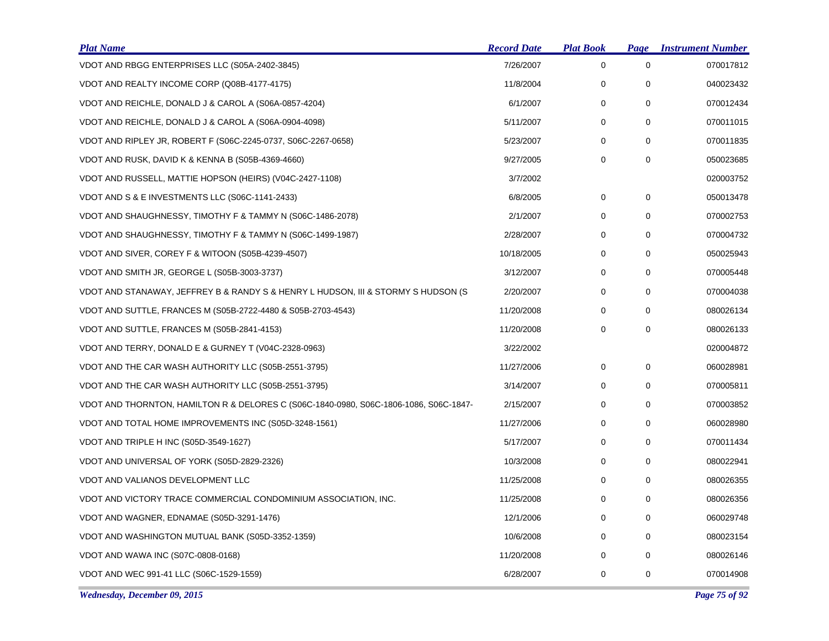| <b>Plat Name</b>                                                                      | <b>Record Date</b> | <b>Plat Book</b> | Page        | <b>Instrument Number</b> |
|---------------------------------------------------------------------------------------|--------------------|------------------|-------------|--------------------------|
| VDOT AND RBGG ENTERPRISES LLC (S05A-2402-3845)                                        | 7/26/2007          | $\mathbf 0$      | 0           | 070017812                |
| VDOT AND REALTY INCOME CORP (Q08B-4177-4175)                                          | 11/8/2004          | 0                | 0           | 040023432                |
| VDOT AND REICHLE, DONALD J & CAROL A (S06A-0857-4204)                                 | 6/1/2007           | 0                | 0           | 070012434                |
| VDOT AND REICHLE, DONALD J & CAROL A (S06A-0904-4098)                                 | 5/11/2007          | 0                | 0           | 070011015                |
| VDOT AND RIPLEY JR, ROBERT F (S06C-2245-0737, S06C-2267-0658)                         | 5/23/2007          | 0                | $\mathbf 0$ | 070011835                |
| VDOT AND RUSK, DAVID K & KENNA B (S05B-4369-4660)                                     | 9/27/2005          | 0                | 0           | 050023685                |
| VDOT AND RUSSELL, MATTIE HOPSON (HEIRS) (V04C-2427-1108)                              | 3/7/2002           |                  |             | 020003752                |
| VDOT AND S & E INVESTMENTS LLC (S06C-1141-2433)                                       | 6/8/2005           | 0                | 0           | 050013478                |
| VDOT AND SHAUGHNESSY, TIMOTHY F & TAMMY N (S06C-1486-2078)                            | 2/1/2007           | 0                | 0           | 070002753                |
| VDOT AND SHAUGHNESSY, TIMOTHY F & TAMMY N (S06C-1499-1987)                            | 2/28/2007          | 0                | 0           | 070004732                |
| VDOT AND SIVER, COREY F & WITOON (S05B-4239-4507)                                     | 10/18/2005         | 0                | 0           | 050025943                |
| VDOT AND SMITH JR, GEORGE L (S05B-3003-3737)                                          | 3/12/2007          | 0                | 0           | 070005448                |
| VDOT AND STANAWAY, JEFFREY B & RANDY S & HENRY L HUDSON, III & STORMY S HUDSON (S     | 2/20/2007          | 0                | 0           | 070004038                |
| VDOT AND SUTTLE, FRANCES M (S05B-2722-4480 & S05B-2703-4543)                          | 11/20/2008         | 0                | 0           | 080026134                |
| VDOT AND SUTTLE, FRANCES M (S05B-2841-4153)                                           | 11/20/2008         | $\mathbf 0$      | $\mathbf 0$ | 080026133                |
| VDOT AND TERRY, DONALD E & GURNEY T (V04C-2328-0963)                                  | 3/22/2002          |                  |             | 020004872                |
| VDOT AND THE CAR WASH AUTHORITY LLC (S05B-2551-3795)                                  | 11/27/2006         | 0                | 0           | 060028981                |
| VDOT AND THE CAR WASH AUTHORITY LLC (S05B-2551-3795)                                  | 3/14/2007          | 0                | 0           | 070005811                |
| VDOT AND THORNTON, HAMILTON R & DELORES C (S06C-1840-0980, S06C-1806-1086, S06C-1847- | 2/15/2007          | 0                | 0           | 070003852                |
| VDOT AND TOTAL HOME IMPROVEMENTS INC (S05D-3248-1561)                                 | 11/27/2006         | 0                | 0           | 060028980                |
| VDOT AND TRIPLE H INC (S05D-3549-1627)                                                | 5/17/2007          | 0                | 0           | 070011434                |
| VDOT AND UNIVERSAL OF YORK (S05D-2829-2326)                                           | 10/3/2008          | 0                | $\mathbf 0$ | 080022941                |
| VDOT AND VALIANOS DEVELOPMENT LLC                                                     | 11/25/2008         | 0                | 0           | 080026355                |
| VDOT AND VICTORY TRACE COMMERCIAL CONDOMINIUM ASSOCIATION, INC.                       | 11/25/2008         | 0                | 0           | 080026356                |
| VDOT AND WAGNER, EDNAMAE (S05D-3291-1476)                                             | 12/1/2006          | 0                | $\mathbf 0$ | 060029748                |
| VDOT AND WASHINGTON MUTUAL BANK (S05D-3352-1359)                                      | 10/6/2008          | 0                | 0           | 080023154                |
| VDOT AND WAWA INC (S07C-0808-0168)                                                    | 11/20/2008         | 0                | 0           | 080026146                |
| VDOT AND WEC 991-41 LLC (S06C-1529-1559)                                              | 6/28/2007          | 0                | 0           | 070014908                |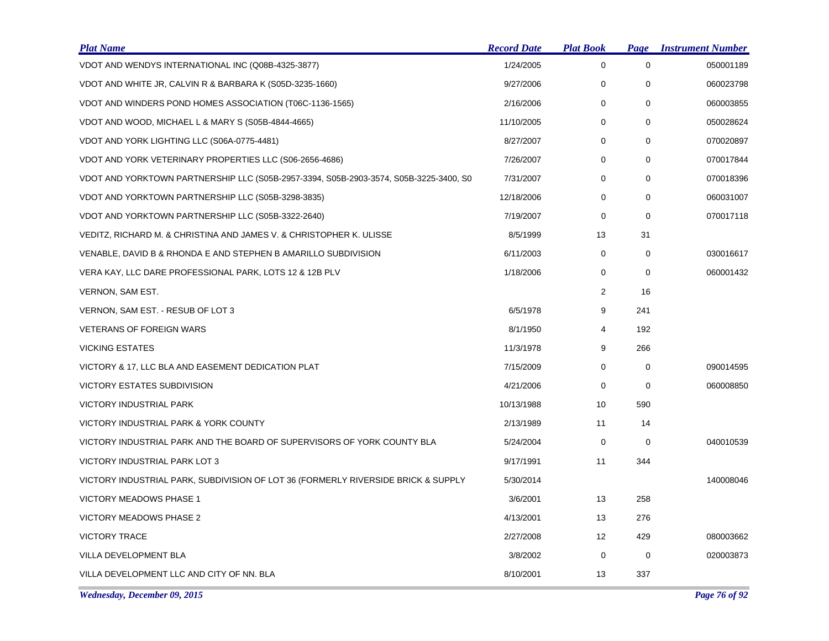| <b>Plat Name</b>                                                                      | <b>Record Date</b> | <b>Plat Book</b> | Page        | <b>Instrument Number</b> |
|---------------------------------------------------------------------------------------|--------------------|------------------|-------------|--------------------------|
| VDOT AND WENDYS INTERNATIONAL INC (Q08B-4325-3877)                                    | 1/24/2005          | 0                | $\mathbf 0$ | 050001189                |
| VDOT AND WHITE JR, CALVIN R & BARBARA K (S05D-3235-1660)                              | 9/27/2006          | 0                | 0           | 060023798                |
| VDOT AND WINDERS POND HOMES ASSOCIATION (T06C-1136-1565)                              | 2/16/2006          | $\mathbf 0$      | 0           | 060003855                |
| VDOT AND WOOD, MICHAEL L & MARY S (S05B-4844-4665)                                    | 11/10/2005         | 0                | $\mathbf 0$ | 050028624                |
| VDOT AND YORK LIGHTING LLC (S06A-0775-4481)                                           | 8/27/2007          | 0                | $\mathbf 0$ | 070020897                |
| VDOT AND YORK VETERINARY PROPERTIES LLC (S06-2656-4686)                               | 7/26/2007          | 0                | 0           | 070017844                |
| VDOT AND YORKTOWN PARTNERSHIP LLC (S05B-2957-3394, S05B-2903-3574, S05B-3225-3400, S0 | 7/31/2007          | $\mathbf 0$      | $\mathbf 0$ | 070018396                |
| VDOT AND YORKTOWN PARTNERSHIP LLC (S05B-3298-3835)                                    | 12/18/2006         | 0                | $\mathbf 0$ | 060031007                |
| VDOT AND YORKTOWN PARTNERSHIP LLC (S05B-3322-2640)                                    | 7/19/2007          | 0                | $\mathbf 0$ | 070017118                |
| VEDITZ, RICHARD M. & CHRISTINA AND JAMES V. & CHRISTOPHER K. ULISSE                   | 8/5/1999           | 13               | 31          |                          |
| VENABLE, DAVID B & RHONDA E AND STEPHEN B AMARILLO SUBDIVISION                        | 6/11/2003          | 0                | 0           | 030016617                |
| VERA KAY, LLC DARE PROFESSIONAL PARK, LOTS 12 & 12B PLV                               | 1/18/2006          | 0                | $\mathbf 0$ | 060001432                |
| VERNON, SAM EST.                                                                      |                    | 2                | 16          |                          |
| VERNON, SAM EST. - RESUB OF LOT 3                                                     | 6/5/1978           | 9                | 241         |                          |
| <b>VETERANS OF FOREIGN WARS</b>                                                       | 8/1/1950           | 4                | 192         |                          |
| <b>VICKING ESTATES</b>                                                                | 11/3/1978          | 9                | 266         |                          |
| VICTORY & 17, LLC BLA AND EASEMENT DEDICATION PLAT                                    | 7/15/2009          | 0                | 0           | 090014595                |
| <b>VICTORY ESTATES SUBDIVISION</b>                                                    | 4/21/2006          | $\mathbf 0$      | $\mathbf 0$ | 060008850                |
| <b>VICTORY INDUSTRIAL PARK</b>                                                        | 10/13/1988         | 10               | 590         |                          |
| VICTORY INDUSTRIAL PARK & YORK COUNTY                                                 | 2/13/1989          | 11               | 14          |                          |
| VICTORY INDUSTRIAL PARK AND THE BOARD OF SUPERVISORS OF YORK COUNTY BLA               | 5/24/2004          | 0                | 0           | 040010539                |
| VICTORY INDUSTRIAL PARK LOT 3                                                         | 9/17/1991          | 11               | 344         |                          |
| VICTORY INDUSTRIAL PARK, SUBDIVISION OF LOT 36 (FORMERLY RIVERSIDE BRICK & SUPPLY     | 5/30/2014          |                  |             | 140008046                |
| VICTORY MEADOWS PHASE 1                                                               | 3/6/2001           | 13               | 258         |                          |
| <b>VICTORY MEADOWS PHASE 2</b>                                                        | 4/13/2001          | 13               | 276         |                          |
| <b>VICTORY TRACE</b>                                                                  | 2/27/2008          | 12               | 429         | 080003662                |
| VILLA DEVELOPMENT BLA                                                                 | 3/8/2002           | 0                | 0           | 020003873                |
| VILLA DEVELOPMENT LLC AND CITY OF NN. BLA                                             | 8/10/2001          | 13               | 337         |                          |

*Wednesday, December 09, 2015 Page 76 of 92*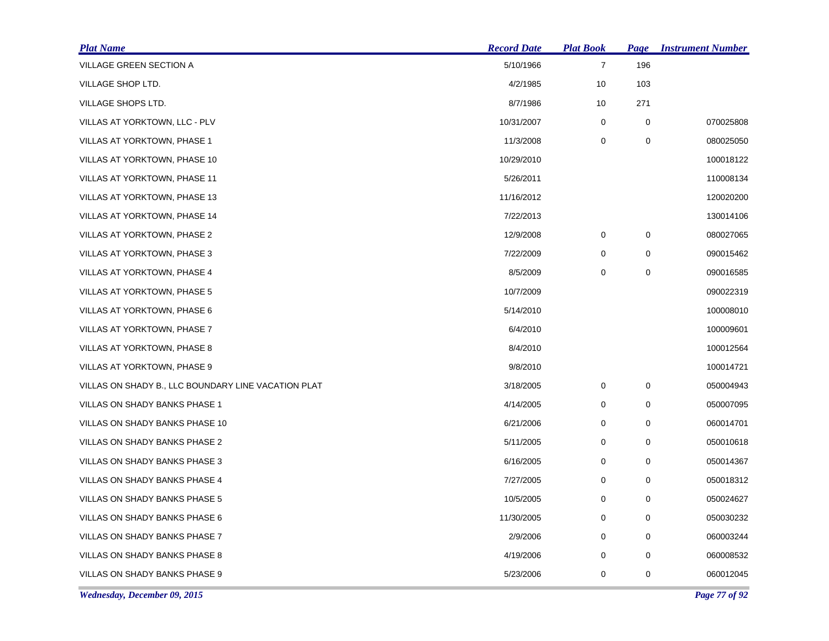| <b>Plat Name</b>                                    | <b>Record Date</b> | <b>Plat Book</b> | Page        | <u><b>Instrument Number</b></u> |
|-----------------------------------------------------|--------------------|------------------|-------------|---------------------------------|
| VILLAGE GREEN SECTION A                             | 5/10/1966          | $\boldsymbol{7}$ | 196         |                                 |
| VILLAGE SHOP LTD.                                   | 4/2/1985           | 10               | 103         |                                 |
| VILLAGE SHOPS LTD.                                  | 8/7/1986           | 10               | 271         |                                 |
| VILLAS AT YORKTOWN, LLC - PLV                       | 10/31/2007         | 0                | 0           | 070025808                       |
| VILLAS AT YORKTOWN, PHASE 1                         | 11/3/2008          | 0                | 0           | 080025050                       |
| VILLAS AT YORKTOWN, PHASE 10                        | 10/29/2010         |                  |             | 100018122                       |
| <b>VILLAS AT YORKTOWN, PHASE 11</b>                 | 5/26/2011          |                  |             | 110008134                       |
| VILLAS AT YORKTOWN, PHASE 13                        | 11/16/2012         |                  |             | 120020200                       |
| VILLAS AT YORKTOWN, PHASE 14                        | 7/22/2013          |                  |             | 130014106                       |
| VILLAS AT YORKTOWN, PHASE 2                         | 12/9/2008          | 0                | 0           | 080027065                       |
| VILLAS AT YORKTOWN, PHASE 3                         | 7/22/2009          | 0                | 0           | 090015462                       |
| VILLAS AT YORKTOWN, PHASE 4                         | 8/5/2009           | 0                | 0           | 090016585                       |
| VILLAS AT YORKTOWN, PHASE 5                         | 10/7/2009          |                  |             | 090022319                       |
| VILLAS AT YORKTOWN, PHASE 6                         | 5/14/2010          |                  |             | 100008010                       |
| VILLAS AT YORKTOWN, PHASE 7                         | 6/4/2010           |                  |             | 100009601                       |
| VILLAS AT YORKTOWN, PHASE 8                         | 8/4/2010           |                  |             | 100012564                       |
| VILLAS AT YORKTOWN, PHASE 9                         | 9/8/2010           |                  |             | 100014721                       |
| VILLAS ON SHADY B., LLC BOUNDARY LINE VACATION PLAT | 3/18/2005          | 0                | $\mathbf 0$ | 050004943                       |
| VILLAS ON SHADY BANKS PHASE 1                       | 4/14/2005          | 0                | 0           | 050007095                       |
| VILLAS ON SHADY BANKS PHASE 10                      | 6/21/2006          | 0                | 0           | 060014701                       |
| VILLAS ON SHADY BANKS PHASE 2                       | 5/11/2005          | 0                | 0           | 050010618                       |
| VILLAS ON SHADY BANKS PHASE 3                       | 6/16/2005          | 0                | 0           | 050014367                       |
| VILLAS ON SHADY BANKS PHASE 4                       | 7/27/2005          | 0                | 0           | 050018312                       |
| VILLAS ON SHADY BANKS PHASE 5                       | 10/5/2005          | 0                | 0           | 050024627                       |
| VILLAS ON SHADY BANKS PHASE 6                       | 11/30/2005         | 0                | $\mathbf 0$ | 050030232                       |
| VILLAS ON SHADY BANKS PHASE 7                       | 2/9/2006           | 0                | $\mathbf 0$ | 060003244                       |
| VILLAS ON SHADY BANKS PHASE 8                       | 4/19/2006          | 0                | 0           | 060008532                       |
| VILLAS ON SHADY BANKS PHASE 9                       | 5/23/2006          | 0                | 0           | 060012045                       |

*Wednesday, December 09, 2015 Page 77 of 92*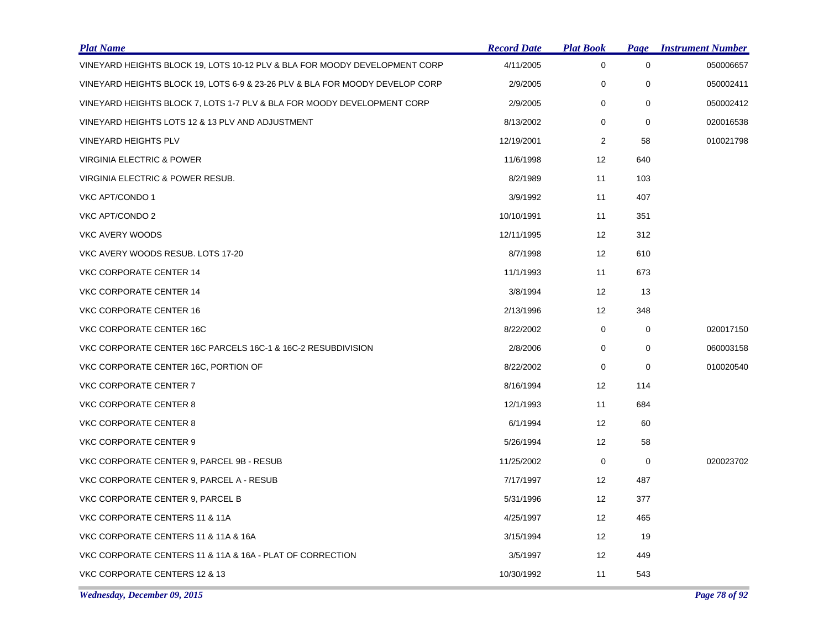| <b>Plat Name</b>                                                             | <b>Record Date</b> | <b>Plat Book</b> | Page        | <b>Instrument Number</b> |
|------------------------------------------------------------------------------|--------------------|------------------|-------------|--------------------------|
| VINEYARD HEIGHTS BLOCK 19, LOTS 10-12 PLV & BLA FOR MOODY DEVELOPMENT CORP   | 4/11/2005          | $\mathbf 0$      | $\mathbf 0$ | 050006657                |
| VINEYARD HEIGHTS BLOCK 19, LOTS 6-9 & 23-26 PLV & BLA FOR MOODY DEVELOP CORP | 2/9/2005           | 0                | $\mathbf 0$ | 050002411                |
| VINEYARD HEIGHTS BLOCK 7, LOTS 1-7 PLV & BLA FOR MOODY DEVELOPMENT CORP      | 2/9/2005           | $\mathbf 0$      | $\mathbf 0$ | 050002412                |
| VINEYARD HEIGHTS LOTS 12 & 13 PLV AND ADJUSTMENT                             | 8/13/2002          | 0                | $\mathbf 0$ | 020016538                |
| <b>VINEYARD HEIGHTS PLV</b>                                                  | 12/19/2001         | $\overline{2}$   | 58          | 010021798                |
| VIRGINIA ELECTRIC & POWER                                                    | 11/6/1998          | 12               | 640         |                          |
| VIRGINIA ELECTRIC & POWER RESUB.                                             | 8/2/1989           | 11               | 103         |                          |
| VKC APT/CONDO 1                                                              | 3/9/1992           | 11               | 407         |                          |
| VKC APT/CONDO 2                                                              | 10/10/1991         | 11               | 351         |                          |
| VKC AVERY WOODS                                                              | 12/11/1995         | 12               | 312         |                          |
| VKC AVERY WOODS RESUB. LOTS 17-20                                            | 8/7/1998           | 12               | 610         |                          |
| VKC CORPORATE CENTER 14                                                      | 11/1/1993          | 11               | 673         |                          |
| VKC CORPORATE CENTER 14                                                      | 3/8/1994           | 12               | 13          |                          |
| VKC CORPORATE CENTER 16                                                      | 2/13/1996          | 12               | 348         |                          |
| VKC CORPORATE CENTER 16C                                                     | 8/22/2002          | 0                | 0           | 020017150                |
| VKC CORPORATE CENTER 16C PARCELS 16C-1 & 16C-2 RESUBDIVISION                 | 2/8/2006           | $\mathbf 0$      | $\mathbf 0$ | 060003158                |
| VKC CORPORATE CENTER 16C, PORTION OF                                         | 8/22/2002          | $\mathbf 0$      | $\mathbf 0$ | 010020540                |
| VKC CORPORATE CENTER 7                                                       | 8/16/1994          | 12               | 114         |                          |
| VKC CORPORATE CENTER 8                                                       | 12/1/1993          | 11               | 684         |                          |
| VKC CORPORATE CENTER 8                                                       | 6/1/1994           | 12               | 60          |                          |
| VKC CORPORATE CENTER 9                                                       | 5/26/1994          | 12               | 58          |                          |
| VKC CORPORATE CENTER 9, PARCEL 9B - RESUB                                    | 11/25/2002         | 0                | 0           | 020023702                |
| VKC CORPORATE CENTER 9, PARCEL A - RESUB                                     | 7/17/1997          | 12               | 487         |                          |
| VKC CORPORATE CENTER 9, PARCEL B                                             | 5/31/1996          | 12               | 377         |                          |
| VKC CORPORATE CENTERS 11 & 11A                                               | 4/25/1997          | 12               | 465         |                          |
| VKC CORPORATE CENTERS 11 & 11A & 16A                                         | 3/15/1994          | 12               | 19          |                          |
| VKC CORPORATE CENTERS 11 & 11A & 16A - PLAT OF CORRECTION                    | 3/5/1997           | 12               | 449         |                          |
| VKC CORPORATE CENTERS 12 & 13                                                | 10/30/1992         | 11               | 543         |                          |

*Wednesday, December 09, 2015 Page 78 of 92*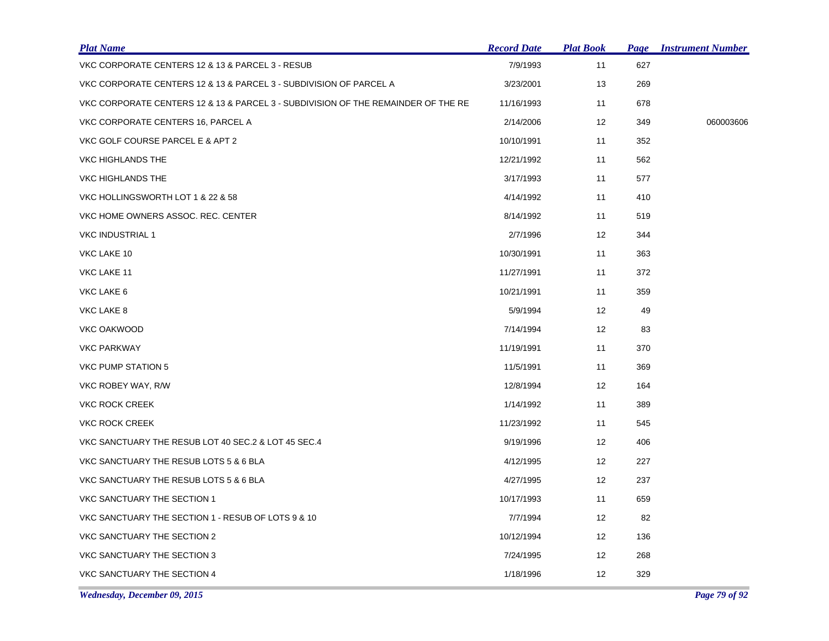| <b>Plat Name</b>                                                                  | <b>Record Date</b> | <b>Plat Book</b>  |     | <b>Page Instrument Number</b> |
|-----------------------------------------------------------------------------------|--------------------|-------------------|-----|-------------------------------|
| VKC CORPORATE CENTERS 12 & 13 & PARCEL 3 - RESUB                                  | 7/9/1993           | 11                | 627 |                               |
| VKC CORPORATE CENTERS 12 & 13 & PARCEL 3 - SUBDIVISION OF PARCEL A                | 3/23/2001          | 13                | 269 |                               |
| VKC CORPORATE CENTERS 12 & 13 & PARCEL 3 - SUBDIVISION OF THE REMAINDER OF THE RE | 11/16/1993         | 11                | 678 |                               |
| VKC CORPORATE CENTERS 16, PARCEL A                                                | 2/14/2006          | 12 <sup>2</sup>   | 349 | 060003606                     |
| VKC GOLF COURSE PARCEL E & APT 2                                                  | 10/10/1991         | 11                | 352 |                               |
| VKC HIGHLANDS THE                                                                 | 12/21/1992         | 11                | 562 |                               |
| VKC HIGHLANDS THE                                                                 | 3/17/1993          | 11                | 577 |                               |
| VKC HOLLINGSWORTH LOT 1 & 22 & 58                                                 | 4/14/1992          | 11                | 410 |                               |
| VKC HOME OWNERS ASSOC. REC. CENTER                                                | 8/14/1992          | 11                | 519 |                               |
| <b>VKC INDUSTRIAL 1</b>                                                           | 2/7/1996           | $12 \overline{ }$ | 344 |                               |
| VKC LAKE 10                                                                       | 10/30/1991         | 11                | 363 |                               |
| VKC LAKE 11                                                                       | 11/27/1991         | 11                | 372 |                               |
| VKC LAKE 6                                                                        | 10/21/1991         | 11                | 359 |                               |
| VKC LAKE 8                                                                        | 5/9/1994           | 12                | 49  |                               |
| VKC OAKWOOD                                                                       | 7/14/1994          | 12                | 83  |                               |
| <b>VKC PARKWAY</b>                                                                | 11/19/1991         | 11                | 370 |                               |
| VKC PUMP STATION 5                                                                | 11/5/1991          | 11                | 369 |                               |
| VKC ROBEY WAY, R/W                                                                | 12/8/1994          | $12 \overline{ }$ | 164 |                               |
| <b>VKC ROCK CREEK</b>                                                             | 1/14/1992          | 11                | 389 |                               |
| <b>VKC ROCK CREEK</b>                                                             | 11/23/1992         | 11                | 545 |                               |
| VKC SANCTUARY THE RESUB LOT 40 SEC.2 & LOT 45 SEC.4                               | 9/19/1996          | 12                | 406 |                               |
| VKC SANCTUARY THE RESUB LOTS 5 & 6 BLA                                            | 4/12/1995          | 12                | 227 |                               |
| VKC SANCTUARY THE RESUB LOTS 5 & 6 BLA                                            | 4/27/1995          | 12                | 237 |                               |
| VKC SANCTUARY THE SECTION 1                                                       | 10/17/1993         | 11                | 659 |                               |
| VKC SANCTUARY THE SECTION 1 - RESUB OF LOTS 9 & 10                                | 7/7/1994           | 12                | 82  |                               |
| VKC SANCTUARY THE SECTION 2                                                       | 10/12/1994         | 12                | 136 |                               |
| VKC SANCTUARY THE SECTION 3                                                       | 7/24/1995          | $12 \overline{ }$ | 268 |                               |
| VKC SANCTUARY THE SECTION 4                                                       | 1/18/1996          | $12 \overline{ }$ | 329 |                               |
|                                                                                   |                    |                   |     |                               |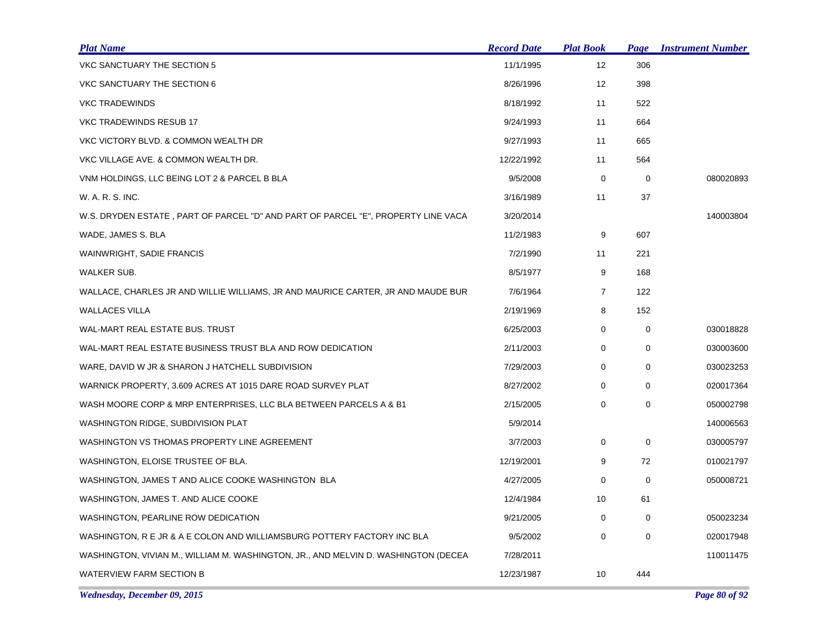| <b>Plat Name</b>                                                                   | <b>Record Date</b> | <b>Plat Book</b> | <b>Page</b> | <b>Instrument Number</b> |
|------------------------------------------------------------------------------------|--------------------|------------------|-------------|--------------------------|
| VKC SANCTUARY THE SECTION 5                                                        | 11/1/1995          | 12               | 306         |                          |
| VKC SANCTUARY THE SECTION 6                                                        | 8/26/1996          | 12               | 398         |                          |
| <b>VKC TRADEWINDS</b>                                                              | 8/18/1992          | 11               | 522         |                          |
| VKC TRADEWINDS RESUB 17                                                            | 9/24/1993          | 11               | 664         |                          |
| VKC VICTORY BLVD. & COMMON WEALTH DR                                               | 9/27/1993          | 11               | 665         |                          |
| VKC VILLAGE AVE. & COMMON WEALTH DR.                                               | 12/22/1992         | 11               | 564         |                          |
| VNM HOLDINGS, LLC BEING LOT 2 & PARCEL B BLA                                       | 9/5/2008           | 0                | 0           | 080020893                |
| W. A. R. S. INC.                                                                   | 3/16/1989          | 11               | 37          |                          |
| W.S. DRYDEN ESTATE, PART OF PARCEL "D" AND PART OF PARCEL "E", PROPERTY LINE VACA  | 3/20/2014          |                  |             | 140003804                |
| WADE, JAMES S. BLA                                                                 | 11/2/1983          | 9                | 607         |                          |
| <b>WAINWRIGHT, SADIE FRANCIS</b>                                                   | 7/2/1990           | 11               | 221         |                          |
| WALKER SUB.                                                                        | 8/5/1977           | 9                | 168         |                          |
| WALLACE, CHARLES JR AND WILLIE WILLIAMS, JR AND MAURICE CARTER, JR AND MAUDE BUR   | 7/6/1964           | $\overline{7}$   | 122         |                          |
| <b>WALLACES VILLA</b>                                                              | 2/19/1969          | 8                | 152         |                          |
| WAL-MART REAL ESTATE BUS. TRUST                                                    | 6/25/2003          | 0                | 0           | 030018828                |
| WAL-MART REAL ESTATE BUSINESS TRUST BLA AND ROW DEDICATION                         | 2/11/2003          | 0                | 0           | 030003600                |
| WARE, DAVID W JR & SHARON J HATCHELL SUBDIVISION                                   | 7/29/2003          | 0                | $\mathbf 0$ | 030023253                |
| WARNICK PROPERTY, 3.609 ACRES AT 1015 DARE ROAD SURVEY PLAT                        | 8/27/2002          | 0                | $\Omega$    | 020017364                |
| WASH MOORE CORP & MRP ENTERPRISES, LLC BLA BETWEEN PARCELS A & B1                  | 2/15/2005          | $\mathbf 0$      | $\mathbf 0$ | 050002798                |
| WASHINGTON RIDGE, SUBDIVISION PLAT                                                 | 5/9/2014           |                  |             | 140006563                |
| WASHINGTON VS THOMAS PROPERTY LINE AGREEMENT                                       | 3/7/2003           | 0                | $\mathbf 0$ | 030005797                |
| WASHINGTON, ELOISE TRUSTEE OF BLA.                                                 | 12/19/2001         | 9                | 72          | 010021797                |
| WASHINGTON, JAMES T AND ALICE COOKE WASHINGTON BLA                                 | 4/27/2005          | 0                | 0           | 050008721                |
| WASHINGTON, JAMES T. AND ALICE COOKE                                               | 12/4/1984          | 10               | 61          |                          |
| WASHINGTON, PEARLINE ROW DEDICATION                                                | 9/21/2005          | 0                | 0           | 050023234                |
| WASHINGTON, R E JR & A E COLON AND WILLIAMSBURG POTTERY FACTORY INC BLA            | 9/5/2002           | 0                | 0           | 020017948                |
| WASHINGTON, VIVIAN M., WILLIAM M. WASHINGTON, JR., AND MELVIN D. WASHINGTON (DECEA | 7/28/2011          |                  |             | 110011475                |
| WATERVIEW FARM SECTION B                                                           | 12/23/1987         | 10               | 444         |                          |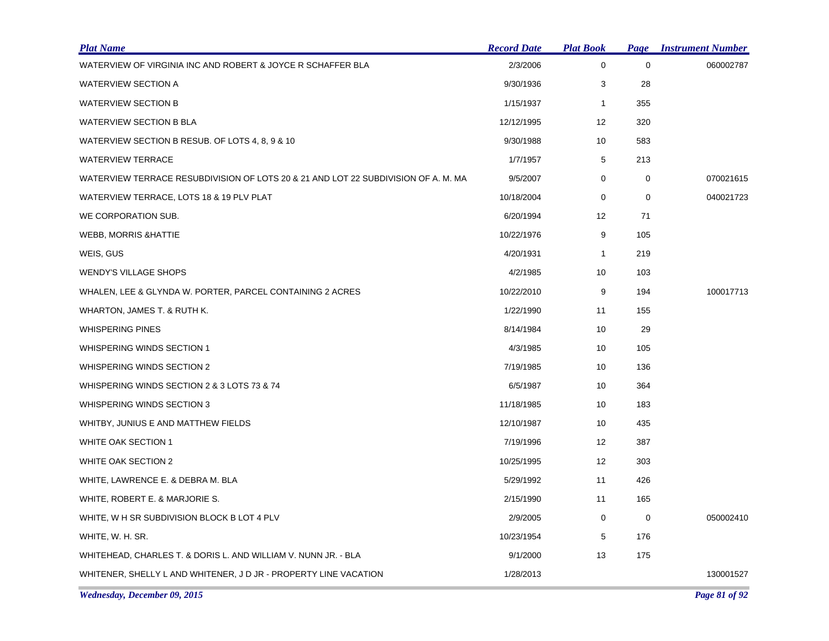| <b>Plat Name</b>                                                                   | <b>Record Date</b> | <b>Plat Book</b>  | <b>Page</b> | <b>Instrument Number</b> |
|------------------------------------------------------------------------------------|--------------------|-------------------|-------------|--------------------------|
| WATERVIEW OF VIRGINIA INC AND ROBERT & JOYCE R SCHAFFER BLA                        | 2/3/2006           | $\mathbf 0$       | $\mathbf 0$ | 060002787                |
| WATERVIEW SECTION A                                                                | 9/30/1936          | 3                 | 28          |                          |
| <b>WATERVIEW SECTION B</b>                                                         | 1/15/1937          | $\mathbf{1}$      | 355         |                          |
| WATERVIEW SECTION B BLA                                                            | 12/12/1995         | 12                | 320         |                          |
| WATERVIEW SECTION B RESUB. OF LOTS 4, 8, 9 & 10                                    | 9/30/1988          | 10                | 583         |                          |
| <b>WATERVIEW TERRACE</b>                                                           | 1/7/1957           | 5                 | 213         |                          |
| WATERVIEW TERRACE RESUBDIVISION OF LOTS 20 & 21 AND LOT 22 SUBDIVISION OF A. M. MA | 9/5/2007           | 0                 | 0           | 070021615                |
| WATERVIEW TERRACE, LOTS 18 & 19 PLV PLAT                                           | 10/18/2004         | 0                 | 0           | 040021723                |
| WE CORPORATION SUB.                                                                | 6/20/1994          | 12                | 71          |                          |
| <b>WEBB, MORRIS &amp; HATTIE</b>                                                   | 10/22/1976         | 9                 | 105         |                          |
| WEIS, GUS                                                                          | 4/20/1931          | $\mathbf{1}$      | 219         |                          |
| <b>WENDY'S VILLAGE SHOPS</b>                                                       | 4/2/1985           | 10                | 103         |                          |
| WHALEN, LEE & GLYNDA W. PORTER, PARCEL CONTAINING 2 ACRES                          | 10/22/2010         | 9                 | 194         | 100017713                |
| WHARTON, JAMES T. & RUTH K.                                                        | 1/22/1990          | 11                | 155         |                          |
| <b>WHISPERING PINES</b>                                                            | 8/14/1984          | 10                | 29          |                          |
| WHISPERING WINDS SECTION 1                                                         | 4/3/1985           | 10                | 105         |                          |
| WHISPERING WINDS SECTION 2                                                         | 7/19/1985          | 10                | 136         |                          |
| WHISPERING WINDS SECTION 2 & 3 LOTS 73 & 74                                        | 6/5/1987           | 10                | 364         |                          |
| WHISPERING WINDS SECTION 3                                                         | 11/18/1985         | 10                | 183         |                          |
| WHITBY, JUNIUS E AND MATTHEW FIELDS                                                | 12/10/1987         | 10                | 435         |                          |
| WHITE OAK SECTION 1                                                                | 7/19/1996          | $12 \overline{ }$ | 387         |                          |
| WHITE OAK SECTION 2                                                                | 10/25/1995         | 12                | 303         |                          |
| WHITE, LAWRENCE E. & DEBRA M. BLA                                                  | 5/29/1992          | 11                | 426         |                          |
| WHITE, ROBERT E. & MARJORIE S.                                                     | 2/15/1990          | 11                | 165         |                          |
| WHITE, W H SR SUBDIVISION BLOCK B LOT 4 PLV                                        | 2/9/2005           | 0                 | 0           | 050002410                |
| WHITE, W. H. SR.                                                                   | 10/23/1954         | 5                 | 176         |                          |
| WHITEHEAD, CHARLES T. & DORIS L. AND WILLIAM V. NUNN JR. - BLA                     | 9/1/2000           | 13                | 175         |                          |
| WHITENER, SHELLY L AND WHITENER, J D JR - PROPERTY LINE VACATION                   | 1/28/2013          |                   |             | 130001527                |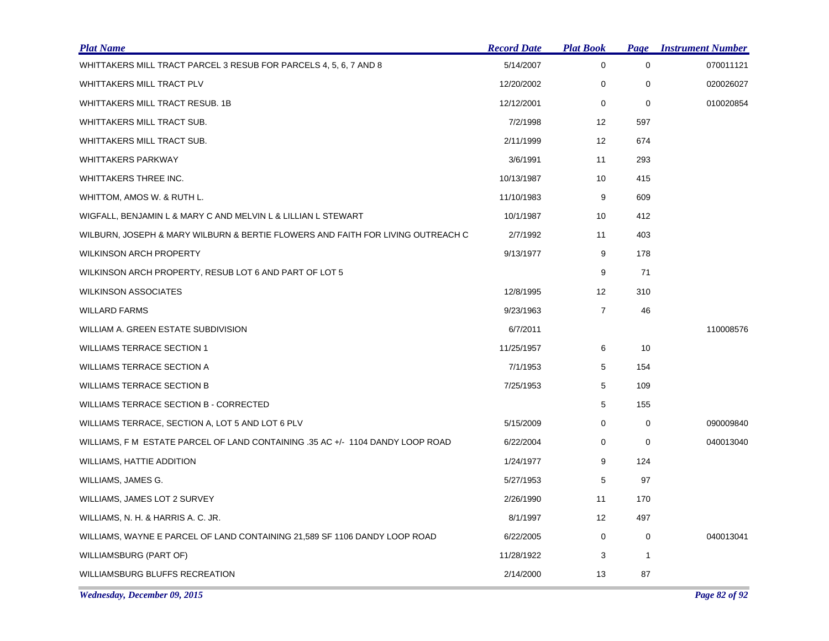| <b>Plat Name</b>                                                                | <b>Record Date</b> | <b>Plat Book</b>  | Page        | <b>Instrument Number</b> |
|---------------------------------------------------------------------------------|--------------------|-------------------|-------------|--------------------------|
| WHITTAKERS MILL TRACT PARCEL 3 RESUB FOR PARCELS 4, 5, 6, 7 AND 8               | 5/14/2007          | $\mathbf 0$       | $\mathbf 0$ | 070011121                |
| WHITTAKERS MILL TRACT PLV                                                       | 12/20/2002         | 0                 | 0           | 020026027                |
| WHITTAKERS MILL TRACT RESUB. 1B                                                 | 12/12/2001         | $\mathbf 0$       | $\mathbf 0$ | 010020854                |
| WHITTAKERS MILL TRACT SUB.                                                      | 7/2/1998           | $12 \overline{ }$ | 597         |                          |
| WHITTAKERS MILL TRACT SUB.                                                      | 2/11/1999          | 12                | 674         |                          |
| <b>WHITTAKERS PARKWAY</b>                                                       | 3/6/1991           | 11                | 293         |                          |
| WHITTAKERS THREE INC.                                                           | 10/13/1987         | 10                | 415         |                          |
| WHITTOM, AMOS W. & RUTH L.                                                      | 11/10/1983         | 9                 | 609         |                          |
| WIGFALL, BENJAMIN L & MARY C AND MELVIN L & LILLIAN L STEWART                   | 10/1/1987          | 10                | 412         |                          |
| WILBURN, JOSEPH & MARY WILBURN & BERTIE FLOWERS AND FAITH FOR LIVING OUTREACH C | 2/7/1992           | 11                | 403         |                          |
| <b>WILKINSON ARCH PROPERTY</b>                                                  | 9/13/1977          | 9                 | 178         |                          |
| WILKINSON ARCH PROPERTY, RESUB LOT 6 AND PART OF LOT 5                          |                    | 9                 | 71          |                          |
| <b>WILKINSON ASSOCIATES</b>                                                     | 12/8/1995          | 12                | 310         |                          |
| <b>WILLARD FARMS</b>                                                            | 9/23/1963          | $\overline{7}$    | 46          |                          |
| WILLIAM A. GREEN ESTATE SUBDIVISION                                             | 6/7/2011           |                   |             | 110008576                |
| <b>WILLIAMS TERRACE SECTION 1</b>                                               | 11/25/1957         | 6                 | 10          |                          |
| <b>WILLIAMS TERRACE SECTION A</b>                                               | 7/1/1953           | 5                 | 154         |                          |
| <b>WILLIAMS TERRACE SECTION B</b>                                               | 7/25/1953          | 5                 | 109         |                          |
| WILLIAMS TERRACE SECTION B - CORRECTED                                          |                    | 5                 | 155         |                          |
| WILLIAMS TERRACE, SECTION A, LOT 5 AND LOT 6 PLV                                | 5/15/2009          | 0                 | 0           | 090009840                |
| WILLIAMS, F M ESTATE PARCEL OF LAND CONTAINING .35 AC +/- 1104 DANDY LOOP ROAD  | 6/22/2004          | 0                 | 0           | 040013040                |
| WILLIAMS, HATTIE ADDITION                                                       | 1/24/1977          | 9                 | 124         |                          |
| WILLIAMS, JAMES G.                                                              | 5/27/1953          | 5                 | 97          |                          |
| WILLIAMS, JAMES LOT 2 SURVEY                                                    | 2/26/1990          | 11                | 170         |                          |
| WILLIAMS, N. H. & HARRIS A. C. JR.                                              | 8/1/1997           | $12 \overline{ }$ | 497         |                          |
| WILLIAMS, WAYNE E PARCEL OF LAND CONTAINING 21,589 SF 1106 DANDY LOOP ROAD      | 6/22/2005          | 0                 | 0           | 040013041                |
| WILLIAMSBURG (PART OF)                                                          | 11/28/1922         | 3                 | 1           |                          |
| WILLIAMSBURG BLUFFS RECREATION                                                  | 2/14/2000          | 13                | 87          |                          |

*Wednesday, December 09, 2015 Page 82 of 92*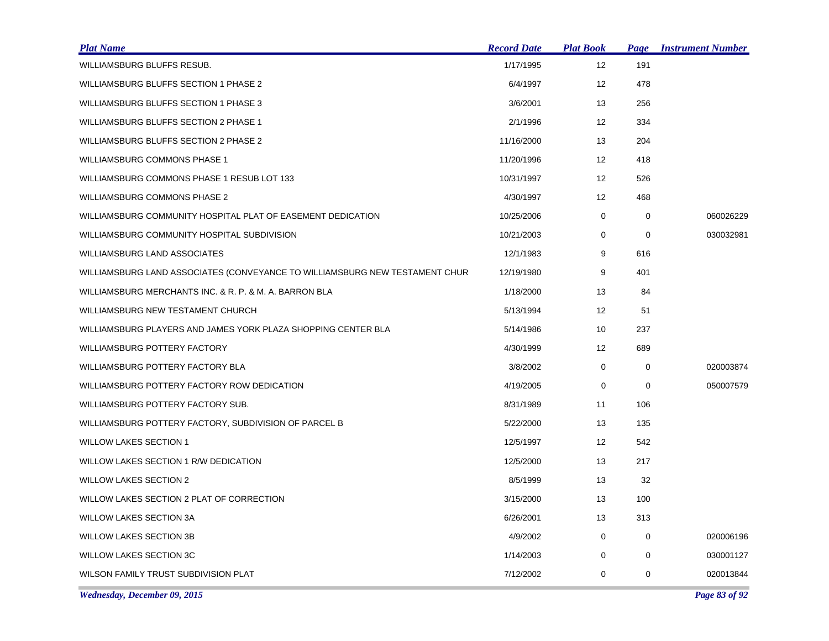| <b>Plat Name</b>                                                            | <b>Record Date</b> | <b>Plat Book</b>  | <b>Page</b> | <b>Instrument Number</b> |
|-----------------------------------------------------------------------------|--------------------|-------------------|-------------|--------------------------|
| WILLIAMSBURG BLUFFS RESUB.                                                  | 1/17/1995          | 12                | 191         |                          |
| WILLIAMSBURG BLUFFS SECTION 1 PHASE 2                                       | 6/4/1997           | 12                | 478         |                          |
| WILLIAMSBURG BLUFFS SECTION 1 PHASE 3                                       | 3/6/2001           | 13                | 256         |                          |
| WILLIAMSBURG BLUFFS SECTION 2 PHASE 1                                       | 2/1/1996           | 12                | 334         |                          |
| WILLIAMSBURG BLUFFS SECTION 2 PHASE 2                                       | 11/16/2000         | 13                | 204         |                          |
| WILLIAMSBURG COMMONS PHASE 1                                                | 11/20/1996         | $12 \overline{ }$ | 418         |                          |
| WILLIAMSBURG COMMONS PHASE 1 RESUB LOT 133                                  | 10/31/1997         | 12                | 526         |                          |
| WILLIAMSBURG COMMONS PHASE 2                                                | 4/30/1997          | 12                | 468         |                          |
| WILLIAMSBURG COMMUNITY HOSPITAL PLAT OF EASEMENT DEDICATION                 | 10/25/2006         | 0                 | 0           | 060026229                |
| WILLIAMSBURG COMMUNITY HOSPITAL SUBDIVISION                                 | 10/21/2003         | 0                 | 0           | 030032981                |
| WILLIAMSBURG LAND ASSOCIATES                                                | 12/1/1983          | 9                 | 616         |                          |
| WILLIAMSBURG LAND ASSOCIATES (CONVEYANCE TO WILLIAMSBURG NEW TESTAMENT CHUR | 12/19/1980         | 9                 | 401         |                          |
| WILLIAMSBURG MERCHANTS INC. & R. P. & M. A. BARRON BLA                      | 1/18/2000          | 13                | 84          |                          |
| WILLIAMSBURG NEW TESTAMENT CHURCH                                           | 5/13/1994          | $12 \overline{ }$ | 51          |                          |
| WILLIAMSBURG PLAYERS AND JAMES YORK PLAZA SHOPPING CENTER BLA               | 5/14/1986          | 10                | 237         |                          |
| WILLIAMSBURG POTTERY FACTORY                                                | 4/30/1999          | 12                | 689         |                          |
| WILLIAMSBURG POTTERY FACTORY BLA                                            | 3/8/2002           | 0                 | 0           | 020003874                |
| WILLIAMSBURG POTTERY FACTORY ROW DEDICATION                                 | 4/19/2005          | 0                 | 0           | 050007579                |
| WILLIAMSBURG POTTERY FACTORY SUB.                                           | 8/31/1989          | 11                | 106         |                          |
| WILLIAMSBURG POTTERY FACTORY, SUBDIVISION OF PARCEL B                       | 5/22/2000          | 13                | 135         |                          |
| <b>WILLOW LAKES SECTION 1</b>                                               | 12/5/1997          | 12                | 542         |                          |
| WILLOW LAKES SECTION 1 R/W DEDICATION                                       | 12/5/2000          | 13                | 217         |                          |
| <b>WILLOW LAKES SECTION 2</b>                                               | 8/5/1999           | 13                | 32          |                          |
| WILLOW LAKES SECTION 2 PLAT OF CORRECTION                                   | 3/15/2000          | 13                | 100         |                          |
| <b>WILLOW LAKES SECTION 3A</b>                                              | 6/26/2001          | 13                | 313         |                          |
| <b>WILLOW LAKES SECTION 3B</b>                                              | 4/9/2002           | 0                 | 0           | 020006196                |
| <b>WILLOW LAKES SECTION 3C</b>                                              | 1/14/2003          | 0                 | 0           | 030001127                |
| WILSON FAMILY TRUST SUBDIVISION PLAT                                        | 7/12/2002          | 0                 | 0           | 020013844                |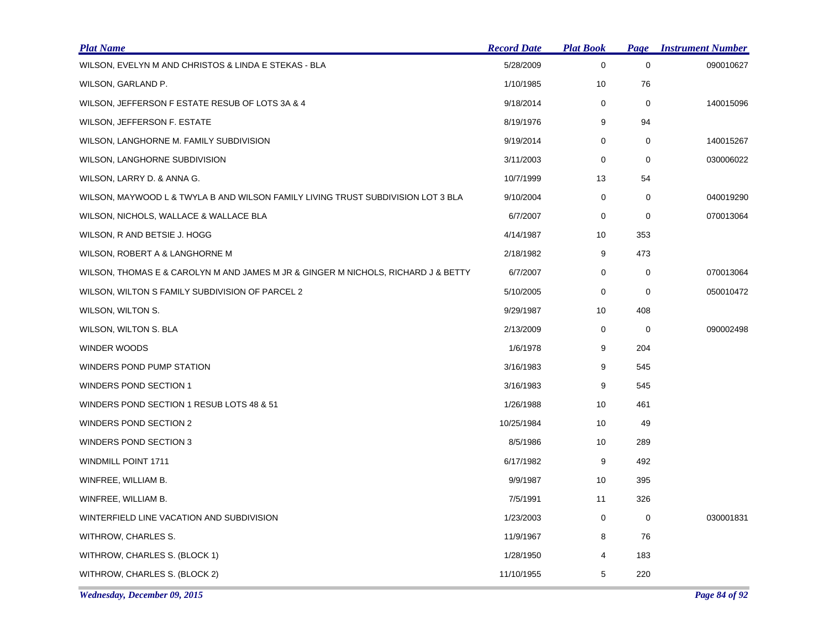| <b>Plat Name</b>                                                                  | <b>Record Date</b> | <b>Plat Book</b> | <b>Page</b> | <b>Instrument Number</b> |
|-----------------------------------------------------------------------------------|--------------------|------------------|-------------|--------------------------|
| WILSON, EVELYN M AND CHRISTOS & LINDA E STEKAS - BLA                              | 5/28/2009          | 0                | $\mathbf 0$ | 090010627                |
| WILSON, GARLAND P.                                                                | 1/10/1985          | 10               | 76          |                          |
| WILSON, JEFFERSON F ESTATE RESUB OF LOTS 3A & 4                                   | 9/18/2014          | $\mathbf 0$      | 0           | 140015096                |
| WILSON, JEFFERSON F. ESTATE                                                       | 8/19/1976          | 9                | 94          |                          |
| WILSON, LANGHORNE M. FAMILY SUBDIVISION                                           | 9/19/2014          | 0                | 0           | 140015267                |
| WILSON, LANGHORNE SUBDIVISION                                                     | 3/11/2003          | 0                | $\mathbf 0$ | 030006022                |
| WILSON, LARRY D. & ANNA G.                                                        | 10/7/1999          | 13               | 54          |                          |
| WILSON, MAYWOOD L & TWYLA B AND WILSON FAMILY LIVING TRUST SUBDIVISION LOT 3 BLA  | 9/10/2004          | $\mathbf 0$      | $\mathbf 0$ | 040019290                |
| WILSON, NICHOLS, WALLACE & WALLACE BLA                                            | 6/7/2007           | 0                | 0           | 070013064                |
| WILSON, R AND BETSIE J. HOGG                                                      | 4/14/1987          | 10               | 353         |                          |
| WILSON, ROBERT A & LANGHORNE M                                                    | 2/18/1982          | 9                | 473         |                          |
| WILSON, THOMAS E & CAROLYN M AND JAMES M JR & GINGER M NICHOLS, RICHARD J & BETTY | 6/7/2007           | 0                | 0           | 070013064                |
| WILSON, WILTON S FAMILY SUBDIVISION OF PARCEL 2                                   | 5/10/2005          | 0                | $\mathbf 0$ | 050010472                |
| WILSON, WILTON S.                                                                 | 9/29/1987          | 10               | 408         |                          |
| WILSON, WILTON S. BLA                                                             | 2/13/2009          | 0                | 0           | 090002498                |
| <b>WINDER WOODS</b>                                                               | 1/6/1978           | 9                | 204         |                          |
| WINDERS POND PUMP STATION                                                         | 3/16/1983          | 9                | 545         |                          |
| WINDERS POND SECTION 1                                                            | 3/16/1983          | 9                | 545         |                          |
| WINDERS POND SECTION 1 RESUB LOTS 48 & 51                                         | 1/26/1988          | 10               | 461         |                          |
| WINDERS POND SECTION 2                                                            | 10/25/1984         | 10               | 49          |                          |
| WINDERS POND SECTION 3                                                            | 8/5/1986           | 10               | 289         |                          |
| WINDMILL POINT 1711                                                               | 6/17/1982          | 9                | 492         |                          |
| WINFREE, WILLIAM B.                                                               | 9/9/1987           | 10               | 395         |                          |
| WINFREE, WILLIAM B.                                                               | 7/5/1991           | 11               | 326         |                          |
| WINTERFIELD LINE VACATION AND SUBDIVISION                                         | 1/23/2003          | 0                | 0           | 030001831                |
| WITHROW, CHARLES S.                                                               | 11/9/1967          | 8                | 76          |                          |
| WITHROW, CHARLES S. (BLOCK 1)                                                     | 1/28/1950          | 4                | 183         |                          |
| WITHROW, CHARLES S. (BLOCK 2)                                                     | 11/10/1955         | 5                | 220         |                          |

*Wednesday, December 09, 2015 Page 84 of 92*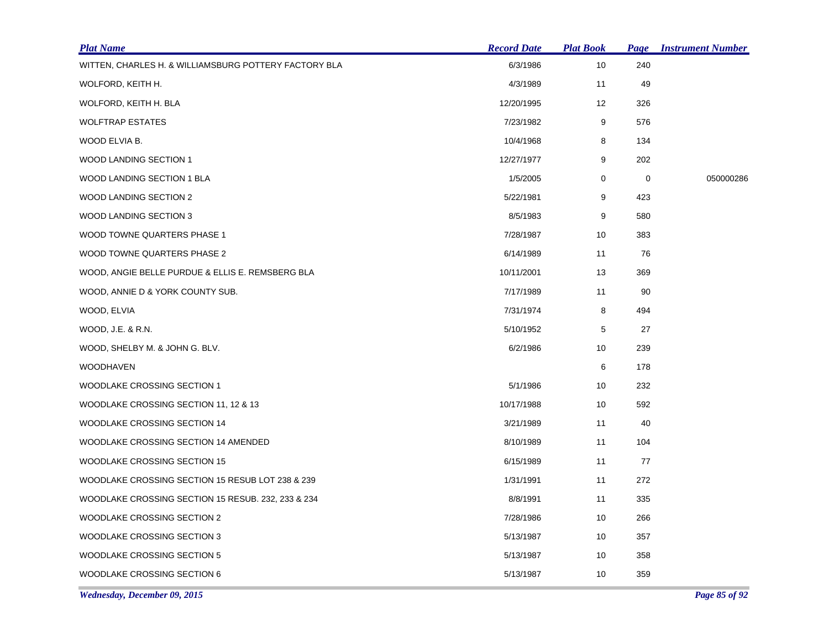| <b>Plat Name</b>                                      | <b>Record Date</b> | <b>Plat Book</b> | <b>Page</b> | <b>Instrument Number</b> |
|-------------------------------------------------------|--------------------|------------------|-------------|--------------------------|
| WITTEN, CHARLES H. & WILLIAMSBURG POTTERY FACTORY BLA | 6/3/1986           | 10               | 240         |                          |
| WOLFORD, KEITH H.                                     | 4/3/1989           | 11               | 49          |                          |
| WOLFORD, KEITH H. BLA                                 | 12/20/1995         | 12               | 326         |                          |
| <b>WOLFTRAP ESTATES</b>                               | 7/23/1982          | 9                | 576         |                          |
| WOOD ELVIA B.                                         | 10/4/1968          | 8                | 134         |                          |
| <b>WOOD LANDING SECTION 1</b>                         | 12/27/1977         | 9                | 202         |                          |
| WOOD LANDING SECTION 1 BLA                            | 1/5/2005           | 0                | 0           | 050000286                |
| WOOD LANDING SECTION 2                                | 5/22/1981          | 9                | 423         |                          |
| WOOD LANDING SECTION 3                                | 8/5/1983           | 9                | 580         |                          |
| WOOD TOWNE QUARTERS PHASE 1                           | 7/28/1987          | 10               | 383         |                          |
| WOOD TOWNE QUARTERS PHASE 2                           | 6/14/1989          | 11               | 76          |                          |
| WOOD, ANGIE BELLE PURDUE & ELLIS E. REMSBERG BLA      | 10/11/2001         | 13               | 369         |                          |
| WOOD, ANNIE D & YORK COUNTY SUB.                      | 7/17/1989          | 11               | 90          |                          |
| WOOD, ELVIA                                           | 7/31/1974          | 8                | 494         |                          |
| WOOD, J.E. & R.N.                                     | 5/10/1952          | 5                | 27          |                          |
| WOOD, SHELBY M. & JOHN G. BLV.                        | 6/2/1986           | 10               | 239         |                          |
| <b>WOODHAVEN</b>                                      |                    | 6                | 178         |                          |
| WOODLAKE CROSSING SECTION 1                           | 5/1/1986           | 10               | 232         |                          |
| WOODLAKE CROSSING SECTION 11, 12 & 13                 | 10/17/1988         | 10               | 592         |                          |
| WOODLAKE CROSSING SECTION 14                          | 3/21/1989          | 11               | 40          |                          |
| WOODLAKE CROSSING SECTION 14 AMENDED                  | 8/10/1989          | 11               | 104         |                          |
| WOODLAKE CROSSING SECTION 15                          | 6/15/1989          | 11               | 77          |                          |
| WOODLAKE CROSSING SECTION 15 RESUB LOT 238 & 239      | 1/31/1991          | 11               | 272         |                          |
| WOODLAKE CROSSING SECTION 15 RESUB. 232, 233 & 234    | 8/8/1991           | 11               | 335         |                          |
| WOODLAKE CROSSING SECTION 2                           | 7/28/1986          | 10               | 266         |                          |
| WOODLAKE CROSSING SECTION 3                           | 5/13/1987          | 10               | 357         |                          |
| WOODLAKE CROSSING SECTION 5                           | 5/13/1987          | 10               | 358         |                          |
| WOODLAKE CROSSING SECTION 6                           | 5/13/1987          | 10               | 359         |                          |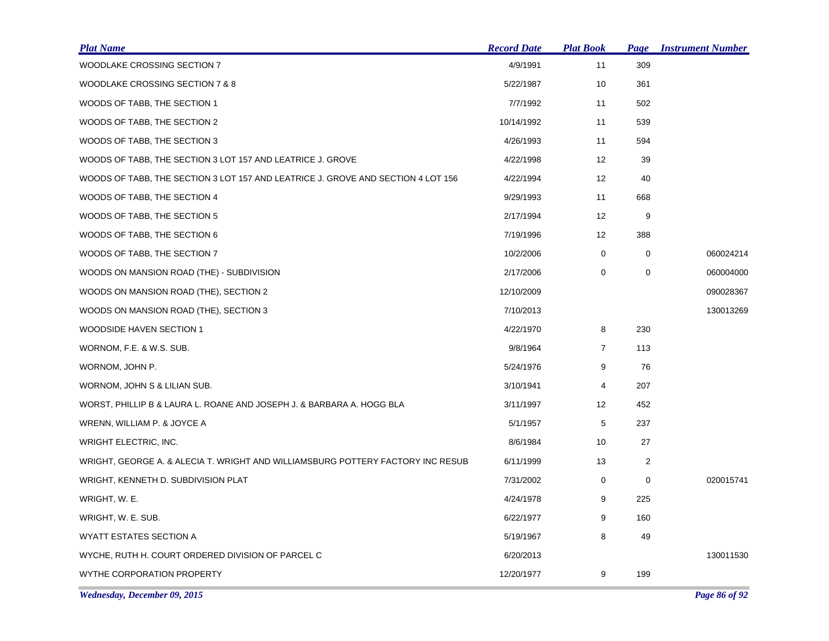| <b>Plat Name</b>                                                                 | <b>Record Date</b> | <b>Plat Book</b> | <b>Page</b>    | <b>Instrument Number</b> |
|----------------------------------------------------------------------------------|--------------------|------------------|----------------|--------------------------|
| WOODLAKE CROSSING SECTION 7                                                      | 4/9/1991           | 11               | 309            |                          |
| WOODLAKE CROSSING SECTION 7 & 8                                                  | 5/22/1987          | 10               | 361            |                          |
| WOODS OF TABB, THE SECTION 1                                                     | 7/7/1992           | 11               | 502            |                          |
| WOODS OF TABB, THE SECTION 2                                                     | 10/14/1992         | 11               | 539            |                          |
| WOODS OF TABB, THE SECTION 3                                                     | 4/26/1993          | 11               | 594            |                          |
| WOODS OF TABB, THE SECTION 3 LOT 157 AND LEATRICE J. GROVE                       | 4/22/1998          | 12               | 39             |                          |
| WOODS OF TABB, THE SECTION 3 LOT 157 AND LEATRICE J. GROVE AND SECTION 4 LOT 156 | 4/22/1994          | 12               | 40             |                          |
| WOODS OF TABB, THE SECTION 4                                                     | 9/29/1993          | 11               | 668            |                          |
| WOODS OF TABB, THE SECTION 5                                                     | 2/17/1994          | 12               | 9              |                          |
| WOODS OF TABB, THE SECTION 6                                                     | 7/19/1996          | 12               | 388            |                          |
| WOODS OF TABB, THE SECTION 7                                                     | 10/2/2006          | $\mathbf 0$      | $\mathbf 0$    | 060024214                |
| WOODS ON MANSION ROAD (THE) - SUBDIVISION                                        | 2/17/2006          | 0                | 0              | 060004000                |
| WOODS ON MANSION ROAD (THE), SECTION 2                                           | 12/10/2009         |                  |                | 090028367                |
| WOODS ON MANSION ROAD (THE), SECTION 3                                           | 7/10/2013          |                  |                | 130013269                |
| WOODSIDE HAVEN SECTION 1                                                         | 4/22/1970          | 8                | 230            |                          |
| WORNOM, F.E. & W.S. SUB.                                                         | 9/8/1964           | $\overline{7}$   | 113            |                          |
| WORNOM, JOHN P.                                                                  | 5/24/1976          | 9                | 76             |                          |
| WORNOM, JOHN S & LILIAN SUB.                                                     | 3/10/1941          | 4                | 207            |                          |
| WORST, PHILLIP B & LAURA L. ROANE AND JOSEPH J. & BARBARA A. HOGG BLA            | 3/11/1997          | 12               | 452            |                          |
| WRENN, WILLIAM P. & JOYCE A                                                      | 5/1/1957           | 5                | 237            |                          |
| WRIGHT ELECTRIC, INC.                                                            | 8/6/1984           | 10               | 27             |                          |
| WRIGHT, GEORGE A. & ALECIA T. WRIGHT AND WILLIAMSBURG POTTERY FACTORY INC RESUB  | 6/11/1999          | 13               | $\overline{c}$ |                          |
| WRIGHT, KENNETH D. SUBDIVISION PLAT                                              | 7/31/2002          | 0                | 0              | 020015741                |
| WRIGHT, W. E.                                                                    | 4/24/1978          | 9                | 225            |                          |
| WRIGHT, W. E. SUB.                                                               | 6/22/1977          | 9                | 160            |                          |
| WYATT ESTATES SECTION A                                                          | 5/19/1967          | 8                | 49             |                          |
| WYCHE, RUTH H. COURT ORDERED DIVISION OF PARCEL C                                | 6/20/2013          |                  |                | 130011530                |
| WYTHE CORPORATION PROPERTY                                                       | 12/20/1977         | 9                | 199            |                          |
|                                                                                  |                    |                  |                |                          |

*Wednesday, December 09, 2015 Page 86 of 92*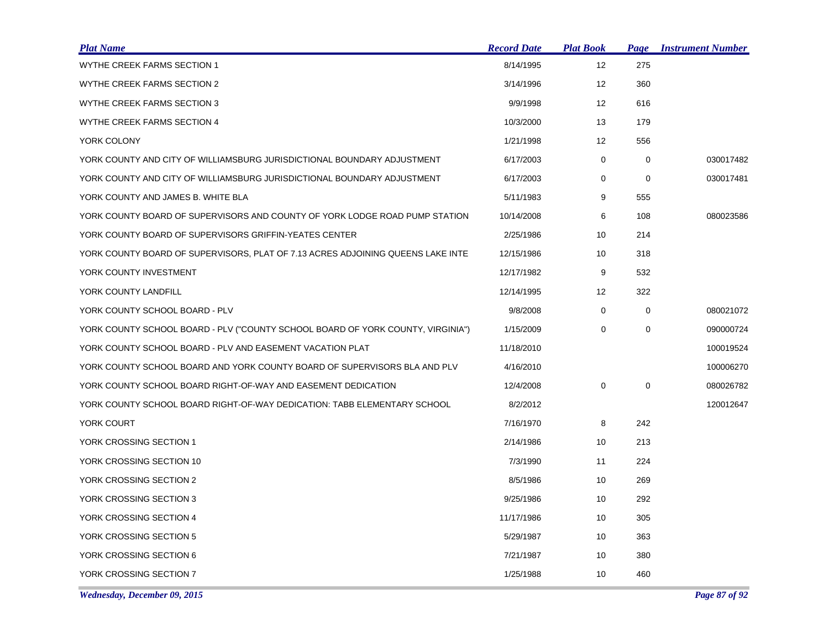| <b>Plat Name</b>                                                                | <b>Record Date</b> | <u> Plat Book</u> | Page        | <b>Instrument Number</b> |
|---------------------------------------------------------------------------------|--------------------|-------------------|-------------|--------------------------|
| WYTHE CREEK FARMS SECTION 1                                                     | 8/14/1995          | 12                | 275         |                          |
| WYTHE CREEK FARMS SECTION 2                                                     | 3/14/1996          | 12                | 360         |                          |
| WYTHE CREEK FARMS SECTION 3                                                     | 9/9/1998           | 12                | 616         |                          |
| WYTHE CREEK FARMS SECTION 4                                                     | 10/3/2000          | 13                | 179         |                          |
| YORK COLONY                                                                     | 1/21/1998          | 12                | 556         |                          |
| YORK COUNTY AND CITY OF WILLIAMSBURG JURISDICTIONAL BOUNDARY ADJUSTMENT         | 6/17/2003          | $\mathbf 0$       | $\mathbf 0$ | 030017482                |
| YORK COUNTY AND CITY OF WILLIAMSBURG JURISDICTIONAL BOUNDARY ADJUSTMENT         | 6/17/2003          | 0                 | $\mathbf 0$ | 030017481                |
| YORK COUNTY AND JAMES B. WHITE BLA                                              | 5/11/1983          | 9                 | 555         |                          |
| YORK COUNTY BOARD OF SUPERVISORS AND COUNTY OF YORK LODGE ROAD PUMP STATION     | 10/14/2008         | 6                 | 108         | 080023586                |
| YORK COUNTY BOARD OF SUPERVISORS GRIFFIN-YEATES CENTER                          | 2/25/1986          | 10                | 214         |                          |
| YORK COUNTY BOARD OF SUPERVISORS, PLAT OF 7.13 ACRES ADJOINING QUEENS LAKE INTE | 12/15/1986         | 10                | 318         |                          |
| YORK COUNTY INVESTMENT                                                          | 12/17/1982         | 9                 | 532         |                          |
| YORK COUNTY LANDFILL                                                            | 12/14/1995         | 12                | 322         |                          |
| YORK COUNTY SCHOOL BOARD - PLV                                                  | 9/8/2008           | 0                 | 0           | 080021072                |
| YORK COUNTY SCHOOL BOARD - PLV ("COUNTY SCHOOL BOARD OF YORK COUNTY, VIRGINIA") | 1/15/2009          | $\mathbf 0$       | $\mathbf 0$ | 090000724                |
| YORK COUNTY SCHOOL BOARD - PLV AND EASEMENT VACATION PLAT                       | 11/18/2010         |                   |             | 100019524                |
| YORK COUNTY SCHOOL BOARD AND YORK COUNTY BOARD OF SUPERVISORS BLA AND PLV       | 4/16/2010          |                   |             | 100006270                |
| YORK COUNTY SCHOOL BOARD RIGHT-OF-WAY AND EASEMENT DEDICATION                   | 12/4/2008          | $\mathbf 0$       | 0           | 080026782                |
| YORK COUNTY SCHOOL BOARD RIGHT-OF-WAY DEDICATION: TABB ELEMENTARY SCHOOL        | 8/2/2012           |                   |             | 120012647                |
| YORK COURT                                                                      | 7/16/1970          | 8                 | 242         |                          |
| YORK CROSSING SECTION 1                                                         | 2/14/1986          | 10                | 213         |                          |
| YORK CROSSING SECTION 10                                                        | 7/3/1990           | 11                | 224         |                          |
| YORK CROSSING SECTION 2                                                         | 8/5/1986           | 10                | 269         |                          |
| YORK CROSSING SECTION 3                                                         | 9/25/1986          | 10                | 292         |                          |
| YORK CROSSING SECTION 4                                                         | 11/17/1986         | 10                | 305         |                          |
| YORK CROSSING SECTION 5                                                         | 5/29/1987          | 10                | 363         |                          |
| YORK CROSSING SECTION 6                                                         | 7/21/1987          | 10                | 380         |                          |
| YORK CROSSING SECTION 7                                                         | 1/25/1988          | 10                | 460         |                          |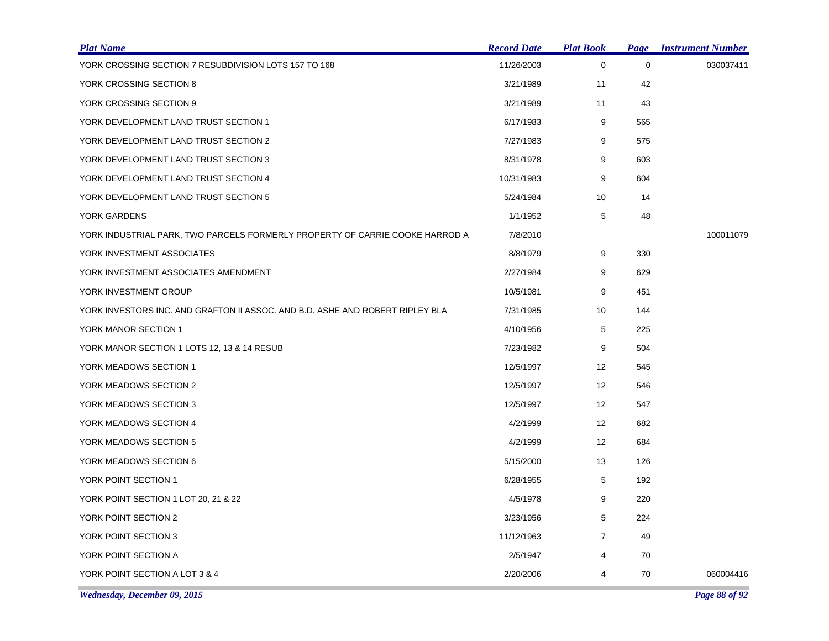| <b>Plat Name</b>                                                              | <b>Record Date</b> | <u>Plat Book</u>  |             | <b>Page Instrument Number</b> |
|-------------------------------------------------------------------------------|--------------------|-------------------|-------------|-------------------------------|
| YORK CROSSING SECTION 7 RESUBDIVISION LOTS 157 TO 168                         | 11/26/2003         | 0                 | $\mathbf 0$ | 030037411                     |
| YORK CROSSING SECTION 8                                                       | 3/21/1989          | 11                | 42          |                               |
| YORK CROSSING SECTION 9                                                       | 3/21/1989          | 11                | 43          |                               |
| YORK DEVELOPMENT LAND TRUST SECTION 1                                         | 6/17/1983          | 9                 | 565         |                               |
| YORK DEVELOPMENT LAND TRUST SECTION 2                                         | 7/27/1983          | 9                 | 575         |                               |
| YORK DEVELOPMENT LAND TRUST SECTION 3                                         | 8/31/1978          | 9                 | 603         |                               |
| YORK DEVELOPMENT LAND TRUST SECTION 4                                         | 10/31/1983         | 9                 | 604         |                               |
| YORK DEVELOPMENT LAND TRUST SECTION 5                                         | 5/24/1984          | 10                | 14          |                               |
| YORK GARDENS                                                                  | 1/1/1952           | 5                 | 48          |                               |
| YORK INDUSTRIAL PARK, TWO PARCELS FORMERLY PROPERTY OF CARRIE COOKE HARROD A  | 7/8/2010           |                   |             | 100011079                     |
| YORK INVESTMENT ASSOCIATES                                                    | 8/8/1979           | 9                 | 330         |                               |
| YORK INVESTMENT ASSOCIATES AMENDMENT                                          | 2/27/1984          | 9                 | 629         |                               |
| YORK INVESTMENT GROUP                                                         | 10/5/1981          | 9                 | 451         |                               |
| YORK INVESTORS INC. AND GRAFTON II ASSOC. AND B.D. ASHE AND ROBERT RIPLEY BLA | 7/31/1985          | 10                | 144         |                               |
| YORK MANOR SECTION 1                                                          | 4/10/1956          | 5                 | 225         |                               |
| YORK MANOR SECTION 1 LOTS 12, 13 & 14 RESUB                                   | 7/23/1982          | 9                 | 504         |                               |
| YORK MEADOWS SECTION 1                                                        | 12/5/1997          | $12 \overline{ }$ | 545         |                               |
| YORK MEADOWS SECTION 2                                                        | 12/5/1997          | 12                | 546         |                               |
| YORK MEADOWS SECTION 3                                                        | 12/5/1997          | $12 \overline{ }$ | 547         |                               |
| YORK MEADOWS SECTION 4                                                        | 4/2/1999           | 12                | 682         |                               |
| YORK MEADOWS SECTION 5                                                        | 4/2/1999           | $12 \overline{ }$ | 684         |                               |
| YORK MEADOWS SECTION 6                                                        | 5/15/2000          | 13                | 126         |                               |
| YORK POINT SECTION 1                                                          | 6/28/1955          | 5                 | 192         |                               |
| YORK POINT SECTION 1 LOT 20, 21 & 22                                          | 4/5/1978           | 9                 | 220         |                               |
| YORK POINT SECTION 2                                                          | 3/23/1956          | 5                 | 224         |                               |
| YORK POINT SECTION 3                                                          | 11/12/1963         | $\overline{7}$    | 49          |                               |
| YORK POINT SECTION A                                                          | 2/5/1947           | 4                 | 70          |                               |
| YORK POINT SECTION A LOT 3 & 4                                                | 2/20/2006          | 4                 | 70          | 060004416                     |

*Wednesday, December 09, 2015 Page 88 of 92*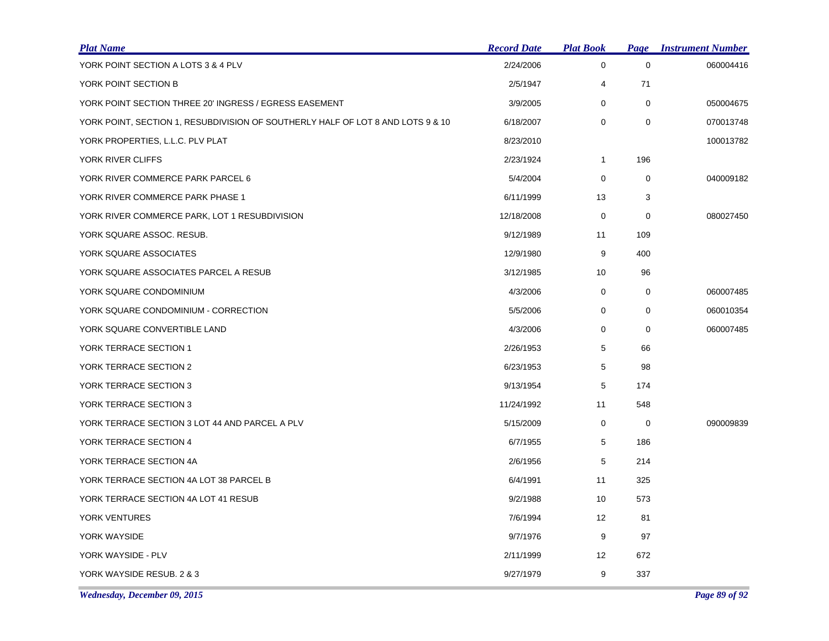| <b>Plat Name</b>                                                                | <b>Record Date</b> | <b>Plat Book</b> | <b>Page</b> | <b>Instrument Number</b> |
|---------------------------------------------------------------------------------|--------------------|------------------|-------------|--------------------------|
| YORK POINT SECTION A LOTS 3 & 4 PLV                                             | 2/24/2006          | $\mathbf 0$      | $\mathbf 0$ | 060004416                |
| YORK POINT SECTION B                                                            | 2/5/1947           | 4                | 71          |                          |
| YORK POINT SECTION THREE 20' INGRESS / EGRESS EASEMENT                          | 3/9/2005           | $\mathbf 0$      | $\mathbf 0$ | 050004675                |
| YORK POINT, SECTION 1, RESUBDIVISION OF SOUTHERLY HALF OF LOT 8 AND LOTS 9 & 10 | 6/18/2007          | 0                | $\mathbf 0$ | 070013748                |
| YORK PROPERTIES, L.L.C. PLV PLAT                                                | 8/23/2010          |                  |             | 100013782                |
| YORK RIVER CLIFFS                                                               | 2/23/1924          | 1                | 196         |                          |
| YORK RIVER COMMERCE PARK PARCEL 6                                               | 5/4/2004           | 0                | 0           | 040009182                |
| YORK RIVER COMMERCE PARK PHASE 1                                                | 6/11/1999          | 13               | 3           |                          |
| YORK RIVER COMMERCE PARK, LOT 1 RESUBDIVISION                                   | 12/18/2008         | 0                | $\mathbf 0$ | 080027450                |
| YORK SQUARE ASSOC. RESUB.                                                       | 9/12/1989          | 11               | 109         |                          |
| YORK SQUARE ASSOCIATES                                                          | 12/9/1980          | 9                | 400         |                          |
| YORK SQUARE ASSOCIATES PARCEL A RESUB                                           | 3/12/1985          | 10               | 96          |                          |
| YORK SQUARE CONDOMINIUM                                                         | 4/3/2006           | 0                | 0           | 060007485                |
| YORK SQUARE CONDOMINIUM - CORRECTION                                            | 5/5/2006           | 0                | 0           | 060010354                |
| YORK SQUARE CONVERTIBLE LAND                                                    | 4/3/2006           | 0                | 0           | 060007485                |
| YORK TERRACE SECTION 1                                                          | 2/26/1953          | 5                | 66          |                          |
| YORK TERRACE SECTION 2                                                          | 6/23/1953          | 5                | 98          |                          |
| YORK TERRACE SECTION 3                                                          | 9/13/1954          | 5                | 174         |                          |
| YORK TERRACE SECTION 3                                                          | 11/24/1992         | 11               | 548         |                          |
| YORK TERRACE SECTION 3 LOT 44 AND PARCEL A PLV                                  | 5/15/2009          | 0                | 0           | 090009839                |
| YORK TERRACE SECTION 4                                                          | 6/7/1955           | 5                | 186         |                          |
| YORK TERRACE SECTION 4A                                                         | 2/6/1956           | 5                | 214         |                          |
| YORK TERRACE SECTION 4A LOT 38 PARCEL B                                         | 6/4/1991           | 11               | 325         |                          |
| YORK TERRACE SECTION 4A LOT 41 RESUB                                            | 9/2/1988           | 10               | 573         |                          |
| YORK VENTURES                                                                   | 7/6/1994           | 12               | 81          |                          |
| YORK WAYSIDE                                                                    | 9/7/1976           | 9                | 97          |                          |
| YORK WAYSIDE - PLV                                                              | 2/11/1999          | 12               | 672         |                          |
| YORK WAYSIDE RESUB. 2 & 3                                                       | 9/27/1979          | 9                | 337         |                          |

*Wednesday, December 09, 2015 Page 89 of 92*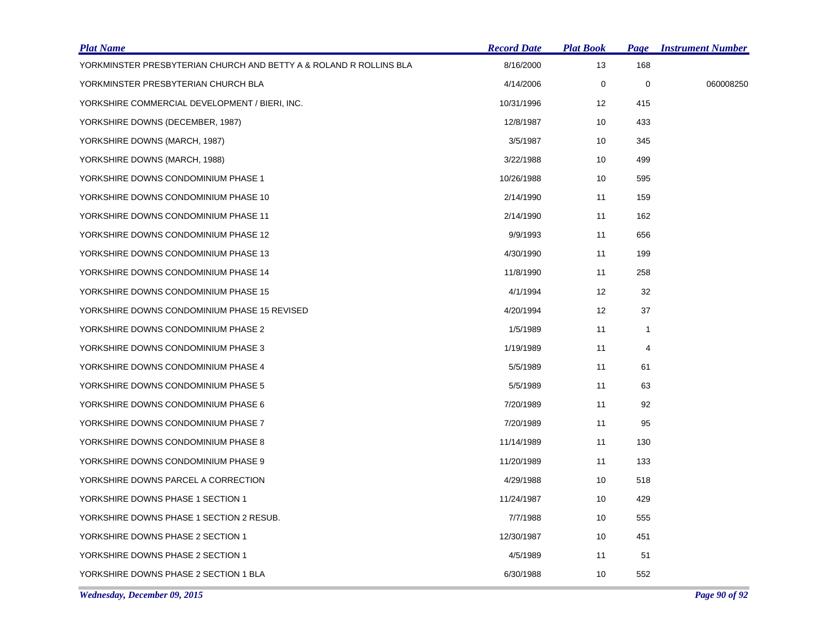| <b>Plat Name</b>                                                   | <b>Record Date</b> | <b>Plat Book</b>  |              | <b>Page Instrument Number</b> |
|--------------------------------------------------------------------|--------------------|-------------------|--------------|-------------------------------|
| YORKMINSTER PRESBYTERIAN CHURCH AND BETTY A & ROLAND R ROLLINS BLA | 8/16/2000          | 13                | 168          |                               |
| YORKMINSTER PRESBYTERIAN CHURCH BLA                                | 4/14/2006          | 0                 | $\pmb{0}$    | 060008250                     |
| YORKSHIRE COMMERCIAL DEVELOPMENT / BIERI, INC.                     | 10/31/1996         | $12 \overline{ }$ | 415          |                               |
| YORKSHIRE DOWNS (DECEMBER, 1987)                                   | 12/8/1987          | 10                | 433          |                               |
| YORKSHIRE DOWNS (MARCH, 1987)                                      | 3/5/1987           | 10                | 345          |                               |
| YORKSHIRE DOWNS (MARCH, 1988)                                      | 3/22/1988          | 10                | 499          |                               |
| YORKSHIRE DOWNS CONDOMINIUM PHASE 1                                | 10/26/1988         | 10                | 595          |                               |
| YORKSHIRE DOWNS CONDOMINIUM PHASE 10                               | 2/14/1990          | 11                | 159          |                               |
| YORKSHIRE DOWNS CONDOMINIUM PHASE 11                               | 2/14/1990          | 11                | 162          |                               |
| YORKSHIRE DOWNS CONDOMINIUM PHASE 12                               | 9/9/1993           | 11                | 656          |                               |
| YORKSHIRE DOWNS CONDOMINIUM PHASE 13                               | 4/30/1990          | 11                | 199          |                               |
| YORKSHIRE DOWNS CONDOMINIUM PHASE 14                               | 11/8/1990          | 11                | 258          |                               |
| YORKSHIRE DOWNS CONDOMINIUM PHASE 15                               | 4/1/1994           | 12                | 32           |                               |
| YORKSHIRE DOWNS CONDOMINIUM PHASE 15 REVISED                       | 4/20/1994          | 12                | 37           |                               |
| YORKSHIRE DOWNS CONDOMINIUM PHASE 2                                | 1/5/1989           | 11                | $\mathbf{1}$ |                               |
| YORKSHIRE DOWNS CONDOMINIUM PHASE 3                                | 1/19/1989          | 11                | 4            |                               |
| YORKSHIRE DOWNS CONDOMINIUM PHASE 4                                | 5/5/1989           | 11                | 61           |                               |
| YORKSHIRE DOWNS CONDOMINIUM PHASE 5                                | 5/5/1989           | 11                | 63           |                               |
| YORKSHIRE DOWNS CONDOMINIUM PHASE 6                                | 7/20/1989          | 11                | 92           |                               |
| YORKSHIRE DOWNS CONDOMINIUM PHASE 7                                | 7/20/1989          | 11                | 95           |                               |
| YORKSHIRE DOWNS CONDOMINIUM PHASE 8                                | 11/14/1989         | 11                | 130          |                               |
| YORKSHIRE DOWNS CONDOMINIUM PHASE 9                                | 11/20/1989         | 11                | 133          |                               |
| YORKSHIRE DOWNS PARCEL A CORRECTION                                | 4/29/1988          | 10                | 518          |                               |
| YORKSHIRE DOWNS PHASE 1 SECTION 1                                  | 11/24/1987         | 10                | 429          |                               |
| YORKSHIRE DOWNS PHASE 1 SECTION 2 RESUB.                           | 7/7/1988           | 10                | 555          |                               |
| YORKSHIRE DOWNS PHASE 2 SECTION 1                                  | 12/30/1987         | 10                | 451          |                               |
| YORKSHIRE DOWNS PHASE 2 SECTION 1                                  | 4/5/1989           | 11                | 51           |                               |
| YORKSHIRE DOWNS PHASE 2 SECTION 1 BLA                              | 6/30/1988          | 10                | 552          |                               |
|                                                                    |                    |                   |              |                               |

*Wednesday, December 09, 2015 Page 90 of 92*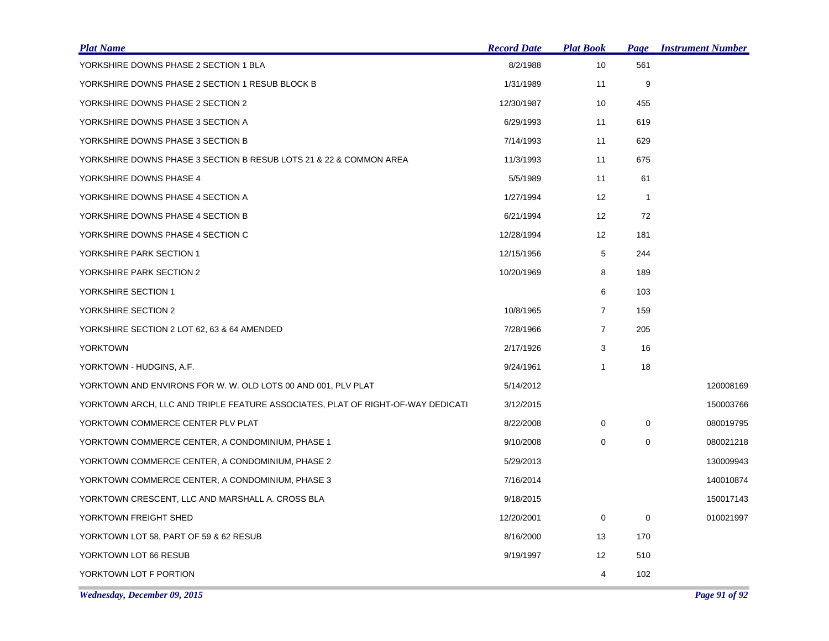| <u>Plat Name</u>                                                                | <b>Record Date</b> | <b>Plat Book</b>  | <b>Page</b>    | <b>Instrument Number</b> |
|---------------------------------------------------------------------------------|--------------------|-------------------|----------------|--------------------------|
| YORKSHIRE DOWNS PHASE 2 SECTION 1 BLA                                           | 8/2/1988           | 10                | 561            |                          |
| YORKSHIRE DOWNS PHASE 2 SECTION 1 RESUB BLOCK B                                 | 1/31/1989          | 11                | 9              |                          |
| YORKSHIRE DOWNS PHASE 2 SECTION 2                                               | 12/30/1987         | 10                | 455            |                          |
| YORKSHIRE DOWNS PHASE 3 SECTION A                                               | 6/29/1993          | 11                | 619            |                          |
| YORKSHIRE DOWNS PHASE 3 SECTION B                                               | 7/14/1993          | 11                | 629            |                          |
| YORKSHIRE DOWNS PHASE 3 SECTION B RESUB LOTS 21 & 22 & COMMON AREA              | 11/3/1993          | 11                | 675            |                          |
| YORKSHIRE DOWNS PHASE 4                                                         | 5/5/1989           | 11                | 61             |                          |
| YORKSHIRE DOWNS PHASE 4 SECTION A                                               | 1/27/1994          | 12                | $\overline{1}$ |                          |
| YORKSHIRE DOWNS PHASE 4 SECTION B                                               | 6/21/1994          | $12 \overline{ }$ | 72             |                          |
| YORKSHIRE DOWNS PHASE 4 SECTION C                                               | 12/28/1994         | 12                | 181            |                          |
| YORKSHIRE PARK SECTION 1                                                        | 12/15/1956         | 5                 | 244            |                          |
| YORKSHIRE PARK SECTION 2                                                        | 10/20/1969         | 8                 | 189            |                          |
| YORKSHIRE SECTION 1                                                             |                    | 6                 | 103            |                          |
| YORKSHIRE SECTION 2                                                             | 10/8/1965          | $\overline{7}$    | 159            |                          |
| YORKSHIRE SECTION 2 LOT 62, 63 & 64 AMENDED                                     | 7/28/1966          | 7                 | 205            |                          |
| <b>YORKTOWN</b>                                                                 | 2/17/1926          | 3                 | 16             |                          |
| YORKTOWN - HUDGINS, A.F.                                                        | 9/24/1961          | $\mathbf{1}$      | 18             |                          |
| YORKTOWN AND ENVIRONS FOR W. W. OLD LOTS 00 AND 001, PLV PLAT                   | 5/14/2012          |                   |                | 120008169                |
| YORKTOWN ARCH, LLC AND TRIPLE FEATURE ASSOCIATES, PLAT OF RIGHT-OF-WAY DEDICATI | 3/12/2015          |                   |                | 150003766                |
| YORKTOWN COMMERCE CENTER PLV PLAT                                               | 8/22/2008          | 0                 | 0              | 080019795                |
| YORKTOWN COMMERCE CENTER, A CONDOMINIUM, PHASE 1                                | 9/10/2008          | 0                 | $\mathbf 0$    | 080021218                |
| YORKTOWN COMMERCE CENTER, A CONDOMINIUM, PHASE 2                                | 5/29/2013          |                   |                | 130009943                |
| YORKTOWN COMMERCE CENTER, A CONDOMINIUM, PHASE 3                                | 7/16/2014          |                   |                | 140010874                |
| YORKTOWN CRESCENT, LLC AND MARSHALL A. CROSS BLA                                | 9/18/2015          |                   |                | 150017143                |
| YORKTOWN FREIGHT SHED                                                           | 12/20/2001         | 0                 | 0              | 010021997                |
| YORKTOWN LOT 58, PART OF 59 & 62 RESUB                                          | 8/16/2000          | 13                | 170            |                          |
| YORKTOWN LOT 66 RESUB                                                           | 9/19/1997          | 12                | 510            |                          |
| YORKTOWN LOT F PORTION                                                          |                    | 4                 | 102            |                          |